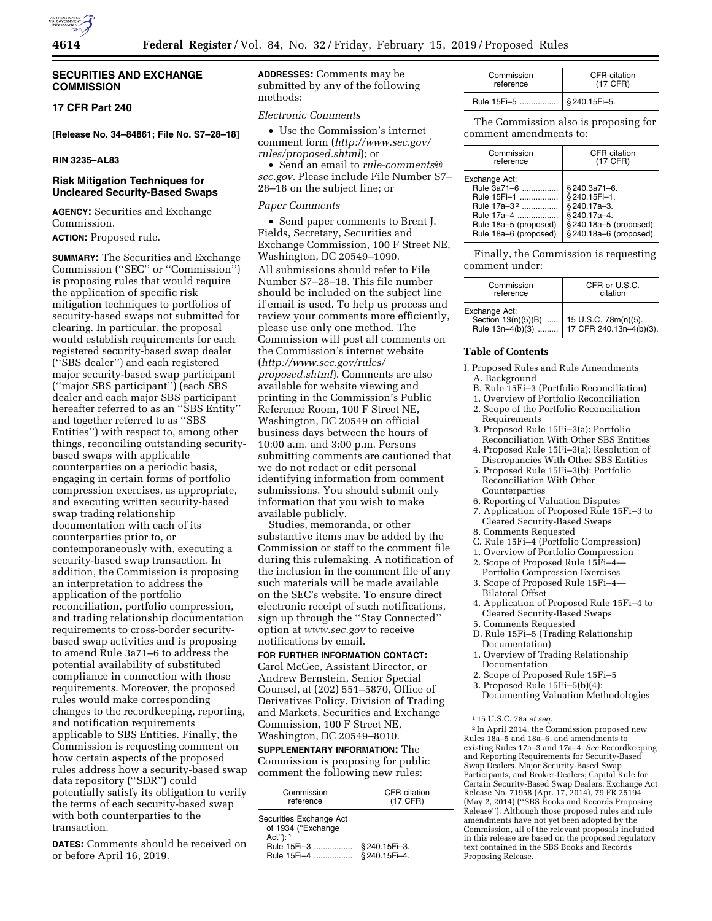

# **SECURITIES AND EXCHANGE COMMISSION**

# **17 CFR Part 240**

**[Release No. 34–84861; File No. S7–28–18]** 

# **RIN 3235–AL83**

# **Risk Mitigation Techniques for Uncleared Security-Based Swaps**

**AGENCY:** Securities and Exchange Commission.

# **ACTION: Proposed rule.**

**SUMMARY:** The Securities and Exchange Commission (''SEC'' or ''Commission'') is proposing rules that would require the application of specific risk mitigation techniques to portfolios of security-based swaps not submitted for clearing. In particular, the proposal would establish requirements for each registered security-based swap dealer (''SBS dealer'') and each registered major security-based swap participant (''major SBS participant'') (each SBS dealer and each major SBS participant hereafter referred to as an "SBS Entity" and together referred to as ''SBS Entities'') with respect to, among other things, reconciling outstanding securitybased swaps with applicable counterparties on a periodic basis, engaging in certain forms of portfolio compression exercises, as appropriate, and executing written security-based swap trading relationship documentation with each of its counterparties prior to, or contemporaneously with, executing a security-based swap transaction. In addition, the Commission is proposing an interpretation to address the application of the portfolio reconciliation, portfolio compression, and trading relationship documentation requirements to cross-border securitybased swap activities and is proposing to amend Rule 3a71–6 to address the potential availability of substituted compliance in connection with those requirements. Moreover, the proposed rules would make corresponding changes to the recordkeeping, reporting, and notification requirements applicable to SBS Entities. Finally, the Commission is requesting comment on how certain aspects of the proposed rules address how a security-based swap data repository (''SDR'') could potentially satisfy its obligation to verify the terms of each security-based swap with both counterparties to the transaction.

**DATES:** Comments should be received on or before April 16, 2019.

**ADDRESSES:** Comments may be submitted by any of the following methods:

### *Electronic Comments*

• Use the Commission's internet comment form (*[http://www.sec.gov/](http://www.sec.gov/rules/proposed.shtml)  [rules/proposed.shtml](http://www.sec.gov/rules/proposed.shtml)*); or

• Send an email to *[rule-comments@](mailto:rule-comments@sec.gov) [sec.gov.](mailto:rule-comments@sec.gov)* Please include File Number S7– 28–18 on the subject line; or

### *Paper Comments*

• Send paper comments to Brent J. Fields, Secretary, Securities and Exchange Commission, 100 F Street NE, Washington, DC 20549–1090. All submissions should refer to File Number S7–28–18. This file number should be included on the subject line if email is used. To help us process and review your comments more efficiently, please use only one method. The Commission will post all comments on the Commission's internet website (*[http://www.sec.gov/rules/](http://www.sec.gov/rules/proposed.shtml)  [proposed.shtml](http://www.sec.gov/rules/proposed.shtml)*). Comments are also available for website viewing and printing in the Commission's Public Reference Room, 100 F Street NE, Washington, DC 20549 on official business days between the hours of 10:00 a.m. and 3:00 p.m. Persons submitting comments are cautioned that we do not redact or edit personal identifying information from comment submissions. You should submit only information that you wish to make available publicly.

Studies, memoranda, or other substantive items may be added by the Commission or staff to the comment file during this rulemaking. A notification of the inclusion in the comment file of any such materials will be made available on the SEC's website. To ensure direct electronic receipt of such notifications, sign up through the ''Stay Connected'' option at *[www.sec.gov](http://www.sec.gov)* to receive notifications by email.

# **FOR FURTHER INFORMATION CONTACT:**

Carol McGee, Assistant Director, or Andrew Bernstein, Senior Special Counsel, at (202) 551–5870, Office of Derivatives Policy, Division of Trading and Markets, Securities and Exchange Commission, 100 F Street NE, Washington, DC 20549–8010.

**SUPPLEMENTARY INFORMATION:** The Commission is proposing for public comment the following new rules:

| Commission<br>reference                                         | CFR citation<br>(17 CFR) |
|-----------------------------------------------------------------|--------------------------|
| Securities Exchange Act<br>of 1934 ("Exchange<br>Act" $)$ : $1$ |                          |
| Rule 15Fi-3                                                     | § 240.15Fi-3.            |
| Rule 15Fi-4                                                     | § 240.15Fi-4.            |

| Commission  | CFR citation |
|-------------|--------------|
| reference   | (17 CFR)     |
| Rule 15Fi-5 | §240.15Fi-5. |

The Commission also is proposing for comment amendments to:

| Commission                                                                                                                             | CFR citation                                                                                                      |
|----------------------------------------------------------------------------------------------------------------------------------------|-------------------------------------------------------------------------------------------------------------------|
| reference                                                                                                                              | (17 CFR)                                                                                                          |
| Exchange Act:<br>Rule 3a71-6<br>Rule 15Fi-1<br>Rule 17a-3 <sup>2</sup><br>Rule 17a-4<br>Rule 18a-5 (proposed)<br>Rule 18a-6 (proposed) | §240.3a71-6.<br>§240.15Fi-1.<br>§ 240.17a-3.<br>§240.17a-4.<br>§ 240.18a-5 (proposed).<br>§ 240.18a-6 (proposed). |

Finally, the Commission is requesting comment under:

| Commission    | CFR or U.S.C.                                                                          |
|---------------|----------------------------------------------------------------------------------------|
| reference     | citation                                                                               |
| Exchange Act: | Section 13(n)(5)(B)  15 U.S.C. 78m(n)(5).<br>Rule 13n-4(b)(3)  17 CFR 240.13n-4(b)(3). |

### **Table of Contents**

I. Proposed Rules and Rule Amendments A. Background

- B. Rule 15Fi–3 (Portfolio Reconciliation)
- 1. Overview of Portfolio Reconciliation
- 2. Scope of the Portfolio Reconciliation Requirements
- 3. Proposed Rule 15Fi–3(a): Portfolio Reconciliation With Other SBS Entities
- 4. Proposed Rule 15Fi–3(a): Resolution of Discrepancies With Other SBS Entities
- 5. Proposed Rule 15Fi–3(b): Portfolio Reconciliation With Other Counterparties
- 6. Reporting of Valuation Disputes
- 7. Application of Proposed Rule 15Fi–3 to Cleared Security-Based Swaps
- 8. Comments Requested
- C. Rule 15Fi–4 (Portfolio Compression)
- 1. Overview of Portfolio Compression
- 2. Scope of Proposed Rule 15Fi–4— Portfolio Compression Exercises
- 3. Scope of Proposed Rule 15Fi–4— Bilateral Offset
- 4. Application of Proposed Rule 15Fi–4 to Cleared Security-Based Swaps
- 5. Comments Requested
- D. Rule 15Fi–5 (Trading Relationship Documentation)
- 1. Overview of Trading Relationship Documentation
- 2. Scope of Proposed Rule 15Fi–5
- 3. Proposed Rule 15Fi–5(b)(4):
- Documenting Valuation Methodologies

2 In April 2014, the Commission proposed new Rules 18a–5 and 18a–6, and amendments to existing Rules 17a–3 and 17a–4. *See* Recordkeeping and Reporting Requirements for Security-Based Swap Dealers, Major Security-Based Swap Participants, and Broker-Dealers; Capital Rule for Certain Security-Based Swap Dealers, Exchange Act Release No. 71958 (Apr. 17, 2014), 79 FR 25194 (May 2, 2014) (''SBS Books and Records Proposing Release''). Although those proposed rules and rule amendments have not yet been adopted by the Commission, all of the relevant proposals included in this release are based on the proposed regulatory text contained in the SBS Books and Records Proposing Release.

<sup>1</sup> 15 U.S.C. 78a *et seq.*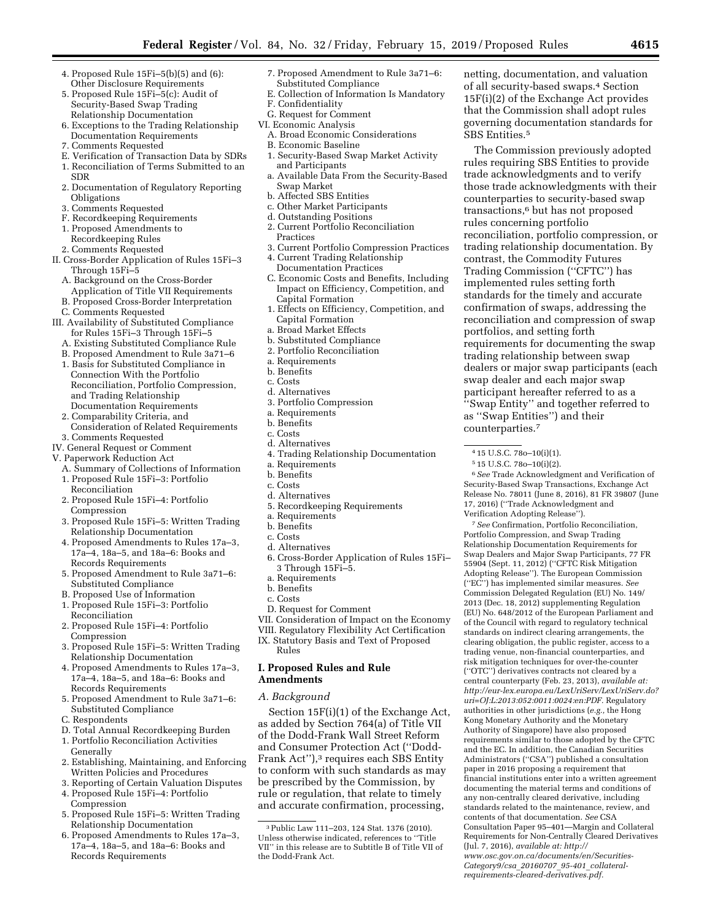- 4. Proposed Rule 15Fi–5(b)(5) and (6): Other Disclosure Requirements
- 5. Proposed Rule 15Fi–5(c): Audit of Security-Based Swap Trading Relationship Documentation
- 6. Exceptions to the Trading Relationship Documentation Requirements
- 7. Comments Requested
- E. Verification of Transaction Data by SDRs
- 1. Reconciliation of Terms Submitted to an
- SDR 2. Documentation of Regulatory Reporting Obligations
- 3. Comments Requested
- F. Recordkeeping Requirements
- 1. Proposed Amendments to
- Recordkeeping Rules
- 2. Comments Requested
- II. Cross-Border Application of Rules 15Fi–3 Through 15Fi–5
	- A. Background on the Cross-Border
	- Application of Title VII Requirements B. Proposed Cross-Border Interpretation
- 
- C. Comments Requested III. Availability of Substituted Compliance
- for Rules 15Fi–3 Through 15Fi–5 A. Existing Substituted Compliance Rule
- B. Proposed Amendment to Rule 3a71–6
- 1. Basis for Substituted Compliance in Connection With the Portfolio Reconciliation, Portfolio Compression, and Trading Relationship
- Documentation Requirements 2. Comparability Criteria, and
- Consideration of Related Requirements 3. Comments Requested
- IV. General Request or Comment
- V. Paperwork Reduction Act
	- A. Summary of Collections of Information 1. Proposed Rule 15Fi–3: Portfolio
	- Reconciliation
	- 2. Proposed Rule 15Fi–4: Portfolio Compression
	- 3. Proposed Rule 15Fi–5: Written Trading Relationship Documentation
	- 4. Proposed Amendments to Rules 17a–3, 17a–4, 18a–5, and 18a–6: Books and Records Requirements
	- 5. Proposed Amendment to Rule 3a71–6: Substituted Compliance
	- B. Proposed Use of Information
	- 1. Proposed Rule 15Fi–3: Portfolio
	- Reconciliation 2. Proposed Rule 15Fi–4: Portfolio
	- Compression
	- 3. Proposed Rule 15Fi–5: Written Trading Relationship Documentation
	- 4. Proposed Amendments to Rules 17a–3, 17a–4, 18a–5, and 18a–6: Books and Records Requirements
	- 5. Proposed Amendment to Rule 3a71–6: Substituted Compliance
	- C. Respondents
	- D. Total Annual Recordkeeping Burden
	- 1. Portfolio Reconciliation Activities
	- Generally 2. Establishing, Maintaining, and Enforcing
	- Written Policies and Procedures 3. Reporting of Certain Valuation Disputes 4. Proposed Rule 15Fi–4: Portfolio
	- Compression 5. Proposed Rule 15Fi–5: Written Trading
	- Relationship Documentation
	- 6. Proposed Amendments to Rules 17a–3, 17a–4, 18a–5, and 18a–6: Books and Records Requirements
- 7. Proposed Amendment to Rule 3a71–6: Substituted Compliance
- E. Collection of Information Is Mandatory
- F. Confidentiality
- G. Request for Comment
- VI. Economic Analysis
	- A. Broad Economic Considerations B. Economic Baseline
	- 1. Security-Based Swap Market Activity and Participants
	- a. Available Data From the Security-Based Swap Market
	- b. Affected SBS Entities
	- c. Other Market Participants
	- d. Outstanding Positions
	- 2. Current Portfolio Reconciliation Practices
	- 3. Current Portfolio Compression Practices
	- 4. Current Trading Relationship Documentation Practices
	- C. Economic Costs and Benefits, Including Impact on Efficiency, Competition, and Capital Formation
	- 1. Effects on Efficiency, Competition, and Capital Formation
	- a. Broad Market Effects
	- b. Substituted Compliance
	- 2. Portfolio Reconciliation
	- a. Requirements
	- b. Benefits
	- c. Costs
	- d. Alternatives
- 3. Portfolio Compression
- a. Requirements
- b. Benefits
- c. Costs
- d. Alternatives
- 4. Trading Relationship Documentation
- a. Requirements
- b. Benefits
- c. Costs
- d. Alternatives
- 5. Recordkeeping Requirements
- a. Requirements
- b. Benefits
- c. Costs
- d. Alternatives
- 6. Cross-Border Application of Rules 15Fi– 3 Through 15Fi–5.
- a. Requirements
- b. Benefits
- c. Costs
- D. Request for Comment
- VII. Consideration of Impact on the Economy
- VIII. Regulatory Flexibility Act Certification
- IX. Statutory Basis and Text of Proposed Rules

### **I. Proposed Rules and Rule Amendments**

### *A. Background*

Section 15F(i)(1) of the Exchange Act, as added by Section 764(a) of Title VII of the Dodd-Frank Wall Street Reform and Consumer Protection Act (''Dodd-Frank Act''),3 requires each SBS Entity to conform with such standards as may be prescribed by the Commission, by rule or regulation, that relate to timely and accurate confirmation, processing,

netting, documentation, and valuation of all security-based swaps.4 Section 15F(i)(2) of the Exchange Act provides that the Commission shall adopt rules governing documentation standards for SBS Entities.5

The Commission previously adopted rules requiring SBS Entities to provide trade acknowledgments and to verify those trade acknowledgments with their counterparties to security-based swap transactions,6 but has not proposed rules concerning portfolio reconciliation, portfolio compression, or trading relationship documentation. By contrast, the Commodity Futures Trading Commission (''CFTC'') has implemented rules setting forth standards for the timely and accurate confirmation of swaps, addressing the reconciliation and compression of swap portfolios, and setting forth requirements for documenting the swap trading relationship between swap dealers or major swap participants (each swap dealer and each major swap participant hereafter referred to as a ''Swap Entity'' and together referred to as ''Swap Entities'') and their counterparties.7

6*See* Trade Acknowledgment and Verification of Security-Based Swap Transactions, Exchange Act Release No. 78011 (June 8, 2016), 81 FR 39807 (June

7*See* Confirmation, Portfolio Reconciliation, Portfolio Compression, and Swap Trading Relationship Documentation Requirements for Swap Dealers and Major Swap Participants, 77 FR 55904 (Sept. 11, 2012) (''CFTC Risk Mitigation Adopting Release''). The European Commission (''EC'') has implemented similar measures. *See*  Commission Delegated Regulation (EU) No. 149/ 2013 (Dec. 18, 2012) supplementing Regulation (EU) No. 648/2012 of the European Parliament and of the Council with regard to regulatory technical standards on indirect clearing arrangements, the clearing obligation, the public register, access to a trading venue, non-financial counterparties, and risk mitigation techniques for over-the-counter (''OTC'') derivatives contracts not cleared by a central counterparty (Feb. 23, 2013), *available at: [http://eur-lex.europa.eu/LexUriServ/LexUriServ.do?](http://eur-lex.europa.eu/LexUriServ/LexUriServ.do?uri=OJ:L:2013:052:0011:0024:en:PDF) [uri=OJ:L:2013:052:0011:0024:en:PDF.](http://eur-lex.europa.eu/LexUriServ/LexUriServ.do?uri=OJ:L:2013:052:0011:0024:en:PDF)* Regulatory authorities in other jurisdictions (*e.g.,* the Hong Kong Monetary Authority and the Monetary Authority of Singapore) have also proposed requirements similar to those adopted by the CFTC and the EC. In addition, the Canadian Securities Administrators (''CSA'') published a consultation paper in 2016 proposing a requirement that financial institutions enter into a written agreement documenting the material terms and conditions of any non-centrally cleared derivative, including standards related to the maintenance, review, and contents of that documentation. *See* CSA Consultation Paper 95–401—Margin and Collateral Requirements for Non-Centrally Cleared Derivatives

5 15 U.S.C. 78o–10(i)(2).

17, 2016) (''Trade Acknowledgment and Verification Adopting Release'').

(Jul. 7, 2016), *available at: [http://](http://www.osc.gov.on.ca/documents/en/Securities-Category9/csa_20160707_95-401_collateral-requirements-cleared-derivatives.pdf)*

*[www.osc.gov.on.ca/documents/en/Securities-](http://www.osc.gov.on.ca/documents/en/Securities-Category9/csa_20160707_95-401_collateral-requirements-cleared-derivatives.pdf)[Category9/csa](http://www.osc.gov.on.ca/documents/en/Securities-Category9/csa_20160707_95-401_collateral-requirements-cleared-derivatives.pdf)*\_*20160707*\_*95-401*\_*collateral[requirements-cleared-derivatives.pdf.](http://www.osc.gov.on.ca/documents/en/Securities-Category9/csa_20160707_95-401_collateral-requirements-cleared-derivatives.pdf)* 

<sup>3</sup>Public Law 111–203, 124 Stat. 1376 (2010). Unless otherwise indicated, references to ''Title VII'' in this release are to Subtitle B of Title VII of the Dodd-Frank Act.

<sup>4</sup> 15 U.S.C. 78o–10(i)(1).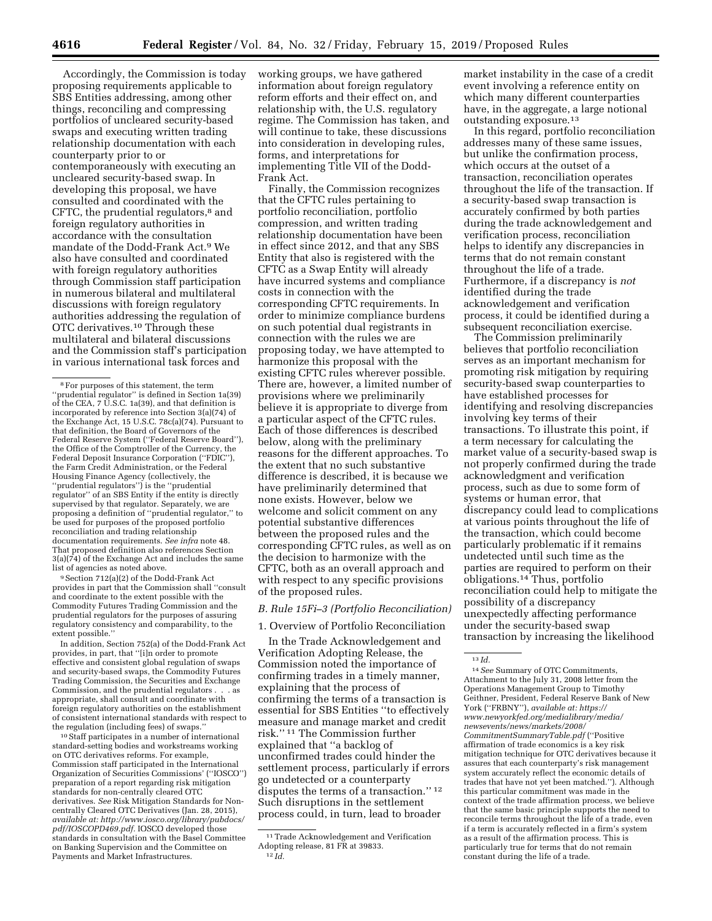Accordingly, the Commission is today proposing requirements applicable to SBS Entities addressing, among other things, reconciling and compressing portfolios of uncleared security-based swaps and executing written trading relationship documentation with each counterparty prior to or contemporaneously with executing an uncleared security-based swap. In developing this proposal, we have consulted and coordinated with the CFTC, the prudential regulators,<sup>8</sup> and foreign regulatory authorities in accordance with the consultation mandate of the Dodd-Frank Act.9 We also have consulted and coordinated with foreign regulatory authorities through Commission staff participation in numerous bilateral and multilateral discussions with foreign regulatory authorities addressing the regulation of OTC derivatives.10 Through these multilateral and bilateral discussions and the Commission staff's participation in various international task forces and

9Section 712(a)(2) of the Dodd-Frank Act provides in part that the Commission shall ''consult and coordinate to the extent possible with the Commodity Futures Trading Commission and the prudential regulators for the purposes of assuring regulatory consistency and comparability, to the extent possible.''

In addition, Section 752(a) of the Dodd-Frank Act provides, in part, that ''[i]n order to promote effective and consistent global regulation of swaps and security-based swaps, the Commodity Futures Trading Commission, the Securities and Exchange Commission, and the prudential regulators . . . as appropriate, shall consult and coordinate with foreign regulatory authorities on the establishment of consistent international standards with respect to the regulation (including fees) of swaps.

10Staff participates in a number of international standard-setting bodies and workstreams working on OTC derivatives reforms. For example, Commission staff participated in the International Organization of Securities Commissions' (''IOSCO'') preparation of a report regarding risk mitigation standards for non-centrally cleared OTC derivatives. *See* Risk Mitigation Standards for Noncentrally Cleared OTC Derivatives (Jan. 28, 2015), *available at: [http://www.iosco.org/library/pubdocs/](http://www.iosco.org/library/pubdocs/pdf/IOSCOPD469.pdf) [pdf/IOSCOPD469.pdf.](http://www.iosco.org/library/pubdocs/pdf/IOSCOPD469.pdf)* IOSCO developed those standards in consultation with the Basel Committee on Banking Supervision and the Committee on Payments and Market Infrastructures.

working groups, we have gathered information about foreign regulatory reform efforts and their effect on, and relationship with, the U.S. regulatory regime. The Commission has taken, and will continue to take, these discussions into consideration in developing rules, forms, and interpretations for implementing Title VII of the Dodd-Frank Act.

Finally, the Commission recognizes that the CFTC rules pertaining to portfolio reconciliation, portfolio compression, and written trading relationship documentation have been in effect since 2012, and that any SBS Entity that also is registered with the CFTC as a Swap Entity will already have incurred systems and compliance costs in connection with the corresponding CFTC requirements. In order to minimize compliance burdens on such potential dual registrants in connection with the rules we are proposing today, we have attempted to harmonize this proposal with the existing CFTC rules wherever possible. There are, however, a limited number of provisions where we preliminarily believe it is appropriate to diverge from a particular aspect of the CFTC rules. Each of those differences is described below, along with the preliminary reasons for the different approaches. To the extent that no such substantive difference is described, it is because we have preliminarily determined that none exists. However, below we welcome and solicit comment on any potential substantive differences between the proposed rules and the corresponding CFTC rules, as well as on the decision to harmonize with the CFTC, both as an overall approach and with respect to any specific provisions of the proposed rules.

### *B. Rule 15Fi–3 (Portfolio Reconciliation)*

1. Overview of Portfolio Reconciliation

In the Trade Acknowledgement and Verification Adopting Release, the Commission noted the importance of confirming trades in a timely manner, explaining that the process of confirming the terms of a transaction is essential for SBS Entities ''to effectively measure and manage market and credit risk.'' 11 The Commission further explained that ''a backlog of unconfirmed trades could hinder the settlement process, particularly if errors go undetected or a counterparty disputes the terms of a transaction.'' 12 Such disruptions in the settlement process could, in turn, lead to broader

market instability in the case of a credit event involving a reference entity on which many different counterparties have, in the aggregate, a large notional outstanding exposure.13

In this regard, portfolio reconciliation addresses many of these same issues, but unlike the confirmation process, which occurs at the outset of a transaction, reconciliation operates throughout the life of the transaction. If a security-based swap transaction is accurately confirmed by both parties during the trade acknowledgement and verification process, reconciliation helps to identify any discrepancies in terms that do not remain constant throughout the life of a trade. Furthermore, if a discrepancy is *not*  identified during the trade acknowledgement and verification process, it could be identified during a subsequent reconciliation exercise.

The Commission preliminarily believes that portfolio reconciliation serves as an important mechanism for promoting risk mitigation by requiring security-based swap counterparties to have established processes for identifying and resolving discrepancies involving key terms of their transactions. To illustrate this point, if a term necessary for calculating the market value of a security-based swap is not properly confirmed during the trade acknowledgment and verification process, such as due to some form of systems or human error, that discrepancy could lead to complications at various points throughout the life of the transaction, which could become particularly problematic if it remains undetected until such time as the parties are required to perform on their obligations.14 Thus, portfolio reconciliation could help to mitigate the possibility of a discrepancy unexpectedly affecting performance under the security-based swap transaction by increasing the likelihood

14*See* Summary of OTC Commitments, Attachment to the July 31, 2008 letter from the Operations Management Group to Timothy Geithner, President, Federal Reserve Bank of New York (''FRBNY''), *available at: [https://](https://www.newyorkfed.org/medialibrary/media/newsevents/news/markets/2008/CommitmentSummaryTable.pdf) [www.newyorkfed.org/medialibrary/media/](https://www.newyorkfed.org/medialibrary/media/newsevents/news/markets/2008/CommitmentSummaryTable.pdf)  [newsevents/news/markets/2008/](https://www.newyorkfed.org/medialibrary/media/newsevents/news/markets/2008/CommitmentSummaryTable.pdf)  [CommitmentSummaryTable.pdf](https://www.newyorkfed.org/medialibrary/media/newsevents/news/markets/2008/CommitmentSummaryTable.pdf)* (''Positive affirmation of trade economics is a key risk mitigation technique for OTC derivatives because it assures that each counterparty's risk management system accurately reflect the economic details of trades that have not yet been matched.''). Although this particular commitment was made in the context of the trade affirmation process, we believe that the same basic principle supports the need to reconcile terms throughout the life of a trade, even if a term is accurately reflected in a firm's system as a result of the affirmation process. This is particularly true for terms that do not remain constant during the life of a trade.

<sup>8</sup>For purposes of this statement, the term ''prudential regulator'' is defined in Section 1a(39) of the CEA, 7 U.S.C. 1a(39), and that definition is incorporated by reference into Section 3(a)(74) of the Exchange Act, 15 U.S.C. 78c(a)(74). Pursuant to that definition, the Board of Governors of the Federal Reserve System (''Federal Reserve Board''), the Office of the Comptroller of the Currency, the Federal Deposit Insurance Corporation ("FDIC"), the Farm Credit Administration, or the Federal Housing Finance Agency (collectively, the ''prudential regulators'') is the ''prudential regulator'' of an SBS Entity if the entity is directly supervised by that regulator. Separately, we are proposing a definition of ''prudential regulator,'' to be used for purposes of the proposed portfolio reconciliation and trading relationship documentation requirements. *See infra* note 48. That proposed definition also references Section 3(a)(74) of the Exchange Act and includes the same list of agencies as noted above.

<sup>11</sup>Trade Acknowledgement and Verification Adopting release, 81 FR at 39833. 12 *Id.* 

<sup>13</sup> *Id.*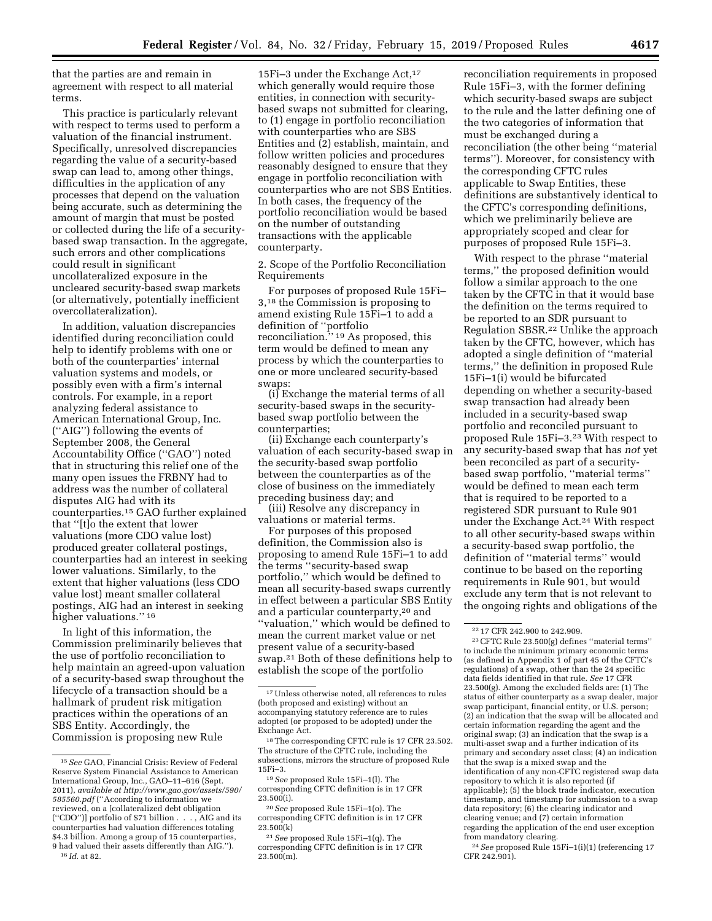that the parties are and remain in agreement with respect to all material terms.

This practice is particularly relevant with respect to terms used to perform a valuation of the financial instrument. Specifically, unresolved discrepancies regarding the value of a security-based swap can lead to, among other things, difficulties in the application of any processes that depend on the valuation being accurate, such as determining the amount of margin that must be posted or collected during the life of a securitybased swap transaction. In the aggregate, such errors and other complications could result in significant uncollateralized exposure in the uncleared security-based swap markets (or alternatively, potentially inefficient overcollateralization).

In addition, valuation discrepancies identified during reconciliation could help to identify problems with one or both of the counterparties' internal valuation systems and models, or possibly even with a firm's internal controls. For example, in a report analyzing federal assistance to American International Group, Inc. (''AIG'') following the events of September 2008, the General Accountability Office (''GAO'') noted that in structuring this relief one of the many open issues the FRBNY had to address was the number of collateral disputes AIG had with its counterparties.15 GAO further explained that ''[t]o the extent that lower valuations (more CDO value lost) produced greater collateral postings, counterparties had an interest in seeking lower valuations. Similarly, to the extent that higher valuations (less CDO value lost) meant smaller collateral postings, AIG had an interest in seeking higher valuations."<sup>16</sup>

In light of this information, the Commission preliminarily believes that the use of portfolio reconciliation to help maintain an agreed-upon valuation of a security-based swap throughout the lifecycle of a transaction should be a hallmark of prudent risk mitigation practices within the operations of an SBS Entity. Accordingly, the Commission is proposing new Rule

16 *Id.* at 82.

15Fi-3 under the Exchange Act,<sup>17</sup> which generally would require those entities, in connection with securitybased swaps not submitted for clearing, to (1) engage in portfolio reconciliation with counterparties who are SBS Entities and (2) establish, maintain, and follow written policies and procedures reasonably designed to ensure that they engage in portfolio reconciliation with counterparties who are not SBS Entities. In both cases, the frequency of the portfolio reconciliation would be based on the number of outstanding transactions with the applicable counterparty.

2. Scope of the Portfolio Reconciliation Requirements

For purposes of proposed Rule 15Fi– 3,18 the Commission is proposing to amend existing Rule 15Fi–1 to add a definition of ''portfolio reconciliation.'' 19 As proposed, this term would be defined to mean any process by which the counterparties to one or more uncleared security-based swaps:

(i) Exchange the material terms of all security-based swaps in the securitybased swap portfolio between the counterparties;

(ii) Exchange each counterparty's valuation of each security-based swap in the security-based swap portfolio between the counterparties as of the close of business on the immediately preceding business day; and

(iii) Resolve any discrepancy in valuations or material terms.

For purposes of this proposed definition, the Commission also is proposing to amend Rule 15Fi–1 to add the terms ''security-based swap portfolio,'' which would be defined to mean all security-based swaps currently in effect between a particular SBS Entity and a particular counterparty,20 and ''valuation,'' which would be defined to mean the current market value or net present value of a security-based swap.21 Both of these definitions help to establish the scope of the portfolio

reconciliation requirements in proposed Rule 15Fi–3, with the former defining which security-based swaps are subject to the rule and the latter defining one of the two categories of information that must be exchanged during a reconciliation (the other being ''material terms''). Moreover, for consistency with the corresponding CFTC rules applicable to Swap Entities, these definitions are substantively identical to the CFTC's corresponding definitions, which we preliminarily believe are appropriately scoped and clear for purposes of proposed Rule 15Fi–3.

With respect to the phrase ''material terms,'' the proposed definition would follow a similar approach to the one taken by the CFTC in that it would base the definition on the terms required to be reported to an SDR pursuant to Regulation SBSR.22 Unlike the approach taken by the CFTC, however, which has adopted a single definition of ''material terms,'' the definition in proposed Rule 15Fi–1(i) would be bifurcated depending on whether a security-based swap transaction had already been included in a security-based swap portfolio and reconciled pursuant to proposed Rule 15Fi–3.23 With respect to any security-based swap that has *not* yet been reconciled as part of a securitybased swap portfolio, ''material terms'' would be defined to mean each term that is required to be reported to a registered SDR pursuant to Rule 901 under the Exchange Act.24 With respect to all other security-based swaps within a security-based swap portfolio, the definition of ''material terms'' would continue to be based on the reporting requirements in Rule 901, but would exclude any term that is not relevant to the ongoing rights and obligations of the

23CFTC Rule 23.500(g) defines ''material terms'' to include the minimum primary economic terms (as defined in Appendix 1 of part 45 of the CFTC's regulations) of a swap, other than the 24 specific data fields identified in that rule. *See* 17 CFR 23.500(g). Among the excluded fields are: (1) The status of either counterparty as a swap dealer, major swap participant, financial entity, or U.S. person; (2) an indication that the swap will be allocated and certain information regarding the agent and the original swap; (3) an indication that the swap is a multi-asset swap and a further indication of its primary and secondary asset class; (4) an indication that the swap is a mixed swap and the identification of any non-CFTC registered swap data repository to which it is also reported (if applicable); (5) the block trade indicator, execution timestamp, and timestamp for submission to a swap data repository; (6) the clearing indicator and clearing venue; and (7) certain information regarding the application of the end user exception from mandatory clearing.

24*See* proposed Rule 15Fi–1(i)(1) (referencing 17 CFR 242.901).

<sup>15</sup>*See* GAO, Financial Crisis: Review of Federal Reserve System Financial Assistance to American International Group, Inc., GAO–11–616 (Sept. 2011), *available at [http://www.gao.gov/assets/590/](http://www.gao.gov/assets/590/585560.pdf)  [585560.pdf](http://www.gao.gov/assets/590/585560.pdf)* (''According to information we reviewed, on a [collateralized debt obligation (''CDO'')] portfolio of \$71 billion . . . , AIG and its counterparties had valuation differences totaling \$4.3 billion. Among a group of 15 counterparties, 9 had valued their assets differently than AIG.'').

<sup>17</sup>Unless otherwise noted, all references to rules (both proposed and existing) without an accompanying statutory reference are to rules adopted (or proposed to be adopted) under the Exchange Act.

<sup>18</sup>The corresponding CFTC rule is 17 CFR 23.502. The structure of the CFTC rule, including the subsections, mirrors the structure of proposed Rule 15Fi–3.

<sup>19</sup>*See* proposed Rule 15Fi–1(l). The corresponding CFTC definition is in 17 CFR  $23.500(i)$ .

<sup>20</sup>*See* proposed Rule 15Fi–1(o). The corresponding CFTC definition is in 17 CFR 23.500(k)

<sup>21</sup>*See* proposed Rule 15Fi–1(q). The corresponding CFTC definition is in 17 CFR  $23.500(m)$ .

<sup>22</sup> 17 CFR 242.900 to 242.909.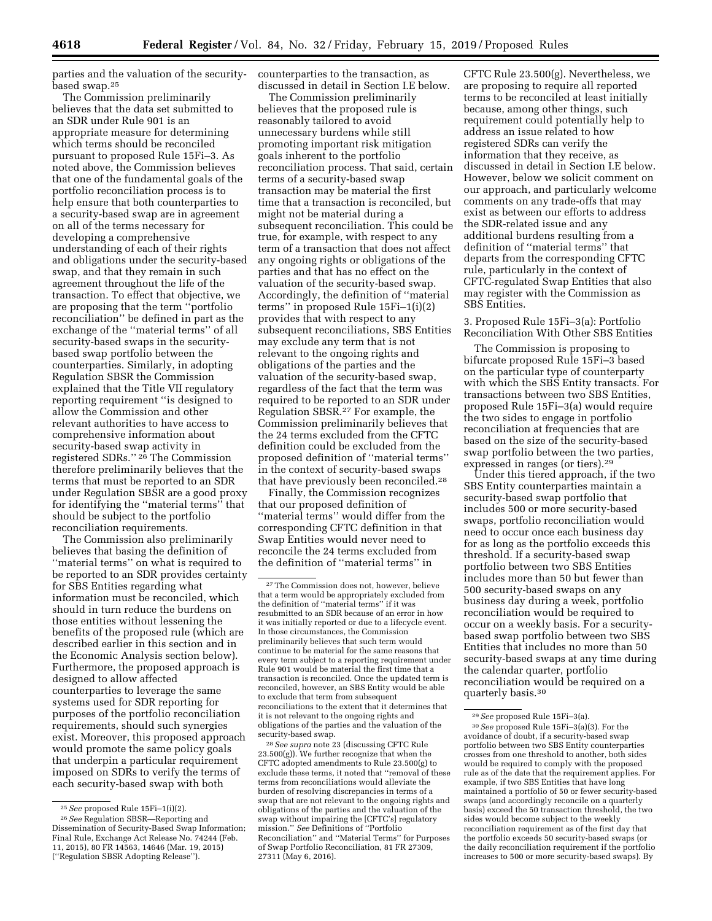parties and the valuation of the securitybased swap.25

The Commission preliminarily believes that the data set submitted to an SDR under Rule 901 is an appropriate measure for determining which terms should be reconciled pursuant to proposed Rule 15Fi–3. As noted above, the Commission believes that one of the fundamental goals of the portfolio reconciliation process is to help ensure that both counterparties to a security-based swap are in agreement on all of the terms necessary for developing a comprehensive understanding of each of their rights and obligations under the security-based swap, and that they remain in such agreement throughout the life of the transaction. To effect that objective, we are proposing that the term ''portfolio reconciliation'' be defined in part as the exchange of the ''material terms'' of all security-based swaps in the securitybased swap portfolio between the counterparties. Similarly, in adopting Regulation SBSR the Commission explained that the Title VII regulatory reporting requirement ''is designed to allow the Commission and other relevant authorities to have access to comprehensive information about security-based swap activity in registered SDRs.'' 26 The Commission therefore preliminarily believes that the terms that must be reported to an SDR under Regulation SBSR are a good proxy for identifying the ''material terms'' that should be subject to the portfolio reconciliation requirements.

The Commission also preliminarily believes that basing the definition of ''material terms'' on what is required to be reported to an SDR provides certainty for SBS Entities regarding what information must be reconciled, which should in turn reduce the burdens on those entities without lessening the benefits of the proposed rule (which are described earlier in this section and in the Economic Analysis section below). Furthermore, the proposed approach is designed to allow affected counterparties to leverage the same systems used for SDR reporting for purposes of the portfolio reconciliation requirements, should such synergies exist. Moreover, this proposed approach would promote the same policy goals that underpin a particular requirement imposed on SDRs to verify the terms of each security-based swap with both

counterparties to the transaction, as discussed in detail in Section I.E below.

The Commission preliminarily believes that the proposed rule is reasonably tailored to avoid unnecessary burdens while still promoting important risk mitigation goals inherent to the portfolio reconciliation process. That said, certain terms of a security-based swap transaction may be material the first time that a transaction is reconciled, but might not be material during a subsequent reconciliation. This could be true, for example, with respect to any term of a transaction that does not affect any ongoing rights or obligations of the parties and that has no effect on the valuation of the security-based swap. Accordingly, the definition of ''material terms'' in proposed Rule 15Fi–1(i)(2) provides that with respect to any subsequent reconciliations, SBS Entities may exclude any term that is not relevant to the ongoing rights and obligations of the parties and the valuation of the security-based swap, regardless of the fact that the term was required to be reported to an SDR under Regulation SBSR.27 For example, the Commission preliminarily believes that the 24 terms excluded from the CFTC definition could be excluded from the proposed definition of ''material terms'' in the context of security-based swaps that have previously been reconciled.28

Finally, the Commission recognizes that our proposed definition of ''material terms'' would differ from the corresponding CFTC definition in that Swap Entities would never need to reconcile the 24 terms excluded from the definition of ''material terms'' in

28*See supra* note 23 (discussing CFTC Rule 23.500(g)). We further recognize that when the CFTC adopted amendments to Rule 23.500(g) to exclude these terms, it noted that ''removal of these terms from reconciliations would alleviate the burden of resolving discrepancies in terms of a swap that are not relevant to the ongoing rights and obligations of the parties and the valuation of the swap without impairing the [CFTC's] regulatory mission.'' *See* Definitions of ''Portfolio Reconciliation'' and ''Material Terms'' for Purposes of Swap Portfolio Reconciliation, 81 FR 27309, 27311 (May 6, 2016).

CFTC Rule 23.500(g). Nevertheless, we are proposing to require all reported terms to be reconciled at least initially because, among other things, such requirement could potentially help to address an issue related to how registered SDRs can verify the information that they receive, as discussed in detail in Section I.E below. However, below we solicit comment on our approach, and particularly welcome comments on any trade-offs that may exist as between our efforts to address the SDR-related issue and any additional burdens resulting from a definition of ''material terms'' that departs from the corresponding CFTC rule, particularly in the context of CFTC-regulated Swap Entities that also may register with the Commission as SBS Entities.

3. Proposed Rule 15Fi–3(a): Portfolio Reconciliation With Other SBS Entities

The Commission is proposing to bifurcate proposed Rule 15Fi–3 based on the particular type of counterparty with which the SBS Entity transacts. For transactions between two SBS Entities, proposed Rule 15Fi–3(a) would require the two sides to engage in portfolio reconciliation at frequencies that are based on the size of the security-based swap portfolio between the two parties, expressed in ranges (or tiers).29

Under this tiered approach, if the two SBS Entity counterparties maintain a security-based swap portfolio that includes 500 or more security-based swaps, portfolio reconciliation would need to occur once each business day for as long as the portfolio exceeds this threshold. If a security-based swap portfolio between two SBS Entities includes more than 50 but fewer than 500 security-based swaps on any business day during a week, portfolio reconciliation would be required to occur on a weekly basis. For a securitybased swap portfolio between two SBS Entities that includes no more than 50 security-based swaps at any time during the calendar quarter, portfolio reconciliation would be required on a quarterly basis.30

<sup>25</sup>*See* proposed Rule 15Fi–1(i)(2).

<sup>26</sup>*See* Regulation SBSR—Reporting and Dissemination of Security-Based Swap Information; Final Rule, Exchange Act Release No. 74244 (Feb. 11, 2015), 80 FR 14563, 14646 (Mar. 19, 2015) (''Regulation SBSR Adopting Release'').

<sup>27</sup>The Commission does not, however, believe that a term would be appropriately excluded from the definition of ''material terms'' if it was resubmitted to an SDR because of an error in how it was initially reported or due to a lifecycle event. In those circumstances, the Commission preliminarily believes that such term would continue to be material for the same reasons that every term subject to a reporting requirement under Rule 901 would be material the first time that a transaction is reconciled. Once the updated term is reconciled, however, an SBS Entity would be able to exclude that term from subsequent reconciliations to the extent that it determines that it is not relevant to the ongoing rights and obligations of the parties and the valuation of the security-based swap.

<sup>29</sup>*See* proposed Rule 15Fi–3(a).

<sup>30</sup>*See* proposed Rule 15Fi–3(a)(3). For the avoidance of doubt, if a security-based swap portfolio between two SBS Entity counterparties crosses from one threshold to another, both sides would be required to comply with the proposed rule as of the date that the requirement applies. For example, if two SBS Entities that have long maintained a portfolio of 50 or fewer security-based swaps (and accordingly reconcile on a quarterly basis) exceed the 50 transaction threshold, the two sides would become subject to the weekly reconciliation requirement as of the first day that the portfolio exceeds 50 security-based swaps (or the daily reconciliation requirement if the portfolio increases to 500 or more security-based swaps). By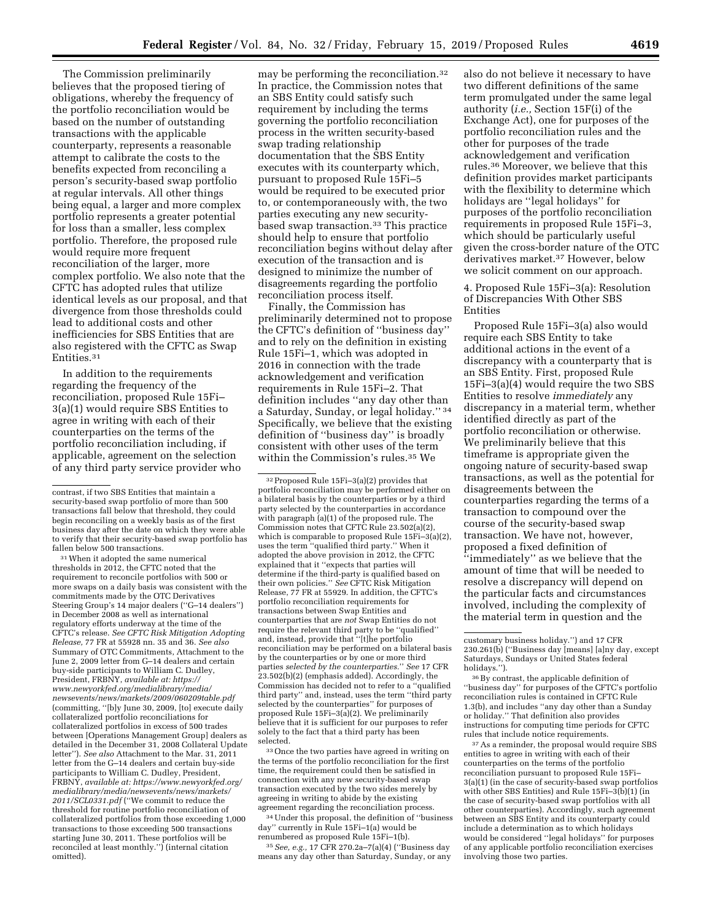The Commission preliminarily believes that the proposed tiering of obligations, whereby the frequency of the portfolio reconciliation would be based on the number of outstanding transactions with the applicable counterparty, represents a reasonable attempt to calibrate the costs to the benefits expected from reconciling a person's security-based swap portfolio at regular intervals. All other things being equal, a larger and more complex portfolio represents a greater potential for loss than a smaller, less complex portfolio. Therefore, the proposed rule would require more frequent reconciliation of the larger, more complex portfolio. We also note that the CFTC has adopted rules that utilize identical levels as our proposal, and that divergence from those thresholds could lead to additional costs and other inefficiencies for SBS Entities that are also registered with the CFTC as Swap Entities.31

In addition to the requirements regarding the frequency of the reconciliation, proposed Rule 15Fi– 3(a)(1) would require SBS Entities to agree in writing with each of their counterparties on the terms of the portfolio reconciliation including, if applicable, agreement on the selection of any third party service provider who

<sup>31</sup> When it adopted the same numerical thresholds in 2012, the CFTC noted that the requirement to reconcile portfolios with 500 or more swaps on a daily basis was consistent with the commitments made by the OTC Derivatives Steering Group's 14 major dealers (''G–14 dealers'') in December 2008 as well as international regulatory efforts underway at the time of the CFTC's release. *See CFTC Risk Mitigation Adopting Release,* 77 FR at 55928 nn. 35 and 36. *See also*  Summary of OTC Commitments, Attachment to the June 2, 2009 letter from G–14 dealers and certain buy-side participants to William C. Dudley, President, FRBNY, *available at: [https://](https://www.newyorkfed.org/medialibrary/media/newsevents/news/markets/2009/060209table.pdf) [www.newyorkfed.org/medialibrary/media/](https://www.newyorkfed.org/medialibrary/media/newsevents/news/markets/2009/060209table.pdf)  [newsevents/news/markets/2009/060209table.pdf](https://www.newyorkfed.org/medialibrary/media/newsevents/news/markets/2009/060209table.pdf)*  (committing, ''[b]y June 30, 2009, [to] execute daily collateralized portfolio reconciliations for collateralized portfolios in excess of 500 trades between [Operations Management Group] dealers as detailed in the December 31, 2008 Collateral Update letter''). *See also* Attachment to the Mar. 31, 2011 letter from the G–14 dealers and certain buy-side participants to William C. Dudley, President, FRBNY, *available at: [https://www.newyorkfed.org/](https://www.newyorkfed.org/medialibrary/media/newsevents/news/markets/2011/SCL0331.pdf) [medialibrary/media/newsevents/news/markets/](https://www.newyorkfed.org/medialibrary/media/newsevents/news/markets/2011/SCL0331.pdf) [2011/SCL0331.pdf](https://www.newyorkfed.org/medialibrary/media/newsevents/news/markets/2011/SCL0331.pdf)* (''We commit to reduce the threshold for routine portfolio reconciliation of collateralized portfolios from those exceeding 1,000 transactions to those exceeding 500 transactions starting June 30, 2011. These portfolios will be reconciled at least monthly.'') (internal citation omitted).

may be performing the reconciliation.32 In practice, the Commission notes that an SBS Entity could satisfy such requirement by including the terms governing the portfolio reconciliation process in the written security-based swap trading relationship documentation that the SBS Entity executes with its counterparty which, pursuant to proposed Rule 15Fi–5 would be required to be executed prior to, or contemporaneously with, the two parties executing any new securitybased swap transaction.33 This practice should help to ensure that portfolio reconciliation begins without delay after execution of the transaction and is designed to minimize the number of disagreements regarding the portfolio reconciliation process itself.

Finally, the Commission has preliminarily determined not to propose the CFTC's definition of ''business day'' and to rely on the definition in existing Rule 15Fi–1, which was adopted in 2016 in connection with the trade acknowledgement and verification requirements in Rule 15Fi–2. That definition includes ''any day other than a Saturday, Sunday, or legal holiday.'' 34 Specifically, we believe that the existing definition of ''business day'' is broadly consistent with other uses of the term within the Commission's rules.35 We

32Proposed Rule 15Fi–3(a)(2) provides that portfolio reconciliation may be performed either on a bilateral basis by the counterparties or by a third party selected by the counterparties in accordance with paragraph (a)(1) of the proposed rule. The Commission notes that CFTC Rule 23.502(a)(2), which is comparable to proposed Rule 15Fi–3(a)(2), uses the term ''qualified third party.'' When it adopted the above provision in 2012, the CFTC explained that it ''expects that parties will determine if the third-party is qualified based on their own policies.'' *See* CFTC Risk Mitigation Release, 77 FR at 55929. In addition, the CFTC's portfolio reconciliation requirements for transactions between Swap Entities and counterparties that are *not* Swap Entities do not require the relevant third party to be ''qualified'' and, instead, provide that ''[t]he portfolio  ${\rm reconcilation}$  may be  ${\rm performed}$  on a bilateral basis by the counterparties or by one or more third parties *selected by the counterparties.*'' *See* 17 CFR 23.502(b)(2) (emphasis added). Accordingly, the Commission has decided not to refer to a ''qualified third party'' and, instead, uses the term ''third party selected by the counterparties'' for purposes of proposed Rule 15Fi–3(a)(2). We preliminarily believe that it is sufficient for our purposes to refer solely to the fact that a third party has been selected.

33Once the two parties have agreed in writing on the terms of the portfolio reconciliation for the first time, the requirement could then be satisfied in connection with any new security-based swap transaction executed by the two sides merely by agreeing in writing to abide by the existing agreement regarding the reconciliation process.

34Under this proposal, the definition of ''business day'' currently in Rule 15Fi–1(a) would be renumbered as proposed Rule 15Fi–1(b).

35*See, e.g.,* 17 CFR 270.2a–7(a)(4) (''Business day means any day other than Saturday, Sunday, or any

also do not believe it necessary to have two different definitions of the same term promulgated under the same legal authority (*i.e.,* Section 15F(i) of the Exchange Act), one for purposes of the portfolio reconciliation rules and the other for purposes of the trade acknowledgement and verification rules.36 Moreover, we believe that this definition provides market participants with the flexibility to determine which holidays are ''legal holidays'' for purposes of the portfolio reconciliation requirements in proposed Rule 15Fi–3, which should be particularly useful given the cross-border nature of the OTC derivatives market.37 However, below we solicit comment on our approach.

4. Proposed Rule 15Fi–3(a): Resolution of Discrepancies With Other SBS Entities

Proposed Rule 15Fi–3(a) also would require each SBS Entity to take additional actions in the event of a discrepancy with a counterparty that is an SBS Entity. First, proposed Rule 15Fi–3(a)(4) would require the two SBS Entities to resolve *immediately* any discrepancy in a material term, whether identified directly as part of the portfolio reconciliation or otherwise. We preliminarily believe that this timeframe is appropriate given the ongoing nature of security-based swap transactions, as well as the potential for disagreements between the counterparties regarding the terms of a transaction to compound over the course of the security-based swap transaction. We have not, however, proposed a fixed definition of ''immediately'' as we believe that the amount of time that will be needed to resolve a discrepancy will depend on the particular facts and circumstances involved, including the complexity of the material term in question and the

36By contrast, the applicable definition of ''business day'' for purposes of the CFTC's portfolio reconciliation rules is contained in CFTC Rule 1.3(b), and includes ''any day other than a Sunday or holiday.'' That definition also provides instructions for computing time periods for CFTC rules that include notice requirements.

37As a reminder, the proposal would require SBS entities to agree in writing with each of their counterparties on the terms of the portfolio reconciliation pursuant to proposed Rule 15Fi– 3(a)(1) (in the case of security-based swap portfolios with other SBS Entities) and Rule 15Fi-3(b)(1) (in the case of security-based swap portfolios with all other counterparties). Accordingly, such agreement between an SBS Entity and its counterparty could include a determination as to which holidays would be considered ''legal holidays'' for purposes of any applicable portfolio reconciliation exercises involving those two parties.

contrast, if two SBS Entities that maintain a security-based swap portfolio of more than 500 transactions fall below that threshold, they could begin reconciling on a weekly basis as of the first business day after the date on which they were able to verify that their security-based swap portfolio has fallen below 500 transactions.

customary business holiday.'') and 17 CFR 230.261(b) (''Business day [means] [a]ny day, except Saturdays, Sundays or United States federal holidays.'').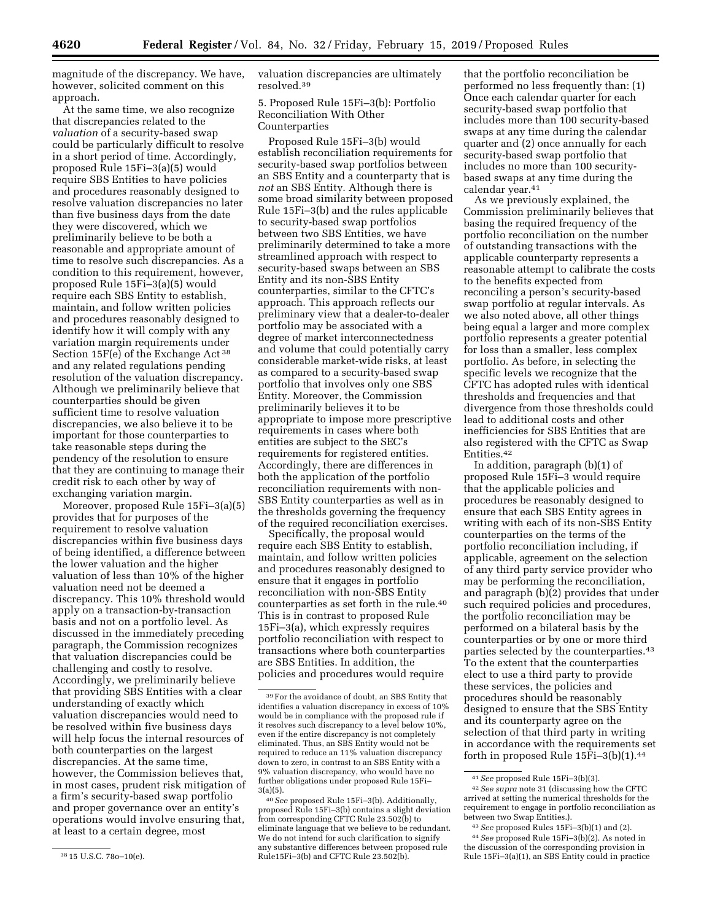magnitude of the discrepancy. We have, however, solicited comment on this approach.

At the same time, we also recognize that discrepancies related to the *valuation* of a security-based swap could be particularly difficult to resolve in a short period of time. Accordingly, proposed Rule 15Fi–3(a)(5) would require SBS Entities to have policies and procedures reasonably designed to resolve valuation discrepancies no later than five business days from the date they were discovered, which we preliminarily believe to be both a reasonable and appropriate amount of time to resolve such discrepancies. As a condition to this requirement, however, proposed Rule 15Fi–3(a)(5) would require each SBS Entity to establish, maintain, and follow written policies and procedures reasonably designed to identify how it will comply with any variation margin requirements under Section 15F(e) of the Exchange Act 38 and any related regulations pending resolution of the valuation discrepancy. Although we preliminarily believe that counterparties should be given sufficient time to resolve valuation discrepancies, we also believe it to be important for those counterparties to take reasonable steps during the pendency of the resolution to ensure that they are continuing to manage their credit risk to each other by way of exchanging variation margin.

Moreover, proposed Rule 15Fi–3(a)(5) provides that for purposes of the requirement to resolve valuation discrepancies within five business days of being identified, a difference between the lower valuation and the higher valuation of less than 10% of the higher valuation need not be deemed a discrepancy. This 10% threshold would apply on a transaction-by-transaction basis and not on a portfolio level. As discussed in the immediately preceding paragraph, the Commission recognizes that valuation discrepancies could be challenging and costly to resolve. Accordingly, we preliminarily believe that providing SBS Entities with a clear understanding of exactly which valuation discrepancies would need to be resolved within five business days will help focus the internal resources of both counterparties on the largest discrepancies. At the same time, however, the Commission believes that, in most cases, prudent risk mitigation of a firm's security-based swap portfolio and proper governance over an entity's operations would involve ensuring that, at least to a certain degree, most

valuation discrepancies are ultimately resolved.39

5. Proposed Rule 15Fi–3(b): Portfolio Reconciliation With Other Counterparties

Proposed Rule 15Fi–3(b) would establish reconciliation requirements for security-based swap portfolios between an SBS Entity and a counterparty that is *not* an SBS Entity. Although there is some broad similarity between proposed Rule 15Fi–3(b) and the rules applicable to security-based swap portfolios between two SBS Entities, we have preliminarily determined to take a more streamlined approach with respect to security-based swaps between an SBS Entity and its non-SBS Entity counterparties, similar to the CFTC's approach. This approach reflects our preliminary view that a dealer-to-dealer portfolio may be associated with a degree of market interconnectedness and volume that could potentially carry considerable market-wide risks, at least as compared to a security-based swap portfolio that involves only one SBS Entity. Moreover, the Commission preliminarily believes it to be appropriate to impose more prescriptive requirements in cases where both entities are subject to the SEC's requirements for registered entities. Accordingly, there are differences in both the application of the portfolio reconciliation requirements with non-SBS Entity counterparties as well as in the thresholds governing the frequency of the required reconciliation exercises.

Specifically, the proposal would require each SBS Entity to establish, maintain, and follow written policies and procedures reasonably designed to ensure that it engages in portfolio reconciliation with non-SBS Entity counterparties as set forth in the rule.40 This is in contrast to proposed Rule 15Fi–3(a), which expressly requires portfolio reconciliation with respect to transactions where both counterparties are SBS Entities. In addition, the policies and procedures would require

that the portfolio reconciliation be performed no less frequently than: (1) Once each calendar quarter for each security-based swap portfolio that includes more than 100 security-based swaps at any time during the calendar quarter and (2) once annually for each security-based swap portfolio that includes no more than 100 securitybased swaps at any time during the calendar year.41

As we previously explained, the Commission preliminarily believes that basing the required frequency of the portfolio reconciliation on the number of outstanding transactions with the applicable counterparty represents a reasonable attempt to calibrate the costs to the benefits expected from reconciling a person's security-based swap portfolio at regular intervals. As we also noted above, all other things being equal a larger and more complex portfolio represents a greater potential for loss than a smaller, less complex portfolio. As before, in selecting the specific levels we recognize that the CFTC has adopted rules with identical thresholds and frequencies and that divergence from those thresholds could lead to additional costs and other inefficiencies for SBS Entities that are also registered with the CFTC as Swap Entities.42

In addition, paragraph (b)(1) of proposed Rule 15Fi–3 would require that the applicable policies and procedures be reasonably designed to ensure that each SBS Entity agrees in writing with each of its non-SBS Entity counterparties on the terms of the portfolio reconciliation including, if applicable, agreement on the selection of any third party service provider who may be performing the reconciliation, and paragraph (b)(2) provides that under such required policies and procedures, the portfolio reconciliation may be performed on a bilateral basis by the counterparties or by one or more third parties selected by the counterparties.43 To the extent that the counterparties elect to use a third party to provide these services, the policies and procedures should be reasonably designed to ensure that the SBS Entity and its counterparty agree on the selection of that third party in writing in accordance with the requirements set forth in proposed Rule 15Fi–3(b)(1).44

<sup>38</sup> 15 U.S.C. 78o–10(e).

<sup>39</sup>For the avoidance of doubt, an SBS Entity that identifies a valuation discrepancy in excess of 10% would be in compliance with the proposed rule if it resolves such discrepancy to a level below 10%, even if the entire discrepancy is not completely eliminated. Thus, an SBS Entity would not be required to reduce an 11% valuation discrepancy down to zero, in contrast to an SBS Entity with a 9% valuation discrepancy, who would have no further obligations under proposed Rule 15Fi– 3(a)(5).

<sup>40</sup>*See* proposed Rule 15Fi–3(b). Additionally, proposed Rule 15Fi–3(b) contains a slight deviation from corresponding CFTC Rule 23.502(b) to eliminate language that we believe to be redundant. We do not intend for such clarification to signify any substantive differences between proposed rule Rule15Fi–3(b) and CFTC Rule 23.502(b).

<sup>41</sup>*See* proposed Rule 15Fi–3(b)(3).

<sup>42</sup>*See supra* note 31 (discussing how the CFTC arrived at setting the numerical thresholds for the requirement to engage in portfolio reconciliation as between two Swap Entities.).

<sup>43</sup>*See* proposed Rules 15Fi–3(b)(1) and (2).

<sup>44</sup>*See* proposed Rule 15Fi–3(b)(2). As noted in the discussion of the corresponding provision in Rule 15Fi–3(a)(1), an SBS Entity could in practice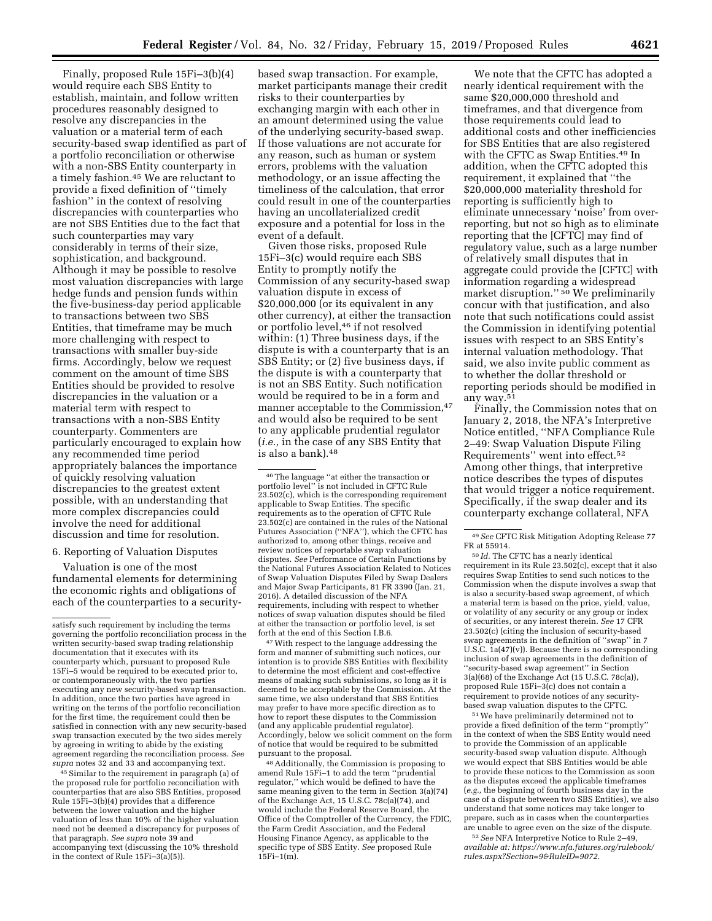Finally, proposed Rule 15Fi–3(b)(4) would require each SBS Entity to establish, maintain, and follow written procedures reasonably designed to resolve any discrepancies in the valuation or a material term of each security-based swap identified as part of a portfolio reconciliation or otherwise with a non-SBS Entity counterparty in a timely fashion.45 We are reluctant to provide a fixed definition of ''timely fashion'' in the context of resolving discrepancies with counterparties who are not SBS Entities due to the fact that such counterparties may vary considerably in terms of their size, sophistication, and background. Although it may be possible to resolve most valuation discrepancies with large hedge funds and pension funds within the five-business-day period applicable to transactions between two SBS Entities, that timeframe may be much more challenging with respect to transactions with smaller buy-side firms. Accordingly, below we request comment on the amount of time SBS Entities should be provided to resolve discrepancies in the valuation or a material term with respect to transactions with a non-SBS Entity counterparty. Commenters are particularly encouraged to explain how any recommended time period appropriately balances the importance of quickly resolving valuation discrepancies to the greatest extent possible, with an understanding that more complex discrepancies could involve the need for additional discussion and time for resolution.

### 6. Reporting of Valuation Disputes

Valuation is one of the most fundamental elements for determining the economic rights and obligations of each of the counterparties to a security-

45 Similar to the requirement in paragraph (a) of the proposed rule for portfolio reconciliation with counterparties that are also SBS Entities, proposed Rule 15Fi–3(b)(4) provides that a difference between the lower valuation and the higher valuation of less than 10% of the higher valuation need not be deemed a discrepancy for purposes of that paragraph. *See supra* note 39 and accompanying text (discussing the 10% threshold in the context of Rule 15Fi–3(a)(5)).

based swap transaction. For example, market participants manage their credit risks to their counterparties by exchanging margin with each other in an amount determined using the value of the underlying security-based swap. If those valuations are not accurate for any reason, such as human or system errors, problems with the valuation methodology, or an issue affecting the timeliness of the calculation, that error could result in one of the counterparties having an uncollaterialized credit exposure and a potential for loss in the event of a default.

Given those risks, proposed Rule 15Fi–3(c) would require each SBS Entity to promptly notify the Commission of any security-based swap valuation dispute in excess of \$20,000,000 (or its equivalent in any other currency), at either the transaction or portfolio level,46 if not resolved within: (1) Three business days, if the dispute is with a counterparty that is an SBS Entity; or (2) five business days, if the dispute is with a counterparty that is not an SBS Entity. Such notification would be required to be in a form and manner acceptable to the Commission,47 and would also be required to be sent to any applicable prudential regulator (*i.e.,* in the case of any SBS Entity that is also a bank).48

46The language ''at either the transaction or portfolio level'' is not included in CFTC Rule 23.502(c), which is the corresponding requirement applicable to Swap Entities. The specific requirements as to the operation of CFTC Rule 23.502(c) are contained in the rules of the National Futures Association (''NFA''), which the CFTC has authorized to, among other things, receive and review notices of reportable swap valuation disputes. *See* Performance of Certain Functions by the National Futures Association Related to Notices of Swap Valuation Disputes Filed by Swap Dealers and Major Swap Participants, 81 FR 3390 (Jan. 21, 2016). A detailed discussion of the NFA requirements, including with respect to whether notices of swap valuation disputes should be filed at either the transaction or portfolio level, is set forth at the end of this Section I.B.6.

47With respect to the language addressing the form and manner of submitting such notices, our intention is to provide SBS Entities with flexibility to determine the most efficient and cost-effective means of making such submissions, so long as it is deemed to be acceptable by the Commission. At the same time, we also understand that SBS Entities may prefer to have more specific direction as to how to report these disputes to the Commission (and any applicable prudential regulator). Accordingly, below we solicit comment on the form of notice that would be required to be submitted pursuant to the proposal.

48Additionally, the Commission is proposing to amend Rule 15Fi–1 to add the term ''prudential regulator,'' which would be defined to have the same meaning given to the term in Section 3(a)(74) of the Exchange Act, 15 U.S.C. 78c(a)(74), and would include the Federal Reserve Board, the Office of the Comptroller of the Currency, the FDIC, the Farm Credit Association, and the Federal Housing Finance Agency, as applicable to the specific type of SBS Entity. *See* proposed Rule  $15Fi-1(m)$ .

We note that the CFTC has adopted a nearly identical requirement with the same \$20,000,000 threshold and timeframes, and that divergence from those requirements could lead to additional costs and other inefficiencies for SBS Entities that are also registered with the CFTC as Swap Entities.49 In addition, when the CFTC adopted this requirement, it explained that ''the \$20,000,000 materiality threshold for reporting is sufficiently high to eliminate unnecessary 'noise' from overreporting, but not so high as to eliminate reporting that the [CFTC] may find of regulatory value, such as a large number of relatively small disputes that in aggregate could provide the [CFTC] with information regarding a widespread market disruption."<sup>50</sup> We preliminarily concur with that justification, and also note that such notifications could assist the Commission in identifying potential issues with respect to an SBS Entity's internal valuation methodology. That said, we also invite public comment as to whether the dollar threshold or reporting periods should be modified in any way.51

Finally, the Commission notes that on January 2, 2018, the NFA's Interpretive Notice entitled, ''NFA Compliance Rule 2–49: Swap Valuation Dispute Filing Requirements'' went into effect.52 Among other things, that interpretive notice describes the types of disputes that would trigger a notice requirement. Specifically, if the swap dealer and its counterparty exchange collateral, NFA

50 *Id.* The CFTC has a nearly identical requirement in its Rule 23.502(c), except that it also requires Swap Entities to send such notices to the Commission when the dispute involves a swap that is also a security-based swap agreement, of which a material term is based on the price, yield, value, or volatility of any security or any group or index of securities, or any interest therein. *See* 17 CFR 23.502(c) (citing the inclusion of security-based swap agreements in the definition of ''swap'' in 7 U.S.C. 1a(47)(v)). Because there is no corresponding inclusion of swap agreements in the definition of ''security-based swap agreement'' in Section 3(a)(68) of the Exchange Act (15 U.S.C. 78c(a)), proposed Rule 15Fi–3(c) does not contain a requirement to provide notices of any securitybased swap valuation disputes to the CFTC.

51We have preliminarily determined not to provide a fixed definition of the term ''promptly'' in the context of when the SBS Entity would need to provide the Commission of an applicable security-based swap valuation dispute. Although we would expect that SBS Entities would be able to provide these notices to the Commission as soon as the disputes exceed the applicable timeframes (*e.g.,* the beginning of fourth business day in the case of a dispute between two SBS Entities), we also understand that some notices may take longer to prepare, such as in cases when the counterparties are unable to agree even on the size of the dispute.

52*See* NFA Interpretive Notice to Rule 2–49, *available at: [https://www.nfa.futures.org/rulebook/](https://www.nfa.futures.org/rulebook/rules.aspx?Section=9&RuleID=9072)  [rules.aspx?Section=9&RuleID=9072.](https://www.nfa.futures.org/rulebook/rules.aspx?Section=9&RuleID=9072)* 

satisfy such requirement by including the terms governing the portfolio reconciliation process in the written security-based swap trading relationship documentation that it executes with its counterparty which, pursuant to proposed Rule 15Fi–5 would be required to be executed prior to, or contemporaneously with, the two parties executing any new security-based swap transaction. In addition, once the two parties have agreed in writing on the terms of the portfolio reconciliation for the first time, the requirement could then be satisfied in connection with any new security-based swap transaction executed by the two sides merely by agreeing in writing to abide by the existing agreement regarding the reconciliation process. *See supra* notes 32 and 33 and accompanying text.

<sup>49</sup>*See* CFTC Risk Mitigation Adopting Release 77 FR at 55914.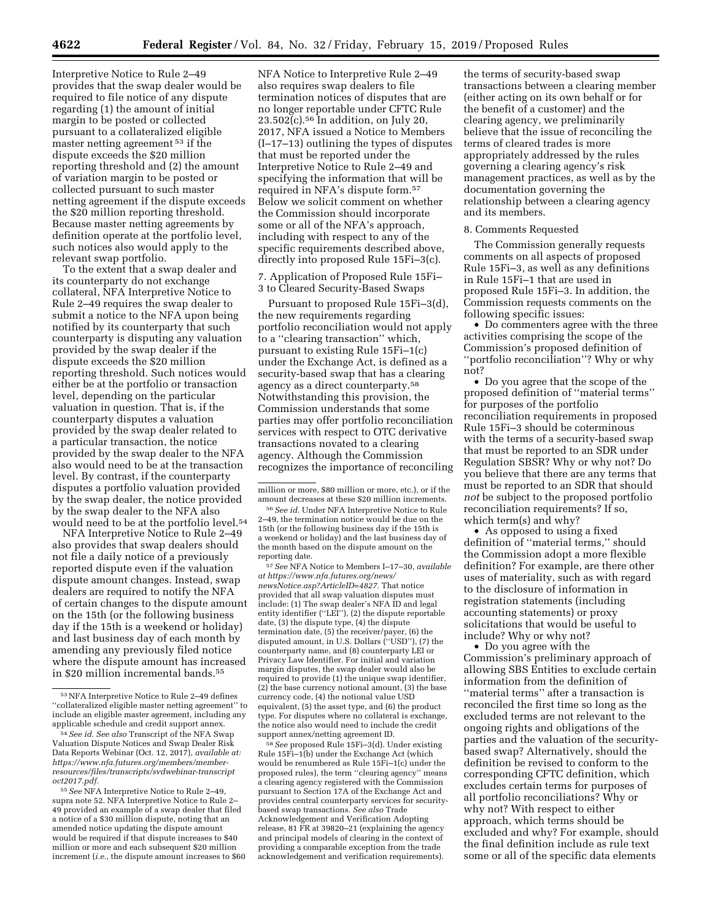Interpretive Notice to Rule 2–49 provides that the swap dealer would be required to file notice of any dispute regarding (1) the amount of initial margin to be posted or collected pursuant to a collateralized eligible master netting agreement 53 if the dispute exceeds the \$20 million reporting threshold and (2) the amount of variation margin to be posted or collected pursuant to such master netting agreement if the dispute exceeds the \$20 million reporting threshold. Because master netting agreements by definition operate at the portfolio level, such notices also would apply to the relevant swap portfolio.

To the extent that a swap dealer and its counterparty do not exchange collateral, NFA Interpretive Notice to Rule 2–49 requires the swap dealer to submit a notice to the NFA upon being notified by its counterparty that such counterparty is disputing any valuation provided by the swap dealer if the dispute exceeds the \$20 million reporting threshold. Such notices would either be at the portfolio or transaction level, depending on the particular valuation in question. That is, if the counterparty disputes a valuation provided by the swap dealer related to a particular transaction, the notice provided by the swap dealer to the NFA also would need to be at the transaction level. By contrast, if the counterparty disputes a portfolio valuation provided by the swap dealer, the notice provided by the swap dealer to the NFA also would need to be at the portfolio level.54

NFA Interpretive Notice to Rule 2–49 also provides that swap dealers should not file a daily notice of a previously reported dispute even if the valuation dispute amount changes. Instead, swap dealers are required to notify the NFA of certain changes to the dispute amount on the 15th (or the following business day if the 15th is a weekend or holiday) and last business day of each month by amending any previously filed notice where the dispute amount has increased in \$20 million incremental bands.<sup>55</sup>

NFA Notice to Interpretive Rule 2–49 also requires swap dealers to file termination notices of disputes that are no longer reportable under CFTC Rule  $23.502(c)$ .<sup>56</sup> In addition, on July 20, 2017, NFA issued a Notice to Members (I–17–13) outlining the types of disputes that must be reported under the Interpretive Notice to Rule 2–49 and specifying the information that will be required in NFA's dispute form.57 Below we solicit comment on whether the Commission should incorporate some or all of the NFA's approach, including with respect to any of the specific requirements described above, directly into proposed Rule 15Fi–3(c).

7. Application of Proposed Rule 15Fi– 3 to Cleared Security-Based Swaps

Pursuant to proposed Rule 15Fi–3(d), the new requirements regarding portfolio reconciliation would not apply to a ''clearing transaction'' which, pursuant to existing Rule 15Fi–1(c) under the Exchange Act, is defined as a security-based swap that has a clearing agency as a direct counterparty.58 Notwithstanding this provision, the Commission understands that some parties may offer portfolio reconciliation services with respect to OTC derivative transactions novated to a clearing agency. Although the Commission recognizes the importance of reconciling

57*See* NFA Notice to Members I–17–30, *available at [https://www.nfa.futures.org/news/](https://www.nfa.futures.org/news/newsNotice.asp?ArticleID=4827) [newsNotice.asp?ArticleID=4827.](https://www.nfa.futures.org/news/newsNotice.asp?ArticleID=4827)* That notice provided that all swap valuation disputes must include: (1) The swap dealer's NFA ID and legal entity identifier (''LEI''), (2) the dispute reportable date, (3) the dispute type, (4) the dispute termination date, (5) the receiver/payer, (6) the disputed amount, in U.S. Dollars (''USD''), (7) the counterparty name, and (8) counterparty LEI or Privacy Law Identifier. For initial and variation margin disputes, the swap dealer would also be required to provide (1) the unique swap identifier, (2) the base currency notional amount, (3) the base currency code, (4) the notional value USD equivalent, (5) the asset type, and (6) the product type. For disputes where no collateral is exchange, the notice also would need to include the credit support annex/netting agreement ID.

58*See* proposed Rule 15Fi–3(d). Under existing Rule 15Fi–1(b) under the Exchange Act (which would be renumbered as Rule 15Fi–1(c) under the proposed rules), the term ''clearing agency'' means a clearing agency registered with the Commission pursuant to Section 17A of the Exchange Act and provides central counterparty services for securitybased swap transactions. *See also* Trade Acknowledgement and Verification Adopting release, 81 FR at 39820–21 (explaining the agency and principal models of clearing in the context of providing a comparable exception from the trade acknowledgement and verification requirements).

the terms of security-based swap transactions between a clearing member (either acting on its own behalf or for the benefit of a customer) and the clearing agency, we preliminarily believe that the issue of reconciling the terms of cleared trades is more appropriately addressed by the rules governing a clearing agency's risk management practices, as well as by the documentation governing the relationship between a clearing agency and its members.

### 8. Comments Requested

The Commission generally requests comments on all aspects of proposed Rule 15Fi–3, as well as any definitions in Rule 15Fi–1 that are used in proposed Rule 15Fi–3. In addition, the Commission requests comments on the following specific issues:

• Do commenters agree with the three activities comprising the scope of the Commission's proposed definition of ''portfolio reconciliation''? Why or why not?

• Do you agree that the scope of the proposed definition of ''material terms'' for purposes of the portfolio reconciliation requirements in proposed Rule 15Fi–3 should be coterminous with the terms of a security-based swap that must be reported to an SDR under Regulation SBSR? Why or why not? Do you believe that there are any terms that must be reported to an SDR that should *not* be subject to the proposed portfolio reconciliation requirements? If so, which term(s) and why?

• As opposed to using a fixed definition of ''material terms,'' should the Commission adopt a more flexible definition? For example, are there other uses of materiality, such as with regard to the disclosure of information in registration statements (including accounting statements) or proxy solicitations that would be useful to include? Why or why not?

• Do you agree with the Commission's preliminary approach of allowing SBS Entities to exclude certain information from the definition of ''material terms'' after a transaction is reconciled the first time so long as the excluded terms are not relevant to the ongoing rights and obligations of the parties and the valuation of the securitybased swap? Alternatively, should the definition be revised to conform to the corresponding CFTC definition, which excludes certain terms for purposes of all portfolio reconciliations? Why or why not? With respect to either approach, which terms should be excluded and why? For example, should the final definition include as rule text some or all of the specific data elements

<sup>53</sup>NFA Interpretive Notice to Rule 2–49 defines ''collateralized eligible master netting agreement'' to include an eligible master agreement, including any applicable schedule and credit support annex.

<sup>54</sup>*See id. See also* Transcript of the NFA Swap Valuation Dispute Notices and Swap Dealer Risk Data Reports Webinar (Oct. 12, 2017), *available at: [https://www.nfa.futures.org/members/member](https://www.nfa.futures.org/members/member-resources/files/transcripts/svdwebinar-transcriptoct2017.pdf)[resources/files/transcripts/svdwebinar-transcript](https://www.nfa.futures.org/members/member-resources/files/transcripts/svdwebinar-transcriptoct2017.pdf) [oct2017.pdf.](https://www.nfa.futures.org/members/member-resources/files/transcripts/svdwebinar-transcriptoct2017.pdf)* 

<sup>55</sup>*See* NFA Interpretive Notice to Rule 2–49, supra note 52. NFA Interpretive Notice to Rule 2– 49 provided an example of a swap dealer that filed a notice of a \$30 million dispute, noting that an amended notice updating the dispute amount would be required if that dispute increases to \$40 million or more and each subsequent \$20 million increment (*i.e.,* the dispute amount increases to \$60

million or more, \$80 million or more, etc.), or if the amount decreases at these \$20 million increments.

<sup>56</sup>*See id.* Under NFA Interpretive Notice to Rule 2–49, the termination notice would be due on the 15th (or the following business day if the 15th is a weekend or holiday) and the last business day of the month based on the dispute amount on the reporting date.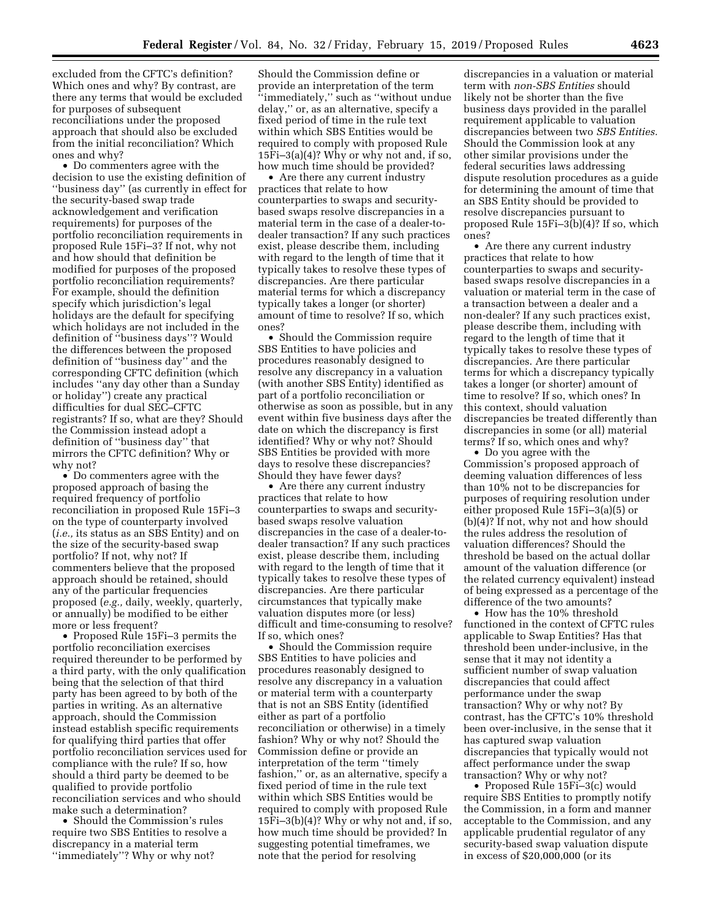excluded from the CFTC's definition? Which ones and why? By contrast, are there any terms that would be excluded for purposes of subsequent reconciliations under the proposed approach that should also be excluded from the initial reconciliation? Which ones and why?

• Do commenters agree with the decision to use the existing definition of ''business day'' (as currently in effect for the security-based swap trade acknowledgement and verification requirements) for purposes of the portfolio reconciliation requirements in proposed Rule 15Fi–3? If not, why not and how should that definition be modified for purposes of the proposed portfolio reconciliation requirements? For example, should the definition specify which jurisdiction's legal holidays are the default for specifying which holidays are not included in the definition of ''business days''? Would the differences between the proposed definition of ''business day'' and the corresponding CFTC definition (which includes ''any day other than a Sunday or holiday'') create any practical difficulties for dual SEC–CFTC registrants? If so, what are they? Should the Commission instead adopt a definition of ''business day'' that mirrors the CFTC definition? Why or why not?

• Do commenters agree with the proposed approach of basing the required frequency of portfolio reconciliation in proposed Rule 15Fi–3 on the type of counterparty involved (*i.e.,* its status as an SBS Entity) and on the size of the security-based swap portfolio? If not, why not? If commenters believe that the proposed approach should be retained, should any of the particular frequencies proposed (*e.g.,* daily, weekly, quarterly, or annually) be modified to be either more or less frequent?

• Proposed Rule 15Fi–3 permits the portfolio reconciliation exercises required thereunder to be performed by a third party, with the only qualification being that the selection of that third party has been agreed to by both of the parties in writing. As an alternative approach, should the Commission instead establish specific requirements for qualifying third parties that offer portfolio reconciliation services used for compliance with the rule? If so, how should a third party be deemed to be qualified to provide portfolio reconciliation services and who should make such a determination?

• Should the Commission's rules require two SBS Entities to resolve a discrepancy in a material term ''immediately''? Why or why not?

Should the Commission define or provide an interpretation of the term ''immediately,'' such as ''without undue delay,'' or, as an alternative, specify a fixed period of time in the rule text within which SBS Entities would be required to comply with proposed Rule 15Fi–3(a)(4)? Why or why not and, if so, how much time should be provided?

• Are there any current industry practices that relate to how counterparties to swaps and securitybased swaps resolve discrepancies in a material term in the case of a dealer-todealer transaction? If any such practices exist, please describe them, including with regard to the length of time that it typically takes to resolve these types of discrepancies. Are there particular material terms for which a discrepancy typically takes a longer (or shorter) amount of time to resolve? If so, which ones?

• Should the Commission require SBS Entities to have policies and procedures reasonably designed to resolve any discrepancy in a valuation (with another SBS Entity) identified as part of a portfolio reconciliation or otherwise as soon as possible, but in any event within five business days after the date on which the discrepancy is first identified? Why or why not? Should SBS Entities be provided with more days to resolve these discrepancies? Should they have fewer days?

• Are there any current industry practices that relate to how counterparties to swaps and securitybased swaps resolve valuation discrepancies in the case of a dealer-todealer transaction? If any such practices exist, please describe them, including with regard to the length of time that it typically takes to resolve these types of discrepancies. Are there particular circumstances that typically make valuation disputes more (or less) difficult and time-consuming to resolve? If so, which ones?

• Should the Commission require SBS Entities to have policies and procedures reasonably designed to resolve any discrepancy in a valuation or material term with a counterparty that is not an SBS Entity (identified either as part of a portfolio reconciliation or otherwise) in a timely fashion? Why or why not? Should the Commission define or provide an interpretation of the term ''timely fashion,'' or, as an alternative, specify a fixed period of time in the rule text within which SBS Entities would be required to comply with proposed Rule 15Fi–3(b)(4)? Why or why not and, if so, how much time should be provided? In suggesting potential timeframes, we note that the period for resolving

discrepancies in a valuation or material term with *non-SBS Entities* should likely not be shorter than the five business days provided in the parallel requirement applicable to valuation discrepancies between two *SBS Entities.*  Should the Commission look at any other similar provisions under the federal securities laws addressing dispute resolution procedures as a guide for determining the amount of time that an SBS Entity should be provided to resolve discrepancies pursuant to proposed Rule 15Fi–3(b)(4)? If so, which ones?

• Are there any current industry practices that relate to how counterparties to swaps and securitybased swaps resolve discrepancies in a valuation or material term in the case of a transaction between a dealer and a non-dealer? If any such practices exist, please describe them, including with regard to the length of time that it typically takes to resolve these types of discrepancies. Are there particular terms for which a discrepancy typically takes a longer (or shorter) amount of time to resolve? If so, which ones? In this context, should valuation discrepancies be treated differently than discrepancies in some (or all) material terms? If so, which ones and why?

• Do you agree with the Commission's proposed approach of deeming valuation differences of less than 10% not to be discrepancies for purposes of requiring resolution under either proposed Rule 15Fi–3(a)(5) or (b)(4)? If not, why not and how should the rules address the resolution of valuation differences? Should the threshold be based on the actual dollar amount of the valuation difference (or the related currency equivalent) instead of being expressed as a percentage of the difference of the two amounts?

• How has the 10% threshold functioned in the context of CFTC rules applicable to Swap Entities? Has that threshold been under-inclusive, in the sense that it may not identity a sufficient number of swap valuation discrepancies that could affect performance under the swap transaction? Why or why not? By contrast, has the CFTC's 10% threshold been over-inclusive, in the sense that it has captured swap valuation discrepancies that typically would not affect performance under the swap transaction? Why or why not?

• Proposed Rule 15Fi–3(c) would require SBS Entities to promptly notify the Commission, in a form and manner acceptable to the Commission, and any applicable prudential regulator of any security-based swap valuation dispute in excess of \$20,000,000 (or its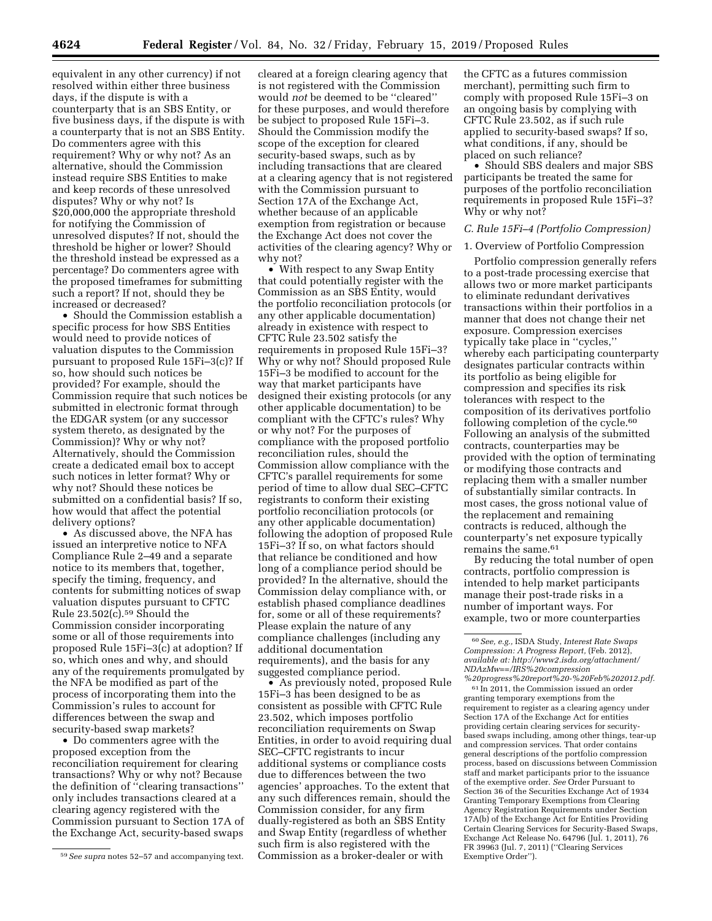equivalent in any other currency) if not resolved within either three business days, if the dispute is with a counterparty that is an SBS Entity, or five business days, if the dispute is with a counterparty that is not an SBS Entity. Do commenters agree with this requirement? Why or why not? As an alternative, should the Commission instead require SBS Entities to make and keep records of these unresolved disputes? Why or why not? Is \$20,000,000 the appropriate threshold for notifying the Commission of unresolved disputes? If not, should the threshold be higher or lower? Should the threshold instead be expressed as a percentage? Do commenters agree with the proposed timeframes for submitting such a report? If not, should they be increased or decreased?

• Should the Commission establish a specific process for how SBS Entities would need to provide notices of valuation disputes to the Commission pursuant to proposed Rule 15Fi–3(c)? If so, how should such notices be provided? For example, should the Commission require that such notices be submitted in electronic format through the EDGAR system (or any successor system thereto, as designated by the Commission)? Why or why not? Alternatively, should the Commission create a dedicated email box to accept such notices in letter format? Why or why not? Should these notices be submitted on a confidential basis? If so, how would that affect the potential delivery options?

• As discussed above, the NFA has issued an interpretive notice to NFA Compliance Rule 2–49 and a separate notice to its members that, together, specify the timing, frequency, and contents for submitting notices of swap valuation disputes pursuant to CFTC Rule  $23.502(c)$ .<sup>59</sup> Should the Commission consider incorporating some or all of those requirements into proposed Rule 15Fi–3(c) at adoption? If so, which ones and why, and should any of the requirements promulgated by the NFA be modified as part of the process of incorporating them into the Commission's rules to account for differences between the swap and security-based swap markets?

• Do commenters agree with the proposed exception from the reconciliation requirement for clearing transactions? Why or why not? Because the definition of ''clearing transactions'' only includes transactions cleared at a clearing agency registered with the Commission pursuant to Section 17A of the Exchange Act, security-based swaps

cleared at a foreign clearing agency that is not registered with the Commission would *not* be deemed to be ''cleared'' for these purposes, and would therefore be subject to proposed Rule 15Fi–3. Should the Commission modify the scope of the exception for cleared security-based swaps, such as by including transactions that are cleared at a clearing agency that is not registered with the Commission pursuant to Section 17A of the Exchange Act, whether because of an applicable exemption from registration or because the Exchange Act does not cover the activities of the clearing agency? Why or why not?

• With respect to any Swap Entity that could potentially register with the Commission as an SBS Entity, would the portfolio reconciliation protocols (or any other applicable documentation) already in existence with respect to CFTC Rule 23.502 satisfy the requirements in proposed Rule 15Fi–3? Why or why not? Should proposed Rule 15Fi–3 be modified to account for the way that market participants have designed their existing protocols (or any other applicable documentation) to be compliant with the CFTC's rules? Why or why not? For the purposes of compliance with the proposed portfolio reconciliation rules, should the Commission allow compliance with the CFTC's parallel requirements for some period of time to allow dual SEC–CFTC registrants to conform their existing portfolio reconciliation protocols (or any other applicable documentation) following the adoption of proposed Rule 15Fi–3? If so, on what factors should that reliance be conditioned and how long of a compliance period should be provided? In the alternative, should the Commission delay compliance with, or establish phased compliance deadlines for, some or all of these requirements? Please explain the nature of any compliance challenges (including any additional documentation requirements), and the basis for any suggested compliance period.

• As previously noted, proposed Rule 15Fi–3 has been designed to be as consistent as possible with CFTC Rule 23.502, which imposes portfolio reconciliation requirements on Swap Entities, in order to avoid requiring dual SEC–CFTC registrants to incur additional systems or compliance costs due to differences between the two agencies' approaches. To the extent that any such differences remain, should the Commission consider, for any firm dually-registered as both an SBS Entity and Swap Entity (regardless of whether such firm is also registered with the Commission as a broker-dealer or with

the CFTC as a futures commission merchant), permitting such firm to comply with proposed Rule 15Fi–3 on an ongoing basis by complying with CFTC Rule 23.502, as if such rule applied to security-based swaps? If so, what conditions, if any, should be placed on such reliance?

• Should SBS dealers and major SBS participants be treated the same for purposes of the portfolio reconciliation requirements in proposed Rule 15Fi–3? Why or why not?

# *C. Rule 15Fi–4 (Portfolio Compression)*

# 1. Overview of Portfolio Compression

Portfolio compression generally refers to a post-trade processing exercise that allows two or more market participants to eliminate redundant derivatives transactions within their portfolios in a manner that does not change their net exposure. Compression exercises typically take place in ''cycles,'' whereby each participating counterparty designates particular contracts within its portfolio as being eligible for compression and specifies its risk tolerances with respect to the composition of its derivatives portfolio following completion of the cycle.<sup>60</sup> Following an analysis of the submitted contracts, counterparties may be provided with the option of terminating or modifying those contracts and replacing them with a smaller number of substantially similar contracts. In most cases, the gross notional value of the replacement and remaining contracts is reduced, although the counterparty's net exposure typically remains the same.61

By reducing the total number of open contracts, portfolio compression is intended to help market participants manage their post-trade risks in a number of important ways. For example, two or more counterparties

61 In 2011, the Commission issued an order granting temporary exemptions from the requirement to register as a clearing agency under Section 17A of the Exchange Act for entities providing certain clearing services for securitybased swaps including, among other things, tear-up and compression services. That order contains general descriptions of the portfolio compression process, based on discussions between Commission staff and market participants prior to the issuance of the exemptive order. *See* Order Pursuant to Section 36 of the Securities Exchange Act of 1934 Granting Temporary Exemptions from Clearing Agency Registration Requirements under Section 17A(b) of the Exchange Act for Entities Providing Certain Clearing Services for Security-Based Swaps, Exchange Act Release No. 64796 (Jul. 1, 2011), 76 FR 39963 (Jul. 7, 2011) (''Clearing Services Exemptive Order'').

<sup>59</sup>*See supra* notes 52–57 and accompanying text.

<sup>60</sup>*See, e.g.,* ISDA Study, *Interest Rate Swaps Compression: A Progress Report,* (Feb. 2012), *available at: [http://www2.isda.org/attachment/](http://www2.isda.org/attachment/NDAzMw==/IRS%20compression%20progress%20report%20-%20Feb%202012.pdf) [NDAzMw==/IRS%20compression](http://www2.isda.org/attachment/NDAzMw==/IRS%20compression%20progress%20report%20-%20Feb%202012.pdf) [%20progress%20report%20-%20Feb%202012.pdf.](http://www2.isda.org/attachment/NDAzMw==/IRS%20compression%20progress%20report%20-%20Feb%202012.pdf)*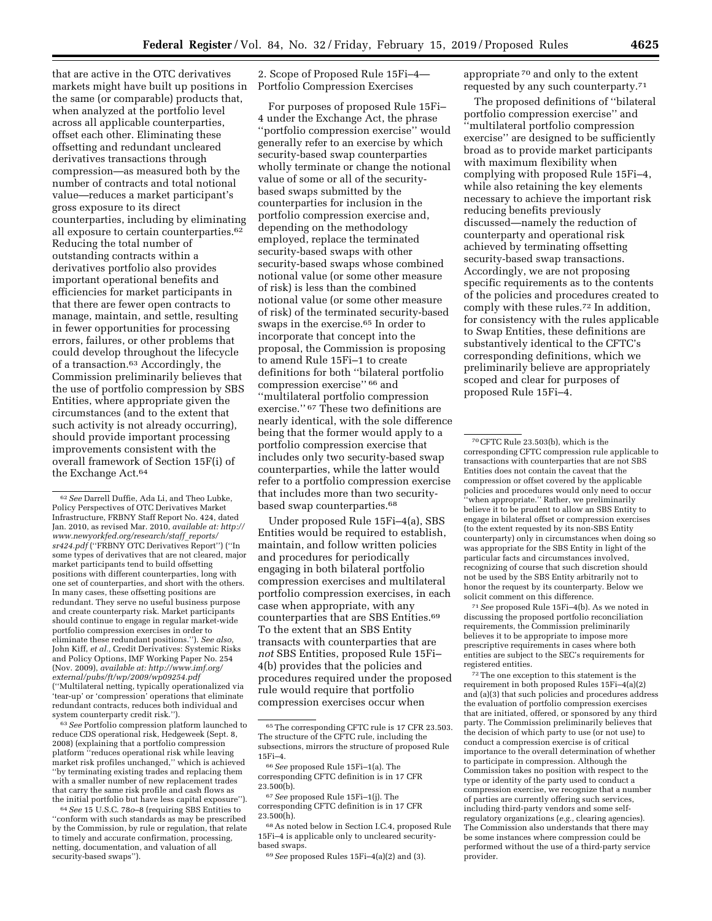that are active in the OTC derivatives markets might have built up positions in the same (or comparable) products that, when analyzed at the portfolio level across all applicable counterparties, offset each other. Eliminating these offsetting and redundant uncleared derivatives transactions through compression—as measured both by the number of contracts and total notional value—reduces a market participant's gross exposure to its direct counterparties, including by eliminating all exposure to certain counterparties.62 Reducing the total number of outstanding contracts within a derivatives portfolio also provides important operational benefits and efficiencies for market participants in that there are fewer open contracts to manage, maintain, and settle, resulting in fewer opportunities for processing errors, failures, or other problems that could develop throughout the lifecycle of a transaction.63 Accordingly, the Commission preliminarily believes that the use of portfolio compression by SBS Entities, where appropriate given the circumstances (and to the extent that such activity is not already occurring), should provide important processing improvements consistent with the overall framework of Section 15F(i) of the Exchange Act.64

63*See* Portfolio compression platform launched to reduce CDS operational risk, Hedgeweek (Sept. 8, 2008) (explaining that a portfolio compression platform ''reduces operational risk while leaving market risk profiles unchanged," which is achieved ''by terminating existing trades and replacing them with a smaller number of new replacement trades that carry the same risk profile and cash flows as the initial portfolio but have less capital exposure'').

64*See* 15 U.S.C. 78*o*–8 (requiring SBS Entities to ''conform with such standards as may be prescribed by the Commission, by rule or regulation, that relate to timely and accurate confirmation, processing, netting, documentation, and valuation of all security-based swaps'').

2. Scope of Proposed Rule 15Fi–4— Portfolio Compression Exercises

For purposes of proposed Rule 15Fi– 4 under the Exchange Act, the phrase ''portfolio compression exercise'' would generally refer to an exercise by which security-based swap counterparties wholly terminate or change the notional value of some or all of the securitybased swaps submitted by the counterparties for inclusion in the portfolio compression exercise and, depending on the methodology employed, replace the terminated security-based swaps with other security-based swaps whose combined notional value (or some other measure of risk) is less than the combined notional value (or some other measure of risk) of the terminated security-based swaps in the exercise.65 In order to incorporate that concept into the proposal, the Commission is proposing to amend Rule 15Fi–1 to create definitions for both ''bilateral portfolio compression exercise'' 66 and ''multilateral portfolio compression exercise.'' 67 These two definitions are nearly identical, with the sole difference being that the former would apply to a portfolio compression exercise that includes only two security-based swap counterparties, while the latter would refer to a portfolio compression exercise that includes more than two securitybased swap counterparties.<sup>68</sup>

Under proposed Rule 15Fi–4(a), SBS Entities would be required to establish, maintain, and follow written policies and procedures for periodically engaging in both bilateral portfolio compression exercises and multilateral portfolio compression exercises, in each case when appropriate, with any counterparties that are SBS Entities.69 To the extent that an SBS Entity transacts with counterparties that are *not* SBS Entities, proposed Rule 15Fi– 4(b) provides that the policies and procedures required under the proposed rule would require that portfolio compression exercises occur when

66*See* proposed Rule 15Fi–1(a). The corresponding CFTC definition is in 17 CFR 23.500(b).

67*See* proposed Rule 15Fi–1(j). The corresponding CFTC definition is in 17 CFR 23.500(h).

68As noted below in Section I.C.4, proposed Rule 15Fi–4 is applicable only to uncleared securitybased swaps.

69*See* proposed Rules 15Fi–4(a)(2) and (3).

appropriate 70 and only to the extent requested by any such counterparty.71

The proposed definitions of ''bilateral portfolio compression exercise'' and ''multilateral portfolio compression exercise'' are designed to be sufficiently broad as to provide market participants with maximum flexibility when complying with proposed Rule 15Fi–4, while also retaining the key elements necessary to achieve the important risk reducing benefits previously discussed—namely the reduction of counterparty and operational risk achieved by terminating offsetting security-based swap transactions. Accordingly, we are not proposing specific requirements as to the contents of the policies and procedures created to comply with these rules.72 In addition, for consistency with the rules applicable to Swap Entities, these definitions are substantively identical to the CFTC's corresponding definitions, which we preliminarily believe are appropriately scoped and clear for purposes of proposed Rule 15Fi–4.

71*See* proposed Rule 15Fi–4(b). As we noted in discussing the proposed portfolio reconciliation requirements, the Commission preliminarily believes it to be appropriate to impose more prescriptive requirements in cases where both entities are subject to the SEC's requirements for registered entities.

72The one exception to this statement is the requirement in both proposed Rules 15Fi–4(a)(2) and (a)(3) that such policies and procedures address the evaluation of portfolio compression exercises that are initiated, offered, or sponsored by any third party. The Commission preliminarily believes that the decision of which party to use (or not use) to conduct a compression exercise is of critical importance to the overall determination of whether to participate in compression. Although the Commission takes no position with respect to the type or identity of the party used to conduct a compression exercise, we recognize that a number of parties are currently offering such services, including third-party vendors and some selfregulatory organizations (*e.g.,* clearing agencies). The Commission also understands that there may be some instances where compression could be performed without the use of a third-party service provider.

<sup>62</sup>*See* Darrell Duffie, Ada Li, and Theo Lubke, Policy Perspectives of OTC Derivatives Market Infrastructure, FRBNY Staff Report No. 424, dated Jan. 2010, as revised Mar. 2010, *available at: [http://](http://www.newyorkfed.org/research/staff_reports/sr424.pdf) [www.newyorkfed.org/research/staff](http://www.newyorkfed.org/research/staff_reports/sr424.pdf)*\_*reports/ [sr424.pdf](http://www.newyorkfed.org/research/staff_reports/sr424.pdf)* (''FRBNY OTC Derivatives Report'') (''In some types of derivatives that are not cleared, major market participants tend to build offsetting positions with different counterparties, long with one set of counterparties, and short with the others. In many cases, these offsetting positions are redundant. They serve no useful business purpose and create counterparty risk. Market participants should continue to engage in regular market-wide portfolio compression exercises in order to eliminate these redundant positions.''). *See also,*  John Kiff, *et al.,* Credit Derivatives: Systemic Risks and Policy Options, IMF Working Paper No. 254 (Nov. 2009), *available at: [http://www.imf.org/](http://www.imf.org/external/pubs/ft/wp/2009/wp09254.pdf)  [external/pubs/ft/wp/2009/wp09254.pdf](http://www.imf.org/external/pubs/ft/wp/2009/wp09254.pdf)*  (''Multilateral netting, typically operationalized via 'tear-up' or 'compression' operations that eliminate redundant contracts, reduces both individual and system counterparty credit risk.'').

<sup>65</sup>The corresponding CFTC rule is 17 CFR 23.503. The structure of the CFTC rule, including the subsections, mirrors the structure of proposed Rule 15Fi–4.

<sup>70</sup>CFTC Rule 23.503(b), which is the corresponding CFTC compression rule applicable to transactions with counterparties that are not SBS Entities does not contain the caveat that the compression or offset covered by the applicable policies and procedures would only need to occur ''when appropriate.'' Rather, we preliminarily believe it to be prudent to allow an SBS Entity to engage in bilateral offset or compression exercises (to the extent requested by its non-SBS Entity counterparty) only in circumstances when doing so was appropriate for the SBS Entity in light of the particular facts and circumstances involved, recognizing of course that such discretion should not be used by the SBS Entity arbitrarily not to honor the request by its counterparty. Below we solicit comment on this difference.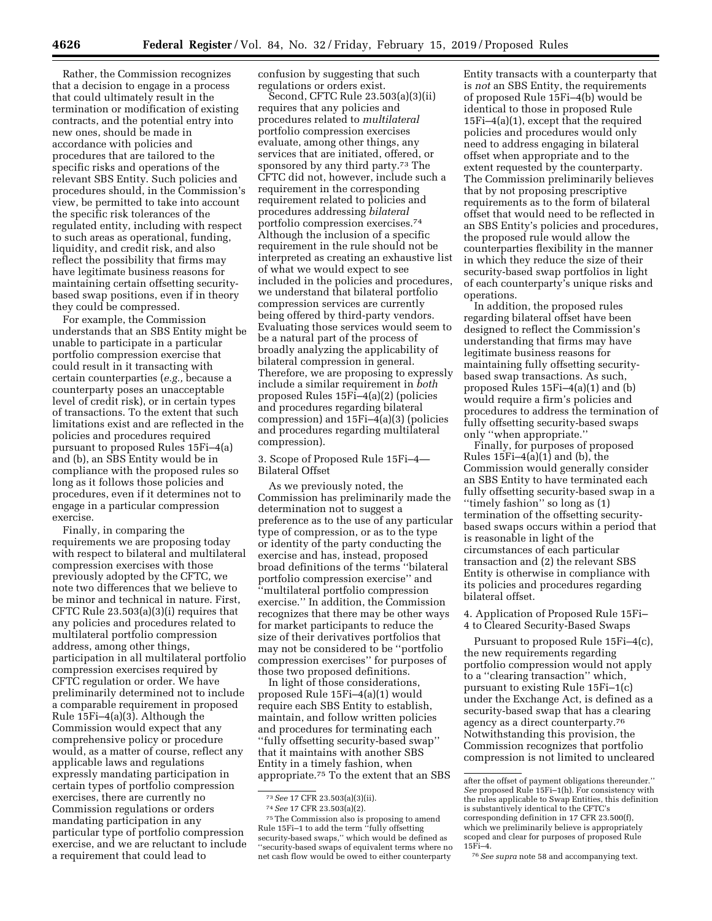Rather, the Commission recognizes that a decision to engage in a process that could ultimately result in the termination or modification of existing contracts, and the potential entry into new ones, should be made in accordance with policies and procedures that are tailored to the specific risks and operations of the relevant SBS Entity. Such policies and procedures should, in the Commission's view, be permitted to take into account the specific risk tolerances of the regulated entity, including with respect to such areas as operational, funding, liquidity, and credit risk, and also reflect the possibility that firms may have legitimate business reasons for maintaining certain offsetting securitybased swap positions, even if in theory they could be compressed.

For example, the Commission understands that an SBS Entity might be unable to participate in a particular portfolio compression exercise that could result in it transacting with certain counterparties (*e.g.,* because a counterparty poses an unacceptable level of credit risk), or in certain types of transactions. To the extent that such limitations exist and are reflected in the policies and procedures required pursuant to proposed Rules 15Fi–4(a) and (b), an SBS Entity would be in compliance with the proposed rules so long as it follows those policies and procedures, even if it determines not to engage in a particular compression exercise.

Finally, in comparing the requirements we are proposing today with respect to bilateral and multilateral compression exercises with those previously adopted by the CFTC, we note two differences that we believe to be minor and technical in nature. First, CFTC Rule 23.503(a)(3)(i) requires that any policies and procedures related to multilateral portfolio compression address, among other things, participation in all multilateral portfolio compression exercises required by CFTC regulation or order. We have preliminarily determined not to include a comparable requirement in proposed Rule 15Fi–4(a)(3). Although the Commission would expect that any comprehensive policy or procedure would, as a matter of course, reflect any applicable laws and regulations expressly mandating participation in certain types of portfolio compression exercises, there are currently no Commission regulations or orders mandating participation in any particular type of portfolio compression exercise, and we are reluctant to include a requirement that could lead to

confusion by suggesting that such regulations or orders exist.

Second, CFTC Rule 23.503(a)(3)(ii) requires that any policies and procedures related to *multilateral*  portfolio compression exercises evaluate, among other things, any services that are initiated, offered, or sponsored by any third party.<sup>73</sup> The CFTC did not, however, include such a requirement in the corresponding requirement related to policies and procedures addressing *bilateral*  portfolio compression exercises.74 Although the inclusion of a specific requirement in the rule should not be interpreted as creating an exhaustive list of what we would expect to see included in the policies and procedures, we understand that bilateral portfolio compression services are currently being offered by third-party vendors. Evaluating those services would seem to be a natural part of the process of broadly analyzing the applicability of bilateral compression in general. Therefore, we are proposing to expressly include a similar requirement in *both*  proposed Rules 15Fi–4(a)(2) (policies and procedures regarding bilateral compression) and 15Fi–4(a)(3) (policies and procedures regarding multilateral compression).

3. Scope of Proposed Rule 15Fi–4— Bilateral Offset

As we previously noted, the Commission has preliminarily made the determination not to suggest a preference as to the use of any particular type of compression, or as to the type or identity of the party conducting the exercise and has, instead, proposed broad definitions of the terms ''bilateral portfolio compression exercise'' and ''multilateral portfolio compression exercise.'' In addition, the Commission recognizes that there may be other ways for market participants to reduce the size of their derivatives portfolios that may not be considered to be ''portfolio compression exercises'' for purposes of those two proposed definitions.

In light of those considerations, proposed Rule 15Fi–4(a)(1) would require each SBS Entity to establish, maintain, and follow written policies and procedures for terminating each ''fully offsetting security-based swap'' that it maintains with another SBS Entity in a timely fashion, when appropriate.75 To the extent that an SBS

75The Commission also is proposing to amend Rule 15Fi–1 to add the term ''fully offsetting security-based swaps," which would be defined as ''security-based swaps of equivalent terms where no net cash flow would be owed to either counterparty

Entity transacts with a counterparty that is *not* an SBS Entity, the requirements of proposed Rule 15Fi–4(b) would be identical to those in proposed Rule 15Fi–4(a)(1), except that the required policies and procedures would only need to address engaging in bilateral offset when appropriate and to the extent requested by the counterparty. The Commission preliminarily believes that by not proposing prescriptive requirements as to the form of bilateral offset that would need to be reflected in an SBS Entity's policies and procedures, the proposed rule would allow the counterparties flexibility in the manner in which they reduce the size of their security-based swap portfolios in light of each counterparty's unique risks and operations.

In addition, the proposed rules regarding bilateral offset have been designed to reflect the Commission's understanding that firms may have legitimate business reasons for maintaining fully offsetting securitybased swap transactions. As such, proposed Rules 15Fi–4(a)(1) and (b) would require a firm's policies and procedures to address the termination of fully offsetting security-based swaps only ''when appropriate.''

Finally, for purposes of proposed Rules  $15Fi-4(a)(1)$  and (b), the Commission would generally consider an SBS Entity to have terminated each fully offsetting security-based swap in a ''timely fashion'' so long as (1) termination of the offsetting securitybased swaps occurs within a period that is reasonable in light of the circumstances of each particular transaction and (2) the relevant SBS Entity is otherwise in compliance with its policies and procedures regarding bilateral offset.

4. Application of Proposed Rule 15Fi– 4 to Cleared Security-Based Swaps

Pursuant to proposed Rule 15Fi–4(c), the new requirements regarding portfolio compression would not apply to a ''clearing transaction'' which, pursuant to existing Rule 15Fi–1(c) under the Exchange Act, is defined as a security-based swap that has a clearing agency as a direct counterparty.76 Notwithstanding this provision, the Commission recognizes that portfolio compression is not limited to uncleared

<sup>73</sup>*See* 17 CFR 23.503(a)(3)(ii).

<sup>74</sup>*See* 17 CFR 23.503(a)(2).

after the offset of payment obligations thereunder.'' *See* proposed Rule 15Fi–1(h). For consistency with the rules applicable to Swap Entities, this definition is substantively identical to the CFTC's corresponding definition in 17 CFR 23.500(f), which we preliminarily believe is appropriately scoped and clear for purposes of proposed Rule 15Fi–4.

<sup>76</sup>*See supra* note 58 and accompanying text.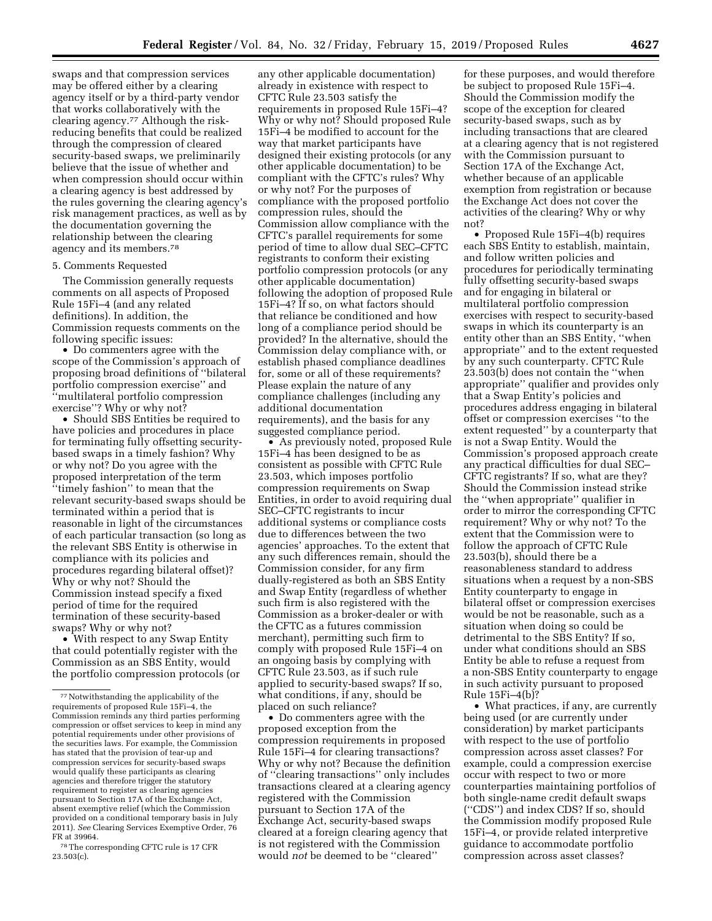swaps and that compression services may be offered either by a clearing agency itself or by a third-party vendor that works collaboratively with the clearing agency.77 Although the riskreducing benefits that could be realized through the compression of cleared security-based swaps, we preliminarily believe that the issue of whether and when compression should occur within a clearing agency is best addressed by the rules governing the clearing agency's risk management practices, as well as by the documentation governing the relationship between the clearing agency and its members.78

# 5. Comments Requested

The Commission generally requests comments on all aspects of Proposed Rule 15Fi–4 (and any related definitions). In addition, the Commission requests comments on the following specific issues:

• Do commenters agree with the scope of the Commission's approach of proposing broad definitions of ''bilateral portfolio compression exercise'' and ''multilateral portfolio compression exercise''? Why or why not?

• Should SBS Entities be required to have policies and procedures in place for terminating fully offsetting securitybased swaps in a timely fashion? Why or why not? Do you agree with the proposed interpretation of the term ''timely fashion'' to mean that the relevant security-based swaps should be terminated within a period that is reasonable in light of the circumstances of each particular transaction (so long as the relevant SBS Entity is otherwise in compliance with its policies and procedures regarding bilateral offset)? Why or why not? Should the Commission instead specify a fixed period of time for the required termination of these security-based swaps? Why or why not?

• With respect to any Swap Entity that could potentially register with the Commission as an SBS Entity, would the portfolio compression protocols (or

78The corresponding CFTC rule is 17 CFR 23.503(c).

any other applicable documentation) already in existence with respect to CFTC Rule 23.503 satisfy the requirements in proposed Rule 15Fi–4? Why or why not? Should proposed Rule 15Fi–4 be modified to account for the way that market participants have designed their existing protocols (or any other applicable documentation) to be compliant with the CFTC's rules? Why or why not? For the purposes of compliance with the proposed portfolio compression rules, should the Commission allow compliance with the CFTC's parallel requirements for some period of time to allow dual SEC–CFTC registrants to conform their existing portfolio compression protocols (or any other applicable documentation) following the adoption of proposed Rule 15Fi–4? If so, on what factors should that reliance be conditioned and how long of a compliance period should be provided? In the alternative, should the Commission delay compliance with, or establish phased compliance deadlines for, some or all of these requirements? Please explain the nature of any compliance challenges (including any additional documentation requirements), and the basis for any suggested compliance period.

• As previously noted, proposed Rule 15Fi–4 has been designed to be as consistent as possible with CFTC Rule 23.503, which imposes portfolio compression requirements on Swap Entities, in order to avoid requiring dual SEC–CFTC registrants to incur additional systems or compliance costs due to differences between the two agencies' approaches. To the extent that any such differences remain, should the Commission consider, for any firm dually-registered as both an SBS Entity and Swap Entity (regardless of whether such firm is also registered with the Commission as a broker-dealer or with the CFTC as a futures commission merchant), permitting such firm to comply with proposed Rule 15Fi–4 on an ongoing basis by complying with CFTC Rule 23.503, as if such rule applied to security-based swaps? If so, what conditions, if any, should be placed on such reliance?

• Do commenters agree with the proposed exception from the compression requirements in proposed Rule 15Fi–4 for clearing transactions? Why or why not? Because the definition of ''clearing transactions'' only includes transactions cleared at a clearing agency registered with the Commission pursuant to Section 17A of the Exchange Act, security-based swaps cleared at a foreign clearing agency that is not registered with the Commission would *not* be deemed to be ''cleared''

for these purposes, and would therefore be subject to proposed Rule 15Fi–4. Should the Commission modify the scope of the exception for cleared security-based swaps, such as by including transactions that are cleared at a clearing agency that is not registered with the Commission pursuant to Section 17A of the Exchange Act, whether because of an applicable exemption from registration or because the Exchange Act does not cover the activities of the clearing? Why or why not?

• Proposed Rule 15Fi–4(b) requires each SBS Entity to establish, maintain, and follow written policies and procedures for periodically terminating fully offsetting security-based swaps and for engaging in bilateral or multilateral portfolio compression exercises with respect to security-based swaps in which its counterparty is an entity other than an SBS Entity, ''when appropriate'' and to the extent requested by any such counterparty. CFTC Rule 23.503(b) does not contain the ''when appropriate'' qualifier and provides only that a Swap Entity's policies and procedures address engaging in bilateral offset or compression exercises ''to the extent requested'' by a counterparty that is not a Swap Entity. Would the Commission's proposed approach create any practical difficulties for dual SEC– CFTC registrants? If so, what are they? Should the Commission instead strike the ''when appropriate'' qualifier in order to mirror the corresponding CFTC requirement? Why or why not? To the extent that the Commission were to follow the approach of CFTC Rule 23.503(b), should there be a reasonableness standard to address situations when a request by a non-SBS Entity counterparty to engage in bilateral offset or compression exercises would be not be reasonable, such as a situation when doing so could be detrimental to the SBS Entity? If so, under what conditions should an SBS Entity be able to refuse a request from a non-SBS Entity counterparty to engage in such activity pursuant to proposed Rule 15Fi–4(b)?

• What practices, if any, are currently being used (or are currently under consideration) by market participants with respect to the use of portfolio compression across asset classes? For example, could a compression exercise occur with respect to two or more counterparties maintaining portfolios of both single-name credit default swaps (''CDS'') and index CDS? If so, should the Commission modify proposed Rule 15Fi–4, or provide related interpretive guidance to accommodate portfolio compression across asset classes?

<sup>77</sup>Notwithstanding the applicability of the requirements of proposed Rule 15Fi–4, the Commission reminds any third parties performing compression or offset services to keep in mind any potential requirements under other provisions of the securities laws. For example, the Commission has stated that the provision of tear-up and compression services for security-based swaps would qualify these participants as clearing agencies and therefore trigger the statutory requirement to register as clearing agencies pursuant to Section 17A of the Exchange Act, absent exemptive relief (which the Commission provided on a conditional temporary basis in July 2011). *See* Clearing Services Exemptive Order, 76 FR at 39964.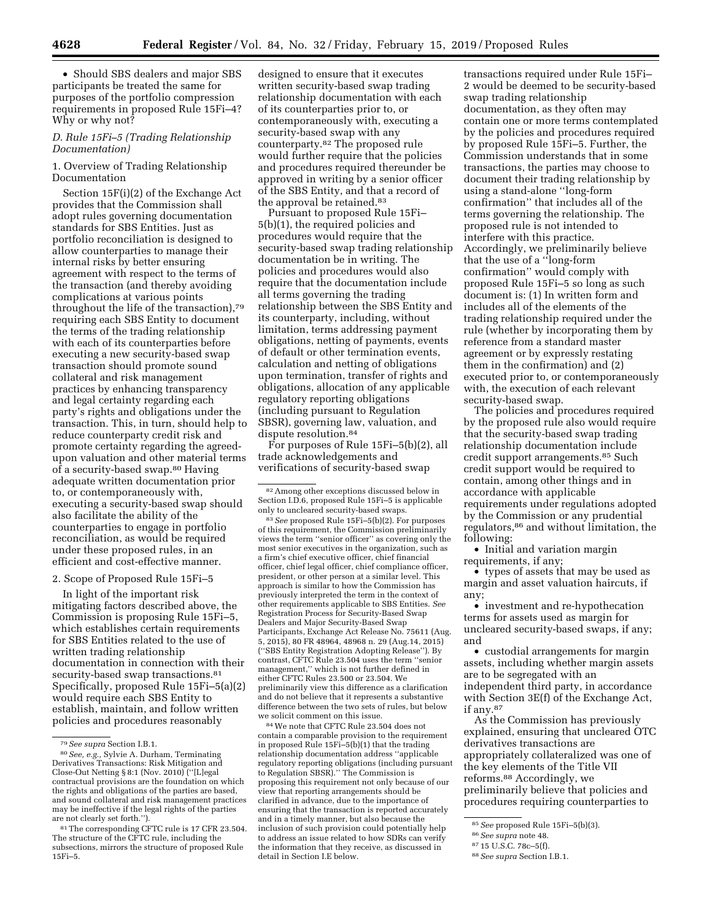• Should SBS dealers and major SBS participants be treated the same for purposes of the portfolio compression requirements in proposed Rule 15Fi–4? Why or why not?

# *D. Rule 15Fi–5 (Trading Relationship Documentation)*

# 1. Overview of Trading Relationship Documentation

Section 15F(i)(2) of the Exchange Act provides that the Commission shall adopt rules governing documentation standards for SBS Entities. Just as portfolio reconciliation is designed to allow counterparties to manage their internal risks by better ensuring agreement with respect to the terms of the transaction (and thereby avoiding complications at various points throughout the life of the transaction),79 requiring each SBS Entity to document the terms of the trading relationship with each of its counterparties before executing a new security-based swap transaction should promote sound collateral and risk management practices by enhancing transparency and legal certainty regarding each party's rights and obligations under the transaction. This, in turn, should help to reduce counterparty credit risk and promote certainty regarding the agreedupon valuation and other material terms of a security-based swap.80 Having adequate written documentation prior to, or contemporaneously with, executing a security-based swap should also facilitate the ability of the counterparties to engage in portfolio reconciliation, as would be required under these proposed rules, in an efficient and cost-effective manner.

### 2. Scope of Proposed Rule 15Fi–5

In light of the important risk mitigating factors described above, the Commission is proposing Rule 15Fi–5, which establishes certain requirements for SBS Entities related to the use of written trading relationship documentation in connection with their security-based swap transactions.<sup>81</sup> Specifically, proposed Rule 15Fi–5(a)(2) would require each SBS Entity to establish, maintain, and follow written policies and procedures reasonably

designed to ensure that it executes written security-based swap trading relationship documentation with each of its counterparties prior to, or contemporaneously with, executing a security-based swap with any counterparty.82 The proposed rule would further require that the policies and procedures required thereunder be approved in writing by a senior officer of the SBS Entity, and that a record of the approval be retained.83

Pursuant to proposed Rule 15Fi– 5(b)(1), the required policies and procedures would require that the security-based swap trading relationship documentation be in writing. The policies and procedures would also require that the documentation include all terms governing the trading relationship between the SBS Entity and its counterparty, including, without limitation, terms addressing payment obligations, netting of payments, events of default or other termination events, calculation and netting of obligations upon termination, transfer of rights and obligations, allocation of any applicable regulatory reporting obligations (including pursuant to Regulation SBSR), governing law, valuation, and dispute resolution.<sup>84</sup>

For purposes of Rule 15Fi–5(b)(2), all trade acknowledgements and verifications of security-based swap

83*See* proposed Rule 15Fi–5(b)(2). For purposes of this requirement, the Commission preliminarily views the term ''senior officer'' as covering only the most senior executives in the organization, such as a firm's chief executive officer, chief financial officer, chief legal officer, chief compliance officer, president, or other person at a similar level. This approach is similar to how the Commission has previously interpreted the term in the context of other requirements applicable to SBS Entities. *See*  Registration Process for Security-Based Swap Dealers and Major Security-Based Swap Participants, Exchange Act Release No. 75611 (Aug. 5, 2015), 80 FR 48964, 48968 n. 29 (Aug.14, 2015) (''SBS Entity Registration Adopting Release''). By contrast, CFTC Rule 23.504 uses the term ''senior management,'' which is not further defined in either CFTC Rules 23.500 or 23.504. We preliminarily view this difference as a clarification and do not believe that it represents a substantive difference between the two sets of rules, but below we solicit comment on this issue.

84We note that CFTC Rule 23.504 does not contain a comparable provision to the requirement in proposed Rule 15Fi–5(b)(1) that the trading relationship documentation address ''applicable regulatory reporting obligations (including pursuant to Regulation SBSR).'' The Commission is proposing this requirement not only because of our view that reporting arrangements should be clarified in advance, due to the importance of ensuring that the transaction is reported accurately and in a timely manner, but also because the inclusion of such provision could potentially help to address an issue related to how SDRs can verify the information that they receive, as discussed in detail in Section I.E below.

transactions required under Rule 15Fi– 2 would be deemed to be security-based swap trading relationship documentation, as they often may contain one or more terms contemplated by the policies and procedures required by proposed Rule 15Fi–5. Further, the Commission understands that in some transactions, the parties may choose to document their trading relationship by using a stand-alone ''long-form confirmation'' that includes all of the terms governing the relationship. The proposed rule is not intended to interfere with this practice. Accordingly, we preliminarily believe that the use of a ''long-form confirmation'' would comply with proposed Rule 15Fi–5 so long as such document is: (1) In written form and includes all of the elements of the trading relationship required under the rule (whether by incorporating them by reference from a standard master agreement or by expressly restating them in the confirmation) and (2) executed prior to, or contemporaneously with, the execution of each relevant security-based swap.

The policies and procedures required by the proposed rule also would require that the security-based swap trading relationship documentation include credit support arrangements.85 Such credit support would be required to contain, among other things and in accordance with applicable requirements under regulations adopted by the Commission or any prudential regulators,<sup>86</sup> and without limitation, the following:

• Initial and variation margin requirements, if any;

• types of assets that may be used as margin and asset valuation haircuts, if any;

• investment and re-hypothecation terms for assets used as margin for uncleared security-based swaps, if any; and

• custodial arrangements for margin assets, including whether margin assets are to be segregated with an independent third party, in accordance with Section 3E(f) of the Exchange Act, if any.87

As the Commission has previously explained, ensuring that uncleared OTC derivatives transactions are appropriately collateralized was one of the key elements of the Title VII reforms.88 Accordingly, we preliminarily believe that policies and procedures requiring counterparties to

<sup>79</sup>*See supra* Section I.B.1. 80*See, e.g.,* Sylvie A. Durham, Terminating Derivatives Transactions: Risk Mitigation and Close-Out Netting § 8:1 (Nov. 2010) (''[L]egal contractual provisions are the foundation on which the rights and obligations of the parties are based, and sound collateral and risk management practices may be ineffective if the legal rights of the parties are not clearly set forth.'').

<sup>&</sup>lt;sup>81</sup> The corresponding CFTC rule is 17 CFR 23.504. The structure of the CFTC rule, including the subsections, mirrors the structure of proposed Rule 15Fi–5.

<sup>82</sup>Among other exceptions discussed below in Section I.D.6, proposed Rule 15Fi–5 is applicable only to uncleared security-based swaps.

<sup>85</sup>*See* proposed Rule 15Fi–5(b)(3).

<sup>86</sup>*See supra* note 48.

<sup>87</sup> 15 U.S.C. 78c–5(f).

<sup>88</sup>*See supra* Section I.B.1.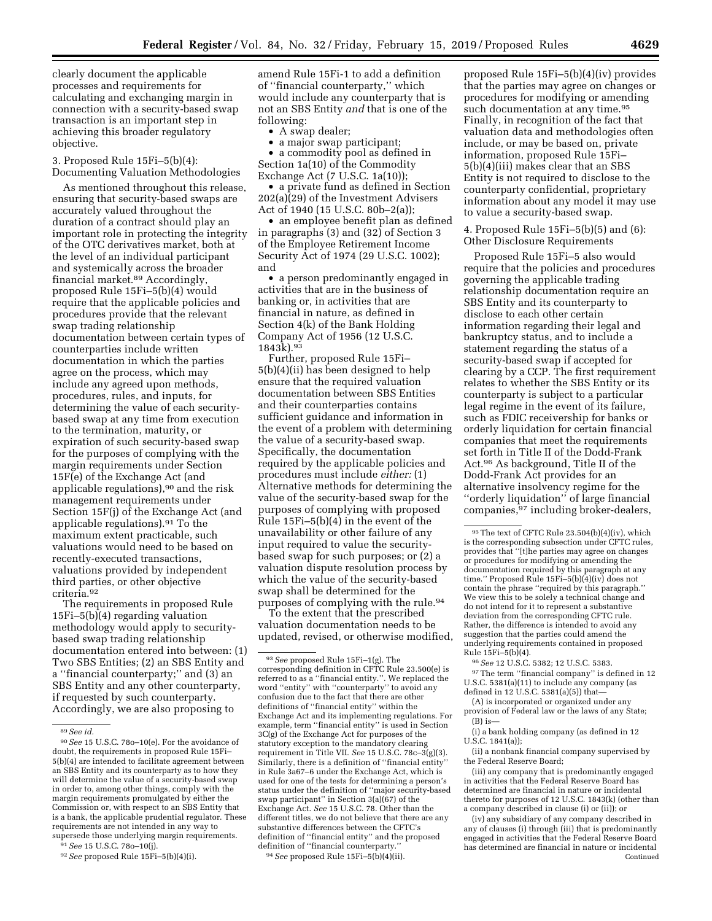clearly document the applicable processes and requirements for calculating and exchanging margin in connection with a security-based swap transaction is an important step in achieving this broader regulatory objective.

3. Proposed Rule 15Fi–5(b)(4): Documenting Valuation Methodologies

As mentioned throughout this release, ensuring that security-based swaps are accurately valued throughout the duration of a contract should play an important role in protecting the integrity of the OTC derivatives market, both at the level of an individual participant and systemically across the broader financial market.89 Accordingly, proposed Rule 15Fi–5(b)(4) would require that the applicable policies and procedures provide that the relevant swap trading relationship documentation between certain types of counterparties include written documentation in which the parties agree on the process, which may include any agreed upon methods, procedures, rules, and inputs, for determining the value of each securitybased swap at any time from execution to the termination, maturity, or expiration of such security-based swap for the purposes of complying with the margin requirements under Section 15F(e) of the Exchange Act (and applicable regulations),90 and the risk management requirements under Section 15F(j) of the Exchange Act (and applicable regulations).91 To the maximum extent practicable, such valuations would need to be based on recently-executed transactions, valuations provided by independent third parties, or other objective criteria.92

The requirements in proposed Rule 15Fi–5(b)(4) regarding valuation methodology would apply to securitybased swap trading relationship documentation entered into between: (1) Two SBS Entities; (2) an SBS Entity and a ''financial counterparty;'' and (3) an SBS Entity and any other counterparty, if requested by such counterparty. Accordingly, we are also proposing to

91*See* 15 U.S.C. 78o–10(j).

amend Rule 15Fi-1 to add a definition of ''financial counterparty,'' which would include any counterparty that is not an SBS Entity *and* that is one of the following:

• A swap dealer;

• a major swap participant;

a commodity pool as defined in Section 1a(10) of the Commodity Exchange Act (7 U.S.C. 1a(10));

• a private fund as defined in Section 202(a)(29) of the Investment Advisers Act of 1940 (15 U.S.C. 80b–2(a));

• an employee benefit plan as defined in paragraphs (3) and (32) of Section 3 of the Employee Retirement Income Security Act of 1974 (29 U.S.C. 1002); and

• a person predominantly engaged in activities that are in the business of banking or, in activities that are financial in nature, as defined in Section 4(k) of the Bank Holding Company Act of 1956 (12 U.S.C. 1843k).93

Further, proposed Rule 15Fi– 5(b)(4)(ii) has been designed to help ensure that the required valuation documentation between SBS Entities and their counterparties contains sufficient guidance and information in the event of a problem with determining the value of a security-based swap. Specifically, the documentation required by the applicable policies and procedures must include *either:* (1) Alternative methods for determining the value of the security-based swap for the purposes of complying with proposed Rule 15Fi–5(b)(4) in the event of the unavailability or other failure of any input required to value the securitybased swap for such purposes; or (2) a valuation dispute resolution process by which the value of the security-based swap shall be determined for the purposes of complying with the rule.94

To the extent that the prescribed valuation documentation needs to be updated, revised, or otherwise modified,

94*See* proposed Rule 15Fi–5(b)(4)(ii).

proposed Rule 15Fi–5(b)(4)(iv) provides that the parties may agree on changes or procedures for modifying or amending such documentation at any time.<sup>95</sup> Finally, in recognition of the fact that valuation data and methodologies often include, or may be based on, private information, proposed Rule 15Fi– 5(b)(4)(iii) makes clear that an SBS Entity is not required to disclose to the counterparty confidential, proprietary information about any model it may use to value a security-based swap.

4. Proposed Rule 15Fi–5(b)(5) and (6): Other Disclosure Requirements

Proposed Rule 15Fi–5 also would require that the policies and procedures governing the applicable trading relationship documentation require an SBS Entity and its counterparty to disclose to each other certain information regarding their legal and bankruptcy status, and to include a statement regarding the status of a security-based swap if accepted for clearing by a CCP. The first requirement relates to whether the SBS Entity or its counterparty is subject to a particular legal regime in the event of its failure, such as FDIC receivership for banks or orderly liquidation for certain financial companies that meet the requirements set forth in Title II of the Dodd-Frank Act.96 As background, Title II of the Dodd-Frank Act provides for an alternative insolvency regime for the ''orderly liquidation'' of large financial companies,<sup>97</sup> including broker-dealers,

96*See* 12 U.S.C. 5382; 12 U.S.C. 5383. 97The term ''financial company'' is defined in 12 U.S.C. 5381(a)(11) to include any company (as defined in 12 U.S.C. 5381(a)(5)) that—

(A) is incorporated or organized under any provision of Federal law or the laws of any State;  $(B)$  is —

(i) a bank holding company (as defined in 12 U.S.C. 1841(a));

(ii) a nonbank financial company supervised by the Federal Reserve Board;

(iii) any company that is predominantly engaged in activities that the Federal Reserve Board has determined are financial in nature or incidental thereto for purposes of 12 U.S.C. 1843(k) (other than a company described in clause (i) or (ii)); or

(iv) any subsidiary of any company described in any of clauses (i) through (iii) that is predominantly engaged in activities that the Federal Reserve Board has determined are financial in nature or incidental Continued

<sup>89</sup>*See id.* 

<sup>90</sup>*See* 15 U.S.C. 78o–10(e). For the avoidance of doubt, the requirements in proposed Rule 15Fi– 5(b)(4) are intended to facilitate agreement between an SBS Entity and its counterparty as to how they will determine the value of a security-based swap in order to, among other things, comply with the margin requirements promulgated by either the Commission or, with respect to an SBS Entity that is a bank, the applicable prudential regulator. These requirements are not intended in any way to supersede those underlying margin requirements.

<sup>92</sup>*See* proposed Rule 15Fi–5(b)(4)(i).

<sup>93</sup>*See* proposed Rule 15Fi–1(g). The corresponding definition in CFTC Rule 23.500(e) is referred to as a ''financial entity.''. We replaced the word ''entity'' with ''counterparty'' to avoid any confusion due to the fact that there are other definitions of ''financial entity'' within the Exchange Act and its implementing regulations. For example, term ''financial entity'' is used in Section 3C(g) of the Exchange Act for purposes of the statutory exception to the mandatory clearing requirement in Title VII. *See* 15 U.S.C. 78c–3(g)(3). Similarly, there is a definition of "financial entity in Rule 3a67–6 under the Exchange Act, which is used for one of the tests for determining a person's status under the definition of ''major security-based swap participant'' in Section 3(a)(67) of the Exchange Act. *See* 15 U.S.C. 78. Other than the different titles, we do not believe that there are any substantive differences between the CFTC's definition of ''financial entity'' and the proposed definition of "financial counterparty.

<sup>95</sup>The text of CFTC Rule 23.504(b)(4)(iv), which is the corresponding subsection under CFTC rules, provides that ''[t]he parties may agree on changes or procedures for modifying or amending the documentation required by this paragraph at any time.'' Proposed Rule 15Fi–5(b)(4)(iv) does not contain the phrase ''required by this paragraph.'' We view this to be solely a technical change and do not intend for it to represent a substantive deviation from the corresponding CFTC rule. Rather, the difference is intended to avoid any suggestion that the parties could amend the underlying requirements contained in proposed Rule 15Fi–5(b)(4).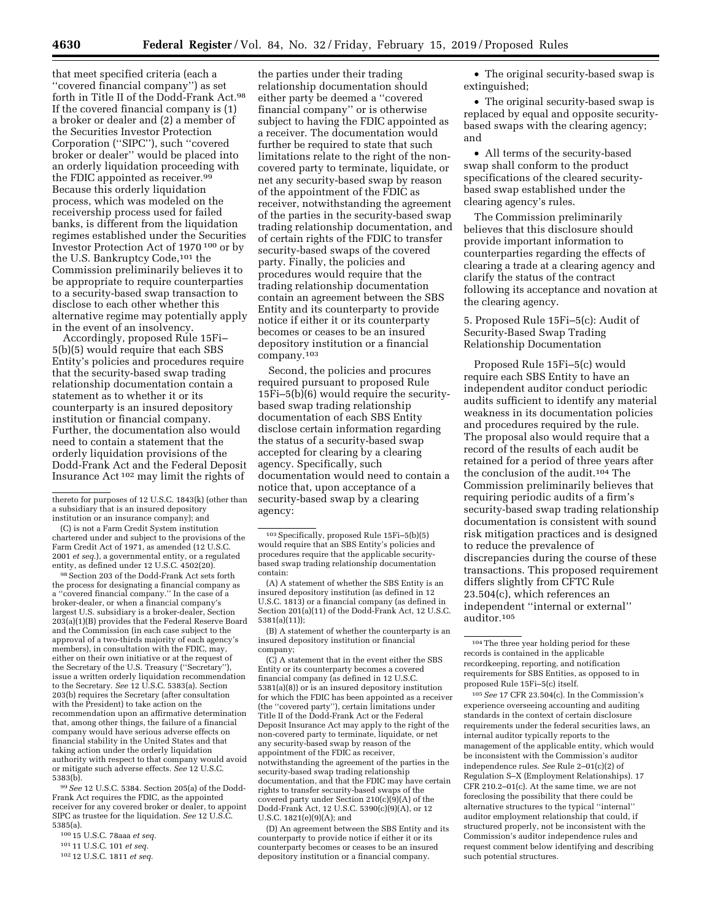that meet specified criteria (each a ''covered financial company'') as set forth in Title II of the Dodd-Frank Act.98 If the covered financial company is (1) a broker or dealer and (2) a member of the Securities Investor Protection Corporation (''SIPC''), such ''covered broker or dealer'' would be placed into an orderly liquidation proceeding with the FDIC appointed as receiver.99 Because this orderly liquidation process, which was modeled on the receivership process used for failed banks, is different from the liquidation regimes established under the Securities Investor Protection Act of 1970 100 or by the U.S. Bankruptcy Code,101 the Commission preliminarily believes it to be appropriate to require counterparties to a security-based swap transaction to disclose to each other whether this alternative regime may potentially apply in the event of an insolvency.

Accordingly, proposed Rule 15Fi– 5(b)(5) would require that each SBS Entity's policies and procedures require that the security-based swap trading relationship documentation contain a statement as to whether it or its counterparty is an insured depository institution or financial company. Further, the documentation also would need to contain a statement that the orderly liquidation provisions of the Dodd-Frank Act and the Federal Deposit Insurance Act 102 may limit the rights of

(C) is not a Farm Credit System institution chartered under and subject to the provisions of the Farm Credit Act of 1971, as amended (12 U.S.C. 2001 *et seq.*), a governmental entity, or a regulated entity, as defined under 12 U.S.C. 4502(20)

98Section 203 of the Dodd-Frank Act sets forth the process for designating a financial company as a ''covered financial company.'' In the case of a broker-dealer, or when a financial company's largest U.S. subsidiary is a broker-dealer, Section 203(a)(1)(B) provides that the Federal Reserve Board and the Commission (in each case subject to the approval of a two-thirds majority of each agency's members), in consultation with the FDIC, may, either on their own initiative or at the request of the Secretary of the U.S. Treasury ("Secretary") issue a written orderly liquidation recommendation to the Secretary. *See* 12 U.S.C. 5383(a). Section 203(b) requires the Secretary (after consultation with the President) to take action on the recommendation upon an affirmative determination that, among other things, the failure of a financial company would have serious adverse effects on financial stability in the United States and that taking action under the orderly liquidation authority with respect to that company would avoid or mitigate such adverse effects. *See* 12 U.S.C. 5383(b).

99*See* 12 U.S.C. 5384. Section 205(a) of the Dodd-Frank Act requires the FDIC, as the appointed receiver for any covered broker or dealer, to appoint SIPC as trustee for the liquidation. *See* 12 U.S.C. 5385(a).

- 100 15 U.S.C. 78aaa *et seq.*
- 101 11 U.S.C. 101 *et seq.*
- 102 12 U.S.C. 1811 *et seq.*

the parties under their trading relationship documentation should either party be deemed a ''covered financial company'' or is otherwise subject to having the FDIC appointed as a receiver. The documentation would further be required to state that such limitations relate to the right of the noncovered party to terminate, liquidate, or net any security-based swap by reason of the appointment of the FDIC as receiver, notwithstanding the agreement of the parties in the security-based swap trading relationship documentation, and of certain rights of the FDIC to transfer security-based swaps of the covered party. Finally, the policies and procedures would require that the trading relationship documentation contain an agreement between the SBS Entity and its counterparty to provide notice if either it or its counterparty becomes or ceases to be an insured depository institution or a financial company.103

Second, the policies and procures required pursuant to proposed Rule 15Fi–5(b)(6) would require the securitybased swap trading relationship documentation of each SBS Entity disclose certain information regarding the status of a security-based swap accepted for clearing by a clearing agency. Specifically, such documentation would need to contain a notice that, upon acceptance of a security-based swap by a clearing agency:

(B) A statement of whether the counterparty is an insured depository institution or financial company;

(C) A statement that in the event either the SBS Entity or its counterparty becomes a covered financial company (as defined in 12 U.S.C. 5381(a)(8)) or is an insured depository institution for which the FDIC has been appointed as a receiver (the ''covered party''), certain limitations under Title II of the Dodd-Frank Act or the Federal Deposit Insurance Act may apply to the right of the non-covered party to terminate, liquidate, or net any security-based swap by reason of the appointment of the FDIC as receiver, notwithstanding the agreement of the parties in the security-based swap trading relationship documentation, and that the FDIC may have certain rights to transfer security-based swaps of the covered party under Section 210(c)(9)(A) of the Dodd-Frank Act, 12 U.S.C. 5390(c)(9)(A), or 12 U.S.C. 1821(e)(9)(A); and

(D) An agreement between the SBS Entity and its counterparty to provide notice if either it or its counterparty becomes or ceases to be an insured depository institution or a financial company.

• The original security-based swap is extinguished;

• The original security-based swap is replaced by equal and opposite securitybased swaps with the clearing agency; and

• All terms of the security-based swap shall conform to the product specifications of the cleared securitybased swap established under the clearing agency's rules.

The Commission preliminarily believes that this disclosure should provide important information to counterparties regarding the effects of clearing a trade at a clearing agency and clarify the status of the contract following its acceptance and novation at the clearing agency.

5. Proposed Rule 15Fi–5(c): Audit of Security-Based Swap Trading Relationship Documentation

Proposed Rule 15Fi–5(c) would require each SBS Entity to have an independent auditor conduct periodic audits sufficient to identify any material weakness in its documentation policies and procedures required by the rule. The proposal also would require that a record of the results of each audit be retained for a period of three years after the conclusion of the audit.104 The Commission preliminarily believes that requiring periodic audits of a firm's security-based swap trading relationship documentation is consistent with sound risk mitigation practices and is designed to reduce the prevalence of discrepancies during the course of these transactions. This proposed requirement differs slightly from CFTC Rule 23.504(c), which references an independent ''internal or external'' auditor.105

105*See* 17 CFR 23.504(c). In the Commission's experience overseeing accounting and auditing standards in the context of certain disclosure requirements under the federal securities laws, an internal auditor typically reports to the management of the applicable entity, which would be inconsistent with the Commission's auditor independence rules. *See* Rule 2–01(c)(2) of Regulation S–X (Employment Relationships). 17 CFR 210.2–01(c). At the same time, we are not foreclosing the possibility that there could be alternative structures to the typical ''internal'' auditor employment relationship that could, if structured properly, not be inconsistent with the Commission's auditor independence rules and request comment below identifying and describing such potential structures.

thereto for purposes of 12 U.S.C. 1843(k) (other than a subsidiary that is an insured depository institution or an insurance company); and

<sup>103</sup>Specifically, proposed Rule 15Fi–5(b)(5) would require that an SBS Entity's policies and procedures require that the applicable securitybased swap trading relationship documentation contain:

<sup>(</sup>A) A statement of whether the SBS Entity is an insured depository institution (as defined in 12 U.S.C. 1813) or a financial company (as defined in Section 201(a)(11) of the Dodd-Frank Act, 12 U.S.C. 5381(a)(11));

<sup>104</sup>The three year holding period for these records is contained in the applicable recordkeeping, reporting, and notification requirements for SBS Entities, as opposed to in proposed Rule 15Fi–5(c) itself.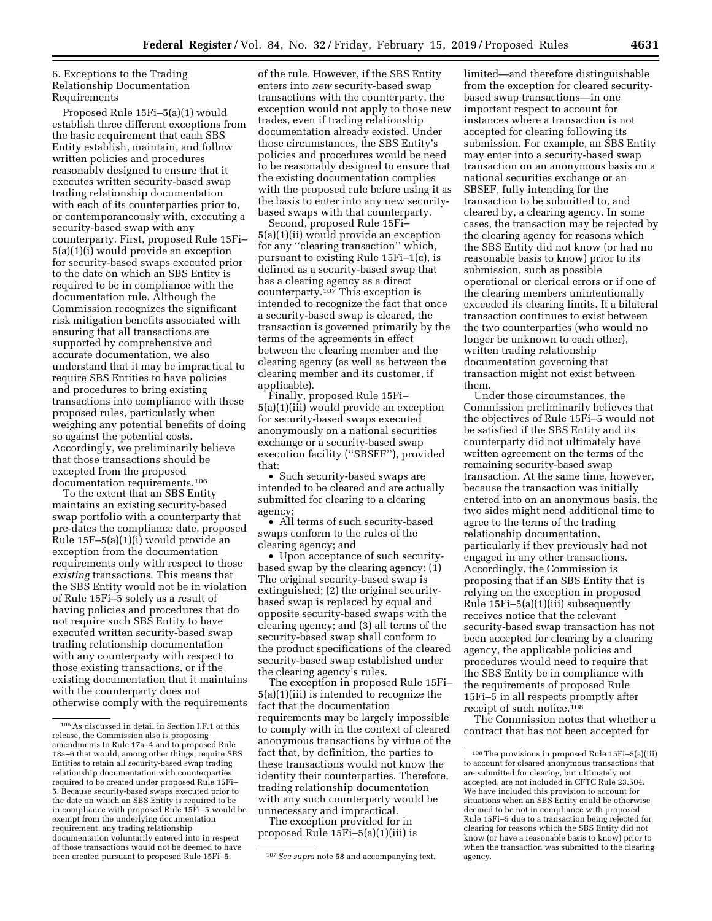6. Exceptions to the Trading Relationship Documentation Requirements

Proposed Rule 15Fi–5(a)(1) would establish three different exceptions from the basic requirement that each SBS Entity establish, maintain, and follow written policies and procedures reasonably designed to ensure that it executes written security-based swap trading relationship documentation with each of its counterparties prior to, or contemporaneously with, executing a security-based swap with any counterparty. First, proposed Rule 15Fi– 5(a)(1)(i) would provide an exception for security-based swaps executed prior to the date on which an SBS Entity is required to be in compliance with the documentation rule. Although the Commission recognizes the significant risk mitigation benefits associated with ensuring that all transactions are supported by comprehensive and accurate documentation, we also understand that it may be impractical to require SBS Entities to have policies and procedures to bring existing transactions into compliance with these proposed rules, particularly when weighing any potential benefits of doing so against the potential costs. Accordingly, we preliminarily believe that those transactions should be excepted from the proposed documentation requirements.106

To the extent that an SBS Entity maintains an existing security-based swap portfolio with a counterparty that pre-dates the compliance date, proposed Rule 15F–5(a)(1)(i) would provide an exception from the documentation requirements only with respect to those *existing* transactions. This means that the SBS Entity would not be in violation of Rule 15Fi–5 solely as a result of having policies and procedures that do not require such SBS Entity to have executed written security-based swap trading relationship documentation with any counterparty with respect to those existing transactions, or if the existing documentation that it maintains with the counterparty does not otherwise comply with the requirements

of the rule. However, if the SBS Entity enters into *new* security-based swap transactions with the counterparty, the exception would not apply to those new trades, even if trading relationship documentation already existed. Under those circumstances, the SBS Entity's policies and procedures would be need to be reasonably designed to ensure that the existing documentation complies with the proposed rule before using it as the basis to enter into any new securitybased swaps with that counterparty.

Second, proposed Rule 15Fi– 5(a)(1)(ii) would provide an exception for any ''clearing transaction'' which, pursuant to existing Rule 15Fi–1(c), is defined as a security-based swap that has a clearing agency as a direct counterparty.107 This exception is intended to recognize the fact that once a security-based swap is cleared, the transaction is governed primarily by the terms of the agreements in effect between the clearing member and the clearing agency (as well as between the clearing member and its customer, if applicable).

Finally, proposed Rule 15Fi– 5(a)(1)(iii) would provide an exception for security-based swaps executed anonymously on a national securities exchange or a security-based swap execution facility (''SBSEF''), provided that:

• Such security-based swaps are intended to be cleared and are actually submitted for clearing to a clearing agency;

• All terms of such security-based swaps conform to the rules of the clearing agency; and

• Upon acceptance of such securitybased swap by the clearing agency: (1) The original security-based swap is extinguished; (2) the original securitybased swap is replaced by equal and opposite security-based swaps with the clearing agency; and (3) all terms of the security-based swap shall conform to the product specifications of the cleared security-based swap established under the clearing agency's rules.

The exception in proposed Rule 15Fi– 5(a)(1)(iii) is intended to recognize the fact that the documentation requirements may be largely impossible to comply with in the context of cleared anonymous transactions by virtue of the fact that, by definition, the parties to these transactions would not know the identity their counterparties. Therefore, trading relationship documentation with any such counterparty would be unnecessary and impractical.

The exception provided for in proposed Rule 15Fi–5(a)(1)(iii) is

limited—and therefore distinguishable from the exception for cleared securitybased swap transactions—in one important respect to account for instances where a transaction is not accepted for clearing following its submission. For example, an SBS Entity may enter into a security-based swap transaction on an anonymous basis on a national securities exchange or an SBSEF, fully intending for the transaction to be submitted to, and cleared by, a clearing agency. In some cases, the transaction may be rejected by the clearing agency for reasons which the SBS Entity did not know (or had no reasonable basis to know) prior to its submission, such as possible operational or clerical errors or if one of the clearing members unintentionally exceeded its clearing limits. If a bilateral transaction continues to exist between the two counterparties (who would no longer be unknown to each other), written trading relationship documentation governing that transaction might not exist between them.

Under those circumstances, the Commission preliminarily believes that the objectives of Rule 15Fi–5 would not be satisfied if the SBS Entity and its counterparty did not ultimately have written agreement on the terms of the remaining security-based swap transaction. At the same time, however, because the transaction was initially entered into on an anonymous basis, the two sides might need additional time to agree to the terms of the trading relationship documentation, particularly if they previously had not engaged in any other transactions. Accordingly, the Commission is proposing that if an SBS Entity that is relying on the exception in proposed Rule 15Fi–5(a)(1)(iii) subsequently receives notice that the relevant security-based swap transaction has not been accepted for clearing by a clearing agency, the applicable policies and procedures would need to require that the SBS Entity be in compliance with the requirements of proposed Rule 15Fi–5 in all respects promptly after receipt of such notice.108

The Commission notes that whether a contract that has not been accepted for

 $^{106}\mathrm{As}$  discussed in detail in Section I.F.1 of this release, the Commission also is proposing amendments to Rule 17a–4 and to proposed Rule 18a–6 that would, among other things, require SBS Entities to retain all security-based swap trading relationship documentation with counterparties required to be created under proposed Rule 15Fi– 5. Because security-based swaps executed prior to the date on which an SBS Entity is required to be in compliance with proposed Rule 15Fi–5 would be exempt from the underlying documentation requirement, any trading relationship documentation voluntarily entered into in respect of those transactions would not be deemed to have been created pursuant to proposed Rule 15Fi–5. 107*See supra* note 58 and accompanying text.

 $^{108}\mathrm{The}$  provisions in proposed Rule 15Fi–5(a)(iii) to account for cleared anonymous transactions that are submitted for clearing, but ultimately not accepted, are not included in CFTC Rule 23.504. We have included this provision to account for situations when an SBS Entity could be otherwise deemed to be not in compliance with proposed Rule 15Fi–5 due to a transaction being rejected for clearing for reasons which the SBS Entity did not know (or have a reasonable basis to know) prior to when the transaction was submitted to the clearing agency.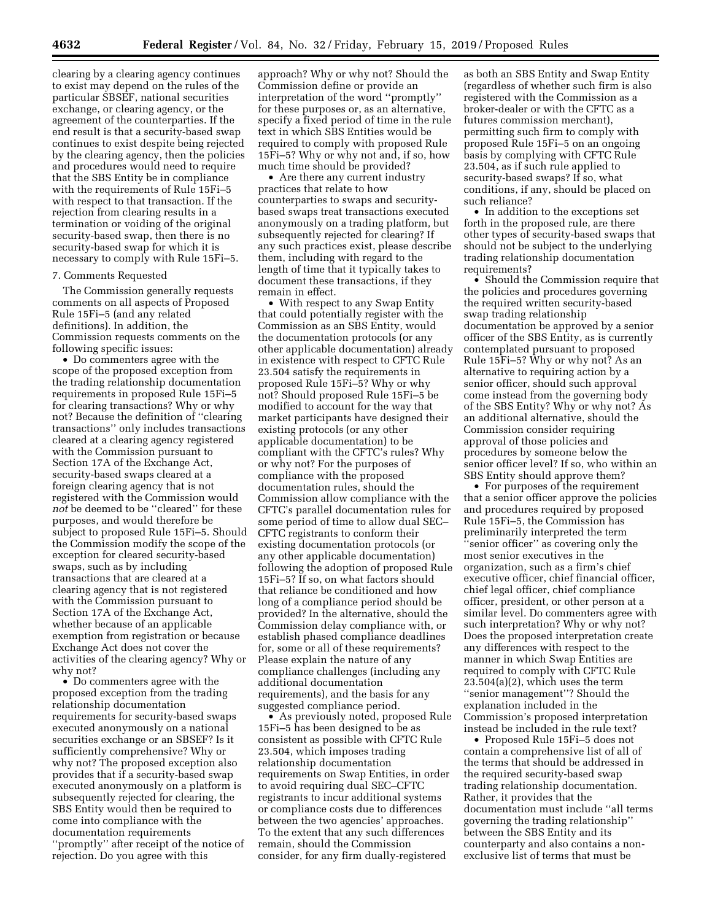clearing by a clearing agency continues to exist may depend on the rules of the particular SBSEF, national securities exchange, or clearing agency, or the agreement of the counterparties. If the end result is that a security-based swap continues to exist despite being rejected by the clearing agency, then the policies and procedures would need to require that the SBS Entity be in compliance with the requirements of Rule 15Fi–5 with respect to that transaction. If the rejection from clearing results in a termination or voiding of the original security-based swap, then there is no security-based swap for which it is necessary to comply with Rule 15Fi–5.

### 7. Comments Requested

The Commission generally requests comments on all aspects of Proposed Rule 15Fi–5 (and any related definitions). In addition, the Commission requests comments on the following specific issues:

• Do commenters agree with the scope of the proposed exception from the trading relationship documentation requirements in proposed Rule 15Fi–5 for clearing transactions? Why or why not? Because the definition of ''clearing transactions'' only includes transactions cleared at a clearing agency registered with the Commission pursuant to Section 17A of the Exchange Act, security-based swaps cleared at a foreign clearing agency that is not registered with the Commission would *not* be deemed to be ''cleared'' for these purposes, and would therefore be subject to proposed Rule 15Fi–5. Should the Commission modify the scope of the exception for cleared security-based swaps, such as by including transactions that are cleared at a clearing agency that is not registered with the Commission pursuant to Section 17A of the Exchange Act, whether because of an applicable exemption from registration or because Exchange Act does not cover the activities of the clearing agency? Why or why not?

• Do commenters agree with the proposed exception from the trading relationship documentation requirements for security-based swaps executed anonymously on a national securities exchange or an SBSEF? Is it sufficiently comprehensive? Why or why not? The proposed exception also provides that if a security-based swap executed anonymously on a platform is subsequently rejected for clearing, the SBS Entity would then be required to come into compliance with the documentation requirements ''promptly'' after receipt of the notice of rejection. Do you agree with this

approach? Why or why not? Should the Commission define or provide an interpretation of the word ''promptly'' for these purposes or, as an alternative, specify a fixed period of time in the rule text in which SBS Entities would be required to comply with proposed Rule 15Fi–5? Why or why not and, if so, how much time should be provided?

• Are there any current industry practices that relate to how counterparties to swaps and securitybased swaps treat transactions executed anonymously on a trading platform, but subsequently rejected for clearing? If any such practices exist, please describe them, including with regard to the length of time that it typically takes to document these transactions, if they remain in effect.

• With respect to any Swap Entity that could potentially register with the Commission as an SBS Entity, would the documentation protocols (or any other applicable documentation) already in existence with respect to CFTC Rule 23.504 satisfy the requirements in proposed Rule 15Fi–5? Why or why not? Should proposed Rule 15Fi–5 be modified to account for the way that market participants have designed their existing protocols (or any other applicable documentation) to be compliant with the CFTC's rules? Why or why not? For the purposes of compliance with the proposed documentation rules, should the Commission allow compliance with the CFTC's parallel documentation rules for some period of time to allow dual SEC– CFTC registrants to conform their existing documentation protocols (or any other applicable documentation) following the adoption of proposed Rule 15Fi–5? If so, on what factors should that reliance be conditioned and how long of a compliance period should be provided? In the alternative, should the Commission delay compliance with, or establish phased compliance deadlines for, some or all of these requirements? Please explain the nature of any compliance challenges (including any additional documentation requirements), and the basis for any suggested compliance period.

• As previously noted, proposed Rule 15Fi–5 has been designed to be as consistent as possible with CFTC Rule 23.504, which imposes trading relationship documentation requirements on Swap Entities, in order to avoid requiring dual SEC–CFTC registrants to incur additional systems or compliance costs due to differences between the two agencies' approaches. To the extent that any such differences remain, should the Commission consider, for any firm dually-registered

as both an SBS Entity and Swap Entity (regardless of whether such firm is also registered with the Commission as a broker-dealer or with the CFTC as a futures commission merchant), permitting such firm to comply with proposed Rule 15Fi–5 on an ongoing basis by complying with CFTC Rule 23.504, as if such rule applied to security-based swaps? If so, what conditions, if any, should be placed on such reliance?

• In addition to the exceptions set forth in the proposed rule, are there other types of security-based swaps that should not be subject to the underlying trading relationship documentation requirements?

• Should the Commission require that the policies and procedures governing the required written security-based swap trading relationship documentation be approved by a senior officer of the SBS Entity, as is currently contemplated pursuant to proposed Rule 15Fi–5? Why or why not? As an alternative to requiring action by a senior officer, should such approval come instead from the governing body of the SBS Entity? Why or why not? As an additional alternative, should the Commission consider requiring approval of those policies and procedures by someone below the senior officer level? If so, who within an SBS Entity should approve them?

• For purposes of the requirement that a senior officer approve the policies and procedures required by proposed Rule 15Fi–5, the Commission has preliminarily interpreted the term ''senior officer'' as covering only the most senior executives in the organization, such as a firm's chief executive officer, chief financial officer, chief legal officer, chief compliance officer, president, or other person at a similar level. Do commenters agree with such interpretation? Why or why not? Does the proposed interpretation create any differences with respect to the manner in which Swap Entities are required to comply with CFTC Rule  $23.504(a)(2)$ , which uses the term ''senior management''? Should the explanation included in the Commission's proposed interpretation instead be included in the rule text?

• Proposed Rule 15Fi–5 does not contain a comprehensive list of all of the terms that should be addressed in the required security-based swap trading relationship documentation. Rather, it provides that the documentation must include ''all terms governing the trading relationship'' between the SBS Entity and its counterparty and also contains a nonexclusive list of terms that must be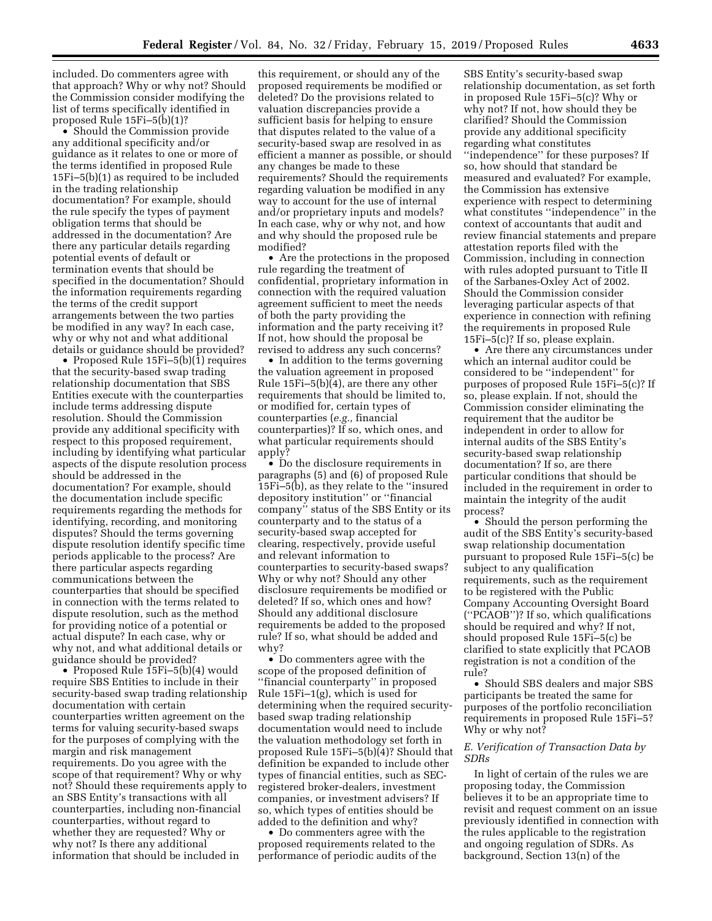included. Do commenters agree with that approach? Why or why not? Should the Commission consider modifying the list of terms specifically identified in proposed Rule 15Fi–5(b)(1)?

• Should the Commission provide any additional specificity and/or guidance as it relates to one or more of the terms identified in proposed Rule 15Fi–5(b)(1) as required to be included in the trading relationship documentation? For example, should the rule specify the types of payment obligation terms that should be addressed in the documentation? Are there any particular details regarding potential events of default or termination events that should be specified in the documentation? Should the information requirements regarding the terms of the credit support arrangements between the two parties be modified in any way? In each case, why or why not and what additional details or guidance should be provided?

• Proposed Rule 15Fi–5(b)(1) requires that the security-based swap trading relationship documentation that SBS Entities execute with the counterparties include terms addressing dispute resolution. Should the Commission provide any additional specificity with respect to this proposed requirement, including by identifying what particular aspects of the dispute resolution process should be addressed in the documentation? For example, should the documentation include specific requirements regarding the methods for identifying, recording, and monitoring disputes? Should the terms governing dispute resolution identify specific time periods applicable to the process? Are there particular aspects regarding communications between the counterparties that should be specified in connection with the terms related to dispute resolution, such as the method for providing notice of a potential or actual dispute? In each case, why or why not, and what additional details or guidance should be provided?

• Proposed Rule 15Fi–5(b)(4) would require SBS Entities to include in their security-based swap trading relationship documentation with certain counterparties written agreement on the terms for valuing security-based swaps for the purposes of complying with the margin and risk management requirements. Do you agree with the scope of that requirement? Why or why not? Should these requirements apply to an SBS Entity's transactions with all counterparties, including non-financial counterparties, without regard to whether they are requested? Why or why not? Is there any additional information that should be included in

this requirement, or should any of the proposed requirements be modified or deleted? Do the provisions related to valuation discrepancies provide a sufficient basis for helping to ensure that disputes related to the value of a security-based swap are resolved in as efficient a manner as possible, or should any changes be made to these requirements? Should the requirements regarding valuation be modified in any way to account for the use of internal and/or proprietary inputs and models? In each case, why or why not, and how and why should the proposed rule be modified?

• Are the protections in the proposed rule regarding the treatment of confidential, proprietary information in connection with the required valuation agreement sufficient to meet the needs of both the party providing the information and the party receiving it? If not, how should the proposal be revised to address any such concerns?

• In addition to the terms governing the valuation agreement in proposed Rule 15Fi–5(b)(4), are there any other requirements that should be limited to, or modified for, certain types of counterparties (*e.g.,* financial counterparties)? If so, which ones, and what particular requirements should apply?

• Do the disclosure requirements in paragraphs (5) and (6) of proposed Rule 15Fi–5(b), as they relate to the ''insured depository institution'' or ''financial company'' status of the SBS Entity or its counterparty and to the status of a security-based swap accepted for clearing, respectively, provide useful and relevant information to counterparties to security-based swaps? Why or why not? Should any other disclosure requirements be modified or deleted? If so, which ones and how? Should any additional disclosure requirements be added to the proposed rule? If so, what should be added and why?

• Do commenters agree with the scope of the proposed definition of ''financial counterparty'' in proposed Rule 15Fi–1(g), which is used for determining when the required securitybased swap trading relationship documentation would need to include the valuation methodology set forth in proposed Rule 15Fi–5(b)(4)? Should that definition be expanded to include other types of financial entities, such as SECregistered broker-dealers, investment companies, or investment advisers? If so, which types of entities should be added to the definition and why?

• Do commenters agree with the proposed requirements related to the performance of periodic audits of the

SBS Entity's security-based swap relationship documentation, as set forth in proposed Rule 15Fi–5(c)? Why or why not? If not, how should they be clarified? Should the Commission provide any additional specificity regarding what constitutes ''independence'' for these purposes? If so, how should that standard be measured and evaluated? For example, the Commission has extensive experience with respect to determining what constitutes ''independence'' in the context of accountants that audit and review financial statements and prepare attestation reports filed with the Commission, including in connection with rules adopted pursuant to Title II of the Sarbanes-Oxley Act of 2002. Should the Commission consider leveraging particular aspects of that experience in connection with refining the requirements in proposed Rule 15Fi–5(c)? If so, please explain.

• Are there any circumstances under which an internal auditor could be considered to be ''independent'' for purposes of proposed Rule 15Fi–5(c)? If so, please explain. If not, should the Commission consider eliminating the requirement that the auditor be independent in order to allow for internal audits of the SBS Entity's security-based swap relationship documentation? If so, are there particular conditions that should be included in the requirement in order to maintain the integrity of the audit process?

• Should the person performing the audit of the SBS Entity's security-based swap relationship documentation pursuant to proposed Rule 15Fi–5(c) be subject to any qualification requirements, such as the requirement to be registered with the Public Company Accounting Oversight Board (''PCAOB'')? If so, which qualifications should be required and why? If not, should proposed Rule 15Fi–5(c) be clarified to state explicitly that PCAOB registration is not a condition of the rule?

• Should SBS dealers and major SBS participants be treated the same for purposes of the portfolio reconciliation requirements in proposed Rule 15Fi–5? Why or why not?

## *E. Verification of Transaction Data by SDRs*

In light of certain of the rules we are proposing today, the Commission believes it to be an appropriate time to revisit and request comment on an issue previously identified in connection with the rules applicable to the registration and ongoing regulation of SDRs. As background, Section 13(n) of the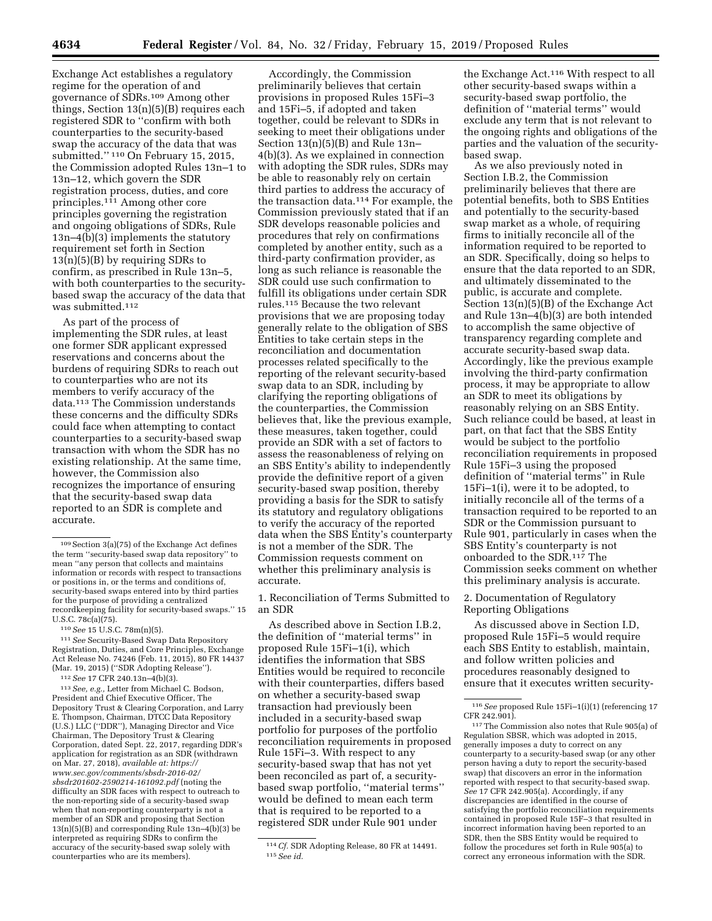Exchange Act establishes a regulatory regime for the operation of and governance of SDRs.109 Among other things, Section 13(n)(5)(B) requires each registered SDR to ''confirm with both counterparties to the security-based swap the accuracy of the data that was submitted.'' 110 On February 15, 2015, the Commission adopted Rules 13n–1 to 13n–12, which govern the SDR registration process, duties, and core principles.111 Among other core principles governing the registration and ongoing obligations of SDRs, Rule 13n–4(b)(3) implements the statutory requirement set forth in Section 13(n)(5)(B) by requiring SDRs to confirm, as prescribed in Rule 13n–5, with both counterparties to the securitybased swap the accuracy of the data that was submitted.112

As part of the process of implementing the SDR rules, at least one former SDR applicant expressed reservations and concerns about the burdens of requiring SDRs to reach out to counterparties who are not its members to verify accuracy of the data.113 The Commission understands these concerns and the difficulty SDRs could face when attempting to contact counterparties to a security-based swap transaction with whom the SDR has no existing relationship. At the same time, however, the Commission also recognizes the importance of ensuring that the security-based swap data reported to an SDR is complete and accurate.

111*See* Security-Based Swap Data Repository Registration, Duties, and Core Principles, Exchange Act Release No. 74246 (Feb. 11, 2015), 80 FR 14437 (Mar. 19, 2015) (''SDR Adopting Release'').

112*See* 17 CFR 240.13n–4(b)(3).

113*See, e.g.,* Letter from Michael C. Bodson, President and Chief Executive Officer, The Depository Trust & Clearing Corporation, and Larry E. Thompson, Chairman, DTCC Data Repository (U.S.) LLC (''DDR''), Managing Director and Vice Chairman, The Depository Trust & Clearing Corporation, dated Sept. 22, 2017, regarding DDR's application for registration as an SDR (withdrawn on Mar. 27, 2018), *available at: [https://](https://www.sec.gov/comments/sbsdr-2016-02/sbsdr201602-2590214-161092.pdf) [www.sec.gov/comments/sbsdr-2016-02/](https://www.sec.gov/comments/sbsdr-2016-02/sbsdr201602-2590214-161092.pdf) [sbsdr201602-2590214-161092.pdf](https://www.sec.gov/comments/sbsdr-2016-02/sbsdr201602-2590214-161092.pdf)* (noting the difficulty an SDR faces with respect to outreach to the non-reporting side of a security-based swap when that non-reporting counterparty is not a member of an SDR and proposing that Section 13(n)(5)(B) and corresponding Rule 13n–4(b)(3) be interpreted as requiring SDRs to confirm the accuracy of the security-based swap solely with counterparties who are its members).

Accordingly, the Commission preliminarily believes that certain provisions in proposed Rules 15Fi–3 and 15Fi–5, if adopted and taken together, could be relevant to SDRs in seeking to meet their obligations under Section 13(n)(5)(B) and Rule 13n– 4(b)(3). As we explained in connection with adopting the SDR rules, SDRs may be able to reasonably rely on certain third parties to address the accuracy of the transaction data.114 For example, the Commission previously stated that if an SDR develops reasonable policies and procedures that rely on confirmations completed by another entity, such as a third-party confirmation provider, as long as such reliance is reasonable the SDR could use such confirmation to fulfill its obligations under certain SDR rules.115 Because the two relevant provisions that we are proposing today generally relate to the obligation of SBS Entities to take certain steps in the reconciliation and documentation processes related specifically to the reporting of the relevant security-based swap data to an SDR, including by clarifying the reporting obligations of the counterparties, the Commission believes that, like the previous example, these measures, taken together, could provide an SDR with a set of factors to assess the reasonableness of relying on an SBS Entity's ability to independently provide the definitive report of a given security-based swap position, thereby providing a basis for the SDR to satisfy its statutory and regulatory obligations to verify the accuracy of the reported data when the SBS Entity's counterparty is not a member of the SDR. The Commission requests comment on whether this preliminary analysis is accurate.

1. Reconciliation of Terms Submitted to an SDR

As described above in Section I.B.2, the definition of ''material terms'' in proposed Rule 15Fi–1(i), which identifies the information that SBS Entities would be required to reconcile with their counterparties, differs based on whether a security-based swap transaction had previously been included in a security-based swap portfolio for purposes of the portfolio reconciliation requirements in proposed Rule 15Fi–3. With respect to any security-based swap that has not yet been reconciled as part of, a securitybased swap portfolio, ''material terms'' would be defined to mean each term that is required to be reported to a registered SDR under Rule 901 under

the Exchange Act.116 With respect to all other security-based swaps within a security-based swap portfolio, the definition of ''material terms'' would exclude any term that is not relevant to the ongoing rights and obligations of the parties and the valuation of the securitybased swap.

As we also previously noted in Section I.B.2, the Commission preliminarily believes that there are potential benefits, both to SBS Entities and potentially to the security-based swap market as a whole, of requiring firms to initially reconcile all of the information required to be reported to an SDR. Specifically, doing so helps to ensure that the data reported to an SDR, and ultimately disseminated to the public, is accurate and complete. Section 13(n)(5)(B) of the Exchange Act and Rule 13n–4(b)(3) are both intended to accomplish the same objective of transparency regarding complete and accurate security-based swap data. Accordingly, like the previous example involving the third-party confirmation process, it may be appropriate to allow an SDR to meet its obligations by reasonably relying on an SBS Entity. Such reliance could be based, at least in part, on that fact that the SBS Entity would be subject to the portfolio reconciliation requirements in proposed Rule 15Fi–3 using the proposed definition of ''material terms'' in Rule 15Fi–1(i), were it to be adopted, to initially reconcile all of the terms of a transaction required to be reported to an SDR or the Commission pursuant to Rule 901, particularly in cases when the SBS Entity's counterparty is not onboarded to the SDR.<sup>117</sup> The Commission seeks comment on whether this preliminary analysis is accurate.

2. Documentation of Regulatory Reporting Obligations

As discussed above in Section I.D, proposed Rule 15Fi–5 would require each SBS Entity to establish, maintain, and follow written policies and procedures reasonably designed to ensure that it executes written security-

<sup>109</sup>Section 3(a)(75) of the Exchange Act defines the term ''security-based swap data repository'' to mean ''any person that collects and maintains information or records with respect to transactions or positions in, or the terms and conditions of, security-based swaps entered into by third parties for the purpose of providing a centralized recordkeeping facility for security-based swaps.'' 15 U.S.C. 78c(a)(75).

<sup>110</sup>*See* 15 U.S.C. 78m(n)(5).

<sup>114</sup>*Cf.* SDR Adopting Release, 80 FR at 14491. 115*See id.* 

<sup>116</sup>*See* proposed Rule 15Fi–1(i)(1) (referencing 17 CFR 242.901).

<sup>117</sup>The Commission also notes that Rule 905(a) of Regulation SBSR, which was adopted in 2015, generally imposes a duty to correct on any counterparty to a security-based swap (or any other person having a duty to report the security-based swap) that discovers an error in the information reported with respect to that security-based swap. *See* 17 CFR 242.905(a). Accordingly, if any discrepancies are identified in the course of satisfying the portfolio reconciliation requirements contained in proposed Rule 15F–3 that resulted in incorrect information having been reported to an SDR, then the SBS Entity would be required to follow the procedures set forth in Rule 905(a) to correct any erroneous information with the SDR.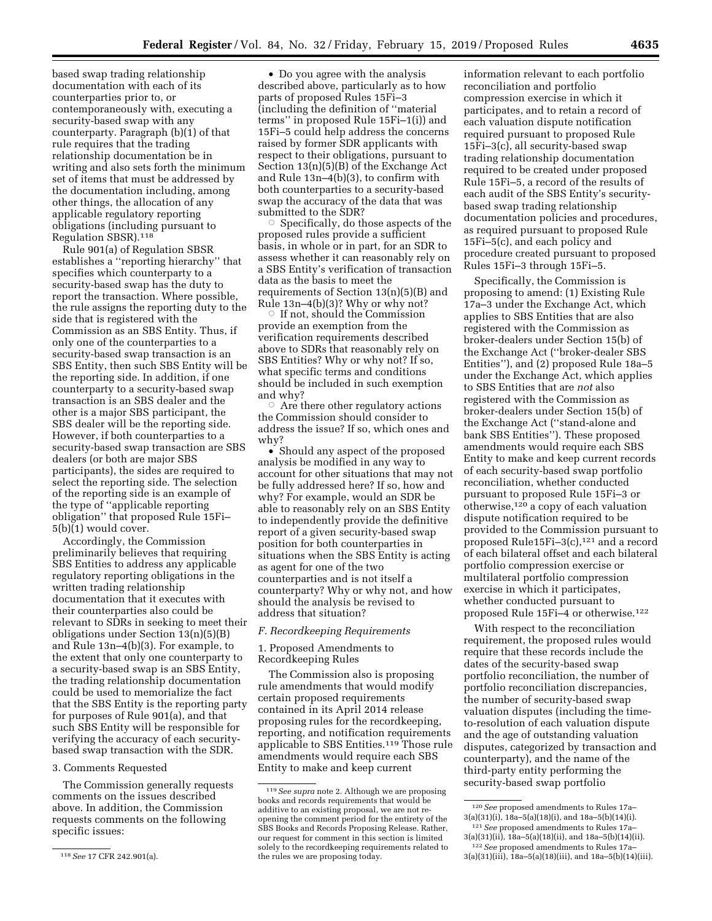based swap trading relationship documentation with each of its counterparties prior to, or contemporaneously with, executing a security-based swap with any counterparty. Paragraph (b)(1) of that rule requires that the trading relationship documentation be in writing and also sets forth the minimum set of items that must be addressed by the documentation including, among other things, the allocation of any applicable regulatory reporting obligations (including pursuant to Regulation SBSR).118

Rule 901(a) of Regulation SBSR establishes a ''reporting hierarchy'' that specifies which counterparty to a security-based swap has the duty to report the transaction. Where possible, the rule assigns the reporting duty to the side that is registered with the Commission as an SBS Entity. Thus, if only one of the counterparties to a security-based swap transaction is an SBS Entity, then such SBS Entity will be the reporting side. In addition, if one counterparty to a security-based swap transaction is an SBS dealer and the other is a major SBS participant, the SBS dealer will be the reporting side. However, if both counterparties to a security-based swap transaction are SBS dealers (or both are major SBS participants), the sides are required to select the reporting side. The selection of the reporting side is an example of the type of ''applicable reporting obligation'' that proposed Rule 15Fi– 5(b)(1) would cover.

Accordingly, the Commission preliminarily believes that requiring SBS Entities to address any applicable regulatory reporting obligations in the written trading relationship documentation that it executes with their counterparties also could be relevant to SDRs in seeking to meet their obligations under Section 13(n)(5)(B) and Rule 13n–4(b)(3). For example, to the extent that only one counterparty to a security-based swap is an SBS Entity, the trading relationship documentation could be used to memorialize the fact that the SBS Entity is the reporting party for purposes of Rule 901(a), and that such SBS Entity will be responsible for verifying the accuracy of each securitybased swap transaction with the SDR.

# 3. Comments Requested

The Commission generally requests comments on the issues described above. In addition, the Commission requests comments on the following specific issues:

• Do you agree with the analysis described above, particularly as to how parts of proposed Rules 15Fi–3 (including the definition of ''material terms'' in proposed Rule 15Fi–1(i)) and 15Fi–5 could help address the concerns raised by former SDR applicants with respect to their obligations, pursuant to Section 13(n)(5)(B) of the Exchange Act and Rule 13n–4(b)(3), to confirm with both counterparties to a security-based swap the accuracy of the data that was submitted to the SDR?

 $\circ$  Specifically, do those aspects of the proposed rules provide a sufficient basis, in whole or in part, for an SDR to assess whether it can reasonably rely on a SBS Entity's verification of transaction data as the basis to meet the requirements of Section 13(n)(5)(B) and Rule 13n–4(b)(3)? Why or why not?

 $\circ$  If not, should the Commission provide an exemption from the verification requirements described above to SDRs that reasonably rely on SBS Entities? Why or why not? If so, what specific terms and conditions should be included in such exemption and why?

 $\circ$  Are there other regulatory actions the Commission should consider to address the issue? If so, which ones and why?

• Should any aspect of the proposed analysis be modified in any way to account for other situations that may not be fully addressed here? If so, how and why? For example, would an SDR be able to reasonably rely on an SBS Entity to independently provide the definitive report of a given security-based swap position for both counterparties in situations when the SBS Entity is acting as agent for one of the two counterparties and is not itself a counterparty? Why or why not, and how should the analysis be revised to address that situation?

### *F. Recordkeeping Requirements*

1. Proposed Amendments to Recordkeeping Rules

The Commission also is proposing rule amendments that would modify certain proposed requirements contained in its April 2014 release proposing rules for the recordkeeping, reporting, and notification requirements applicable to SBS Entities.119 Those rule amendments would require each SBS Entity to make and keep current

information relevant to each portfolio reconciliation and portfolio compression exercise in which it participates, and to retain a record of each valuation dispute notification required pursuant to proposed Rule 15Fi–3(c), all security-based swap trading relationship documentation required to be created under proposed Rule 15Fi–5, a record of the results of each audit of the SBS Entity's securitybased swap trading relationship documentation policies and procedures, as required pursuant to proposed Rule 15Fi–5(c), and each policy and procedure created pursuant to proposed Rules 15Fi–3 through 15Fi–5.

Specifically, the Commission is proposing to amend: (1) Existing Rule 17a–3 under the Exchange Act, which applies to SBS Entities that are also registered with the Commission as broker-dealers under Section 15(b) of the Exchange Act (''broker-dealer SBS Entities''), and (2) proposed Rule 18a–5 under the Exchange Act, which applies to SBS Entities that are *not* also registered with the Commission as broker-dealers under Section 15(b) of the Exchange Act (''stand-alone and bank SBS Entities''). These proposed amendments would require each SBS Entity to make and keep current records of each security-based swap portfolio reconciliation, whether conducted pursuant to proposed Rule 15Fi–3 or otherwise,120 a copy of each valuation dispute notification required to be provided to the Commission pursuant to proposed Rule15Fi-3 $(c)$ ,<sup>121</sup> and a record of each bilateral offset and each bilateral portfolio compression exercise or multilateral portfolio compression exercise in which it participates, whether conducted pursuant to proposed Rule 15Fi–4 or otherwise.122

With respect to the reconciliation requirement, the proposed rules would require that these records include the dates of the security-based swap portfolio reconciliation, the number of portfolio reconciliation discrepancies, the number of security-based swap valuation disputes (including the timeto-resolution of each valuation dispute and the age of outstanding valuation disputes, categorized by transaction and counterparty), and the name of the third-party entity performing the security-based swap portfolio

<sup>118</sup>*See* 17 CFR 242.901(a).

<sup>119</sup>*See supra* note 2. Although we are proposing books and records requirements that would be additive to an existing proposal, we are not reopening the comment period for the entirety of the SBS Books and Records Proposing Release. Rather, our request for comment in this section is limited solely to the recordkeeping requirements related to the rules we are proposing today.

<sup>120</sup>*See* proposed amendments to Rules 17a– 3(a)(31)(i), 18a–5(a)(18)(i), and 18a–5(b)(14)(i). 121*See* proposed amendments to Rules 17a–

<sup>3(</sup>a)(31)(ii), 18a–5(a)(18)(ii), and 18a–5(b)(14)(ii). 122*See* proposed amendments to Rules 17a–

 $3(a)(31)(iii)$ ,  $18a-5(a)(18)(iii)$ , and  $18a-5(b)(14)(iii)$ .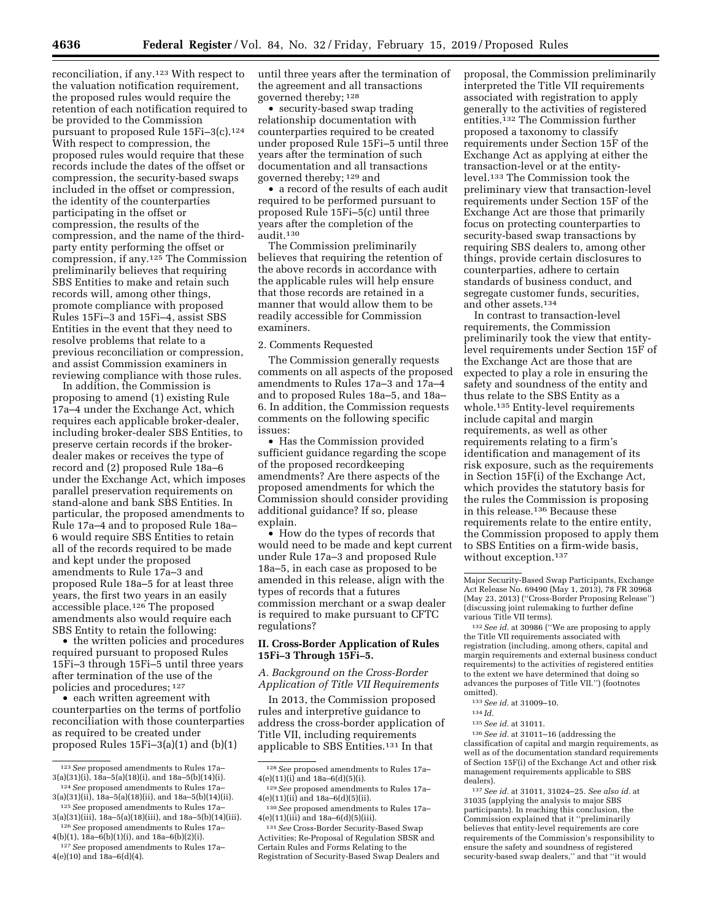reconciliation, if any.123 With respect to the valuation notification requirement, the proposed rules would require the retention of each notification required to be provided to the Commission pursuant to proposed Rule 15Fi-3(c).<sup>124</sup> With respect to compression, the proposed rules would require that these records include the dates of the offset or compression, the security-based swaps included in the offset or compression, the identity of the counterparties participating in the offset or compression, the results of the compression, and the name of the thirdparty entity performing the offset or compression, if any.125 The Commission preliminarily believes that requiring SBS Entities to make and retain such records will, among other things, promote compliance with proposed Rules 15Fi–3 and 15Fi–4, assist SBS Entities in the event that they need to resolve problems that relate to a previous reconciliation or compression, and assist Commission examiners in reviewing compliance with those rules.

In addition, the Commission is proposing to amend (1) existing Rule 17a–4 under the Exchange Act, which requires each applicable broker-dealer, including broker-dealer SBS Entities, to preserve certain records if the brokerdealer makes or receives the type of record and (2) proposed Rule 18a–6 under the Exchange Act, which imposes parallel preservation requirements on stand-alone and bank SBS Entities. In particular, the proposed amendments to Rule 17a–4 and to proposed Rule 18a– 6 would require SBS Entities to retain all of the records required to be made and kept under the proposed amendments to Rule 17a–3 and proposed Rule 18a–5 for at least three years, the first two years in an easily accessible place.<sup>126</sup> The proposed amendments also would require each SBS Entity to retain the following:

• the written policies and procedures required pursuant to proposed Rules 15Fi–3 through 15Fi–5 until three years after termination of the use of the policies and procedures; 127

• each written agreement with counterparties on the terms of portfolio reconciliation with those counterparties as required to be created under proposed Rules 15Fi–3(a)(1) and (b)(1)

• security-based swap trading relationship documentation with counterparties required to be created under proposed Rule 15Fi–5 until three years after the termination of such documentation and all transactions governed thereby; 129 and

• a record of the results of each audit required to be performed pursuant to proposed Rule 15Fi–5(c) until three years after the completion of the audit.130

The Commission preliminarily believes that requiring the retention of the above records in accordance with the applicable rules will help ensure that those records are retained in a manner that would allow them to be readily accessible for Commission examiners.

#### 2. Comments Requested

The Commission generally requests comments on all aspects of the proposed amendments to Rules 17a–3 and 17a–4 and to proposed Rules 18a–5, and 18a– 6. In addition, the Commission requests comments on the following specific issues:

• Has the Commission provided sufficient guidance regarding the scope of the proposed recordkeeping amendments? Are there aspects of the proposed amendments for which the Commission should consider providing additional guidance? If so, please explain.

• How do the types of records that would need to be made and kept current under Rule 17a–3 and proposed Rule 18a–5, in each case as proposed to be amended in this release, align with the types of records that a futures commission merchant or a swap dealer is required to make pursuant to CFTC regulations?

# **II. Cross-Border Application of Rules 15Fi–3 Through 15Fi–5.**

*A. Background on the Cross-Border Application of Title VII Requirements* 

In 2013, the Commission proposed rules and interpretive guidance to address the cross-border application of Title VII, including requirements applicable to SBS Entities.131 In that

131*See* Cross-Border Security-Based Swap Activities; Re-Proposal of Regulation SBSR and Certain Rules and Forms Relating to the Registration of Security-Based Swap Dealers and proposal, the Commission preliminarily interpreted the Title VII requirements associated with registration to apply generally to the activities of registered entities.132 The Commission further proposed a taxonomy to classify requirements under Section 15F of the Exchange Act as applying at either the transaction-level or at the entitylevel.133 The Commission took the preliminary view that transaction-level requirements under Section 15F of the Exchange Act are those that primarily focus on protecting counterparties to security-based swap transactions by requiring SBS dealers to, among other things, provide certain disclosures to counterparties, adhere to certain standards of business conduct, and segregate customer funds, securities, and other assets.134

In contrast to transaction-level requirements, the Commission preliminarily took the view that entitylevel requirements under Section 15F of the Exchange Act are those that are expected to play a role in ensuring the safety and soundness of the entity and thus relate to the SBS Entity as a whole.135 Entity-level requirements include capital and margin requirements, as well as other requirements relating to a firm's identification and management of its risk exposure, such as the requirements in Section 15F(i) of the Exchange Act, which provides the statutory basis for the rules the Commission is proposing in this release.136 Because these requirements relate to the entire entity, the Commission proposed to apply them to SBS Entities on a firm-wide basis, without exception.<sup>137</sup>

132*See id.* at 30986 (''We are proposing to apply the Title VII requirements associated with registration (including, among others, capital and margin requirements and external business conduct requirements) to the activities of registered entities to the extent we have determined that doing so advances the purposes of Title VII.'') (footnotes omitted).

135*See id.* at 31011.

136*See id.* at 31011–16 (addressing the classification of capital and margin requirements, as well as of the documentation standard requirements of Section 15F(i) of the Exchange Act and other risk management requirements applicable to SBS dealers).

137*See id.* at 31011, 31024–25. *See also id.* at 31035 (applying the analysis to major SBS participants). In reaching this conclusion, the Commission explained that it ''preliminarily believes that entity-level requirements are core requirements of the Commission's responsibility to ensure the safety and soundness of registered security-based swap dealers,'' and that ''it would

<sup>123</sup>*See* proposed amendments to Rules 17a– 3(a)(31)(i), 18a–5(a)(18)(i), and 18a–5(b)(14)(i). 124*See* proposed amendments to Rules 17a–

 $3(a)(31)(ii)$ ,  $18a-5(a)(18)(ii)$ , and  $18a-5(b)(14)(ii)$ . 125*See* proposed amendments to Rules 17a–

 $3(a)(31)(iii)$ ,  $18a-5(a)(18)(iii)$ , and  $18a-5(b)(14)(iii)$ . 126*See* proposed amendments to Rules 17a–

<sup>4(</sup>b)(1), 18a–6(b)(1)(i), and 18a–6(b)(2)(i). 127*See* proposed amendments to Rules 17a–  $4(e)(10)$  and  $18a-6(d)(4)$ .

until three years after the termination of the agreement and all transactions governed thereby; 128

<sup>128</sup>*See* proposed amendments to Rules 17a– 4(e)(11)(i) and 18a–6(d)(5)(i).

<sup>129</sup>*See* proposed amendments to Rules 17a–  $4(e)(11)(ii)$  and  $18a-6(d)(5)(ii)$ .

<sup>130</sup>*See* proposed amendments to Rules 17a– 4(e)(11)(iii) and 18a–6(d)(5)(iii).

Major Security-Based Swap Participants, Exchange Act Release No. 69490 (May 1, 2013), 78 FR 30968 (May 23, 2013) (''Cross-Border Proposing Release'') (discussing joint rulemaking to further define various Title VII terms).

<sup>133</sup>*See id.* at 31009–10.

<sup>134</sup> *Id.*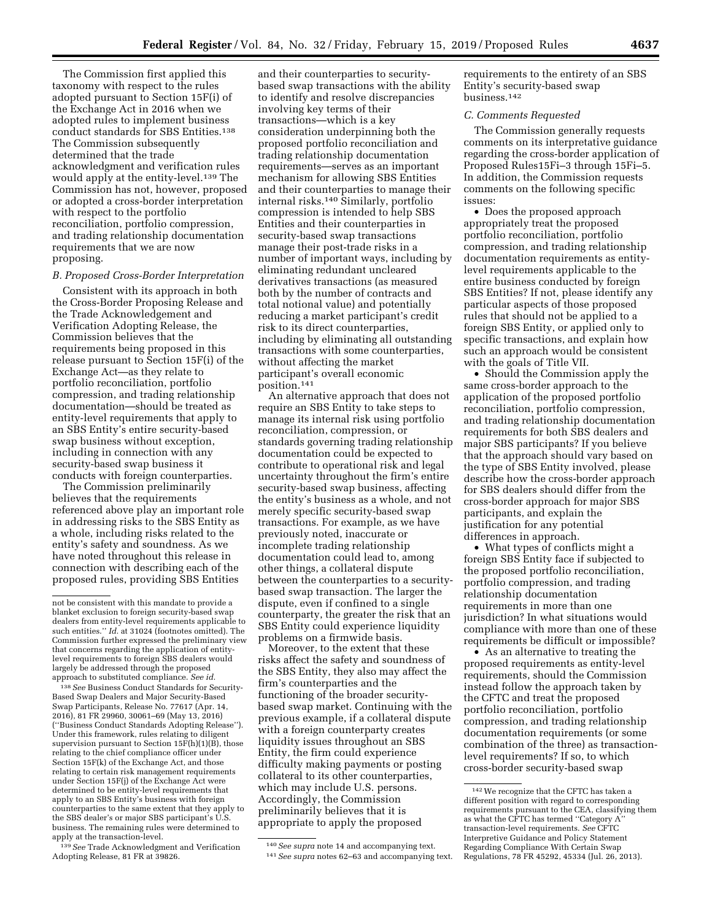The Commission first applied this taxonomy with respect to the rules adopted pursuant to Section 15F(i) of the Exchange Act in 2016 when we adopted rules to implement business conduct standards for SBS Entities.138 The Commission subsequently determined that the trade acknowledgment and verification rules would apply at the entity-level.<sup>139</sup> The Commission has not, however, proposed or adopted a cross-border interpretation with respect to the portfolio reconciliation, portfolio compression, and trading relationship documentation requirements that we are now proposing.

### *B. Proposed Cross-Border Interpretation*

Consistent with its approach in both the Cross-Border Proposing Release and the Trade Acknowledgement and Verification Adopting Release, the Commission believes that the requirements being proposed in this release pursuant to Section 15F(i) of the Exchange Act—as they relate to portfolio reconciliation, portfolio compression, and trading relationship documentation—should be treated as entity-level requirements that apply to an SBS Entity's entire security-based swap business without exception, including in connection with any security-based swap business it conducts with foreign counterparties.

The Commission preliminarily believes that the requirements referenced above play an important role in addressing risks to the SBS Entity as a whole, including risks related to the entity's safety and soundness. As we have noted throughout this release in connection with describing each of the proposed rules, providing SBS Entities

138*See* Business Conduct Standards for Security-Based Swap Dealers and Major Security-Based Swap Participants, Release No. 77617 (Apr. 14, 2016), 81 FR 29960, 30061–69 (May 13, 2016) (''Business Conduct Standards Adopting Release''). Under this framework, rules relating to diligent supervision pursuant to Section 15F(h)(1)(B), those relating to the chief compliance officer under Section 15F(k) of the Exchange Act, and those relating to certain risk management requirements under Section 15F(j) of the Exchange Act were determined to be entity-level requirements that apply to an SBS Entity's business with foreign counterparties to the same extent that they apply to the SBS dealer's or major SBS participant's U.S. business. The remaining rules were determined to apply at the transaction-level.

139*See* Trade Acknowledgment and Verification Adopting Release, 81 FR at 39826.

and their counterparties to securitybased swap transactions with the ability to identify and resolve discrepancies involving key terms of their transactions—which is a key consideration underpinning both the proposed portfolio reconciliation and trading relationship documentation requirements—serves as an important mechanism for allowing SBS Entities and their counterparties to manage their internal risks.140 Similarly, portfolio compression is intended to help SBS Entities and their counterparties in security-based swap transactions manage their post-trade risks in a number of important ways, including by eliminating redundant uncleared derivatives transactions (as measured both by the number of contracts and total notional value) and potentially reducing a market participant's credit risk to its direct counterparties, including by eliminating all outstanding transactions with some counterparties, without affecting the market participant's overall economic position.141

An alternative approach that does not require an SBS Entity to take steps to manage its internal risk using portfolio reconciliation, compression, or standards governing trading relationship documentation could be expected to contribute to operational risk and legal uncertainty throughout the firm's entire security-based swap business, affecting the entity's business as a whole, and not merely specific security-based swap transactions. For example, as we have previously noted, inaccurate or incomplete trading relationship documentation could lead to, among other things, a collateral dispute between the counterparties to a securitybased swap transaction. The larger the dispute, even if confined to a single counterparty, the greater the risk that an SBS Entity could experience liquidity problems on a firmwide basis.

Moreover, to the extent that these risks affect the safety and soundness of the SBS Entity, they also may affect the firm's counterparties and the functioning of the broader securitybased swap market. Continuing with the previous example, if a collateral dispute with a foreign counterparty creates liquidity issues throughout an SBS Entity, the firm could experience difficulty making payments or posting collateral to its other counterparties, which may include U.S. persons. Accordingly, the Commission preliminarily believes that it is appropriate to apply the proposed

140*See supra* note 14 and accompanying text. 141*See supra* notes 62–63 and accompanying text. requirements to the entirety of an SBS Entity's security-based swap business.142

### *C. Comments Requested*

The Commission generally requests comments on its interpretative guidance regarding the cross-border application of Proposed Rules15Fi–3 through 15Fi–5. In addition, the Commission requests comments on the following specific issues:

• Does the proposed approach appropriately treat the proposed portfolio reconciliation, portfolio compression, and trading relationship documentation requirements as entitylevel requirements applicable to the entire business conducted by foreign SBS Entities? If not, please identify any particular aspects of those proposed rules that should not be applied to a foreign SBS Entity, or applied only to specific transactions, and explain how such an approach would be consistent with the goals of Title VII.

• Should the Commission apply the same cross-border approach to the application of the proposed portfolio reconciliation, portfolio compression, and trading relationship documentation requirements for both SBS dealers and major SBS participants? If you believe that the approach should vary based on the type of SBS Entity involved, please describe how the cross-border approach for SBS dealers should differ from the cross-border approach for major SBS participants, and explain the justification for any potential differences in approach.

• What types of conflicts might a foreign SBS Entity face if subjected to the proposed portfolio reconciliation, portfolio compression, and trading relationship documentation requirements in more than one jurisdiction? In what situations would compliance with more than one of these requirements be difficult or impossible?

• As an alternative to treating the proposed requirements as entity-level requirements, should the Commission instead follow the approach taken by the CFTC and treat the proposed portfolio reconciliation, portfolio compression, and trading relationship documentation requirements (or some combination of the three) as transactionlevel requirements? If so, to which cross-border security-based swap

not be consistent with this mandate to provide a blanket exclusion to foreign security-based swap dealers from entity-level requirements applicable to such entities.'' *Id.* at 31024 (footnotes omitted). The Commission further expressed the preliminary view that concerns regarding the application of entitylevel requirements to foreign SBS dealers would largely be addressed through the proposed approach to substituted compliance. *See id.* 

<sup>142</sup>We recognize that the CFTC has taken a different position with regard to corresponding requirements pursuant to the CEA, classifying them as what the CFTC has termed ''Category A'' transaction-level requirements. *See* CFTC Interpretive Guidance and Policy Statement Regarding Compliance With Certain Swap Regulations, 78 FR 45292, 45334 (Jul. 26, 2013).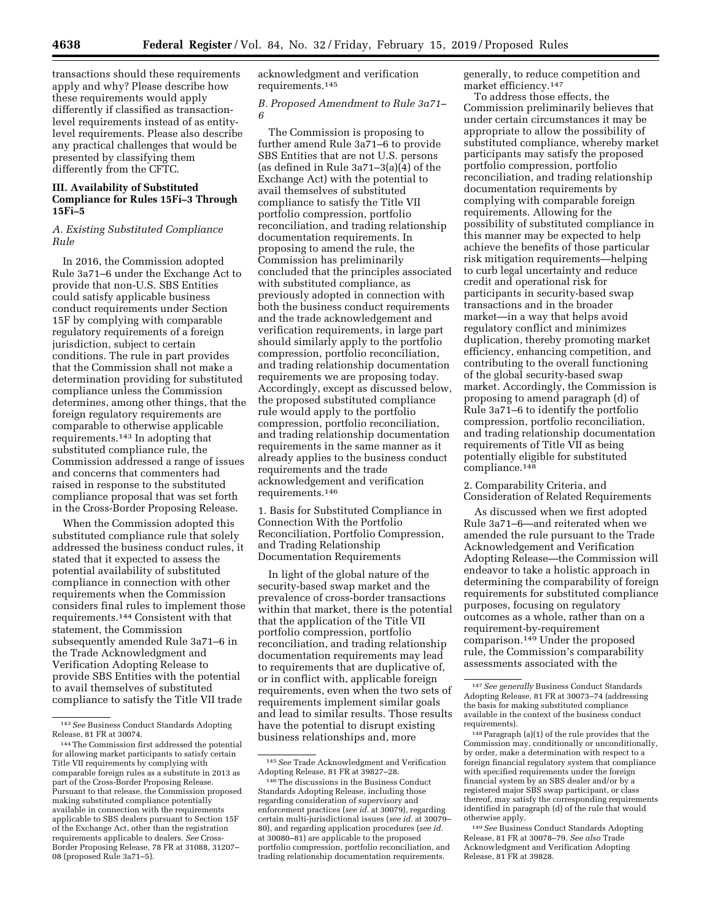transactions should these requirements apply and why? Please describe how these requirements would apply differently if classified as transactionlevel requirements instead of as entitylevel requirements. Please also describe any practical challenges that would be presented by classifying them differently from the CFTC.

# **III. Availability of Substituted Compliance for Rules 15Fi–3 Through 15Fi–5**

# *A. Existing Substituted Compliance Rule*

In 2016, the Commission adopted Rule 3a71–6 under the Exchange Act to provide that non-U.S. SBS Entities could satisfy applicable business conduct requirements under Section 15F by complying with comparable regulatory requirements of a foreign jurisdiction, subject to certain conditions. The rule in part provides that the Commission shall not make a determination providing for substituted compliance unless the Commission determines, among other things, that the foreign regulatory requirements are comparable to otherwise applicable requirements.143 In adopting that substituted compliance rule, the Commission addressed a range of issues and concerns that commenters had raised in response to the substituted compliance proposal that was set forth in the Cross-Border Proposing Release.

When the Commission adopted this substituted compliance rule that solely addressed the business conduct rules, it stated that it expected to assess the potential availability of substituted compliance in connection with other requirements when the Commission considers final rules to implement those requirements.144 Consistent with that statement, the Commission subsequently amended Rule 3a71–6 in the Trade Acknowledgment and Verification Adopting Release to provide SBS Entities with the potential to avail themselves of substituted compliance to satisfy the Title VII trade

acknowledgment and verification requirements.145

*B. Proposed Amendment to Rule 3a71– 6* 

The Commission is proposing to further amend Rule 3a71–6 to provide SBS Entities that are not U.S. persons (as defined in Rule 3a71–3(a)(4) of the Exchange Act) with the potential to avail themselves of substituted compliance to satisfy the Title VII portfolio compression, portfolio reconciliation, and trading relationship documentation requirements. In proposing to amend the rule, the Commission has preliminarily concluded that the principles associated with substituted compliance, as previously adopted in connection with both the business conduct requirements and the trade acknowledgement and verification requirements, in large part should similarly apply to the portfolio compression, portfolio reconciliation, and trading relationship documentation requirements we are proposing today. Accordingly, except as discussed below, the proposed substituted compliance rule would apply to the portfolio compression, portfolio reconciliation, and trading relationship documentation requirements in the same manner as it already applies to the business conduct requirements and the trade acknowledgement and verification requirements.146

1. Basis for Substituted Compliance in Connection With the Portfolio Reconciliation, Portfolio Compression, and Trading Relationship Documentation Requirements

In light of the global nature of the security-based swap market and the prevalence of cross-border transactions within that market, there is the potential that the application of the Title VII portfolio compression, portfolio reconciliation, and trading relationship documentation requirements may lead to requirements that are duplicative of, or in conflict with, applicable foreign requirements, even when the two sets of requirements implement similar goals and lead to similar results. Those results have the potential to disrupt existing business relationships and, more

generally, to reduce competition and market efficiency.147

To address those effects, the Commission preliminarily believes that under certain circumstances it may be appropriate to allow the possibility of substituted compliance, whereby market participants may satisfy the proposed portfolio compression, portfolio reconciliation, and trading relationship documentation requirements by complying with comparable foreign requirements. Allowing for the possibility of substituted compliance in this manner may be expected to help achieve the benefits of those particular risk mitigation requirements—helping to curb legal uncertainty and reduce credit and operational risk for participants in security-based swap transactions and in the broader market—in a way that helps avoid regulatory conflict and minimizes duplication, thereby promoting market efficiency, enhancing competition, and contributing to the overall functioning of the global security-based swap market. Accordingly, the Commission is proposing to amend paragraph (d) of Rule 3a71–6 to identify the portfolio compression, portfolio reconciliation, and trading relationship documentation requirements of Title VII as being potentially eligible for substituted compliance.148

2. Comparability Criteria, and Consideration of Related Requirements

As discussed when we first adopted Rule 3a71–6—and reiterated when we amended the rule pursuant to the Trade Acknowledgement and Verification Adopting Release—the Commission will endeavor to take a holistic approach in determining the comparability of foreign requirements for substituted compliance purposes, focusing on regulatory outcomes as a whole, rather than on a requirement-by-requirement comparison.149 Under the proposed rule, the Commission's comparability assessments associated with the

149*See* Business Conduct Standards Adopting Release, 81 FR at 30078–79. *See also* Trade Acknowledgment and Verification Adopting Release, 81 FR at 39828.

<sup>143</sup>*See* Business Conduct Standards Adopting Release, 81 FR at 30074.

<sup>144</sup>The Commission first addressed the potential for allowing market participants to satisfy certain Title VII requirements by complying with comparable foreign rules as a substitute in 2013 as part of the Cross-Border Proposing Release. Pursuant to that release, the Commission proposed making substituted compliance potentially available in connection with the requirements applicable to SBS dealers pursuant to Section 15F of the Exchange Act, other than the registration requirements applicable to dealers. *See* Cross-Border Proposing Release, 78 FR at 31088, 31207– 08 (proposed Rule 3a71–5).

<sup>145</sup>*See* Trade Acknowledgment and Verification Adopting Release, 81 FR at 39827–28.

<sup>146</sup>The discussions in the Business Conduct Standards Adopting Release, including those regarding consideration of supervisory and enforcement practices (*see id.* at 30079), regarding certain multi-jurisdictional issues (*see id.* at 30079– 80), and regarding application procedures (*see id.*  at 30080–81) are applicable to the proposed portfolio compression, portfolio reconciliation, and trading relationship documentation requirements.

<sup>147</sup>*See generally* Business Conduct Standards Adopting Release, 81 FR at 30073–74 (addressing the basis for making substituted compliance available in the context of the business conduct requirements).

<sup>148</sup>Paragraph (a)(1) of the rule provides that the Commission may, conditionally or unconditionally, by order, make a determination with respect to a foreign financial regulatory system that compliance with specified requirements under the foreign financial system by an SBS dealer and/or by a registered major SBS swap participant, or class thereof, may satisfy the corresponding requirements identified in paragraph (d) of the rule that would otherwise apply.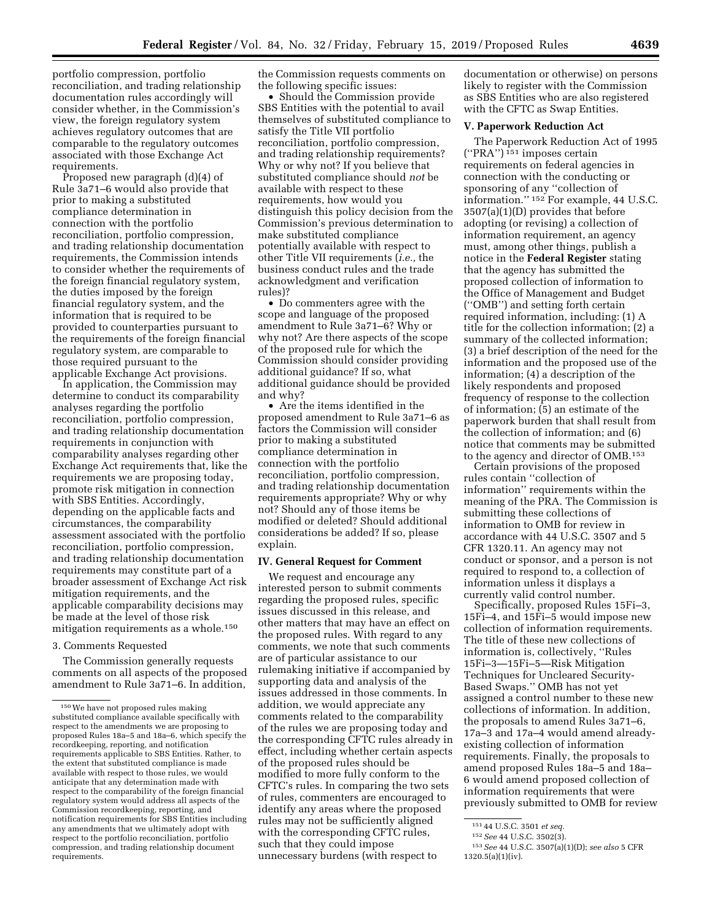portfolio compression, portfolio reconciliation, and trading relationship documentation rules accordingly will consider whether, in the Commission's view, the foreign regulatory system achieves regulatory outcomes that are comparable to the regulatory outcomes associated with those Exchange Act requirements.

Proposed new paragraph (d)(4) of Rule 3a71–6 would also provide that prior to making a substituted compliance determination in connection with the portfolio reconciliation, portfolio compression, and trading relationship documentation requirements, the Commission intends to consider whether the requirements of the foreign financial regulatory system, the duties imposed by the foreign financial regulatory system, and the information that is required to be provided to counterparties pursuant to the requirements of the foreign financial regulatory system, are comparable to those required pursuant to the applicable Exchange Act provisions.

In application, the Commission may determine to conduct its comparability analyses regarding the portfolio reconciliation, portfolio compression, and trading relationship documentation requirements in conjunction with comparability analyses regarding other Exchange Act requirements that, like the requirements we are proposing today, promote risk mitigation in connection with SBS Entities. Accordingly, depending on the applicable facts and circumstances, the comparability assessment associated with the portfolio reconciliation, portfolio compression, and trading relationship documentation requirements may constitute part of a broader assessment of Exchange Act risk mitigation requirements, and the applicable comparability decisions may be made at the level of those risk mitigation requirements as a whole.150

### 3. Comments Requested

The Commission generally requests comments on all aspects of the proposed amendment to Rule 3a71–6. In addition,

the Commission requests comments on the following specific issues:

• Should the Commission provide SBS Entities with the potential to avail themselves of substituted compliance to satisfy the Title VII portfolio reconciliation, portfolio compression, and trading relationship requirements? Why or why not? If you believe that substituted compliance should *not* be available with respect to these requirements, how would you distinguish this policy decision from the Commission's previous determination to make substituted compliance potentially available with respect to other Title VII requirements (*i.e.,* the business conduct rules and the trade acknowledgment and verification rules)?

• Do commenters agree with the scope and language of the proposed amendment to Rule 3a71–6? Why or why not? Are there aspects of the scope of the proposed rule for which the Commission should consider providing additional guidance? If so, what additional guidance should be provided and why?

• Are the items identified in the proposed amendment to Rule 3a71–6 as factors the Commission will consider prior to making a substituted compliance determination in connection with the portfolio reconciliation, portfolio compression, and trading relationship documentation requirements appropriate? Why or why not? Should any of those items be modified or deleted? Should additional considerations be added? If so, please explain.

### **IV. General Request for Comment**

We request and encourage any interested person to submit comments regarding the proposed rules, specific issues discussed in this release, and other matters that may have an effect on the proposed rules. With regard to any comments, we note that such comments are of particular assistance to our rulemaking initiative if accompanied by supporting data and analysis of the issues addressed in those comments. In addition, we would appreciate any comments related to the comparability of the rules we are proposing today and the corresponding CFTC rules already in effect, including whether certain aspects of the proposed rules should be modified to more fully conform to the CFTC's rules. In comparing the two sets of rules, commenters are encouraged to identify any areas where the proposed rules may not be sufficiently aligned with the corresponding CFTC rules, such that they could impose unnecessary burdens (with respect to

documentation or otherwise) on persons likely to register with the Commission as SBS Entities who are also registered with the CFTC as Swap Entities.

### **V. Paperwork Reduction Act**

The Paperwork Reduction Act of 1995  $("PRA")$ <sup>151</sup> imposes certain requirements on federal agencies in connection with the conducting or sponsoring of any ''collection of information.'' 152 For example, 44 U.S.C. 3507(a)(1)(D) provides that before adopting (or revising) a collection of information requirement, an agency must, among other things, publish a notice in the **Federal Register** stating that the agency has submitted the proposed collection of information to the Office of Management and Budget (''OMB'') and setting forth certain required information, including: (1) A title for the collection information; (2) a summary of the collected information; (3) a brief description of the need for the information and the proposed use of the information; (4) a description of the likely respondents and proposed frequency of response to the collection of information; (5) an estimate of the paperwork burden that shall result from the collection of information; and (6) notice that comments may be submitted to the agency and director of OMB.153

Certain provisions of the proposed rules contain ''collection of information'' requirements within the meaning of the PRA. The Commission is submitting these collections of information to OMB for review in accordance with 44 U.S.C. 3507 and 5 CFR 1320.11. An agency may not conduct or sponsor, and a person is not required to respond to, a collection of information unless it displays a currently valid control number.

Specifically, proposed Rules 15Fi–3, 15Fi–4, and 15Fi–5 would impose new collection of information requirements. The title of these new collections of information is, collectively, ''Rules 15Fi–3—15Fi–5—Risk Mitigation Techniques for Uncleared Security-Based Swaps.'' OMB has not yet assigned a control number to these new collections of information. In addition, the proposals to amend Rules 3a71–6, 17a–3 and 17a–4 would amend alreadyexisting collection of information requirements. Finally, the proposals to amend proposed Rules 18a–5 and 18a– 6 would amend proposed collection of information requirements that were previously submitted to OMB for review

<sup>150</sup>We have not proposed rules making substituted compliance available specifically with respect to the amendments we are proposing to proposed Rules 18a–5 and 18a–6, which specify the recordkeeping, reporting, and notification requirements applicable to SBS Entities. Rather, to the extent that substituted compliance is made available with respect to those rules, we would anticipate that any determination made with respect to the comparability of the foreign financial regulatory system would address all aspects of the Commission recordkeeping, reporting, and notification requirements for SBS Entities including any amendments that we ultimately adopt with respect to the portfolio reconciliation, portfolio compression, and trading relationship document requirements.

<sup>151</sup> 44 U.S.C. 3501 *et seq.* 

<sup>152</sup>*See* 44 U.S.C. 3502(3).

<sup>153</sup>*See* 44 U.S.C. 3507(a)(1)(D); *see also* 5 CFR 1320.5(a)(1)(iv).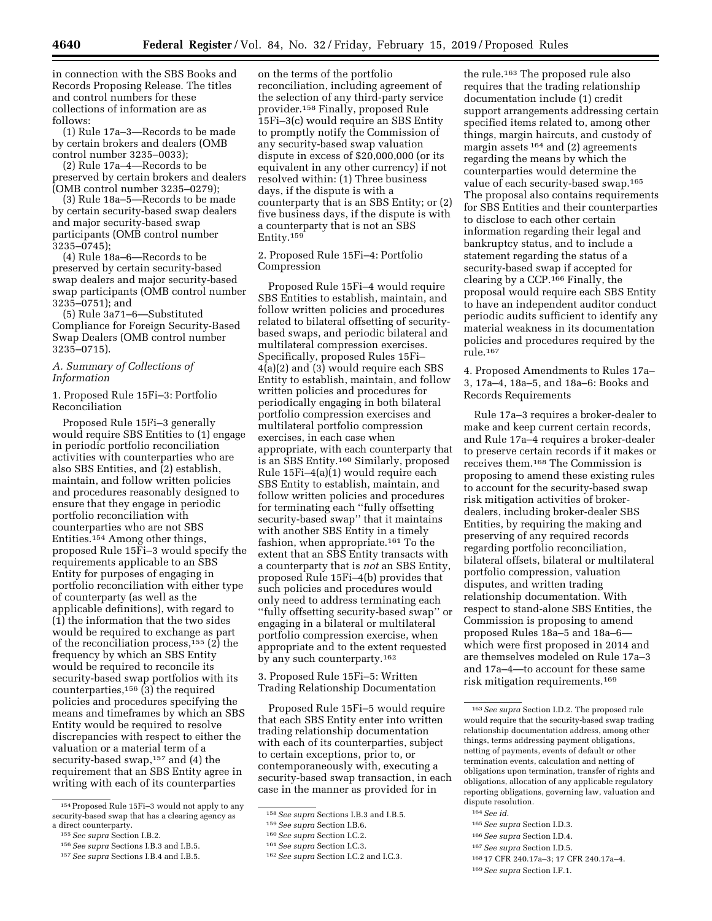in connection with the SBS Books and Records Proposing Release. The titles and control numbers for these collections of information are as follows:

(1) Rule 17a–3—Records to be made by certain brokers and dealers (OMB control number 3235–0033);

(2) Rule 17a–4—Records to be preserved by certain brokers and dealers (OMB control number 3235–0279);

(3) Rule 18a–5—Records to be made by certain security-based swap dealers and major security-based swap participants (OMB control number 3235–0745);

(4) Rule 18a–6—Records to be preserved by certain security-based swap dealers and major security-based swap participants (OMB control number 3235–0751); and

(5) Rule 3a71–6—Substituted Compliance for Foreign Security-Based Swap Dealers (OMB control number 3235–0715).

# *A. Summary of Collections of Information*

1. Proposed Rule 15Fi–3: Portfolio Reconciliation

Proposed Rule 15Fi–3 generally would require SBS Entities to (1) engage in periodic portfolio reconciliation activities with counterparties who are also SBS Entities, and (2) establish, maintain, and follow written policies and procedures reasonably designed to ensure that they engage in periodic portfolio reconciliation with counterparties who are not SBS Entities.154 Among other things, proposed Rule 15Fi–3 would specify the requirements applicable to an SBS Entity for purposes of engaging in portfolio reconciliation with either type of counterparty (as well as the applicable definitions), with regard to (1) the information that the two sides would be required to exchange as part of the reconciliation process,155 (2) the frequency by which an SBS Entity would be required to reconcile its security-based swap portfolios with its counterparties, $156$  (3) the required policies and procedures specifying the means and timeframes by which an SBS Entity would be required to resolve discrepancies with respect to either the valuation or a material term of a security-based swap,<sup>157</sup> and (4) the requirement that an SBS Entity agree in writing with each of its counterparties

on the terms of the portfolio reconciliation, including agreement of the selection of any third-party service provider.158 Finally, proposed Rule 15Fi–3(c) would require an SBS Entity to promptly notify the Commission of any security-based swap valuation dispute in excess of \$20,000,000 (or its equivalent in any other currency) if not resolved within: (1) Three business days, if the dispute is with a counterparty that is an SBS Entity; or (2) five business days, if the dispute is with a counterparty that is not an SBS Entity.159

2. Proposed Rule 15Fi–4: Portfolio Compression

Proposed Rule 15Fi–4 would require SBS Entities to establish, maintain, and follow written policies and procedures related to bilateral offsetting of securitybased swaps, and periodic bilateral and multilateral compression exercises. Specifically, proposed Rules 15Fi– 4(a)(2) and (3) would require each SBS Entity to establish, maintain, and follow written policies and procedures for periodically engaging in both bilateral portfolio compression exercises and multilateral portfolio compression exercises, in each case when appropriate, with each counterparty that is an SBS Entity.160 Similarly, proposed Rule 15Fi–4(a)(1) would require each SBS Entity to establish, maintain, and follow written policies and procedures for terminating each ''fully offsetting security-based swap'' that it maintains with another SBS Entity in a timely fashion, when appropriate.161 To the extent that an SBS Entity transacts with a counterparty that is *not* an SBS Entity, proposed Rule 15Fi–4(b) provides that such policies and procedures would only need to address terminating each ''fully offsetting security-based swap'' or engaging in a bilateral or multilateral portfolio compression exercise, when appropriate and to the extent requested by any such counterparty.162

3. Proposed Rule 15Fi–5: Written Trading Relationship Documentation

Proposed Rule 15Fi–5 would require that each SBS Entity enter into written trading relationship documentation with each of its counterparties, subject to certain exceptions, prior to, or contemporaneously with, executing a security-based swap transaction, in each case in the manner as provided for in

the rule.163 The proposed rule also requires that the trading relationship documentation include (1) credit support arrangements addressing certain specified items related to, among other things, margin haircuts, and custody of margin assets 164 and (2) agreements regarding the means by which the counterparties would determine the value of each security-based swap.165 The proposal also contains requirements for SBS Entities and their counterparties to disclose to each other certain information regarding their legal and bankruptcy status, and to include a statement regarding the status of a security-based swap if accepted for clearing by a CCP.166 Finally, the proposal would require each SBS Entity to have an independent auditor conduct periodic audits sufficient to identify any material weakness in its documentation policies and procedures required by the rule.167

4. Proposed Amendments to Rules 17a– 3, 17a–4, 18a–5, and 18a–6: Books and Records Requirements

Rule 17a–3 requires a broker-dealer to make and keep current certain records, and Rule 17a–4 requires a broker-dealer to preserve certain records if it makes or receives them.168 The Commission is proposing to amend these existing rules to account for the security-based swap risk mitigation activities of brokerdealers, including broker-dealer SBS Entities, by requiring the making and preserving of any required records regarding portfolio reconciliation, bilateral offsets, bilateral or multilateral portfolio compression, valuation disputes, and written trading relationship documentation. With respect to stand-alone SBS Entities, the Commission is proposing to amend proposed Rules 18a–5 and 18a–6 which were first proposed in 2014 and are themselves modeled on Rule 17a–3 and 17a–4—to account for these same risk mitigation requirements.169

164*See id.* 

166*See supra* Section I.D.4.

- 168 17 CFR 240.17a–3; 17 CFR 240.17a–4.
- 169*See supra* Section I.F.1.

<sup>154</sup>Proposed Rule 15Fi–3 would not apply to any security-based swap that has a clearing agency as a direct counterparty.

<sup>155</sup>*See supra* Section I.B.2.

<sup>156</sup>*See supra* Sections I.B.3 and I.B.5.

<sup>157</sup>*See supra* Sections I.B.4 and I.B.5.

<sup>158</sup>*See supra* Sections I.B.3 and I.B.5.

<sup>159</sup>*See supra* Section I.B.6.

<sup>160</sup>*See supra* Section I.C.2.

<sup>161</sup>*See supra* Section I.C.3.

<sup>162</sup>*See supra* Section I.C.2 and I.C.3.

<sup>163</sup>*See supra* Section I.D.2. The proposed rule would require that the security-based swap trading relationship documentation address, among other things, terms addressing payment obligations, netting of payments, events of default or other termination events, calculation and netting of obligations upon termination, transfer of rights and obligations, allocation of any applicable regulatory reporting obligations, governing law, valuation and dispute resolution.

<sup>165</sup>*See supra* Section I.D.3.

<sup>167</sup>*See supra* Section I.D.5.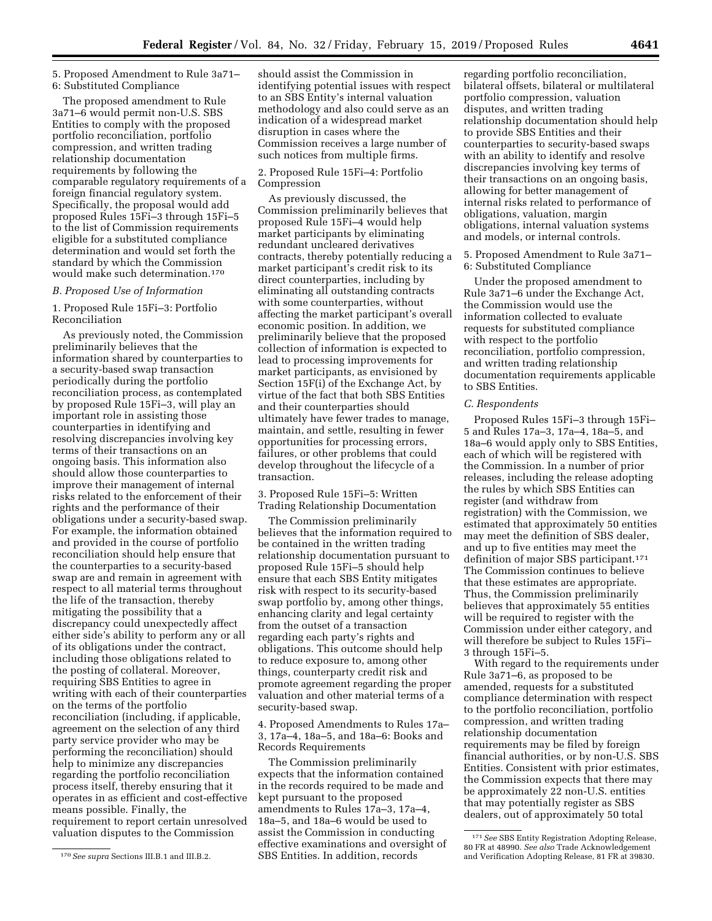### 5. Proposed Amendment to Rule 3a71– 6: Substituted Compliance

The proposed amendment to Rule 3a71–6 would permit non-U.S. SBS Entities to comply with the proposed portfolio reconciliation, portfolio compression, and written trading relationship documentation requirements by following the comparable regulatory requirements of a foreign financial regulatory system. Specifically, the proposal would add proposed Rules 15Fi–3 through 15Fi–5 to the list of Commission requirements eligible for a substituted compliance determination and would set forth the standard by which the Commission would make such determination.170

### *B. Proposed Use of Information*

### 1. Proposed Rule 15Fi–3: Portfolio Reconciliation

As previously noted, the Commission preliminarily believes that the information shared by counterparties to a security-based swap transaction periodically during the portfolio reconciliation process, as contemplated by proposed Rule 15Fi–3, will play an important role in assisting those counterparties in identifying and resolving discrepancies involving key terms of their transactions on an ongoing basis. This information also should allow those counterparties to improve their management of internal risks related to the enforcement of their rights and the performance of their obligations under a security-based swap. For example, the information obtained and provided in the course of portfolio reconciliation should help ensure that the counterparties to a security-based swap are and remain in agreement with respect to all material terms throughout the life of the transaction, thereby mitigating the possibility that a discrepancy could unexpectedly affect either side's ability to perform any or all of its obligations under the contract, including those obligations related to the posting of collateral. Moreover, requiring SBS Entities to agree in writing with each of their counterparties on the terms of the portfolio reconciliation (including, if applicable, agreement on the selection of any third party service provider who may be performing the reconciliation) should help to minimize any discrepancies regarding the portfolio reconciliation process itself, thereby ensuring that it operates in as efficient and cost-effective means possible. Finally, the requirement to report certain unresolved valuation disputes to the Commission

should assist the Commission in identifying potential issues with respect to an SBS Entity's internal valuation methodology and also could serve as an indication of a widespread market disruption in cases where the Commission receives a large number of such notices from multiple firms.

# 2. Proposed Rule 15Fi–4: Portfolio Compression

As previously discussed, the Commission preliminarily believes that proposed Rule 15Fi–4 would help market participants by eliminating redundant uncleared derivatives contracts, thereby potentially reducing a market participant's credit risk to its direct counterparties, including by eliminating all outstanding contracts with some counterparties, without affecting the market participant's overall economic position. In addition, we preliminarily believe that the proposed collection of information is expected to lead to processing improvements for market participants, as envisioned by Section 15F(i) of the Exchange Act, by virtue of the fact that both SBS Entities and their counterparties should ultimately have fewer trades to manage, maintain, and settle, resulting in fewer opportunities for processing errors, failures, or other problems that could develop throughout the lifecycle of a transaction.

3. Proposed Rule 15Fi–5: Written Trading Relationship Documentation

The Commission preliminarily believes that the information required to be contained in the written trading relationship documentation pursuant to proposed Rule 15Fi–5 should help ensure that each SBS Entity mitigates risk with respect to its security-based swap portfolio by, among other things, enhancing clarity and legal certainty from the outset of a transaction regarding each party's rights and obligations. This outcome should help to reduce exposure to, among other things, counterparty credit risk and promote agreement regarding the proper valuation and other material terms of a security-based swap.

4. Proposed Amendments to Rules 17a– 3, 17a–4, 18a–5, and 18a–6: Books and Records Requirements

The Commission preliminarily expects that the information contained in the records required to be made and kept pursuant to the proposed amendments to Rules 17a–3, 17a–4, 18a–5, and 18a–6 would be used to assist the Commission in conducting effective examinations and oversight of SBS Entities. In addition, records

regarding portfolio reconciliation, bilateral offsets, bilateral or multilateral portfolio compression, valuation disputes, and written trading relationship documentation should help to provide SBS Entities and their counterparties to security-based swaps with an ability to identify and resolve discrepancies involving key terms of their transactions on an ongoing basis, allowing for better management of internal risks related to performance of obligations, valuation, margin obligations, internal valuation systems and models, or internal controls.

5. Proposed Amendment to Rule 3a71– 6: Substituted Compliance

Under the proposed amendment to Rule 3a71–6 under the Exchange Act, the Commission would use the information collected to evaluate requests for substituted compliance with respect to the portfolio reconciliation, portfolio compression, and written trading relationship documentation requirements applicable to SBS Entities.

### *C. Respondents*

Proposed Rules 15Fi–3 through 15Fi– 5 and Rules 17a–3, 17a–4, 18a–5, and 18a–6 would apply only to SBS Entities, each of which will be registered with the Commission. In a number of prior releases, including the release adopting the rules by which SBS Entities can register (and withdraw from registration) with the Commission, we estimated that approximately 50 entities may meet the definition of SBS dealer, and up to five entities may meet the definition of major SBS participant.171 The Commission continues to believe that these estimates are appropriate. Thus, the Commission preliminarily believes that approximately 55 entities will be required to register with the Commission under either category, and will therefore be subject to Rules 15Fi– 3 through 15Fi–5.

With regard to the requirements under Rule 3a71–6, as proposed to be amended, requests for a substituted compliance determination with respect to the portfolio reconciliation, portfolio compression, and written trading relationship documentation requirements may be filed by foreign financial authorities, or by non-U.S. SBS Entities. Consistent with prior estimates, the Commission expects that there may be approximately 22 non-U.S. entities that may potentially register as SBS dealers, out of approximately 50 total

<sup>170</sup>*See supra* Sections III.B.1 and III.B.2.

<sup>171</sup>*See* SBS Entity Registration Adopting Release, 80 FR at 48990. *See also* Trade Acknowledgement and Verification Adopting Release, 81 FR at 39830.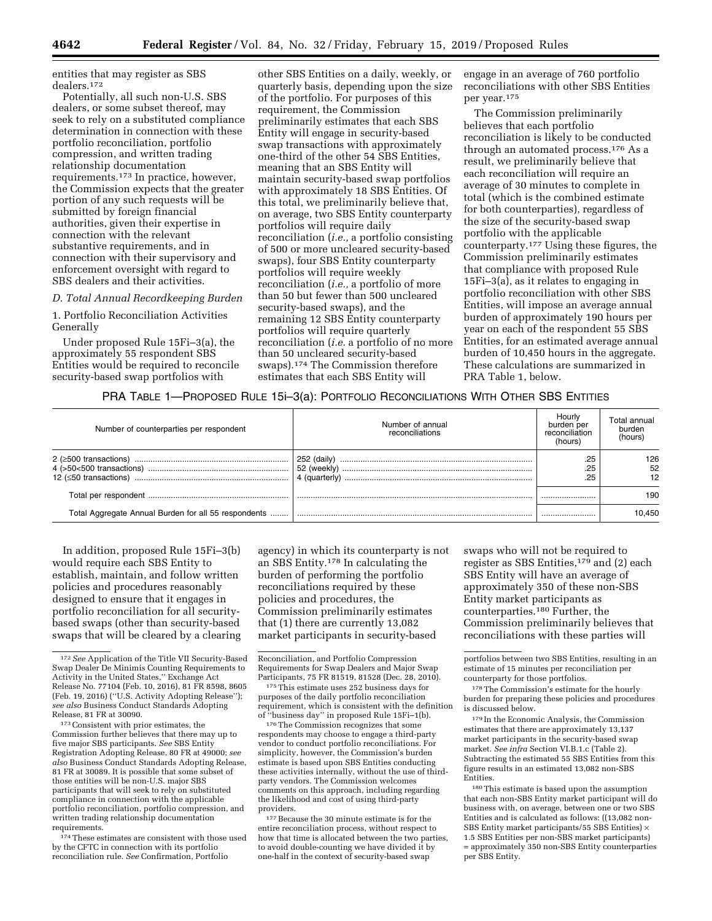entities that may register as SBS dealers.172

Potentially, all such non-U.S. SBS dealers, or some subset thereof, may seek to rely on a substituted compliance determination in connection with these portfolio reconciliation, portfolio compression, and written trading relationship documentation requirements.173 In practice, however, the Commission expects that the greater portion of any such requests will be submitted by foreign financial authorities, given their expertise in connection with the relevant substantive requirements, and in connection with their supervisory and enforcement oversight with regard to SBS dealers and their activities.

### *D. Total Annual Recordkeeping Burden*

1. Portfolio Reconciliation Activities Generally

Under proposed Rule 15Fi–3(a), the approximately 55 respondent SBS Entities would be required to reconcile security-based swap portfolios with

other SBS Entities on a daily, weekly, or quarterly basis, depending upon the size of the portfolio. For purposes of this requirement, the Commission preliminarily estimates that each SBS Entity will engage in security-based swap transactions with approximately one-third of the other 54 SBS Entities, meaning that an SBS Entity will maintain security-based swap portfolios with approximately 18 SBS Entities. Of this total, we preliminarily believe that, on average, two SBS Entity counterparty portfolios will require daily reconciliation (*i.e.,* a portfolio consisting of 500 or more uncleared security-based swaps), four SBS Entity counterparty portfolios will require weekly reconciliation (*i.e.,* a portfolio of more than 50 but fewer than 500 uncleared security-based swaps), and the remaining 12 SBS Entity counterparty portfolios will require quarterly reconciliation (*i.e.* a portfolio of no more than 50 uncleared security-based swaps).174 The Commission therefore estimates that each SBS Entity will

engage in an average of 760 portfolio reconciliations with other SBS Entities per year.175

The Commission preliminarily believes that each portfolio reconciliation is likely to be conducted through an automated process.176 As a result, we preliminarily believe that each reconciliation will require an average of 30 minutes to complete in total (which is the combined estimate for both counterparties), regardless of the size of the security-based swap portfolio with the applicable counterparty.177 Using these figures, the Commission preliminarily estimates that compliance with proposed Rule 15Fi–3(a), as it relates to engaging in portfolio reconciliation with other SBS Entities, will impose an average annual burden of approximately 190 hours per year on each of the respondent 55 SBS Entities, for an estimated average annual burden of 10,450 hours in the aggregate. These calculations are summarized in PRA Table 1, below.

# PRA TABLE 1—PROPOSED RULE 15i–3(a): PORTFOLIO RECONCILIATIONS WITH OTHER SBS ENTITIES

| Number of counterparties per respondent              | Number of annual<br>reconciliations | Hourly<br>burden per<br>reconciliation<br>(hours) | Total annual<br>burden<br>(hours) |
|------------------------------------------------------|-------------------------------------|---------------------------------------------------|-----------------------------------|
|                                                      | 252 (daily)<br>52 (weekly)          | .25<br>.25<br>.25                                 | 126<br>52<br>12                   |
|                                                      |                                     |                                                   | 190                               |
| Total Aggregate Annual Burden for all 55 respondents |                                     |                                                   | 0.450                             |

In addition, proposed Rule 15Fi–3(b) would require each SBS Entity to establish, maintain, and follow written policies and procedures reasonably designed to ensure that it engages in portfolio reconciliation for all securitybased swaps (other than security-based swaps that will be cleared by a clearing

173Consistent with prior estimates, the Commission further believes that there may up to five major SBS participants. *See* SBS Entity Registration Adopting Release, 80 FR at 49000; *see also* Business Conduct Standards Adopting Release, 81 FR at 30089. It is possible that some subset of those entities will be non-U.S. major SBS participants that will seek to rely on substituted compliance in connection with the applicable portfolio reconciliation, portfolio compression, and written trading relationship documentation requirements.

<sup>174</sup> These estimates are consistent with those used by the CFTC in connection with its portfolio reconciliation rule. *See* Confirmation, Portfolio

agency) in which its counterparty is not an SBS Entity.178 In calculating the burden of performing the portfolio reconciliations required by these policies and procedures, the Commission preliminarily estimates that (1) there are currently 13,082 market participants in security-based

175This estimate uses 252 business days for purposes of the daily portfolio reconciliation requirement, which is consistent with the definition of ''business day'' in proposed Rule 15Fi–1(b).

176The Commission recognizes that some respondents may choose to engage a third-party vendor to conduct portfolio reconciliations. For simplicity, however, the Commission's burden estimate is based upon SBS Entities conducting these activities internally, without the use of thirdparty vendors. The Commission welcomes comments on this approach, including regarding the likelihood and cost of using third-party providers.

 $^{\rm 177}\,$  Because the 30 minute estimate is for the entire reconciliation process, without respect to how that time is allocated between the two parties, to avoid double-counting we have divided it by one-half in the context of security-based swap

swaps who will not be required to register as SBS Entities, $179$  and (2) each SBS Entity will have an average of approximately 350 of these non-SBS Entity market participants as counterparties.180 Further, the Commission preliminarily believes that reconciliations with these parties will

portfolios between two SBS Entities, resulting in an estimate of 15 minutes per reconciliation per counterparty for those portfolios.

178The Commission's estimate for the hourly burden for preparing these policies and procedures is discussed below.

179 In the Economic Analysis, the Commission estimates that there are approximately 13,137 market participants in the security-based swap market. *See infra* Section VI.B.1.c (Table 2). Subtracting the estimated 55 SBS Entities from this figure results in an estimated 13,082 non-SBS Entities.

180This estimate is based upon the assumption that each non-SBS Entity market participant will do business with, on average, between one or two SBS Entities and is calculated as follows: ((13,082 non-SBS Entity market participants/55 SBS Entities) × 1.5 SBS Entities per non-SBS market participants) = approximately 350 non-SBS Entity counterparties per SBS Entity.

<sup>172</sup>*See* Application of the Title VII Security-Based Swap Dealer De Minimis Counting Requirements to Activity in the United States,'' Exchange Act Release No. 77104 (Feb. 10, 2016), 81 FR 8598, 8605 (Feb. 19, 2016) (''U.S. Activity Adopting Release''); *see also* Business Conduct Standards Adopting Release, 81 FR at 30090.

Reconciliation, and Portfolio Compression Requirements for Swap Dealers and Major Swap Participants, 75 FR 81519, 81528 (Dec. 28, 2010).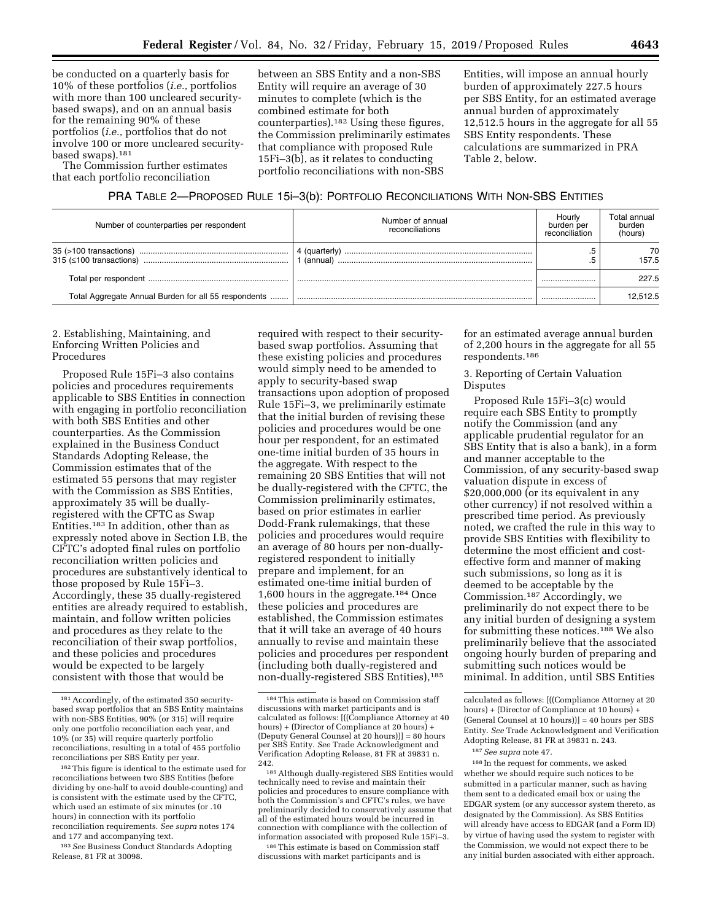be conducted on a quarterly basis for 10% of these portfolios (*i.e.,* portfolios with more than 100 uncleared securitybased swaps), and on an annual basis for the remaining 90% of these portfolios (*i.e.,* portfolios that do not involve 100 or more uncleared securitybased swaps).181

The Commission further estimates that each portfolio reconciliation

between an SBS Entity and a non-SBS Entity will require an average of 30 minutes to complete (which is the combined estimate for both counterparties).182 Using these figures, the Commission preliminarily estimates that compliance with proposed Rule 15Fi–3(b), as it relates to conducting portfolio reconciliations with non-SBS

Entities, will impose an annual hourly burden of approximately 227.5 hours per SBS Entity, for an estimated average annual burden of approximately 12,512.5 hours in the aggregate for all 55 SBS Entity respondents. These calculations are summarized in PRA Table 2, below.

# PRA TABLE 2—PROPOSED RULE 15i–3(b): PORTFOLIO RECONCILIATIONS WITH NON-SBS ENTITIES

| Number of counterparties per respondent              | Number of annual<br>reconciliations | Hourly<br>burden per<br>reconciliation | Total annual<br>burden<br>(hours) |
|------------------------------------------------------|-------------------------------------|----------------------------------------|-----------------------------------|
| $315$ ( $\leq 100$ transactions)                     | (annual)                            | .5                                     | 70<br>157.5                       |
|                                                      |                                     |                                        | 227.5                             |
| Total Aggregate Annual Burden for all 55 respondents |                                     |                                        | 12.512.5                          |

# 2. Establishing, Maintaining, and Enforcing Written Policies and **Procedures**

Proposed Rule 15Fi–3 also contains policies and procedures requirements applicable to SBS Entities in connection with engaging in portfolio reconciliation with both SBS Entities and other counterparties. As the Commission explained in the Business Conduct Standards Adopting Release, the Commission estimates that of the estimated 55 persons that may register with the Commission as SBS Entities, approximately 35 will be duallyregistered with the CFTC as Swap Entities.183 In addition, other than as expressly noted above in Section I.B, the CFTC's adopted final rules on portfolio reconciliation written policies and procedures are substantively identical to those proposed by Rule 15Fi–3. Accordingly, these 35 dually-registered entities are already required to establish, maintain, and follow written policies and procedures as they relate to the reconciliation of their swap portfolios, and these policies and procedures would be expected to be largely consistent with those that would be

183*See* Business Conduct Standards Adopting Release, 81 FR at 30098.

required with respect to their securitybased swap portfolios. Assuming that these existing policies and procedures would simply need to be amended to apply to security-based swap transactions upon adoption of proposed Rule 15Fi–3, we preliminarily estimate that the initial burden of revising these policies and procedures would be one hour per respondent, for an estimated one-time initial burden of 35 hours in the aggregate. With respect to the remaining 20 SBS Entities that will not be dually-registered with the CFTC, the Commission preliminarily estimates, based on prior estimates in earlier Dodd-Frank rulemakings, that these policies and procedures would require an average of 80 hours per non-duallyregistered respondent to initially prepare and implement, for an estimated one-time initial burden of 1,600 hours in the aggregate.184 Once these policies and procedures are established, the Commission estimates that it will take an average of 40 hours annually to revise and maintain these policies and procedures per respondent (including both dually-registered and non-dually-registered SBS Entities),<sup>185</sup>

186This estimate is based on Commission staff discussions with market participants and is

for an estimated average annual burden of 2,200 hours in the aggregate for all 55 respondents.186

# 3. Reporting of Certain Valuation Disputes

Proposed Rule 15Fi–3(c) would require each SBS Entity to promptly notify the Commission (and any applicable prudential regulator for an SBS Entity that is also a bank), in a form and manner acceptable to the Commission, of any security-based swap valuation dispute in excess of \$20,000,000 (or its equivalent in any other currency) if not resolved within a prescribed time period. As previously noted, we crafted the rule in this way to provide SBS Entities with flexibility to determine the most efficient and costeffective form and manner of making such submissions, so long as it is deemed to be acceptable by the Commission.187 Accordingly, we preliminarily do not expect there to be any initial burden of designing a system for submitting these notices.<sup>188</sup> We also preliminarily believe that the associated ongoing hourly burden of preparing and submitting such notices would be minimal. In addition, until SBS Entities

188 In the request for comments, we asked whether we should require such notices to be submitted in a particular manner, such as having them sent to a dedicated email box or using the EDGAR system (or any successor system thereto, as designated by the Commission). As SBS Entities will already have access to EDGAR (and a Form ID) by virtue of having used the system to register with the Commission, we would not expect there to be any initial burden associated with either approach.

<sup>181</sup>Accordingly, of the estimated 350 securitybased swap portfolios that an SBS Entity maintains with non-SBS Entities, 90% (or 315) will require only one portfolio reconciliation each year, and 10% (or 35) will require quarterly portfolio reconciliations, resulting in a total of 455 portfolio reconciliations per SBS Entity per year.

<sup>182</sup>This figure is identical to the estimate used for reconciliations between two SBS Entities (before dividing by one-half to avoid double-counting) and is consistent with the estimate used by the CFTC, which used an estimate of six minutes (or .10 hours) in connection with its portfolio reconciliation requirements. *See supra* notes 174 and 177 and accompanying text.

<sup>184</sup>This estimate is based on Commission staff discussions with market participants and is calculated as follows: [((Compliance Attorney at 40 hours) + (Director of Compliance at 20 hours) + (Deputy General Counsel at 20 hours))] = 80 hours per SBS Entity. *See* Trade Acknowledgment and Verification Adopting Release, 81 FR at 39831 n.

<sup>242. 185</sup>Although dually-registered SBS Entities would technically need to revise and maintain their policies and procedures to ensure compliance with both the Commission's and CFTC's rules, we have preliminarily decided to conservatively assume that all of the estimated hours would be incurred in connection with compliance with the collection of information associated with proposed Rule 15Fi–3.

calculated as follows: [((Compliance Attorney at 20 hours) + (Director of Compliance at 10 hours) + (General Counsel at 10 hours))] = 40 hours per SBS Entity. *See* Trade Acknowledgment and Verification Adopting Release, 81 FR at 39831 n. 243.

<sup>187</sup>*See supra* note 47.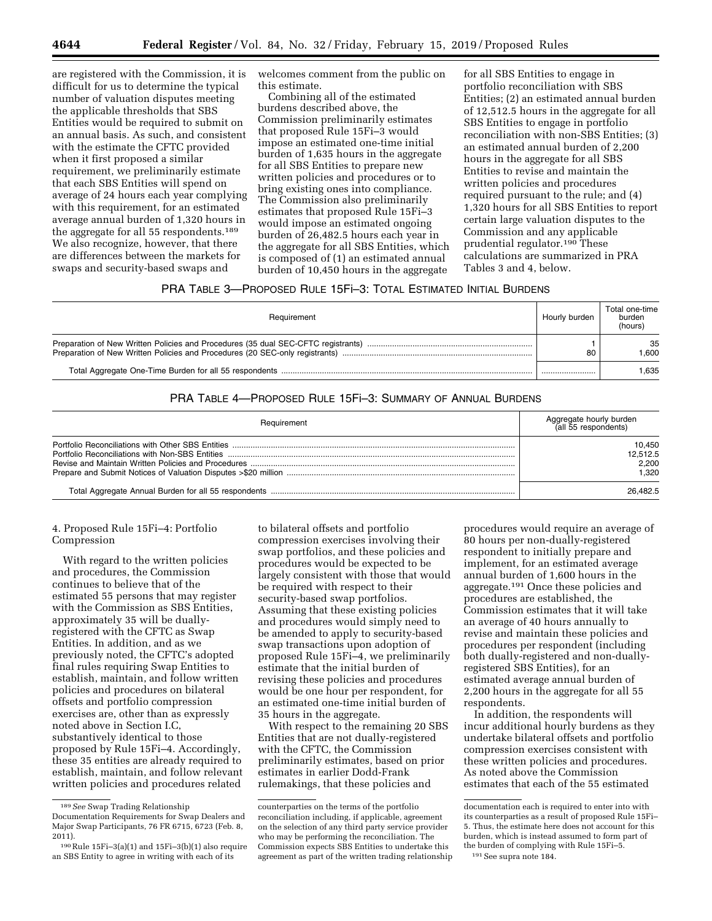are registered with the Commission, it is difficult for us to determine the typical number of valuation disputes meeting the applicable thresholds that SBS Entities would be required to submit on an annual basis. As such, and consistent with the estimate the CFTC provided when it first proposed a similar requirement, we preliminarily estimate that each SBS Entities will spend on average of 24 hours each year complying with this requirement, for an estimated average annual burden of 1,320 hours in the aggregate for all 55 respondents.189 We also recognize, however, that there are differences between the markets for swaps and security-based swaps and

welcomes comment from the public on this estimate.

Combining all of the estimated burdens described above, the Commission preliminarily estimates that proposed Rule 15Fi–3 would impose an estimated one-time initial burden of 1,635 hours in the aggregate for all SBS Entities to prepare new written policies and procedures or to bring existing ones into compliance. The Commission also preliminarily estimates that proposed Rule 15Fi–3 would impose an estimated ongoing burden of 26,482.5 hours each year in the aggregate for all SBS Entities, which is composed of (1) an estimated annual burden of 10,450 hours in the aggregate

for all SBS Entities to engage in portfolio reconciliation with SBS Entities; (2) an estimated annual burden of 12,512.5 hours in the aggregate for all SBS Entities to engage in portfolio reconciliation with non-SBS Entities; (3) an estimated annual burden of 2,200 hours in the aggregate for all SBS Entities to revise and maintain the written policies and procedures required pursuant to the rule; and (4) 1,320 hours for all SBS Entities to report certain large valuation disputes to the Commission and any applicable prudential regulator.190 These calculations are summarized in PRA Tables 3 and 4, below.

# PRA TABLE 3—PROPOSED RULE 15Fi–3: TOTAL ESTIMATED INITIAL BURDENS

| Requirement                                                                                                                                                       | Hourly burden | Total one-time<br>burden<br>(hours) |
|-------------------------------------------------------------------------------------------------------------------------------------------------------------------|---------------|-------------------------------------|
| Preparation of New Written Policies and Procedures (35 dual SEC-CFTC registrants)<br>Preparation of New Written Policies and Procedures (20 SEC-only registrants) | 80            | 35<br>.600                          |
|                                                                                                                                                                   |               | 1.635                               |

# PRA TABLE 4—PROPOSED RULE 15Fi–3: SUMMARY OF ANNUAL BURDENS

| Requirement | Aggregate hourly burden<br>(all 55 respondents) |
|-------------|-------------------------------------------------|
|             | 10.450<br>12.512.5<br>2.200<br>1.320            |
|             | 26.482.5                                        |

# 4. Proposed Rule 15Fi–4: Portfolio Compression

With regard to the written policies and procedures, the Commission continues to believe that of the estimated 55 persons that may register with the Commission as SBS Entities, approximately 35 will be duallyregistered with the CFTC as Swap Entities. In addition, and as we previously noted, the CFTC's adopted final rules requiring Swap Entities to establish, maintain, and follow written policies and procedures on bilateral offsets and portfolio compression exercises are, other than as expressly noted above in Section I.C, substantively identical to those proposed by Rule 15Fi–4. Accordingly, these 35 entities are already required to establish, maintain, and follow relevant written policies and procedures related

to bilateral offsets and portfolio compression exercises involving their swap portfolios, and these policies and procedures would be expected to be largely consistent with those that would be required with respect to their security-based swap portfolios. Assuming that these existing policies and procedures would simply need to be amended to apply to security-based swap transactions upon adoption of proposed Rule 15Fi–4, we preliminarily estimate that the initial burden of revising these policies and procedures would be one hour per respondent, for an estimated one-time initial burden of 35 hours in the aggregate.

With respect to the remaining 20 SBS Entities that are not dually-registered with the CFTC, the Commission preliminarily estimates, based on prior estimates in earlier Dodd-Frank rulemakings, that these policies and

procedures would require an average of 80 hours per non-dually-registered respondent to initially prepare and implement, for an estimated average annual burden of 1,600 hours in the aggregate.191 Once these policies and procedures are established, the Commission estimates that it will take an average of 40 hours annually to revise and maintain these policies and procedures per respondent (including both dually-registered and non-duallyregistered SBS Entities), for an estimated average annual burden of 2,200 hours in the aggregate for all 55 respondents.

In addition, the respondents will incur additional hourly burdens as they undertake bilateral offsets and portfolio compression exercises consistent with these written policies and procedures. As noted above the Commission estimates that each of the 55 estimated

<sup>189</sup>*See* Swap Trading Relationship

Documentation Requirements for Swap Dealers and Major Swap Participants, 76 FR 6715, 6723 (Feb. 8, 2011).

 $190$  Rule  $15Fi-3(a)(1)$  and  $15Fi-3(b)(1)$  also require an SBS Entity to agree in writing with each of its

counterparties on the terms of the portfolio reconciliation including, if applicable, agreement on the selection of any third party service provider who may be performing the reconciliation. The Commission expects SBS Entities to undertake this agreement as part of the written trading relationship

documentation each is required to enter into with its counterparties as a result of proposed Rule 15Fi– 5. Thus, the estimate here does not account for this burden, which is instead assumed to form part of the burden of complying with Rule 15Fi–5.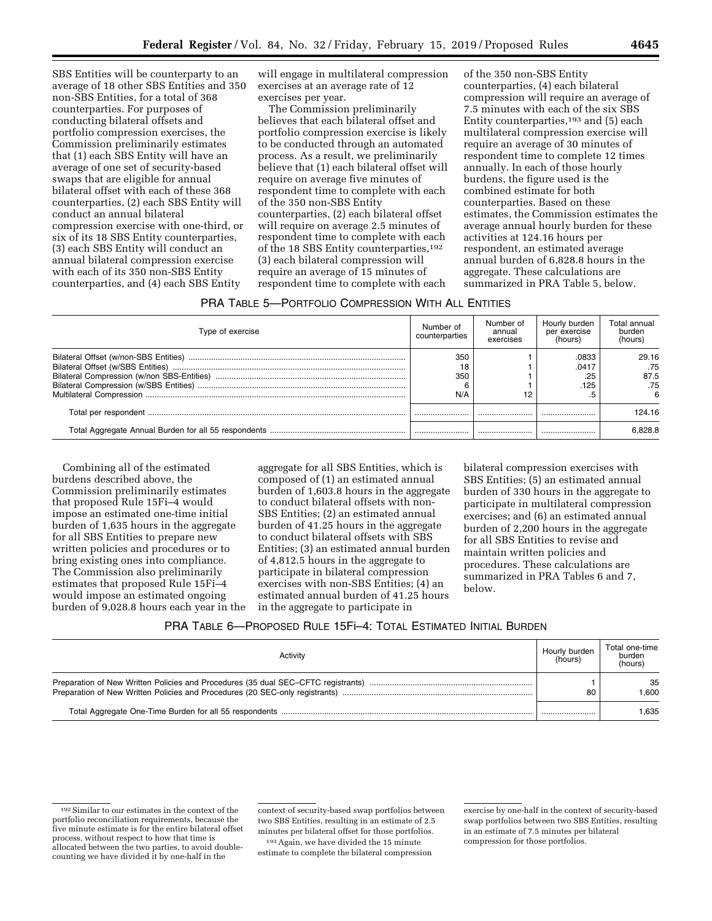SBS Entities will be counterparty to an average of 18 other SBS Entities and 350 non-SBS Entities, for a total of 368 counterparties. For purposes of conducting bilateral offsets and portfolio compression exercises, the Commission preliminarily estimates that (1) each SBS Entity will have an average of one set of security-based swaps that are eligible for annual bilateral offset with each of these 368 counterparties, (2) each SBS Entity will conduct an annual bilateral compression exercise with one-third, or six of its 18 SBS Entity counterparties, (3) each SBS Entity will conduct an annual bilateral compression exercise with each of its 350 non-SBS Entity counterparties, and (4) each SBS Entity

will engage in multilateral compression exercises at an average rate of 12 exercises per year.

The Commission preliminarily believes that each bilateral offset and portfolio compression exercise is likely to be conducted through an automated process. As a result, we preliminarily believe that (1) each bilateral offset will require on average five minutes of respondent time to complete with each of the 350 non-SBS Entity counterparties, (2) each bilateral offset will require on average 2.5 minutes of respondent time to complete with each of the 18 SBS Entity counterparties,<sup>192</sup> (3) each bilateral compression will require an average of 15 minutes of respondent time to complete with each

of the 350 non-SBS Entity counterparties, (4) each bilateral compression will require an average of 7.5 minutes with each of the six SBS Entity counterparties,<sup>193</sup> and (5) each multilateral compression exercise will require an average of 30 minutes of respondent time to complete 12 times annually. In each of those hourly burdens, the figure used is the combined estimate for both counterparties. Based on these estimates, the Commission estimates the average annual hourly burden for these activities at 124.16 hours per respondent, an estimated average annual burden of 6,828.8 hours in the aggregate. These calculations are summarized in PRA Table 5, below.

# PRA TABLE 5—PORTFOLIO COMPRESSION WITH ALL ENTITIES

| Type of exercise | Number of<br>counterparties | Number of<br>annual<br>exercises | Hourly burden<br>per exercise<br>(hours) | Total annual<br>burden<br>(hours) |
|------------------|-----------------------------|----------------------------------|------------------------------------------|-----------------------------------|
|                  | 350<br>18<br>350            |                                  | .0833<br>.0417<br>.25<br>.125            | 29.16<br>.75<br>87.5<br>.75       |
|                  | N/A                         | 12                               |                                          |                                   |
|                  |                             |                                  |                                          | 124 16                            |
|                  |                             |                                  |                                          | 6.828.8                           |

Combining all of the estimated burdens described above, the Commission preliminarily estimates that proposed Rule 15Fi–4 would impose an estimated one-time initial burden of 1,635 hours in the aggregate for all SBS Entities to prepare new written policies and procedures or to bring existing ones into compliance. The Commission also preliminarily estimates that proposed Rule 15Fi–4 would impose an estimated ongoing burden of 9,028.8 hours each year in the

aggregate for all SBS Entities, which is composed of (1) an estimated annual burden of 1,603.8 hours in the aggregate to conduct bilateral offsets with non-SBS Entities; (2) an estimated annual burden of 41.25 hours in the aggregate to conduct bilateral offsets with SBS Entities; (3) an estimated annual burden of 4,812.5 hours in the aggregate to participate in bilateral compression exercises with non-SBS Entities; (4) an estimated annual burden of 41.25 hours in the aggregate to participate in

bilateral compression exercises with SBS Entities; (5) an estimated annual burden of 330 hours in the aggregate to participate in multilateral compression exercises; and (6) an estimated annual burden of 2,200 hours in the aggregate for all SBS Entities to revise and maintain written policies and procedures. These calculations are summarized in PRA Tables 6 and 7, below.

# PRA TABLE 6—PROPOSED RULE 15Fi–4: TOTAL ESTIMATED INITIAL BURDEN

| Activitv                                                                     | Hourly burden<br>(hours) | Total one-time<br>burden<br>(hours) |
|------------------------------------------------------------------------------|--------------------------|-------------------------------------|
| Preparation of New Written Policies and Procedures (20 SEC-only registrants) | 80                       | 35<br>.600                          |
|                                                                              |                          | 1.635                               |

context of security-based swap portfolios between two SBS Entities, resulting in an estimate of 2.5 minutes per bilateral offset for those portfolios.

193Again, we have divided the 15 minute estimate to complete the bilateral compression

<sup>192</sup>Similar to our estimates in the context of the portfolio reconciliation requirements, because the five minute estimate is for the entire bilateral offset process, without respect to how that time is allocated between the two parties, to avoid doublecounting we have divided it by one-half in the

exercise by one-half in the context of security-based swap portfolios between two SBS Entities, resulting in an estimate of 7.5 minutes per bilateral compression for those portfolios.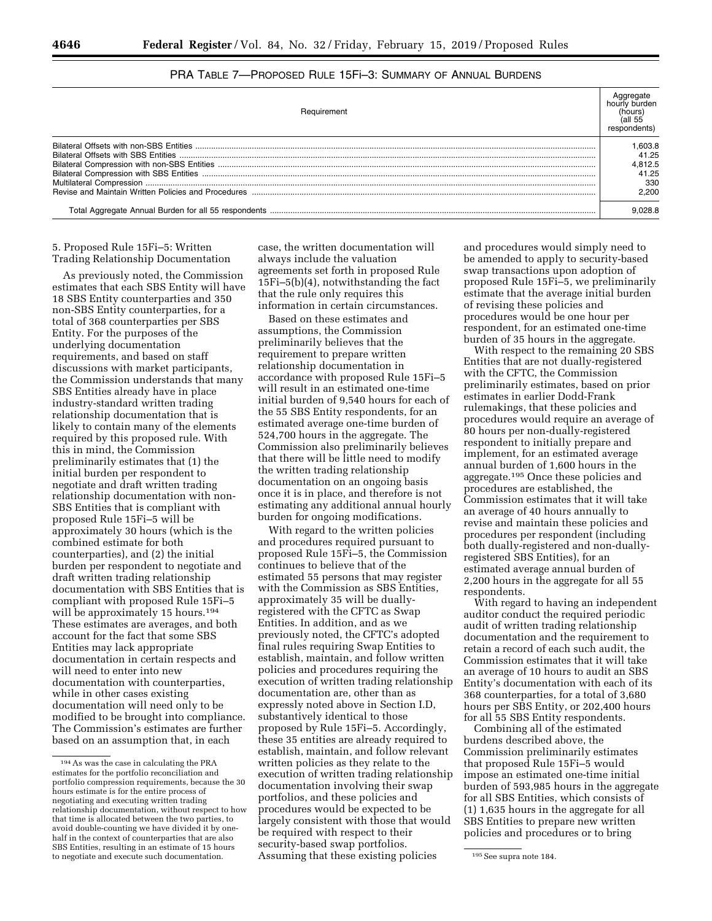| Requirement | hours<br>respondents)                               |
|-------------|-----------------------------------------------------|
|             | .603.8<br>41.25<br>1.812.5<br>41.25<br>330<br>2.200 |
|             | 028.8                                               |

# PRA TABLE 7—PROPOSED RULE 15Fi–3: SUMMARY OF ANNUAL BURDENS

5. Proposed Rule 15Fi–5: Written Trading Relationship Documentation

As previously noted, the Commission estimates that each SBS Entity will have 18 SBS Entity counterparties and 350 non-SBS Entity counterparties, for a total of 368 counterparties per SBS Entity. For the purposes of the underlying documentation requirements, and based on staff discussions with market participants, the Commission understands that many SBS Entities already have in place industry-standard written trading relationship documentation that is likely to contain many of the elements required by this proposed rule. With this in mind, the Commission preliminarily estimates that (1) the initial burden per respondent to negotiate and draft written trading relationship documentation with non-SBS Entities that is compliant with proposed Rule 15Fi–5 will be approximately 30 hours (which is the combined estimate for both counterparties), and (2) the initial burden per respondent to negotiate and draft written trading relationship documentation with SBS Entities that is compliant with proposed Rule 15Fi–5 will be approximately 15 hours.<sup>194</sup> These estimates are averages, and both account for the fact that some SBS Entities may lack appropriate documentation in certain respects and will need to enter into new documentation with counterparties, while in other cases existing documentation will need only to be modified to be brought into compliance. The Commission's estimates are further based on an assumption that, in each

case, the written documentation will always include the valuation agreements set forth in proposed Rule 15Fi–5(b)(4), notwithstanding the fact that the rule only requires this information in certain circumstances.

Based on these estimates and assumptions, the Commission preliminarily believes that the requirement to prepare written relationship documentation in accordance with proposed Rule 15Fi–5 will result in an estimated one-time initial burden of 9,540 hours for each of the 55 SBS Entity respondents, for an estimated average one-time burden of 524,700 hours in the aggregate. The Commission also preliminarily believes that there will be little need to modify the written trading relationship documentation on an ongoing basis once it is in place, and therefore is not estimating any additional annual hourly burden for ongoing modifications.

to negotiate and execute such documentation. Assuming that these existing policies  $\qquad \qquad$  195 See supra note 184. With regard to the written policies and procedures required pursuant to proposed Rule 15Fi–5, the Commission continues to believe that of the estimated 55 persons that may register with the Commission as SBS Entities, approximately 35 will be duallyregistered with the CFTC as Swap Entities. In addition, and as we previously noted, the CFTC's adopted final rules requiring Swap Entities to establish, maintain, and follow written policies and procedures requiring the execution of written trading relationship documentation are, other than as expressly noted above in Section I.D, substantively identical to those proposed by Rule 15Fi–5. Accordingly, these 35 entities are already required to establish, maintain, and follow relevant written policies as they relate to the execution of written trading relationship documentation involving their swap portfolios, and these policies and procedures would be expected to be largely consistent with those that would be required with respect to their security-based swap portfolios.

and procedures would simply need to be amended to apply to security-based swap transactions upon adoption of proposed Rule 15Fi–5, we preliminarily estimate that the average initial burden of revising these policies and procedures would be one hour per respondent, for an estimated one-time burden of 35 hours in the aggregate.

With respect to the remaining 20 SBS Entities that are not dually-registered with the CFTC, the Commission preliminarily estimates, based on prior estimates in earlier Dodd-Frank rulemakings, that these policies and procedures would require an average of 80 hours per non-dually-registered respondent to initially prepare and implement, for an estimated average annual burden of 1,600 hours in the aggregate.195 Once these policies and procedures are established, the Commission estimates that it will take an average of 40 hours annually to revise and maintain these policies and procedures per respondent (including both dually-registered and non-duallyregistered SBS Entities), for an estimated average annual burden of 2,200 hours in the aggregate for all 55 respondents.

With regard to having an independent auditor conduct the required periodic audit of written trading relationship documentation and the requirement to retain a record of each such audit, the Commission estimates that it will take an average of 10 hours to audit an SBS Entity's documentation with each of its 368 counterparties, for a total of 3,680 hours per SBS Entity, or 202,400 hours for all 55 SBS Entity respondents.

Combining all of the estimated burdens described above, the Commission preliminarily estimates that proposed Rule 15Fi–5 would impose an estimated one-time initial burden of 593,985 hours in the aggregate for all SBS Entities, which consists of (1) 1,635 hours in the aggregate for all SBS Entities to prepare new written policies and procedures or to bring

<sup>194</sup>As was the case in calculating the PRA estimates for the portfolio reconciliation and portfolio compression requirements, because the 30 hours estimate is for the entire process of negotiating and executing written trading relationship documentation, without respect to how that time is allocated between the two parties, to avoid double-counting we have divided it by onehalf in the context of counterparties that are also SBS Entities, resulting in an estimate of 15 hours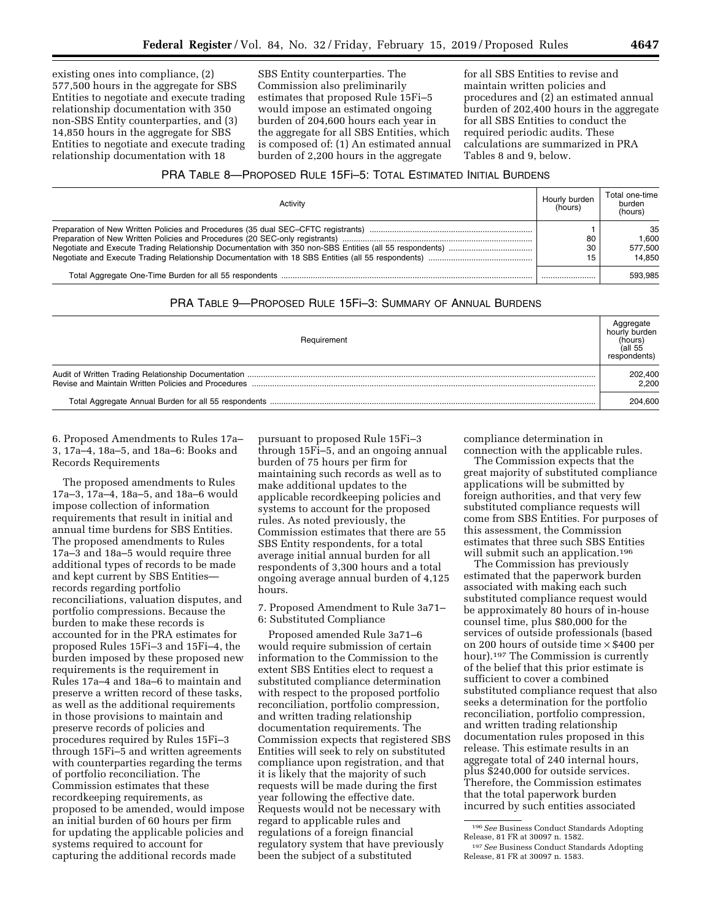existing ones into compliance, (2) 577,500 hours in the aggregate for SBS Entities to negotiate and execute trading relationship documentation with 350 non-SBS Entity counterparties, and (3) 14,850 hours in the aggregate for SBS Entities to negotiate and execute trading relationship documentation with 18

SBS Entity counterparties. The Commission also preliminarily estimates that proposed Rule 15Fi–5 would impose an estimated ongoing burden of 204,600 hours each year in the aggregate for all SBS Entities, which is composed of: (1) An estimated annual burden of 2,200 hours in the aggregate

for all SBS Entities to revise and maintain written policies and procedures and (2) an estimated annual burden of 202,400 hours in the aggregate for all SBS Entities to conduct the required periodic audits. These calculations are summarized in PRA Tables 8 and 9, below.

# PRA TABLE 8—PROPOSED RULE 15Fi–5: TOTAL ESTIMATED INITIAL BURDENS

| Activity | Hourly burden<br>(hours) | Total one-time<br>burden<br>(hours) |
|----------|--------------------------|-------------------------------------|
|          |                          | 35                                  |
|          | 80                       | 1.600                               |
|          | 30                       | 577.500                             |
|          | 15                       | 14.850                              |
|          |                          | 593.985                             |

# PRA TABLE 9—PROPOSED RULE 15Fi–3: SUMMARY OF ANNUAL BURDENS

| Requirement | (hours)<br>(all 55<br>respondents) |
|-------------|------------------------------------|
|             | 202,400<br>2.200                   |
|             | 204.600                            |

6. Proposed Amendments to Rules 17a– 3, 17a–4, 18a–5, and 18a–6: Books and Records Requirements

The proposed amendments to Rules 17a–3, 17a–4, 18a–5, and 18a–6 would impose collection of information requirements that result in initial and annual time burdens for SBS Entities. The proposed amendments to Rules 17a–3 and 18a–5 would require three additional types of records to be made and kept current by SBS Entities records regarding portfolio reconciliations, valuation disputes, and portfolio compressions. Because the burden to make these records is accounted for in the PRA estimates for proposed Rules 15Fi–3 and 15Fi–4, the burden imposed by these proposed new requirements is the requirement in Rules 17a–4 and 18a–6 to maintain and preserve a written record of these tasks, as well as the additional requirements in those provisions to maintain and preserve records of policies and procedures required by Rules 15Fi–3 through 15Fi–5 and written agreements with counterparties regarding the terms of portfolio reconciliation. The Commission estimates that these recordkeeping requirements, as proposed to be amended, would impose an initial burden of 60 hours per firm for updating the applicable policies and systems required to account for capturing the additional records made

pursuant to proposed Rule 15Fi–3 through 15Fi–5, and an ongoing annual burden of 75 hours per firm for maintaining such records as well as to make additional updates to the applicable recordkeeping policies and systems to account for the proposed rules. As noted previously, the Commission estimates that there are 55 SBS Entity respondents, for a total average initial annual burden for all respondents of 3,300 hours and a total ongoing average annual burden of 4,125 hours.

7. Proposed Amendment to Rule 3a71– 6: Substituted Compliance

Proposed amended Rule 3a71–6 would require submission of certain information to the Commission to the extent SBS Entities elect to request a substituted compliance determination with respect to the proposed portfolio reconciliation, portfolio compression, and written trading relationship documentation requirements. The Commission expects that registered SBS Entities will seek to rely on substituted compliance upon registration, and that it is likely that the majority of such requests will be made during the first year following the effective date. Requests would not be necessary with regard to applicable rules and regulations of a foreign financial regulatory system that have previously been the subject of a substituted

compliance determination in connection with the applicable rules.

The Commission expects that the great majority of substituted compliance applications will be submitted by foreign authorities, and that very few substituted compliance requests will come from SBS Entities. For purposes of this assessment, the Commission estimates that three such SBS Entities will submit such an application.<sup>196</sup>

The Commission has previously estimated that the paperwork burden associated with making each such substituted compliance request would be approximately 80 hours of in-house counsel time, plus \$80,000 for the services of outside professionals (based on 200 hours of outside time × \$400 per hour).197 The Commission is currently of the belief that this prior estimate is sufficient to cover a combined substituted compliance request that also seeks a determination for the portfolio reconciliation, portfolio compression, and written trading relationship documentation rules proposed in this release. This estimate results in an aggregate total of 240 internal hours, plus \$240,000 for outside services. Therefore, the Commission estimates that the total paperwork burden incurred by such entities associated

<sup>196</sup>*See* Business Conduct Standards Adopting

<sup>&</sup>lt;sup>197</sup> See Business Conduct Standards Adopting Release, 81 FR at 30097 n. 1583.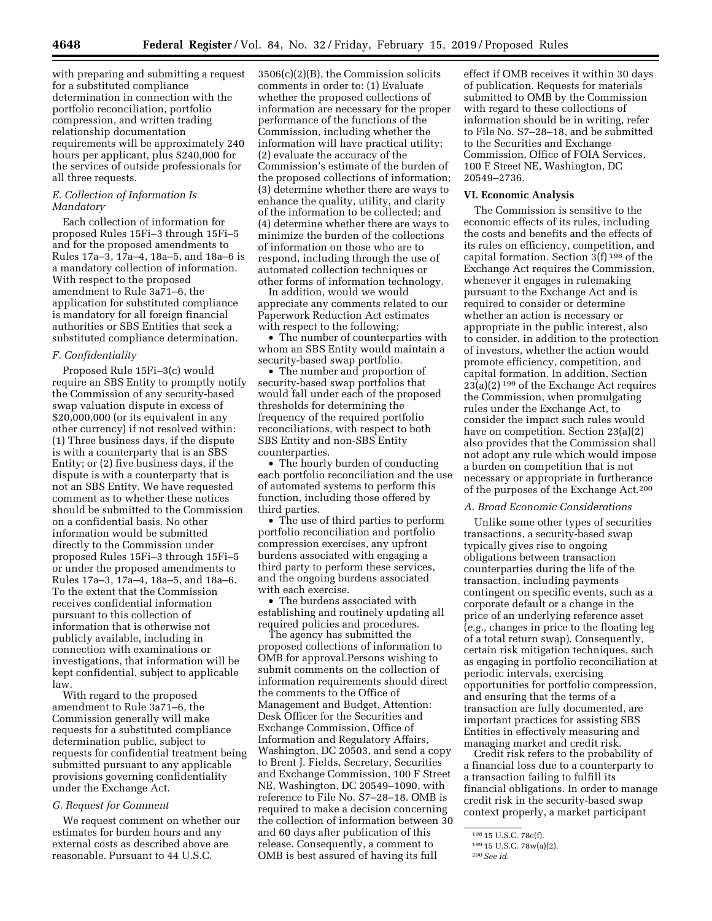with preparing and submitting a request for a substituted compliance determination in connection with the portfolio reconciliation, portfolio compression, and written trading relationship documentation requirements will be approximately 240 hours per applicant, plus \$240,000 for the services of outside professionals for all three requests.

### *E. Collection of Information Is Mandatory*

Each collection of information for proposed Rules 15Fi–3 through 15Fi–5 and for the proposed amendments to Rules 17a–3, 17a–4, 18a–5, and 18a–6 is a mandatory collection of information. With respect to the proposed amendment to Rule 3a71–6, the application for substituted compliance is mandatory for all foreign financial authorities or SBS Entities that seek a substituted compliance determination.

#### *F. Confidentiality*

Proposed Rule 15Fi–3(c) would require an SBS Entity to promptly notify the Commission of any security-based swap valuation dispute in excess of \$20,000,000 (or its equivalent in any other currency) if not resolved within: (1) Three business days, if the dispute is with a counterparty that is an SBS Entity; or (2) five business days, if the dispute is with a counterparty that is not an SBS Entity. We have requested comment as to whether these notices should be submitted to the Commission on a confidential basis. No other information would be submitted directly to the Commission under proposed Rules 15Fi–3 through 15Fi–5 or under the proposed amendments to Rules 17a–3, 17a–4, 18a–5, and 18a–6. To the extent that the Commission receives confidential information pursuant to this collection of information that is otherwise not publicly available, including in connection with examinations or investigations, that information will be kept confidential, subject to applicable law.

With regard to the proposed amendment to Rule 3a71–6, the Commission generally will make requests for a substituted compliance determination public, subject to requests for confidential treatment being submitted pursuant to any applicable provisions governing confidentiality under the Exchange Act.

#### *G. Request for Comment*

We request comment on whether our estimates for burden hours and any external costs as described above are reasonable. Pursuant to 44 U.S.C.

3506(c)(2)(B), the Commission solicits comments in order to: (1) Evaluate whether the proposed collections of information are necessary for the proper performance of the functions of the Commission, including whether the information will have practical utility; (2) evaluate the accuracy of the Commission's estimate of the burden of the proposed collections of information; (3) determine whether there are ways to enhance the quality, utility, and clarity of the information to be collected; and (4) determine whether there are ways to minimize the burden of the collections of information on those who are to respond, including through the use of automated collection techniques or other forms of information technology.

In addition, would we would appreciate any comments related to our Paperwork Reduction Act estimates with respect to the following:

• The number of counterparties with whom an SBS Entity would maintain a security-based swap portfolio.

• The number and proportion of security-based swap portfolios that would fall under each of the proposed thresholds for determining the frequency of the required portfolio reconciliations, with respect to both SBS Entity and non-SBS Entity counterparties.

• The hourly burden of conducting each portfolio reconciliation and the use of automated systems to perform this function, including those offered by third parties.

• The use of third parties to perform portfolio reconciliation and portfolio compression exercises, any upfront burdens associated with engaging a third party to perform these services, and the ongoing burdens associated with each exercise.

• The burdens associated with establishing and routinely updating all required policies and procedures.

The agency has submitted the proposed collections of information to OMB for approval.Persons wishing to submit comments on the collection of information requirements should direct the comments to the Office of Management and Budget, Attention: Desk Officer for the Securities and Exchange Commission, Office of Information and Regulatory Affairs, Washington, DC 20503, and send a copy to Brent J. Fields, Secretary, Securities and Exchange Commission, 100 F Street NE, Washington, DC 20549–1090, with reference to File No. S7–28–18. OMB is required to make a decision concerning the collection of information between 30 and 60 days after publication of this release. Consequently, a comment to OMB is best assured of having its full

effect if OMB receives it within 30 days of publication. Requests for materials submitted to OMB by the Commission with regard to these collections of information should be in writing, refer to File No. S7–28–18, and be submitted to the Securities and Exchange Commission, Office of FOIA Services, 100 F Street NE, Washington, DC 20549–2736.

#### **VI. Economic Analysis**

The Commission is sensitive to the economic effects of its rules, including the costs and benefits and the effects of its rules on efficiency, competition, and capital formation. Section 3(f) 198 of the Exchange Act requires the Commission, whenever it engages in rulemaking pursuant to the Exchange Act and is required to consider or determine whether an action is necessary or appropriate in the public interest, also to consider, in addition to the protection of investors, whether the action would promote efficiency, competition, and capital formation. In addition, Section 23(a)(2) 199 of the Exchange Act requires the Commission, when promulgating rules under the Exchange Act, to consider the impact such rules would have on competition. Section 23(a)(2) also provides that the Commission shall not adopt any rule which would impose a burden on competition that is not necessary or appropriate in furtherance of the purposes of the Exchange Act.200

### *A. Broad Economic Considerations*

Unlike some other types of securities transactions, a security-based swap typically gives rise to ongoing obligations between transaction counterparties during the life of the transaction, including payments contingent on specific events, such as a corporate default or a change in the price of an underlying reference asset (*e.g.,* changes in price to the floating leg of a total return swap). Consequently, certain risk mitigation techniques, such as engaging in portfolio reconciliation at periodic intervals, exercising opportunities for portfolio compression, and ensuring that the terms of a transaction are fully documented, are important practices for assisting SBS Entities in effectively measuring and managing market and credit risk.

Credit risk refers to the probability of a financial loss due to a counterparty to a transaction failing to fulfill its financial obligations. In order to manage credit risk in the security-based swap context properly, a market participant

<sup>198</sup> 15 U.S.C. 78c(f).

<sup>199</sup> 15 U.S.C. 78w(a)(2).

<sup>200</sup>*See id.*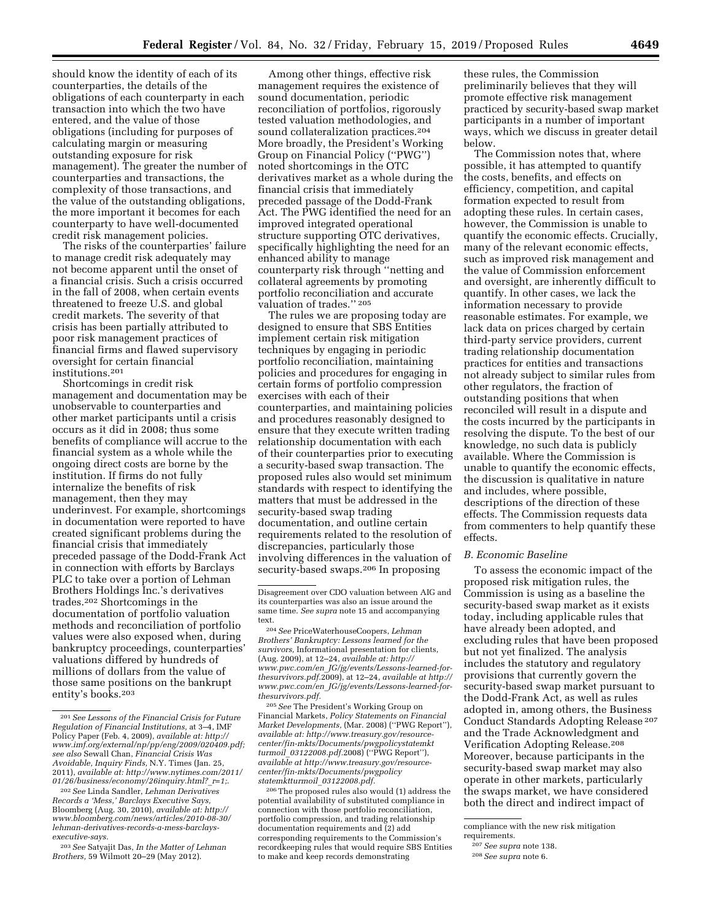should know the identity of each of its counterparties, the details of the obligations of each counterparty in each transaction into which the two have entered, and the value of those obligations (including for purposes of calculating margin or measuring outstanding exposure for risk management). The greater the number of counterparties and transactions, the complexity of those transactions, and the value of the outstanding obligations, the more important it becomes for each counterparty to have well-documented credit risk management policies.

The risks of the counterparties' failure to manage credit risk adequately may not become apparent until the onset of a financial crisis. Such a crisis occurred in the fall of 2008, when certain events threatened to freeze U.S. and global credit markets. The severity of that crisis has been partially attributed to poor risk management practices of financial firms and flawed supervisory oversight for certain financial institutions.201

Shortcomings in credit risk management and documentation may be unobservable to counterparties and other market participants until a crisis occurs as it did in 2008; thus some benefits of compliance will accrue to the financial system as a whole while the ongoing direct costs are borne by the institution. If firms do not fully internalize the benefits of risk management, then they may underinvest. For example, shortcomings in documentation were reported to have created significant problems during the financial crisis that immediately preceded passage of the Dodd-Frank Act in connection with efforts by Barclays PLC to take over a portion of Lehman Brothers Holdings Inc.'s derivatives trades.202 Shortcomings in the documentation of portfolio valuation methods and reconciliation of portfolio values were also exposed when, during bankruptcy proceedings, counterparties' valuations differed by hundreds of millions of dollars from the value of those same positions on the bankrupt entity's books.203

203*See* Satyajit Das, *In the Matter of Lehman Brothers,* 59 Wilmott 20–29 (May 2012).

Among other things, effective risk management requires the existence of sound documentation, periodic reconciliation of portfolios, rigorously tested valuation methodologies, and sound collateralization practices.<sup>204</sup> More broadly, the President's Working Group on Financial Policy (''PWG'') noted shortcomings in the OTC derivatives market as a whole during the financial crisis that immediately preceded passage of the Dodd-Frank Act. The PWG identified the need for an improved integrated operational structure supporting OTC derivatives, specifically highlighting the need for an enhanced ability to manage counterparty risk through ''netting and collateral agreements by promoting portfolio reconciliation and accurate valuation of trades.'' 205

The rules we are proposing today are designed to ensure that SBS Entities implement certain risk mitigation techniques by engaging in periodic portfolio reconciliation, maintaining policies and procedures for engaging in certain forms of portfolio compression exercises with each of their counterparties, and maintaining policies and procedures reasonably designed to ensure that they execute written trading relationship documentation with each of their counterparties prior to executing a security-based swap transaction. The proposed rules also would set minimum standards with respect to identifying the matters that must be addressed in the security-based swap trading documentation, and outline certain requirements related to the resolution of discrepancies, particularly those involving differences in the valuation of security-based swaps.<sup>206</sup> In proposing

205*See* The President's Working Group on Financial Markets, *Policy Statements on Financial Market Developments,* (Mar. 2008) (''PWG Report''), *available at: [http://www.treasury.gov/resource](http://www.treasury.gov/resource-center/fin-mkts/Documents/pwgpolicystatemktturmoil_03122008.pdf)[center/fin-mkts/Documents/pwgpolicystatemkt](http://www.treasury.gov/resource-center/fin-mkts/Documents/pwgpolicystatemktturmoil_03122008.pdf) turmoil*\_*[03122008.pdf.](http://www.treasury.gov/resource-center/fin-mkts/Documents/pwgpolicystatemktturmoil_03122008.pdf)*2008) (''PWG Report''), *available at [http://www.treasury.gov/resource](http://www.treasury.gov/resource-center/fin-mkts/Documents/pwgpolicystatemktturmoil_03122008.pdf)[center/fin-mkts/Documents/pwgpolicy](http://www.treasury.gov/resource-center/fin-mkts/Documents/pwgpolicystatemktturmoil_03122008.pdf) [statemktturmoil](http://www.treasury.gov/resource-center/fin-mkts/Documents/pwgpolicystatemktturmoil_03122008.pdf)*\_*03122008.pdf.* 

206The proposed rules also would (1) address the potential availability of substituted compliance in connection with those portfolio reconciliation, portfolio compression, and trading relationship documentation requirements and (2) add corresponding requirements to the Commission's recordkeeping rules that would require SBS Entities to make and keep records demonstrating

these rules, the Commission preliminarily believes that they will promote effective risk management practiced by security-based swap market participants in a number of important ways, which we discuss in greater detail below.

The Commission notes that, where possible, it has attempted to quantify the costs, benefits, and effects on efficiency, competition, and capital formation expected to result from adopting these rules. In certain cases, however, the Commission is unable to quantify the economic effects. Crucially, many of the relevant economic effects, such as improved risk management and the value of Commission enforcement and oversight, are inherently difficult to quantify. In other cases, we lack the information necessary to provide reasonable estimates. For example, we lack data on prices charged by certain third-party service providers, current trading relationship documentation practices for entities and transactions not already subject to similar rules from other regulators, the fraction of outstanding positions that when reconciled will result in a dispute and the costs incurred by the participants in resolving the dispute. To the best of our knowledge, no such data is publicly available. Where the Commission is unable to quantify the economic effects, the discussion is qualitative in nature and includes, where possible, descriptions of the direction of these effects. The Commission requests data from commenters to help quantify these effects.

# *B. Economic Baseline*

To assess the economic impact of the proposed risk mitigation rules, the Commission is using as a baseline the security-based swap market as it exists today, including applicable rules that have already been adopted, and excluding rules that have been proposed but not yet finalized. The analysis includes the statutory and regulatory provisions that currently govern the security-based swap market pursuant to the Dodd-Frank Act, as well as rules adopted in, among others, the Business Conduct Standards Adopting Release 207 and the Trade Acknowledgment and Verification Adopting Release.208 Moreover, because participants in the security-based swap market may also operate in other markets, particularly the swaps market, we have considered both the direct and indirect impact of

<sup>201</sup>*See Lessons of the Financial Crisis for Future Regulation of Financial Institutions,* at 3–4, IMF Policy Paper (Feb. 4, 2009), *available at: [http://](http://www.imf.org/external/np/pp/eng/2009/020409.pdf) [www.imf.org/external/np/pp/eng/2009/020409.pdf;](http://www.imf.org/external/np/pp/eng/2009/020409.pdf) see also* Sewall Chan, *Financial Crisis Was Avoidable, Inquiry Finds,* N.Y. Times (Jan. 25, 2011), *available at: [http://www.nytimes.com/2011/](http://www.nytimes.com/2011/01/26/business/economy/26inquiry.html?_r=1) 01/26/business/economy/26inquiry.html?*\_*r=1;*[.](http://www.nytimes.com/2011/01/26/business/economy/26inquiry.html?_r=1) 202*See* Linda Sandler, *Lehman Derivatives* 

*Records a 'Mess,' Barclays Executive Says,*  Bloomberg (Aug. 30, 2010), *available at: [http://](http://www.bloomberg.com/news/articles/2010-08-30/lehman-derivatives-records-a-mess-barclays-executive-says) [www.bloomberg.com/news/articles/2010-08-30/](http://www.bloomberg.com/news/articles/2010-08-30/lehman-derivatives-records-a-mess-barclays-executive-says)  [lehman-derivatives-records-a-mess-barclays](http://www.bloomberg.com/news/articles/2010-08-30/lehman-derivatives-records-a-mess-barclays-executive-says)[executive-says.](http://www.bloomberg.com/news/articles/2010-08-30/lehman-derivatives-records-a-mess-barclays-executive-says)* 

Disagreement over CDO valuation between AIG and its counterparties was also an issue around the same time. *See supra* note 15 and accompanying text.

<sup>204</sup>*See* PriceWaterhouseCoopers, *Lehman Brothers' Bankruptcy: Lessons learned for the survivors,* Informational presentation for clients, (Aug. 2009), at 12–24, *available at: [http://](http://www.pwc.com/en_JG/jg/events/Lessons-learned-for-thesurvivors.pdf) www.pwc.com/en*\_*[JG/jg/events/Lessons-learned-for](http://www.pwc.com/en_JG/jg/events/Lessons-learned-for-thesurvivors.pdf)[thesurvivors.pdf.](http://www.pwc.com/en_JG/jg/events/Lessons-learned-for-thesurvivors.pdf)*2009), at 12–24, *available at [http://](http://www.pwc.com/en_JG/jg/events/Lessons-learned-for-thesurvivors.pdf) www.pwc.com/en*\_*[JG/jg/events/Lessons-learned-for](http://www.pwc.com/en_JG/jg/events/Lessons-learned-for-thesurvivors.pdf)[thesurvivors.pdf.](http://www.pwc.com/en_JG/jg/events/Lessons-learned-for-thesurvivors.pdf)* 

compliance with the new risk mitigation

requirements.

<sup>207</sup>*See supra* note 138.

<sup>208</sup>*See supra* note 6.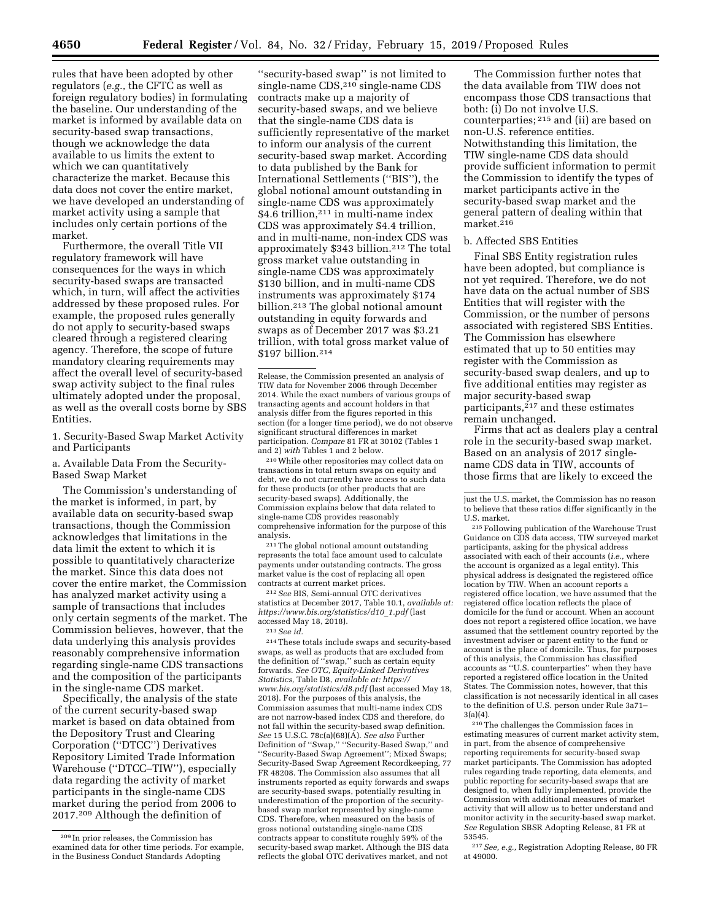rules that have been adopted by other regulators (*e.g.,* the CFTC as well as foreign regulatory bodies) in formulating the baseline. Our understanding of the market is informed by available data on security-based swap transactions, though we acknowledge the data available to us limits the extent to which we can quantitatively characterize the market. Because this data does not cover the entire market, we have developed an understanding of market activity using a sample that includes only certain portions of the market.

Furthermore, the overall Title VII regulatory framework will have consequences for the ways in which security-based swaps are transacted which, in turn, will affect the activities addressed by these proposed rules. For example, the proposed rules generally do not apply to security-based swaps cleared through a registered clearing agency. Therefore, the scope of future mandatory clearing requirements may affect the overall level of security-based swap activity subject to the final rules ultimately adopted under the proposal, as well as the overall costs borne by SBS Entities.

1. Security-Based Swap Market Activity and Participants

a. Available Data From the Security-Based Swap Market

The Commission's understanding of the market is informed, in part, by available data on security-based swap transactions, though the Commission acknowledges that limitations in the data limit the extent to which it is possible to quantitatively characterize the market. Since this data does not cover the entire market, the Commission has analyzed market activity using a sample of transactions that includes only certain segments of the market. The Commission believes, however, that the data underlying this analysis provides reasonably comprehensive information regarding single-name CDS transactions and the composition of the participants in the single-name CDS market.

Specifically, the analysis of the state of the current security-based swap market is based on data obtained from the Depository Trust and Clearing Corporation (''DTCC'') Derivatives Repository Limited Trade Information Warehouse (''DTCC–TIW''), especially data regarding the activity of market participants in the single-name CDS market during the period from 2006 to 2017.209 Although the definition of

''security-based swap'' is not limited to single-name CDS,<sup>210</sup> single-name CDS contracts make up a majority of security-based swaps, and we believe that the single-name CDS data is sufficiently representative of the market to inform our analysis of the current security-based swap market. According to data published by the Bank for International Settlements (''BIS''), the global notional amount outstanding in single-name CDS was approximately \$4.6 trillion, $211$  in multi-name index CDS was approximately \$4.4 trillion, and in multi-name, non-index CDS was approximately \$343 billion.212 The total gross market value outstanding in single-name CDS was approximately \$130 billion, and in multi-name CDS instruments was approximately \$174 billion.213 The global notional amount outstanding in equity forwards and swaps as of December 2017 was \$3.21 trillion, with total gross market value of \$197 billion.214

210While other repositories may collect data on transactions in total return swaps on equity and debt, we do not currently have access to such data for these products (or other products that are security-based swaps). Additionally, the Commission explains below that data related to single-name CDS provides reasonably comprehensive information for the purpose of this analysis.

211The global notional amount outstanding represents the total face amount used to calculate payments under outstanding contracts. The gross market value is the cost of replacing all open contracts at current market prices.

212*See* BIS, Semi-annual OTC derivatives statistics at December 2017, Table 10.1, *available at: [https://www.bis.org/statistics/d10](https://www.bis.org/statistics/d10_1.pdf)*\_*1.pdf* (last accessed May 18, 2018).

#### 213*See id.*

214These totals include swaps and security-based swaps, as well as products that are excluded from the definition of ''swap,'' such as certain equity forwards. *See OTC, Equity-Linked Derivatives Statistics,* Table D8, *available at: [https://](https://www.bis.org/statistics/d8.pdf) [www.bis.org/statistics/d8.pdf](https://www.bis.org/statistics/d8.pdf)* (last accessed May 18, 2018). For the purposes of this analysis, the Commission assumes that multi-name index CDS are not narrow-based index CDS and therefore, do not fall within the security-based swap definition. *See* 15 U.S.C. 78c(a)(68)(A). *See also* Further Definition of ''Swap,'' ''Security-Based Swap,'' and ''Security-Based Swap Agreement''; Mixed Swaps; Security-Based Swap Agreement Recordkeeping, 77 FR 48208. The Commission also assumes that all instruments reported as equity forwards and swaps are security-based swaps, potentially resulting in underestimation of the proportion of the securitybased swap market represented by single-name CDS. Therefore, when measured on the basis of gross notional outstanding single-name CDS contracts appear to constitute roughly 59% of the security-based swap market. Although the BIS data reflects the global OTC derivatives market, and not

The Commission further notes that the data available from TIW does not encompass those CDS transactions that both: (i) Do not involve U.S. counterparties; 215 and (ii) are based on non-U.S. reference entities. Notwithstanding this limitation, the TIW single-name CDS data should provide sufficient information to permit the Commission to identify the types of market participants active in the security-based swap market and the general pattern of dealing within that market. $216$ 

### b. Affected SBS Entities

Final SBS Entity registration rules have been adopted, but compliance is not yet required. Therefore, we do not have data on the actual number of SBS Entities that will register with the Commission, or the number of persons associated with registered SBS Entities. The Commission has elsewhere estimated that up to 50 entities may register with the Commission as security-based swap dealers, and up to five additional entities may register as major security-based swap participants,217 and these estimates remain unchanged.

Firms that act as dealers play a central role in the security-based swap market. Based on an analysis of 2017 singlename CDS data in TIW, accounts of those firms that are likely to exceed the

215Following publication of the Warehouse Trust Guidance on CDS data access, TIW surveyed market participants, asking for the physical address associated with each of their accounts (*i.e.,* where the account is organized as a legal entity). This physical address is designated the registered office location by TIW. When an account reports a registered office location, we have assumed that the registered office location reflects the place of domicile for the fund or account. When an account does not report a registered office location, we have assumed that the settlement country reported by the investment adviser or parent entity to the fund or account is the place of domicile. Thus, for purposes of this analysis, the Commission has classified accounts as ''U.S. counterparties'' when they have reported a registered office location in the United States. The Commission notes, however, that this classification is not necessarily identical in all cases to the definition of U.S. person under Rule 3a71–  $3(a)(4)$ .

 $^{\rm 216}\rm{The\ challenges}$  the Commission faces in estimating measures of current market activity stem, in part, from the absence of comprehensive reporting requirements for security-based swap market participants. The Commission has adopted rules regarding trade reporting, data elements, and public reporting for security-based swaps that are designed to, when fully implemented, provide the Commission with additional measures of market activity that will allow us to better understand and monitor activity in the security-based swap market. *See* Regulation SBSR Adopting Release, 81 FR at 53545.

217*See, e.g.,* Registration Adopting Release, 80 FR at 49000.

<sup>209</sup> In prior releases, the Commission has examined data for other time periods. For example, in the Business Conduct Standards Adopting

Release, the Commission presented an analysis of TIW data for November 2006 through December 2014. While the exact numbers of various groups of transacting agents and account holders in that analysis differ from the figures reported in this section (for a longer time period), we do not observe significant structural differences in market participation. *Compare* 81 FR at 30102 (Tables 1 and 2) *with* Tables 1 and 2 below.

just the U.S. market, the Commission has no reason to believe that these ratios differ significantly in the U.S. market.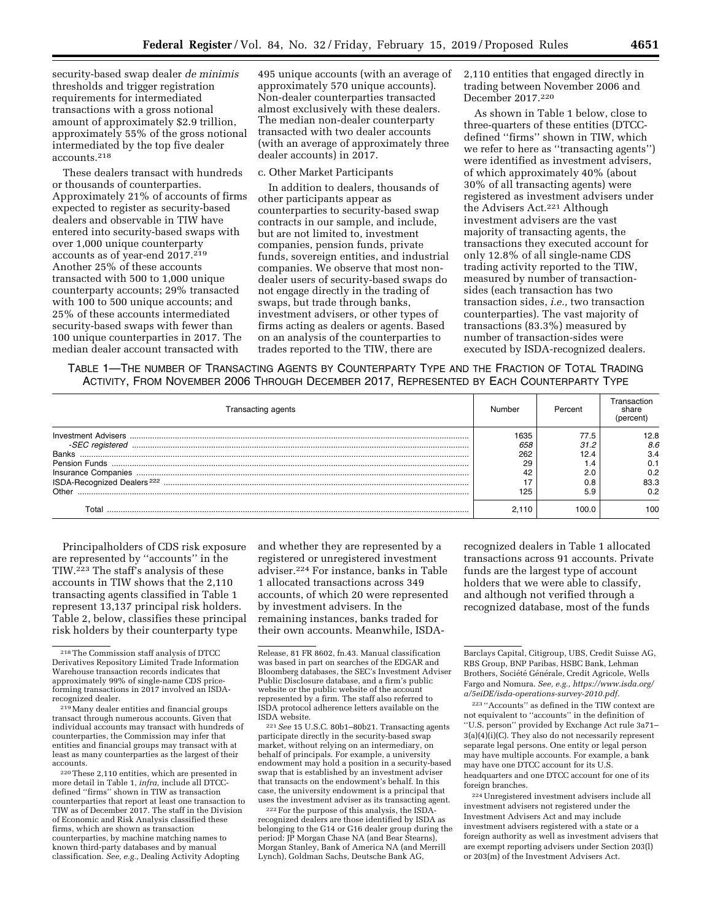security-based swap dealer *de minimis*  thresholds and trigger registration requirements for intermediated transactions with a gross notional amount of approximately \$2.9 trillion, approximately 55% of the gross notional intermediated by the top five dealer accounts.218

These dealers transact with hundreds or thousands of counterparties. Approximately 21% of accounts of firms expected to register as security-based dealers and observable in TIW have entered into security-based swaps with over 1,000 unique counterparty accounts as of year-end 2017.219 Another 25% of these accounts transacted with 500 to 1,000 unique counterparty accounts; 29% transacted with 100 to 500 unique accounts; and 25% of these accounts intermediated security-based swaps with fewer than 100 unique counterparties in 2017. The median dealer account transacted with

495 unique accounts (with an average of approximately 570 unique accounts). Non-dealer counterparties transacted almost exclusively with these dealers. The median non-dealer counterparty transacted with two dealer accounts (with an average of approximately three dealer accounts) in 2017.

### c. Other Market Participants

In addition to dealers, thousands of other participants appear as counterparties to security-based swap contracts in our sample, and include, but are not limited to, investment companies, pension funds, private funds, sovereign entities, and industrial companies. We observe that most nondealer users of security-based swaps do not engage directly in the trading of swaps, but trade through banks, investment advisers, or other types of firms acting as dealers or agents. Based on an analysis of the counterparties to trades reported to the TIW, there are

2,110 entities that engaged directly in trading between November 2006 and December 2017.220

As shown in Table 1 below, close to three-quarters of these entities (DTCCdefined ''firms'' shown in TIW, which we refer to here as ''transacting agents'') were identified as investment advisers, of which approximately 40% (about 30% of all transacting agents) were registered as investment advisers under the Advisers Act.221 Although investment advisers are the vast majority of transacting agents, the transactions they executed account for only 12.8% of all single-name CDS trading activity reported to the TIW, measured by number of transactionsides (each transaction has two transaction sides, *i.e.,* two transaction counterparties). The vast majority of transactions (83.3%) measured by number of transaction-sides were executed by ISDA-recognized dealers.

TABLE 1—THE NUMBER OF TRANSACTING AGENTS BY COUNTERPARTY TYPE AND THE FRACTION OF TOTAL TRADING ACTIVITY, FROM NOVEMBER 2006 THROUGH DECEMBER 2017, REPRESENTED BY EACH COUNTERPARTY TYPE

| Transacting agents                     | Number | Percent | ⊺ransaction<br>share |
|----------------------------------------|--------|---------|----------------------|
|                                        | 1635   | 77.5    | 12.8                 |
|                                        | 658    | 31.2    | 8.6                  |
| <b>Banks</b>                           | 262    | 12.4    | 3.4                  |
|                                        | 29     | . .4    |                      |
|                                        |        | 2.0     | 0.2                  |
| ISDA-Recognized Dealers <sup>222</sup> |        | 0.8     | 83.3                 |
| Other                                  | 125    | 5.9     | 0.2                  |
| Г∩tal                                  | 2.110  | 1000    | 100                  |

Principalholders of CDS risk exposure are represented by ''accounts'' in the TIW.223 The staff's analysis of these accounts in TIW shows that the 2,110 transacting agents classified in Table 1 represent 13,137 principal risk holders. Table 2, below, classifies these principal risk holders by their counterparty type

220These 2,110 entities, which are presented in more detail in Table 1, *infra,* include all DTCCdefined ''firms'' shown in TIW as transaction counterparties that report at least one transaction to TIW as of December 2017. The staff in the Division of Economic and Risk Analysis classified these firms, which are shown as transaction counterparties, by machine matching names to known third-party databases and by manual classification. *See, e.g.,* Dealing Activity Adopting

and whether they are represented by a registered or unregistered investment adviser.224 For instance, banks in Table 1 allocated transactions across 349 accounts, of which 20 were represented by investment advisers. In the remaining instances, banks traded for their own accounts. Meanwhile, ISDA-

<sup>221</sup> See 15 U.S.C. 80b1-80b21. Transacting agents participate directly in the security-based swap market, without relying on an intermediary, on behalf of principals. For example, a university endowment may hold a position in a security-based swap that is established by an investment adviser that transacts on the endowment's behalf. In this case, the university endowment is a principal that uses the investment adviser as its transacting agent.

222For the purpose of this analysis, the ISDArecognized dealers are those identified by ISDA as belonging to the G14 or G16 dealer group during the period: JP Morgan Chase NA (and Bear Stearns), Morgan Stanley, Bank of America NA (and Merrill Lynch), Goldman Sachs, Deutsche Bank AG,

recognized dealers in Table 1 allocated transactions across 91 accounts. Private funds are the largest type of account holders that we were able to classify, and although not verified through a recognized database, most of the funds

<sup>218</sup>The Commission staff analysis of DTCC Derivatives Repository Limited Trade Information Warehouse transaction records indicates that approximately 99% of single-name CDS priceforming transactions in 2017 involved an ISDA-<br>recognized dealer.

<sup>&</sup>lt;sup>219</sup> Many dealer entities and financial groups transact through numerous accounts. Given that individual accounts may transact with hundreds of counterparties, the Commission may infer that entities and financial groups may transact with at least as many counterparties as the largest of their accounts.

Release, 81 FR 8602, fn.43. Manual classification was based in part on searches of the EDGAR and Bloomberg databases, the SEC's Investment Adviser Public Disclosure database, and a firm's public website or the public website of the account represented by a firm. The staff also referred to ISDA protocol adherence letters available on the

Barclays Capital, Citigroup, UBS, Credit Suisse AG, RBS Group, BNP Paribas, HSBC Bank, Lehman Brothers, Société Générale, Credit Agricole, Wells Fargo and Nomura. *See, e.g., [https://www.isda.org/](https://www.isda.org/a/5eiDE/isda-operations-survey-2010.pdf)  [a/5eiDE/isda-operations-survey-2010.pdf.](https://www.isda.org/a/5eiDE/isda-operations-survey-2010.pdf)* 

<sup>223</sup> ''Accounts'' as defined in the TIW context are not equivalent to ''accounts'' in the definition of ''U.S. person'' provided by Exchange Act rule 3a71– 3(a)(4)(i)(C). They also do not necessarily represent separate legal persons. One entity or legal person may have multiple accounts. For example, a bank may have one DTCC account for its U.S. headquarters and one DTCC account for one of its foreign branches.

<sup>224</sup>Unregistered investment advisers include all investment advisers not registered under the Investment Advisers Act and may include investment advisers registered with a state or a foreign authority as well as investment advisers that are exempt reporting advisers under Section 203(l) or 203(m) of the Investment Advisers Act.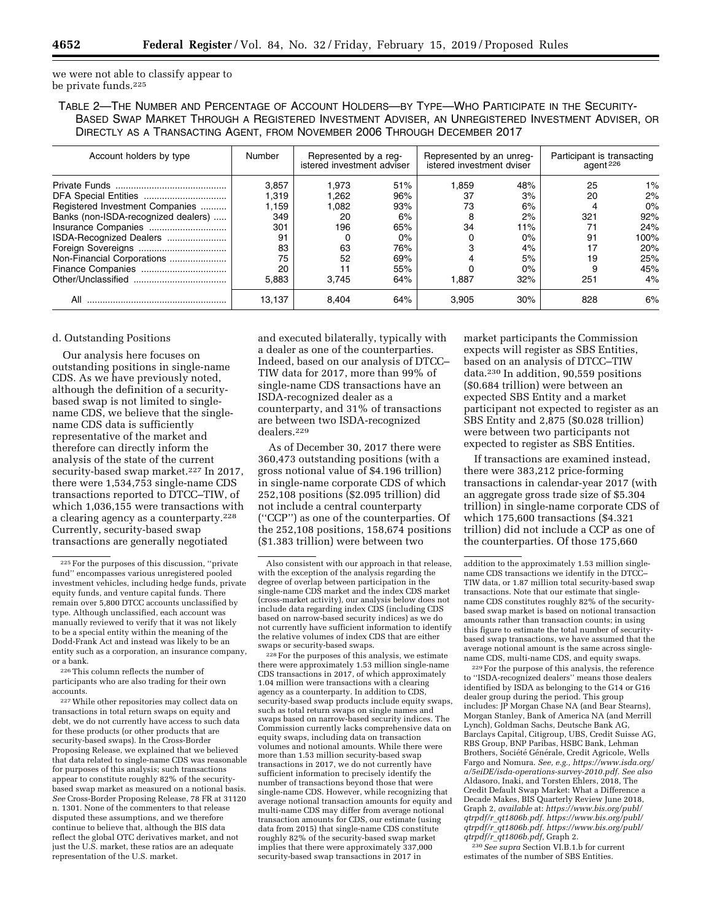we were not able to classify appear to be private funds.225

TABLE 2—THE NUMBER AND PERCENTAGE OF ACCOUNT HOLDERS—BY TYPE—WHO PARTICIPATE IN THE SECURITY-BASED SWAP MARKET THROUGH A REGISTERED INVESTMENT ADVISER, AN UNREGISTERED INVESTMENT ADVISER, OR DIRECTLY AS A TRANSACTING AGENT, FROM NOVEMBER 2006 THROUGH DECEMBER 2017

| Account holders by type             | Number | Represented by a reg-<br>istered investment adviser |       | Represented by an unreg-<br>istered investment dviser |       | Participant is transacting<br>agent <sup>226</sup> |       |
|-------------------------------------|--------|-----------------------------------------------------|-------|-------------------------------------------------------|-------|----------------------------------------------------|-------|
|                                     | 3.857  | 1.973                                               | 51%   | 1.859                                                 | 48%   | 25                                                 | $1\%$ |
|                                     | .319   | 1.262                                               | 96%   | 37                                                    | 3%    | 20                                                 | 2%    |
| Registered Investment Companies     | 1.159  | 1.082                                               | 93%   | 73                                                    | 6%    | 4                                                  | $0\%$ |
| Banks (non-ISDA-recognized dealers) | 349    | 20                                                  | 6%    | 8                                                     | 2%    | 321                                                | 92%   |
| Insurance Companies                 | 301    | 196                                                 | 65%   | 34                                                    | 11%   |                                                    | 24%   |
| ISDA-Recognized Dealers             | 91     |                                                     | $0\%$ |                                                       | $0\%$ | 91                                                 | 100%  |
|                                     | 83     | 63                                                  | 76%   |                                                       | 4%    | 17                                                 | 20%   |
| Non-Financial Corporations          | 75     | 52                                                  | 69%   |                                                       | 5%    | 19                                                 | 25%   |
|                                     | 20     | 11                                                  | 55%   |                                                       | 0%    | 9                                                  | 45%   |
|                                     | 5.883  | 3.745                                               | 64%   | 1,887                                                 | 32%   | 251                                                | 4%    |
| All                                 | 13.137 | 8.404                                               | 64%   | 3.905                                                 | 30%   | 828                                                | 6%    |

# d. Outstanding Positions

Our analysis here focuses on outstanding positions in single-name CDS. As we have previously noted, although the definition of a securitybased swap is not limited to singlename CDS, we believe that the singlename CDS data is sufficiently representative of the market and therefore can directly inform the analysis of the state of the current security-based swap market.<sup>227</sup> In 2017, there were 1,534,753 single-name CDS transactions reported to DTCC–TIW, of which 1,036,155 were transactions with a clearing agency as a counterparty.228 Currently, security-based swap transactions are generally negotiated

226This column reflects the number of participants who are also trading for their own accounts.

227While other repositories may collect data on transactions in total return swaps on equity and debt, we do not currently have access to such data for these products (or other products that are security-based swaps). In the Cross-Border Proposing Release, we explained that we believed that data related to single-name CDS was reasonable for purposes of this analysis; such transactions appear to constitute roughly 82% of the securitybased swap market as measured on a notional basis. *See* Cross-Border Proposing Release, 78 FR at 31120 n. 1301. None of the commenters to that release disputed these assumptions, and we therefore continue to believe that, although the BIS data reflect the global OTC derivatives market, and not just the U.S. market, these ratios are an adequate representation of the U.S. market.

and executed bilaterally, typically with a dealer as one of the counterparties. Indeed, based on our analysis of DTCC– TIW data for 2017, more than 99% of single-name CDS transactions have an ISDA-recognized dealer as a counterparty, and 31% of transactions are between two ISDA-recognized dealers.229

As of December 30, 2017 there were 360,473 outstanding positions (with a gross notional value of \$4.196 trillion) in single-name corporate CDS of which 252,108 positions (\$2.095 trillion) did not include a central counterparty (''CCP'') as one of the counterparties. Of the 252,108 positions, 158,674 positions (\$1.383 trillion) were between two

228For the purposes of this analysis, we estimate there were approximately 1.53 million single-name CDS transactions in 2017, of which approximately 1.04 million were transactions with a clearing agency as a counterparty. In addition to CDS, security-based swap products include equity swaps, such as total return swaps on single names and swaps based on narrow-based security indices. The Commission currently lacks comprehensive data on equity swaps, including data on transaction volumes and notional amounts. While there were more than 1.53 million security-based swap transactions in 2017, we do not currently have sufficient information to precisely identify the number of transactions beyond those that were single-name CDS. However, while recognizing that average notional transaction amounts for equity and multi-name CDS may differ from average notional transaction amounts for CDS, our estimate (using data from 2015) that single-name CDS constitute roughly 82% of the security-based swap market implies that there were approximately 337,000 security-based swap transactions in 2017 in

market participants the Commission expects will register as SBS Entities, based on an analysis of DTCC–TIW data.230 In addition, 90,559 positions (\$0.684 trillion) were between an expected SBS Entity and a market participant not expected to register as an SBS Entity and 2,875 (\$0.028 trillion) were between two participants not expected to register as SBS Entities.

If transactions are examined instead, there were 383,212 price-forming transactions in calendar-year 2017 (with an aggregate gross trade size of \$5.304 trillion) in single-name corporate CDS of which 175,600 transactions (\$4.321 trillion) did not include a CCP as one of the counterparties. Of those 175,660

229For the purpose of this analysis, the reference to ''ISDA-recognized dealers'' means those dealers identified by ISDA as belonging to the G14 or G16 dealer group during the period. This group includes: JP Morgan Chase NA (and Bear Stearns), Morgan Stanley, Bank of America NA (and Merrill Lynch), Goldman Sachs, Deutsche Bank AG, Barclays Capital, Citigroup, UBS, Credit Suisse AG, RBS Group, BNP Paribas, HSBC Bank, Lehman Brothers, Société Générale, Credit Agricole, Wells Fargo and Nomura. *See, e.g., [https://www.isda.org/](https://www.isda.org/a/5eiDE/isda-operations-survey-2010.pdf)  [a/5eiDE/isda-operations-survey-2010.pdf.](https://www.isda.org/a/5eiDE/isda-operations-survey-2010.pdf) See also*  Aldasoro, Inaki, and Torsten Ehlers, 2018, The Credit Default Swap Market: What a Difference a Decade Makes, BIS Quarterly Review June 2018, Graph 2, *available* at: *[https://www.bis.org/publ/](https://www.bis.org/publ/qtrpdf/r_qt1806b.pdf)  qtrpdf/r*\_*[qt1806b.pdf. https://www.bis.org/publ/](https://www.bis.org/publ/qtrpdf/r_qt1806b.pdf)  qtrpdf/r*\_*[qt1806b.pdf. https://www.bis.org/publ/](https://www.bis.org/publ/qtrpdf/r_qt1806b.pdf)  qtrpdf/r*\_*[qt1806b.pdf,](https://www.bis.org/publ/qtrpdf/r_qt1806b.pdf)* Graph 2.

230*See supra* Section VI.B.1.b for current estimates of the number of SBS Entities.

<sup>225</sup>For the purposes of this discussion, ''private fund'' encompasses various unregistered pooled investment vehicles, including hedge funds, private equity funds, and venture capital funds. There remain over 5,800 DTCC accounts unclassified by type. Although unclassified, each account was manually reviewed to verify that it was not likely to be a special entity within the meaning of the Dodd-Frank Act and instead was likely to be an entity such as a corporation, an insurance company, or a bank.

Also consistent with our approach in that release, with the exception of the analysis regarding the degree of overlap between participation in the single-name CDS market and the index CDS market (cross-market activity), our analysis below does not include data regarding index CDS (including CDS based on narrow-based security indices) as we do not currently have sufficient information to identify the relative volumes of index CDS that are either swaps or security-based swaps.

addition to the approximately 1.53 million singlename CDS transactions we identify in the DTCC– TIW data, or 1.87 million total security-based swap transactions. Note that our estimate that singlename CDS constitutes roughly 82% of the securitybased swap market is based on notional transaction amounts rather than transaction counts; in using this figure to estimate the total number of securitybased swap transactions, we have assumed that the average notional amount is the same across singlename CDS, multi-name CDS, and equity swaps.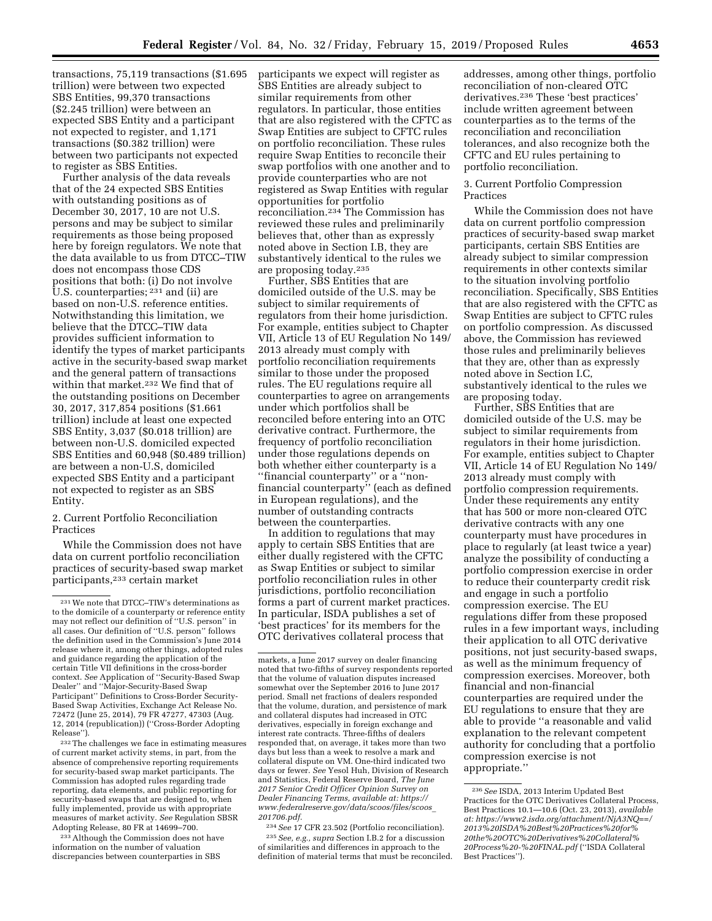transactions, 75,119 transactions (\$1.695 trillion) were between two expected SBS Entities, 99,370 transactions (\$2.245 trillion) were between an expected SBS Entity and a participant not expected to register, and 1,171 transactions (\$0.382 trillion) were between two participants not expected to register as SBS Entities.

Further analysis of the data reveals that of the 24 expected SBS Entities with outstanding positions as of December 30, 2017, 10 are not U.S. persons and may be subject to similar requirements as those being proposed here by foreign regulators. We note that the data available to us from DTCC–TIW does not encompass those CDS positions that both: (i) Do not involve U.S. counterparties; 231 and (ii) are based on non-U.S. reference entities. Notwithstanding this limitation, we believe that the DTCC–TIW data provides sufficient information to identify the types of market participants active in the security-based swap market and the general pattern of transactions within that market.<sup>232</sup> We find that of the outstanding positions on December 30, 2017, 317,854 positions (\$1.661 trillion) include at least one expected SBS Entity, 3,037 (\$0.018 trillion) are between non-U.S. domiciled expected SBS Entities and 60,948 (\$0.489 trillion) are between a non-U.S, domiciled expected SBS Entity and a participant not expected to register as an SBS Entity.

# 2. Current Portfolio Reconciliation Practices

While the Commission does not have data on current portfolio reconciliation practices of security-based swap market participants,233 certain market

232The challenges we face in estimating measures of current market activity stems, in part, from the absence of comprehensive reporting requirements for security-based swap market participants. The Commission has adopted rules regarding trade reporting, data elements, and public reporting for security-based swaps that are designed to, when fully implemented, provide us with appropriate measures of market activity. *See* Regulation SBSR Adopting Release, 80 FR at 14699–700.

233Although the Commission does not have information on the number of valuation discrepancies between counterparties in SBS

participants we expect will register as SBS Entities are already subject to similar requirements from other regulators. In particular, those entities that are also registered with the CFTC as Swap Entities are subject to CFTC rules on portfolio reconciliation. These rules require Swap Entities to reconcile their swap portfolios with one another and to provide counterparties who are not registered as Swap Entities with regular opportunities for portfolio reconciliation.234 The Commission has reviewed these rules and preliminarily believes that, other than as expressly noted above in Section I.B, they are substantively identical to the rules we are proposing today.235

Further, SBS Entities that are domiciled outside of the U.S. may be subject to similar requirements of regulators from their home jurisdiction. For example, entities subject to Chapter VII, Article 13 of EU Regulation No 149/ 2013 already must comply with portfolio reconciliation requirements similar to those under the proposed rules. The EU regulations require all counterparties to agree on arrangements under which portfolios shall be reconciled before entering into an OTC derivative contract. Furthermore, the frequency of portfolio reconciliation under those regulations depends on both whether either counterparty is a ''financial counterparty'' or a ''nonfinancial counterparty'' (each as defined in European regulations), and the number of outstanding contracts between the counterparties.

In addition to regulations that may apply to certain SBS Entities that are either dually registered with the CFTC as Swap Entities or subject to similar portfolio reconciliation rules in other jurisdictions, portfolio reconciliation forms a part of current market practices. In particular, ISDA publishes a set of 'best practices' for its members for the OTC derivatives collateral process that

234*See* 17 CFR 23.502 (Portfolio reconciliation). 235*See, e.g., supra* Section I.B.2 for a discussion of similarities and differences in approach to the definition of material terms that must be reconciled.

addresses, among other things, portfolio reconciliation of non-cleared OTC derivatives.236 These 'best practices' include written agreement between counterparties as to the terms of the reconciliation and reconciliation tolerances, and also recognize both the CFTC and EU rules pertaining to portfolio reconciliation.

## 3. Current Portfolio Compression Practices

While the Commission does not have data on current portfolio compression practices of security-based swap market participants, certain SBS Entities are already subject to similar compression requirements in other contexts similar to the situation involving portfolio reconciliation. Specifically, SBS Entities that are also registered with the CFTC as Swap Entities are subject to CFTC rules on portfolio compression. As discussed above, the Commission has reviewed those rules and preliminarily believes that they are, other than as expressly noted above in Section I.C, substantively identical to the rules we are proposing today.

Further, SBS Entities that are domiciled outside of the U.S. may be subject to similar requirements from regulators in their home jurisdiction. For example, entities subject to Chapter VII, Article 14 of EU Regulation No 149/ 2013 already must comply with portfolio compression requirements. Under these requirements any entity that has 500 or more non-cleared OTC derivative contracts with any one counterparty must have procedures in place to regularly (at least twice a year) analyze the possibility of conducting a portfolio compression exercise in order to reduce their counterparty credit risk and engage in such a portfolio compression exercise. The EU regulations differ from these proposed rules in a few important ways, including their application to all OTC derivative positions, not just security-based swaps, as well as the minimum frequency of compression exercises. Moreover, both financial and non-financial counterparties are required under the EU regulations to ensure that they are able to provide ''a reasonable and valid explanation to the relevant competent authority for concluding that a portfolio compression exercise is not appropriate.''

<sup>231</sup>We note that DTCC–TIW's determinations as to the domicile of a counterparty or reference entity may not reflect our definition of ''U.S. person'' in all cases. Our definition of ''U.S. person'' follows the definition used in the Commission's June 2014 release where it, among other things, adopted rules and guidance regarding the application of the certain Title VII definitions in the cross-border context. *See* Application of ''Security-Based Swap Dealer'' and ''Major-Security-Based Swap Participant" Definitions to Cross-Border Security-Based Swap Activities, Exchange Act Release No. 72472 (June 25, 2014), 79 FR 47277, 47303 (Aug. 12, 2014 (republication)) (''Cross-Border Adopting Release'').

markets, a June 2017 survey on dealer financing noted that two-fifths of survey respondents reported that the volume of valuation disputes increased somewhat over the September 2016 to June 2017 period. Small net fractions of dealers responded that the volume, duration, and persistence of mark and collateral disputes had increased in OTC derivatives, especially in foreign exchange and interest rate contracts. Three-fifths of dealers responded that, on average, it takes more than two days but less than a week to resolve a mark and collateral dispute on VM. One-third indicated two days or fewer. *See* Yesol Huh, Division of Research and Statistics, Federal Reserve Board, *The June 2017 Senior Credit Officer Opinion Survey on Dealer Financing Terms, available at: [https://](https://www.federalreserve.gov/data/scoos/files/scoos_201706.pdf) [www.federalreserve.gov/data/scoos/files/scoos](https://www.federalreserve.gov/data/scoos/files/scoos_201706.pdf)*\_ *[201706.pdf.](https://www.federalreserve.gov/data/scoos/files/scoos_201706.pdf)* 

<sup>236</sup>*See* ISDA, 2013 Interim Updated Best Practices for the OTC Derivatives Collateral Process, Best Practices 10.1—10.6 (Oct. 23, 2013), *available at: [https://www2.isda.org/attachment/NjA3NQ==/](https://www2.isda.org/attachment/NjA3NQ==/2013%20ISDA%20Best%20Practices%20for%20the%20OTC%20Derivatives%20Collateral%20Process%20-%20FINAL.pdf)  [2013%20ISDA%20Best%20Practices%20for%](https://www2.isda.org/attachment/NjA3NQ==/2013%20ISDA%20Best%20Practices%20for%20the%20OTC%20Derivatives%20Collateral%20Process%20-%20FINAL.pdf) [20the%20OTC%20Derivatives%20Collateral%](https://www2.isda.org/attachment/NjA3NQ==/2013%20ISDA%20Best%20Practices%20for%20the%20OTC%20Derivatives%20Collateral%20Process%20-%20FINAL.pdf) [20Process%20-%20FINAL.pdf](https://www2.isda.org/attachment/NjA3NQ==/2013%20ISDA%20Best%20Practices%20for%20the%20OTC%20Derivatives%20Collateral%20Process%20-%20FINAL.pdf)* (''ISDA Collateral Best Practices'').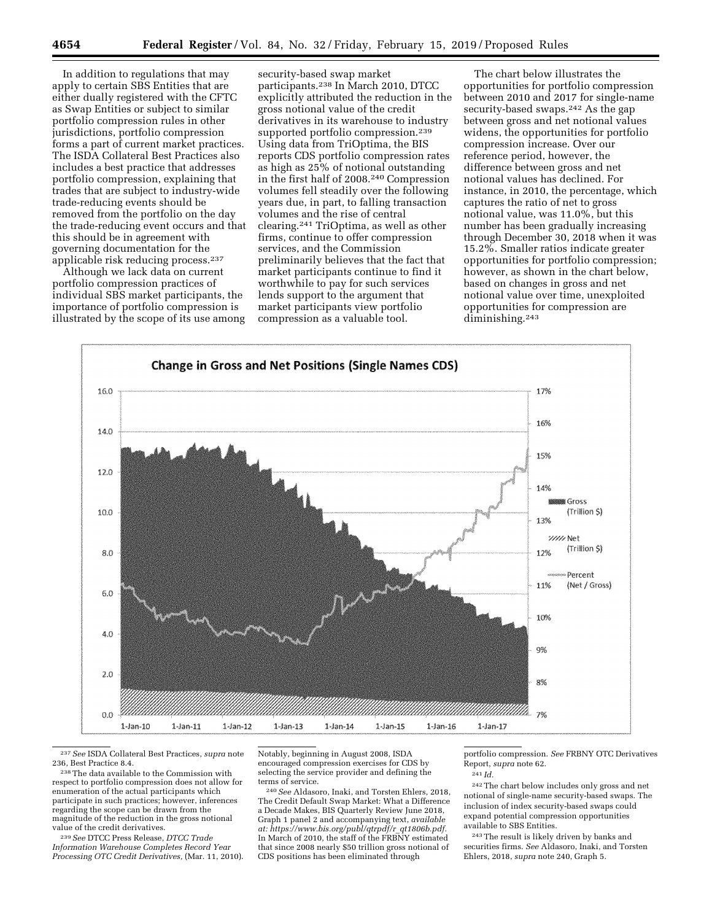In addition to regulations that may apply to certain SBS Entities that are either dually registered with the CFTC as Swap Entities or subject to similar portfolio compression rules in other jurisdictions, portfolio compression forms a part of current market practices. The ISDA Collateral Best Practices also includes a best practice that addresses portfolio compression, explaining that trades that are subject to industry-wide trade-reducing events should be removed from the portfolio on the day the trade-reducing event occurs and that this should be in agreement with governing documentation for the applicable risk reducing process.237

Although we lack data on current portfolio compression practices of individual SBS market participants, the importance of portfolio compression is illustrated by the scope of its use among

security-based swap market participants.238 In March 2010, DTCC explicitly attributed the reduction in the gross notional value of the credit derivatives in its warehouse to industry supported portfolio compression.<sup>239</sup> Using data from TriOptima, the BIS reports CDS portfolio compression rates as high as 25% of notional outstanding in the first half of 2008.240 Compression volumes fell steadily over the following years due, in part, to falling transaction volumes and the rise of central clearing.241 TriOptima, as well as other firms, continue to offer compression services, and the Commission preliminarily believes that the fact that market participants continue to find it worthwhile to pay for such services lends support to the argument that market participants view portfolio compression as a valuable tool.

The chart below illustrates the opportunities for portfolio compression between 2010 and 2017 for single-name security-based swaps.242 As the gap between gross and net notional values widens, the opportunities for portfolio compression increase. Over our reference period, however, the difference between gross and net notional values has declined. For instance, in 2010, the percentage, which captures the ratio of net to gross notional value, was 11.0%, but this number has been gradually increasing through December 30, 2018 when it was 15.2%. Smaller ratios indicate greater opportunities for portfolio compression; however, as shown in the chart below, based on changes in gross and net notional value over time, unexploited opportunities for compression are diminishing.243



237*See* ISDA Collateral Best Practices, *supra* note

<sup>238</sup> The data available to the Commission with respect to portfolio compression does not allow for enumeration of the actual participants which participate in such practices; however, inferences regarding the scope can be drawn from the magnitude of the reduction in the gross notional value of the credit derivatives.

239*See* DTCC Press Release, *DTCC Trade Information Warehouse Completes Record Year Processing OTC Credit Derivatives,* (Mar. 11, 2010). Notably, beginning in August 2008, ISDA encouraged compression exercises for CDS by selecting the service provider and defining the terms of service.

240*See* Aldasoro, Inaki, and Torsten Ehlers, 2018, The Credit Default Swap Market: What a Difference a Decade Makes, BIS Quarterly Review June 2018, Graph 1 panel 2 and accompanying text, *available at: [https://www.bis.org/publ/qtrpdf/r](https://www.bis.org/publ/qtrpdf/r_qt1806b.pdf)*\_*qt1806b.pdf.*  In March of 2010, the staff of the FRBNY estimated that since 2008 nearly \$50 trillion gross notional of CDS positions has been eliminated through

portfolio compression. *See* FRBNY OTC Derivatives Report, *supra* note 62.

242The chart below includes only gross and net notional of single-name security-based swaps. The inclusion of index security-based swaps could expand potential compression opportunities available to SBS Entities.

243The result is likely driven by banks and securities firms. *See* Aldasoro, Inaki, and Torsten Ehlers, 2018, *supra* note 240, Graph 5.

 $^{241}$ *Id.*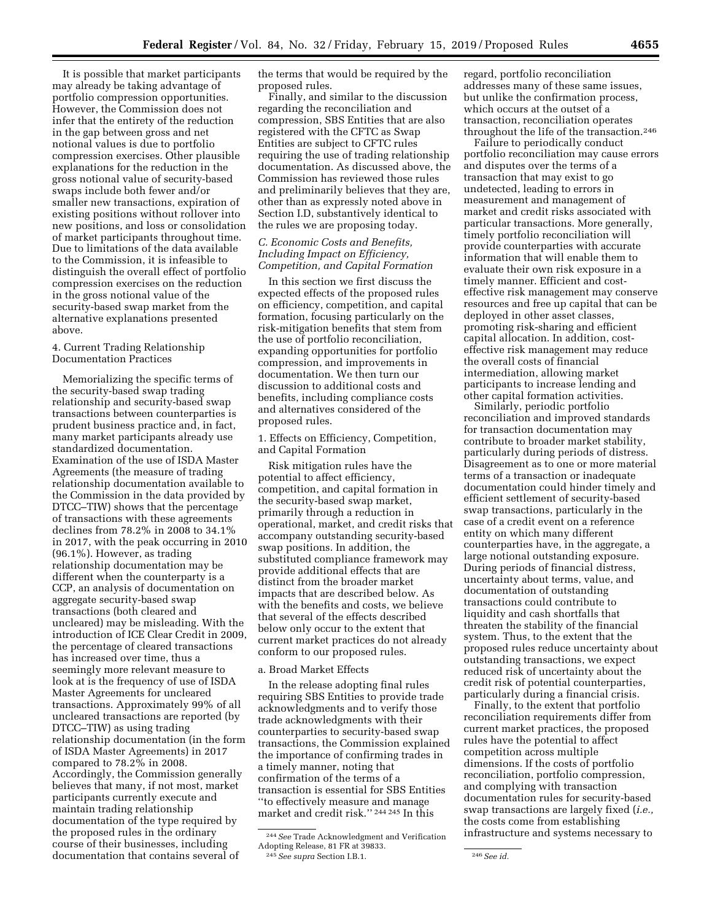It is possible that market participants may already be taking advantage of portfolio compression opportunities. However, the Commission does not infer that the entirety of the reduction in the gap between gross and net notional values is due to portfolio compression exercises. Other plausible explanations for the reduction in the gross notional value of security-based swaps include both fewer and/or smaller new transactions, expiration of existing positions without rollover into new positions, and loss or consolidation of market participants throughout time. Due to limitations of the data available to the Commission, it is infeasible to distinguish the overall effect of portfolio compression exercises on the reduction in the gross notional value of the security-based swap market from the alternative explanations presented above.

# 4. Current Trading Relationship Documentation Practices

Memorializing the specific terms of the security-based swap trading relationship and security-based swap transactions between counterparties is prudent business practice and, in fact, many market participants already use standardized documentation. Examination of the use of ISDA Master Agreements (the measure of trading relationship documentation available to the Commission in the data provided by DTCC–TIW) shows that the percentage of transactions with these agreements declines from 78.2% in 2008 to 34.1% in 2017, with the peak occurring in 2010 (96.1%). However, as trading relationship documentation may be different when the counterparty is a CCP, an analysis of documentation on aggregate security-based swap transactions (both cleared and uncleared) may be misleading. With the introduction of ICE Clear Credit in 2009, the percentage of cleared transactions has increased over time, thus a seemingly more relevant measure to look at is the frequency of use of ISDA Master Agreements for uncleared transactions. Approximately 99% of all uncleared transactions are reported (by DTCC–TIW) as using trading relationship documentation (in the form of ISDA Master Agreements) in 2017 compared to 78.2% in 2008. Accordingly, the Commission generally believes that many, if not most, market participants currently execute and maintain trading relationship documentation of the type required by the proposed rules in the ordinary course of their businesses, including documentation that contains several of

the terms that would be required by the proposed rules.

Finally, and similar to the discussion regarding the reconciliation and compression, SBS Entities that are also registered with the CFTC as Swap Entities are subject to CFTC rules requiring the use of trading relationship documentation. As discussed above, the Commission has reviewed those rules and preliminarily believes that they are, other than as expressly noted above in Section I.D, substantively identical to the rules we are proposing today.

# *C. Economic Costs and Benefits, Including Impact on Efficiency, Competition, and Capital Formation*

In this section we first discuss the expected effects of the proposed rules on efficiency, competition, and capital formation, focusing particularly on the risk-mitigation benefits that stem from the use of portfolio reconciliation, expanding opportunities for portfolio compression, and improvements in documentation. We then turn our discussion to additional costs and benefits, including compliance costs and alternatives considered of the proposed rules.

1. Effects on Efficiency, Competition, and Capital Formation

Risk mitigation rules have the potential to affect efficiency, competition, and capital formation in the security-based swap market, primarily through a reduction in operational, market, and credit risks that accompany outstanding security-based swap positions. In addition, the substituted compliance framework may provide additional effects that are distinct from the broader market impacts that are described below. As with the benefits and costs, we believe that several of the effects described below only occur to the extent that current market practices do not already conform to our proposed rules.

# a. Broad Market Effects

In the release adopting final rules requiring SBS Entities to provide trade acknowledgments and to verify those trade acknowledgments with their counterparties to security-based swap transactions, the Commission explained the importance of confirming trades in a timely manner, noting that confirmation of the terms of a transaction is essential for SBS Entities ''to effectively measure and manage market and credit risk.'' 244 245 In this

regard, portfolio reconciliation addresses many of these same issues, but unlike the confirmation process, which occurs at the outset of a transaction, reconciliation operates throughout the life of the transaction.<sup>246</sup>

Failure to periodically conduct portfolio reconciliation may cause errors and disputes over the terms of a transaction that may exist to go undetected, leading to errors in measurement and management of market and credit risks associated with particular transactions. More generally, timely portfolio reconciliation will provide counterparties with accurate information that will enable them to evaluate their own risk exposure in a timely manner. Efficient and costeffective risk management may conserve resources and free up capital that can be deployed in other asset classes, promoting risk-sharing and efficient capital allocation. In addition, costeffective risk management may reduce the overall costs of financial intermediation, allowing market participants to increase lending and other capital formation activities.

Similarly, periodic portfolio reconciliation and improved standards for transaction documentation may contribute to broader market stability, particularly during periods of distress. Disagreement as to one or more material terms of a transaction or inadequate documentation could hinder timely and efficient settlement of security-based swap transactions, particularly in the case of a credit event on a reference entity on which many different counterparties have, in the aggregate, a large notional outstanding exposure. During periods of financial distress, uncertainty about terms, value, and documentation of outstanding transactions could contribute to liquidity and cash shortfalls that threaten the stability of the financial system. Thus, to the extent that the proposed rules reduce uncertainty about outstanding transactions, we expect reduced risk of uncertainty about the credit risk of potential counterparties, particularly during a financial crisis.

Finally, to the extent that portfolio reconciliation requirements differ from current market practices, the proposed rules have the potential to affect competition across multiple dimensions. If the costs of portfolio reconciliation, portfolio compression, and complying with transaction documentation rules for security-based swap transactions are largely fixed (*i.e.,*  the costs come from establishing infrastructure and systems necessary to

<sup>244</sup>*See* Trade Acknowledgment and Verification Adopting Release, 81 FR at 39833. 245*See supra* Section I.B.1. 246*See id.*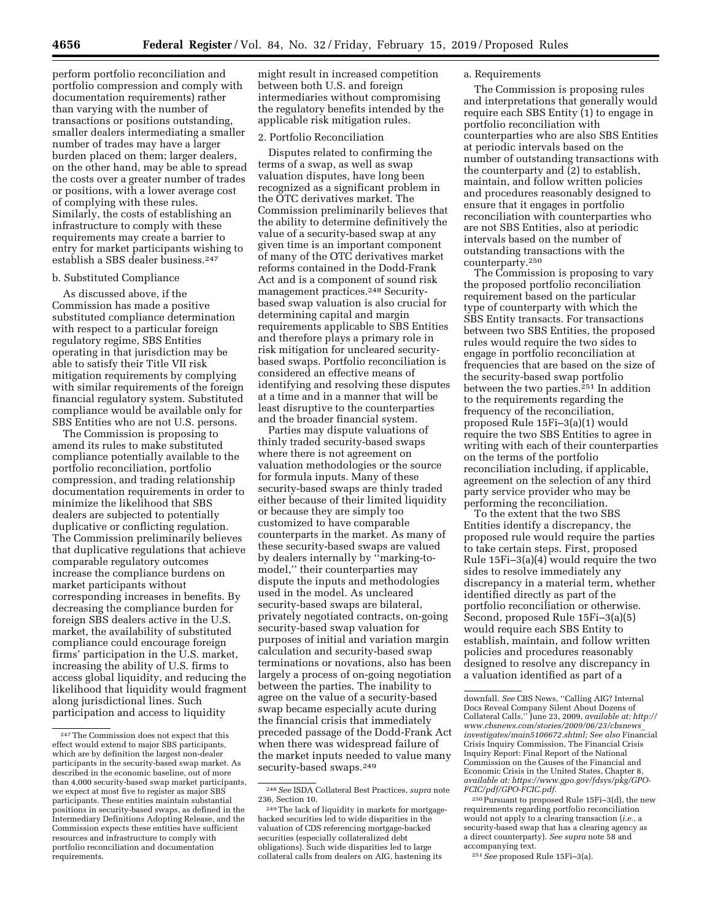perform portfolio reconciliation and portfolio compression and comply with documentation requirements) rather than varying with the number of transactions or positions outstanding, smaller dealers intermediating a smaller number of trades may have a larger burden placed on them; larger dealers, on the other hand, may be able to spread the costs over a greater number of trades or positions, with a lower average cost of complying with these rules. Similarly, the costs of establishing an infrastructure to comply with these requirements may create a barrier to entry for market participants wishing to establish a SBS dealer business.247

#### b. Substituted Compliance

As discussed above, if the Commission has made a positive substituted compliance determination with respect to a particular foreign regulatory regime, SBS Entities operating in that jurisdiction may be able to satisfy their Title VII risk mitigation requirements by complying with similar requirements of the foreign financial regulatory system. Substituted compliance would be available only for SBS Entities who are not U.S. persons.

The Commission is proposing to amend its rules to make substituted compliance potentially available to the portfolio reconciliation, portfolio compression, and trading relationship documentation requirements in order to minimize the likelihood that SBS dealers are subjected to potentially duplicative or conflicting regulation. The Commission preliminarily believes that duplicative regulations that achieve comparable regulatory outcomes increase the compliance burdens on market participants without corresponding increases in benefits. By decreasing the compliance burden for foreign SBS dealers active in the U.S. market, the availability of substituted compliance could encourage foreign firms' participation in the U.S. market, increasing the ability of U.S. firms to access global liquidity, and reducing the likelihood that liquidity would fragment along jurisdictional lines. Such participation and access to liquidity

might result in increased competition between both U.S. and foreign intermediaries without compromising the regulatory benefits intended by the applicable risk mitigation rules.

### 2. Portfolio Reconciliation

Disputes related to confirming the terms of a swap, as well as swap valuation disputes, have long been recognized as a significant problem in the OTC derivatives market. The Commission preliminarily believes that the ability to determine definitively the value of a security-based swap at any given time is an important component of many of the OTC derivatives market reforms contained in the Dodd-Frank Act and is a component of sound risk management practices.248 Securitybased swap valuation is also crucial for determining capital and margin requirements applicable to SBS Entities and therefore plays a primary role in risk mitigation for uncleared securitybased swaps. Portfolio reconciliation is considered an effective means of identifying and resolving these disputes at a time and in a manner that will be least disruptive to the counterparties and the broader financial system.

Parties may dispute valuations of thinly traded security-based swaps where there is not agreement on valuation methodologies or the source for formula inputs. Many of these security-based swaps are thinly traded either because of their limited liquidity or because they are simply too customized to have comparable counterparts in the market. As many of these security-based swaps are valued by dealers internally by ''marking-tomodel,'' their counterparties may dispute the inputs and methodologies used in the model. As uncleared security-based swaps are bilateral, privately negotiated contracts, on-going security-based swap valuation for purposes of initial and variation margin calculation and security-based swap terminations or novations, also has been largely a process of on-going negotiation between the parties. The inability to agree on the value of a security-based swap became especially acute during the financial crisis that immediately preceded passage of the Dodd-Frank Act when there was widespread failure of the market inputs needed to value many security-based swaps.<sup>249</sup>

249The lack of liquidity in markets for mortgagebacked securities led to wide disparities in the valuation of CDS referencing mortgage-backed securities (especially collateralized debt obligations). Such wide disparities led to large collateral calls from dealers on AIG, hastening its

## a. Requirements

The Commission is proposing rules and interpretations that generally would require each SBS Entity (1) to engage in portfolio reconciliation with counterparties who are also SBS Entities at periodic intervals based on the number of outstanding transactions with the counterparty and (2) to establish, maintain, and follow written policies and procedures reasonably designed to ensure that it engages in portfolio reconciliation with counterparties who are not SBS Entities, also at periodic intervals based on the number of outstanding transactions with the counterparty.250

The Commission is proposing to vary the proposed portfolio reconciliation requirement based on the particular type of counterparty with which the SBS Entity transacts. For transactions between two SBS Entities, the proposed rules would require the two sides to engage in portfolio reconciliation at frequencies that are based on the size of the security-based swap portfolio between the two parties.<sup>251</sup> In addition to the requirements regarding the frequency of the reconciliation, proposed Rule 15Fi–3(a)(1) would require the two SBS Entities to agree in writing with each of their counterparties on the terms of the portfolio reconciliation including, if applicable, agreement on the selection of any third party service provider who may be performing the reconciliation.

To the extent that the two SBS Entities identify a discrepancy, the proposed rule would require the parties to take certain steps. First, proposed Rule 15Fi–3(a)(4) would require the two sides to resolve immediately any discrepancy in a material term, whether identified directly as part of the portfolio reconciliation or otherwise. Second, proposed Rule 15Fi–3(a)(5) would require each SBS Entity to establish, maintain, and follow written policies and procedures reasonably designed to resolve any discrepancy in a valuation identified as part of a

251*See* proposed Rule 15Fi–3(a).

<sup>247</sup>The Commission does not expect that this effect would extend to major SBS participants, which are by definition the largest non-dealer participants in the security-based swap market. As described in the economic baseline, out of more than 4,000 security-based swap market participants, we expect at most five to register as major SBS participants. These entities maintain substantial positions in security-based swaps, as defined in the Intermediary Definitions Adopting Release, and the Commission expects these entities have sufficient resources and infrastructure to comply with portfolio reconciliation and documentation requirements.

<sup>248</sup>*See* ISDA Collateral Best Practices, *supra* note 236, Section 10.

downfall. *See* CBS News, ''Calling AIG? Internal Docs Reveal Company Silent About Dozens of Collateral Calls,'' June 23, 2009, *available at: [http://](http://www.cbsnews.com/stories/2009/06/23/cbsnews_investigates/main5106672.shtml) [www.cbsnews.com/stories/2009/06/23/cbsnews](http://www.cbsnews.com/stories/2009/06/23/cbsnews_investigates/main5106672.shtml)*\_ *[investigates/main5106672.shtml;](http://www.cbsnews.com/stories/2009/06/23/cbsnews_investigates/main5106672.shtml) See also* Financial Crisis Inquiry Commission, The Financial Crisis Inquiry Report: Final Report of the National Commission on the Causes of the Financial and Economic Crisis in the United States, Chapter 8, *available at: [https://www.gpo.gov/fdsys/pkg/GPO-](https://www.gpo.gov/fdsys/pkg/GPO-FCIC/pdf/GPO-FCIC.pdf)[FCIC/pdf/GPO-FCIC.pdf.](https://www.gpo.gov/fdsys/pkg/GPO-FCIC/pdf/GPO-FCIC.pdf)* 

<sup>250</sup>Pursuant to proposed Rule 15Fi–3(d), the new requirements regarding portfolio reconciliation would not apply to a clearing transaction (*i.e.,* a security-based swap that has a clearing agency as a direct counterparty). *See supra* note 58 and accompanying text.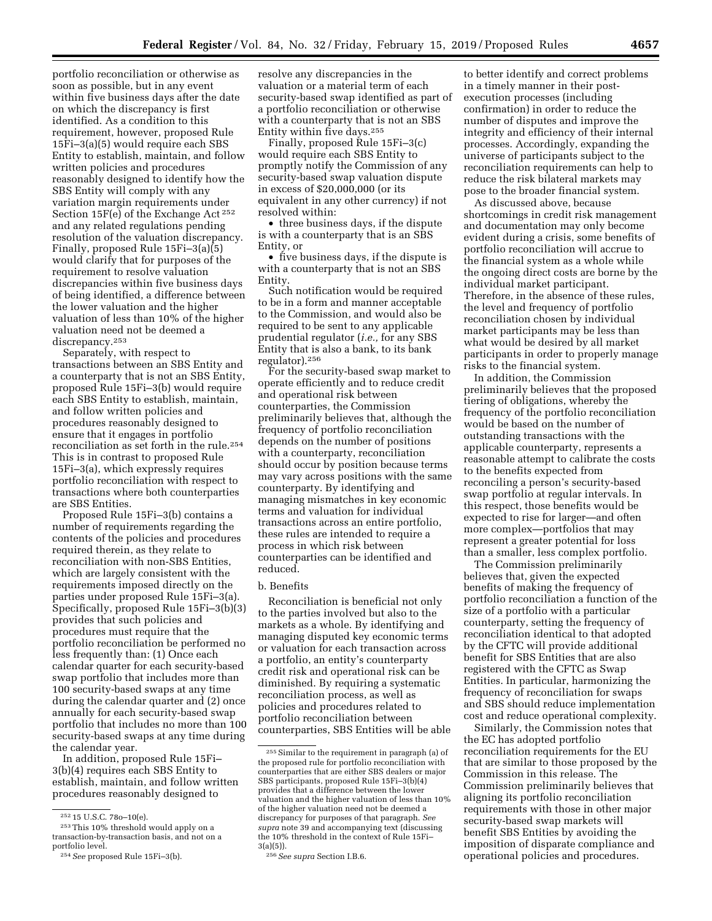portfolio reconciliation or otherwise as soon as possible, but in any event within five business days after the date on which the discrepancy is first identified. As a condition to this requirement, however, proposed Rule 15Fi–3(a)(5) would require each SBS Entity to establish, maintain, and follow written policies and procedures reasonably designed to identify how the SBS Entity will comply with any variation margin requirements under Section 15F(e) of the Exchange Act 252 and any related regulations pending resolution of the valuation discrepancy. Finally, proposed Rule 15Fi–3(a)(5) would clarify that for purposes of the requirement to resolve valuation discrepancies within five business days of being identified, a difference between the lower valuation and the higher valuation of less than 10% of the higher valuation need not be deemed a discrepancy.253

Separately, with respect to transactions between an SBS Entity and a counterparty that is not an SBS Entity, proposed Rule 15Fi–3(b) would require each SBS Entity to establish, maintain, and follow written policies and procedures reasonably designed to ensure that it engages in portfolio reconciliation as set forth in the rule.254 This is in contrast to proposed Rule 15Fi–3(a), which expressly requires portfolio reconciliation with respect to transactions where both counterparties are SBS Entities.

Proposed Rule 15Fi–3(b) contains a number of requirements regarding the contents of the policies and procedures required therein, as they relate to reconciliation with non-SBS Entities, which are largely consistent with the requirements imposed directly on the parties under proposed Rule 15Fi–3(a). Specifically, proposed Rule 15Fi–3(b)(3) provides that such policies and procedures must require that the portfolio reconciliation be performed no less frequently than: (1) Once each calendar quarter for each security-based swap portfolio that includes more than 100 security-based swaps at any time during the calendar quarter and (2) once annually for each security-based swap portfolio that includes no more than 100 security-based swaps at any time during the calendar year.

In addition, proposed Rule 15Fi– 3(b)(4) requires each SBS Entity to establish, maintain, and follow written procedures reasonably designed to

resolve any discrepancies in the valuation or a material term of each security-based swap identified as part of a portfolio reconciliation or otherwise with a counterparty that is not an SBS Entity within five days.255

Finally, proposed Rule 15Fi–3(c) would require each SBS Entity to promptly notify the Commission of any security-based swap valuation dispute in excess of \$20,000,000 (or its equivalent in any other currency) if not resolved within:

• three business days, if the dispute is with a counterparty that is an SBS Entity, or

• five business days, if the dispute is with a counterparty that is not an SBS Entity.

Such notification would be required to be in a form and manner acceptable to the Commission, and would also be required to be sent to any applicable prudential regulator (*i.e.,* for any SBS Entity that is also a bank, to its bank regulator).256

For the security-based swap market to operate efficiently and to reduce credit and operational risk between counterparties, the Commission preliminarily believes that, although the frequency of portfolio reconciliation depends on the number of positions with a counterparty, reconciliation should occur by position because terms may vary across positions with the same counterparty. By identifying and managing mismatches in key economic terms and valuation for individual transactions across an entire portfolio, these rules are intended to require a process in which risk between counterparties can be identified and reduced.

#### b. Benefits

Reconciliation is beneficial not only to the parties involved but also to the markets as a whole. By identifying and managing disputed key economic terms or valuation for each transaction across a portfolio, an entity's counterparty credit risk and operational risk can be diminished. By requiring a systematic reconciliation process, as well as policies and procedures related to portfolio reconciliation between counterparties, SBS Entities will be able

to better identify and correct problems in a timely manner in their postexecution processes (including confirmation) in order to reduce the number of disputes and improve the integrity and efficiency of their internal processes. Accordingly, expanding the universe of participants subject to the reconciliation requirements can help to reduce the risk bilateral markets may pose to the broader financial system.

As discussed above, because shortcomings in credit risk management and documentation may only become evident during a crisis, some benefits of portfolio reconciliation will accrue to the financial system as a whole while the ongoing direct costs are borne by the individual market participant. Therefore, in the absence of these rules, the level and frequency of portfolio reconciliation chosen by individual market participants may be less than what would be desired by all market participants in order to properly manage risks to the financial system.

In addition, the Commission preliminarily believes that the proposed tiering of obligations, whereby the frequency of the portfolio reconciliation would be based on the number of outstanding transactions with the applicable counterparty, represents a reasonable attempt to calibrate the costs to the benefits expected from reconciling a person's security-based swap portfolio at regular intervals. In this respect, those benefits would be expected to rise for larger—and often more complex—portfolios that may represent a greater potential for loss than a smaller, less complex portfolio.

The Commission preliminarily believes that, given the expected benefits of making the frequency of portfolio reconciliation a function of the size of a portfolio with a particular counterparty, setting the frequency of reconciliation identical to that adopted by the CFTC will provide additional benefit for SBS Entities that are also registered with the CFTC as Swap Entities. In particular, harmonizing the frequency of reconciliation for swaps and SBS should reduce implementation cost and reduce operational complexity.

Similarly, the Commission notes that the EC has adopted portfolio reconciliation requirements for the EU that are similar to those proposed by the Commission in this release. The Commission preliminarily believes that aligning its portfolio reconciliation requirements with those in other major security-based swap markets will benefit SBS Entities by avoiding the imposition of disparate compliance and operational policies and procedures.

<sup>252</sup> 15 U.S.C. 78o–10(e).

<sup>253</sup>This 10% threshold would apply on a transaction-by-transaction basis, and not on a portfolio level.

<sup>254</sup>*See* proposed Rule 15Fi–3(b).

<sup>255</sup>Similar to the requirement in paragraph (a) of the proposed rule for portfolio reconciliation with counterparties that are either SBS dealers or major SBS participants, proposed Rule 15Fi–3(b)(4) provides that a difference between the lower valuation and the higher valuation of less than 10% of the higher valuation need not be deemed a discrepancy for purposes of that paragraph. *See supra* note 39 and accompanying text (discussing the 10% threshold in the context of Rule 15Fi–  $3(a)(5)$ ).

<sup>256</sup>*See supra* Section I.B.6.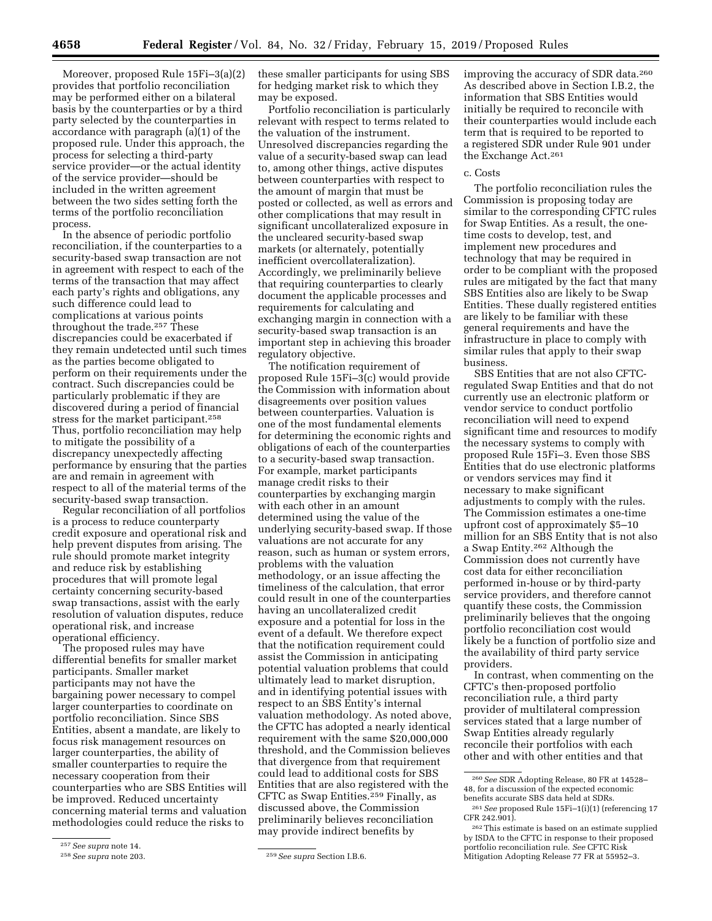Moreover, proposed Rule 15Fi–3(a)(2) provides that portfolio reconciliation may be performed either on a bilateral basis by the counterparties or by a third party selected by the counterparties in accordance with paragraph (a)(1) of the proposed rule. Under this approach, the process for selecting a third-party service provider—or the actual identity of the service provider—should be included in the written agreement between the two sides setting forth the terms of the portfolio reconciliation process.

In the absence of periodic portfolio reconciliation, if the counterparties to a security-based swap transaction are not in agreement with respect to each of the terms of the transaction that may affect each party's rights and obligations, any such difference could lead to complications at various points throughout the trade.257 These discrepancies could be exacerbated if they remain undetected until such times as the parties become obligated to perform on their requirements under the contract. Such discrepancies could be particularly problematic if they are discovered during a period of financial stress for the market participant.258 Thus, portfolio reconciliation may help to mitigate the possibility of a discrepancy unexpectedly affecting performance by ensuring that the parties are and remain in agreement with respect to all of the material terms of the security-based swap transaction.

Regular reconciliation of all portfolios is a process to reduce counterparty credit exposure and operational risk and help prevent disputes from arising. The rule should promote market integrity and reduce risk by establishing procedures that will promote legal certainty concerning security-based swap transactions, assist with the early resolution of valuation disputes, reduce operational risk, and increase operational efficiency.

The proposed rules may have differential benefits for smaller market participants. Smaller market participants may not have the bargaining power necessary to compel larger counterparties to coordinate on portfolio reconciliation. Since SBS Entities, absent a mandate, are likely to focus risk management resources on larger counterparties, the ability of smaller counterparties to require the necessary cooperation from their counterparties who are SBS Entities will be improved. Reduced uncertainty concerning material terms and valuation methodologies could reduce the risks to

these smaller participants for using SBS for hedging market risk to which they may be exposed.

Portfolio reconciliation is particularly relevant with respect to terms related to the valuation of the instrument. Unresolved discrepancies regarding the value of a security-based swap can lead to, among other things, active disputes between counterparties with respect to the amount of margin that must be posted or collected, as well as errors and other complications that may result in significant uncollateralized exposure in the uncleared security-based swap markets (or alternately, potentially inefficient overcollateralization). Accordingly, we preliminarily believe that requiring counterparties to clearly document the applicable processes and requirements for calculating and exchanging margin in connection with a security-based swap transaction is an important step in achieving this broader regulatory objective.

The notification requirement of proposed Rule 15Fi–3(c) would provide the Commission with information about disagreements over position values between counterparties. Valuation is one of the most fundamental elements for determining the economic rights and obligations of each of the counterparties to a security-based swap transaction. For example, market participants manage credit risks to their counterparties by exchanging margin with each other in an amount determined using the value of the underlying security-based swap. If those valuations are not accurate for any reason, such as human or system errors, problems with the valuation methodology, or an issue affecting the timeliness of the calculation, that error could result in one of the counterparties having an uncollateralized credit exposure and a potential for loss in the event of a default. We therefore expect that the notification requirement could assist the Commission in anticipating potential valuation problems that could ultimately lead to market disruption, and in identifying potential issues with respect to an SBS Entity's internal valuation methodology. As noted above, the CFTC has adopted a nearly identical requirement with the same \$20,000,000 threshold, and the Commission believes that divergence from that requirement could lead to additional costs for SBS Entities that are also registered with the CFTC as Swap Entities.<sup>259</sup> Finally, as discussed above, the Commission preliminarily believes reconciliation may provide indirect benefits by

improving the accuracy of SDR data.260 As described above in Section I.B.2, the information that SBS Entities would initially be required to reconcile with their counterparties would include each term that is required to be reported to a registered SDR under Rule 901 under the Exchange Act.261

#### c. Costs

The portfolio reconciliation rules the Commission is proposing today are similar to the corresponding CFTC rules for Swap Entities. As a result, the onetime costs to develop, test, and implement new procedures and technology that may be required in order to be compliant with the proposed rules are mitigated by the fact that many SBS Entities also are likely to be Swap Entities. These dually registered entities are likely to be familiar with these general requirements and have the infrastructure in place to comply with similar rules that apply to their swap business.

SBS Entities that are not also CFTCregulated Swap Entities and that do not currently use an electronic platform or vendor service to conduct portfolio reconciliation will need to expend significant time and resources to modify the necessary systems to comply with proposed Rule 15Fi–3. Even those SBS Entities that do use electronic platforms or vendors services may find it necessary to make significant adjustments to comply with the rules. The Commission estimates a one-time upfront cost of approximately \$5–10 million for an SBS Entity that is not also a Swap Entity.262 Although the Commission does not currently have cost data for either reconciliation performed in-house or by third-party service providers, and therefore cannot quantify these costs, the Commission preliminarily believes that the ongoing portfolio reconciliation cost would likely be a function of portfolio size and the availability of third party service providers.

In contrast, when commenting on the CFTC's then-proposed portfolio reconciliation rule, a third party provider of multilateral compression services stated that a large number of Swap Entities already regularly reconcile their portfolios with each other and with other entities and that

<sup>257</sup>*See supra* note 14.

<sup>258</sup>*See supra* note 203. 259*See supra* Section I.B.6.

<sup>260</sup>*See* SDR Adopting Release, 80 FR at 14528– 48, for a discussion of the expected economic benefits accurate SBS data held at SDRs.

<sup>261</sup>*See* proposed Rule 15Fi–1(i)(1) (referencing 17 CFR 242.901).

<sup>262</sup>This estimate is based on an estimate supplied by ISDA to the CFTC in response to their proposed portfolio reconciliation rule. *See* CFTC Risk Mitigation Adopting Release 77 FR at 55952–3.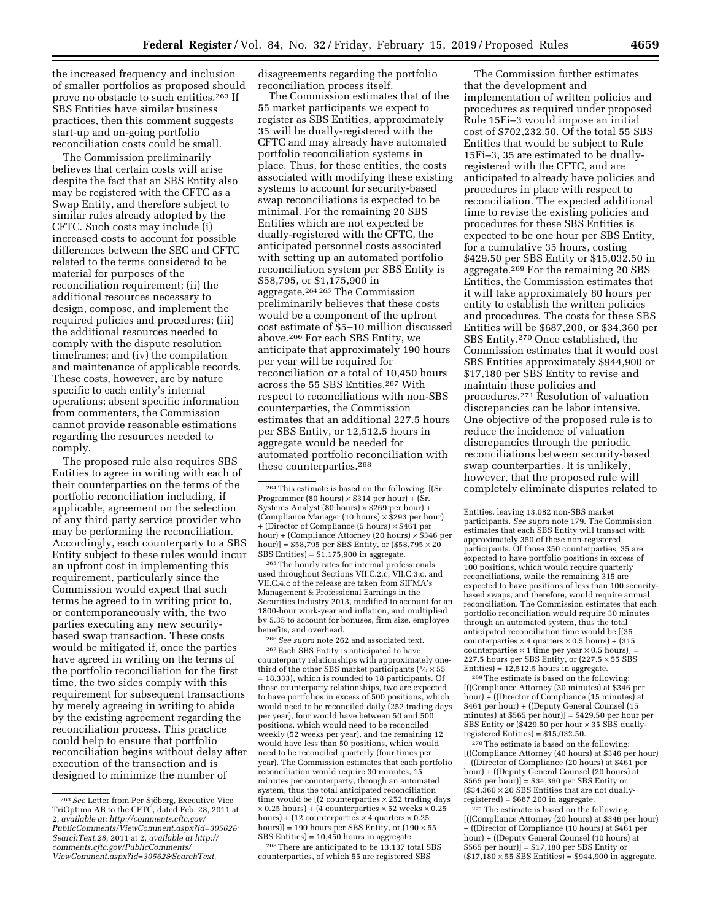the increased frequency and inclusion of smaller portfolios as proposed should prove no obstacle to such entities.263 If SBS Entities have similar business practices, then this comment suggests start-up and on-going portfolio reconciliation costs could be small.

The Commission preliminarily believes that certain costs will arise despite the fact that an SBS Entity also may be registered with the CFTC as a Swap Entity, and therefore subject to similar rules already adopted by the CFTC. Such costs may include (i) increased costs to account for possible differences between the SEC and CFTC related to the terms considered to be material for purposes of the reconciliation requirement; (ii) the additional resources necessary to design, compose, and implement the required policies and procedures; (iii) the additional resources needed to comply with the dispute resolution timeframes; and (iv) the compilation and maintenance of applicable records. These costs, however, are by nature specific to each entity's internal operations; absent specific information from commenters, the Commission cannot provide reasonable estimations regarding the resources needed to comply.

The proposed rule also requires SBS Entities to agree in writing with each of their counterparties on the terms of the portfolio reconciliation including, if applicable, agreement on the selection of any third party service provider who may be performing the reconciliation. Accordingly, each counterparty to a SBS Entity subject to these rules would incur an upfront cost in implementing this requirement, particularly since the Commission would expect that such terms be agreed to in writing prior to, or contemporaneously with, the two parties executing any new securitybased swap transaction. These costs would be mitigated if, once the parties have agreed in writing on the terms of the portfolio reconciliation for the first time, the two sides comply with this requirement for subsequent transactions by merely agreeing in writing to abide by the existing agreement regarding the reconciliation process. This practice could help to ensure that portfolio reconciliation begins without delay after execution of the transaction and is designed to minimize the number of

disagreements regarding the portfolio reconciliation process itself.

The Commission estimates that of the 55 market participants we expect to register as SBS Entities, approximately 35 will be dually-registered with the CFTC and may already have automated portfolio reconciliation systems in place. Thus, for these entities, the costs associated with modifying these existing systems to account for security-based swap reconciliations is expected to be minimal. For the remaining 20 SBS Entities which are not expected be dually-registered with the CFTC, the anticipated personnel costs associated with setting up an automated portfolio reconciliation system per SBS Entity is \$58,795, or \$1,175,900 in aggregate.264 265 The Commission preliminarily believes that these costs would be a component of the upfront cost estimate of \$5–10 million discussed above.266 For each SBS Entity, we anticipate that approximately 190 hours per year will be required for reconciliation or a total of 10,450 hours across the 55 SBS Entities.  $^{267}\rm$  With respect to reconciliations with non-SBS counterparties, the Commission estimates that an additional 227.5 hours per SBS Entity, or 12,512.5 hours in aggregate would be needed for automated portfolio reconciliation with these counterparties.268

265The hourly rates for internal professionals used throughout Sections VII.C.2.c, VII.C.3.c, and VII.C.4.c of the release are taken from SIFMA's Management & Professional Earnings in the Securities Industry 2013, modified to account for an 1800-hour work-year and inflation, and multiplied by 5.35 to account for bonuses, firm size, employee benefits, and overhead.

266*See supra* note 262 and associated text.

267Each SBS Entity is anticipated to have counterparty relationships with approximately onethird of the other SBS market participants ( $\frac{1}{3} \times 55$ ) = 18.333), which is rounded to 18 participants. Of those counterparty relationships, two are expected to have portfolios in excess of 500 positions, which would need to be reconciled daily (252 trading days per year), four would have between 50 and 500 positions, which would need to be reconciled weekly (52 weeks per year), and the remaining 12 would have less than 50 positions, which would need to be reconciled quarterly (four times per year). The Commission estimates that each portfolio reconciliation would require 30 minutes, 15 minutes per counterparty, through an automated system, thus the total anticipated reconciliation time would be  $[(2 \text{ counterparticles} \times 252 \text{ trading days}$  $\times$  0.25 hours) + (4 counterparties  $\times$  52 weeks  $\times$  0.25 hours) + (12 counterparties  $\times$  4 quarters  $\times$  0.25 hours)] = 190 hours per SBS Entity, or  $(190 \times 55)$ SBS Entities) = 10,450 hours in aggregate.

268There are anticipated to be 13,137 total SBS counterparties, of which 55 are registered SBS

The Commission further estimates that the development and implementation of written policies and procedures as required under proposed Rule 15Fi–3 would impose an initial cost of \$702,232.50. Of the total 55 SBS Entities that would be subject to Rule 15Fi–3, 35 are estimated to be duallyregistered with the CFTC, and are anticipated to already have policies and procedures in place with respect to reconciliation. The expected additional time to revise the existing policies and procedures for these SBS Entities is expected to be one hour per SBS Entity, for a cumulative 35 hours, costing \$429.50 per SBS Entity or \$15,032.50 in aggregate.269 For the remaining 20 SBS Entities, the Commission estimates that it will take approximately 80 hours per entity to establish the written policies and procedures. The costs for these SBS Entities will be \$687,200, or \$34,360 per SBS Entity.270 Once established, the Commission estimates that it would cost SBS Entities approximately \$944,900 or \$17,180 per SBS Entity to revise and maintain these policies and procedures.271 Resolution of valuation discrepancies can be labor intensive. One objective of the proposed rule is to reduce the incidence of valuation discrepancies through the periodic reconciliations between security-based swap counterparties. It is unlikely, however, that the proposed rule will completely eliminate disputes related to

269The estimate is based on the following: [((Compliance Attorney (30 minutes) at \$346 per hour) + ((Director of Compliance (15 minutes) at \$461 per hour) + ((Deputy General Counsel (15 minutes) at  $$565$  per hour)] =  $$429.50$  per hour per SBS Entity or  $(*429.50$  per hour  $\times 35$  SBS duallyregistered Entities) =  $$15,032.50$ .

270The estimate is based on the following: [((Compliance Attorney (40 hours) at \$346 per hour) + ((Director of Compliance (20 hours) at \$461 per hour) + ((Deputy General Counsel (20 hours) at \$565 per hour)] = \$34,360 per SBS Entity or  $(S34,360 \times 20$  SBS Entities that are not duallyregistered) = \$687,200 in aggregate.

271The estimate is based on the following: [((Compliance Attorney (20 hours) at \$346 per hour) + ((Director of Compliance (10 hours) at \$461 per hour) + ((Deputy General Counsel (10 hours) at \$565 per hour)] = \$17,180 per SBS Entity or  $($17,180 \times 55 \text{ SBS}$  Entities) = \$944,900 in aggregate.

<sup>&</sup>lt;sup>263</sup> See Letter from Per Sjöberg, Executive Vice TriOptima AB to the CFTC, dated Feb. 28, 2011 at 2, *available at: [http://comments.cftc.gov/](http://comments.cftc.gov/PublicComments/ViewComment.aspx?id=30562&SearchText.28) [PublicComments/ViewComment.aspx?id=30562&](http://comments.cftc.gov/PublicComments/ViewComment.aspx?id=30562&SearchText.28) [SearchText.28,](http://comments.cftc.gov/PublicComments/ViewComment.aspx?id=30562&SearchText.28)* 2011 at 2, *available at [http://](http://comments.cftc.gov/PublicComments/ViewComment.aspx?id=30562&SearchText) [comments.cftc.gov/PublicComments/](http://comments.cftc.gov/PublicComments/ViewComment.aspx?id=30562&SearchText)  [ViewComment.aspx?id=30562&SearchText.](http://comments.cftc.gov/PublicComments/ViewComment.aspx?id=30562&SearchText)* 

<sup>264</sup>This estimate is based on the following: [(Sr. Programmer (80 hours)  $\times\$314$  per hour) + (Sr. Systems Analyst (80 hours)  $\times$  \$269 per hour) + (Compliance Manager (10 hours) × \$293 per hour) + (Director of Compliance (5 hours) × \$461 per hour) + (Compliance Attorney (20 hours) × \$346 per hour)] =  $$58,795$  per SBS Entity, or  $($58,795 \times 20$ SBS Entities) = \$1,175,900 in aggregate.

Entities, leaving 13,082 non-SBS market participants. *See supra* note 179. The Commission estimates that each SBS Entity will transact with approximately 350 of these non-registered participants. Of those 350 counterparties, 35 are expected to have portfolio positions in excess of 100 positions, which would require quarterly reconciliations, while the remaining 315 are expected to have positions of less than 100 securitybased swaps, and therefore, would require annual reconciliation. The Commission estimates that each portfolio reconciliation would require 30 minutes through an automated system, thus the total anticipated reconciliation time would be [(35 counterparties × 4 quarters × 0.5 hours) + (315 counterparties  $\times$  1 time per year  $\times$  0.5 hours)] = 227.5 hours per SBS Entity, or  $(227.5 \times 55 \text{ S} \overline{\text{B}} \text{S}$ Entities) =  $12,512.5$  hours in aggregate.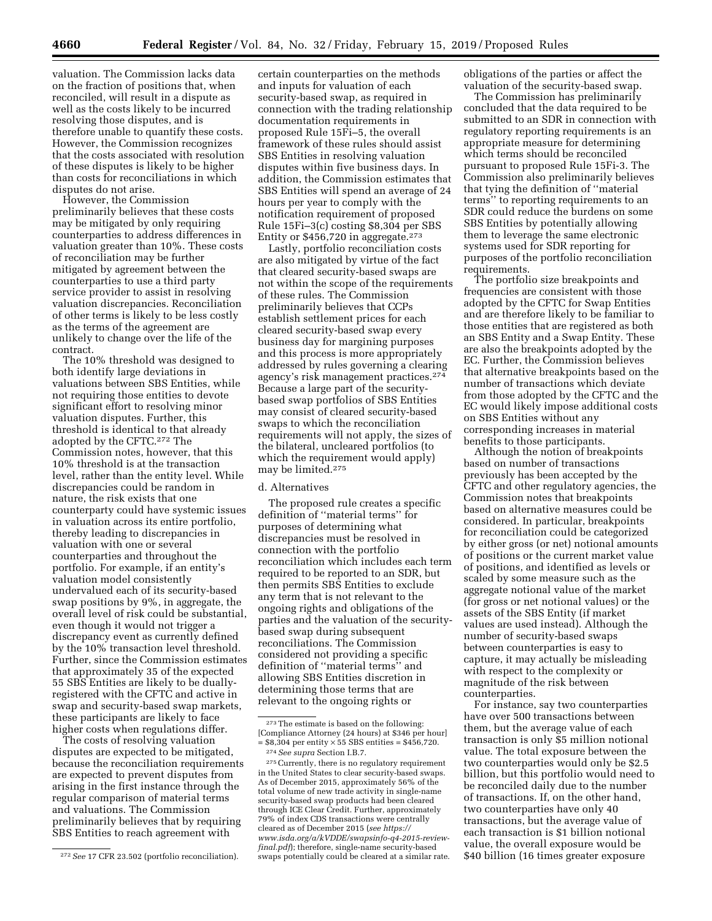valuation. The Commission lacks data on the fraction of positions that, when reconciled, will result in a dispute as well as the costs likely to be incurred resolving those disputes, and is therefore unable to quantify these costs. However, the Commission recognizes that the costs associated with resolution of these disputes is likely to be higher than costs for reconciliations in which disputes do not arise.

However, the Commission preliminarily believes that these costs may be mitigated by only requiring counterparties to address differences in valuation greater than 10%. These costs of reconciliation may be further mitigated by agreement between the counterparties to use a third party service provider to assist in resolving valuation discrepancies. Reconciliation of other terms is likely to be less costly as the terms of the agreement are unlikely to change over the life of the contract.

The 10% threshold was designed to both identify large deviations in valuations between SBS Entities, while not requiring those entities to devote significant effort to resolving minor valuation disputes. Further, this threshold is identical to that already adopted by the CFTC.272 The Commission notes, however, that this 10% threshold is at the transaction level, rather than the entity level. While discrepancies could be random in nature, the risk exists that one counterparty could have systemic issues in valuation across its entire portfolio, thereby leading to discrepancies in valuation with one or several counterparties and throughout the portfolio. For example, if an entity's valuation model consistently undervalued each of its security-based swap positions by 9%, in aggregate, the overall level of risk could be substantial, even though it would not trigger a discrepancy event as currently defined by the 10% transaction level threshold. Further, since the Commission estimates that approximately 35 of the expected 55 SBS Entities are likely to be duallyregistered with the CFTC and active in swap and security-based swap markets, these participants are likely to face higher costs when regulations differ.

The costs of resolving valuation disputes are expected to be mitigated, because the reconciliation requirements are expected to prevent disputes from arising in the first instance through the regular comparison of material terms and valuations. The Commission preliminarily believes that by requiring SBS Entities to reach agreement with

certain counterparties on the methods and inputs for valuation of each security-based swap, as required in connection with the trading relationship documentation requirements in proposed Rule 15Fi–5, the overall framework of these rules should assist SBS Entities in resolving valuation disputes within five business days. In addition, the Commission estimates that SBS Entities will spend an average of 24 hours per year to comply with the notification requirement of proposed Rule 15Fi–3(c) costing \$8,304 per SBS Entity or \$456,720 in aggregate.273

Lastly, portfolio reconciliation costs are also mitigated by virtue of the fact that cleared security-based swaps are not within the scope of the requirements of these rules. The Commission preliminarily believes that CCPs establish settlement prices for each cleared security-based swap every business day for margining purposes and this process is more appropriately addressed by rules governing a clearing agency's risk management practices.274 Because a large part of the securitybased swap portfolios of SBS Entities may consist of cleared security-based swaps to which the reconciliation requirements will not apply, the sizes of the bilateral, uncleared portfolios (to which the requirement would apply) may be limited.275

#### d. Alternatives

The proposed rule creates a specific definition of ''material terms'' for purposes of determining what discrepancies must be resolved in connection with the portfolio reconciliation which includes each term required to be reported to an SDR, but then permits SBS Entities to exclude any term that is not relevant to the ongoing rights and obligations of the parties and the valuation of the securitybased swap during subsequent reconciliations. The Commission considered not providing a specific definition of ''material terms'' and allowing SBS Entities discretion in determining those terms that are relevant to the ongoing rights or

obligations of the parties or affect the valuation of the security-based swap.

The Commission has preliminarily concluded that the data required to be submitted to an SDR in connection with regulatory reporting requirements is an appropriate measure for determining which terms should be reconciled pursuant to proposed Rule 15Fi-3. The Commission also preliminarily believes that tying the definition of ''material terms'' to reporting requirements to an SDR could reduce the burdens on some SBS Entities by potentially allowing them to leverage the same electronic systems used for SDR reporting for purposes of the portfolio reconciliation requirements.

The portfolio size breakpoints and frequencies are consistent with those adopted by the CFTC for Swap Entities and are therefore likely to be familiar to those entities that are registered as both an SBS Entity and a Swap Entity. These are also the breakpoints adopted by the EC. Further, the Commission believes that alternative breakpoints based on the number of transactions which deviate from those adopted by the CFTC and the EC would likely impose additional costs on SBS Entities without any corresponding increases in material benefits to those participants.

Although the notion of breakpoints based on number of transactions previously has been accepted by the CFTC and other regulatory agencies, the Commission notes that breakpoints based on alternative measures could be considered. In particular, breakpoints for reconciliation could be categorized by either gross (or net) notional amounts of positions or the current market value of positions, and identified as levels or scaled by some measure such as the aggregate notional value of the market (for gross or net notional values) or the assets of the SBS Entity (if market values are used instead). Although the number of security-based swaps between counterparties is easy to capture, it may actually be misleading with respect to the complexity or magnitude of the risk between counterparties.

For instance, say two counterparties have over 500 transactions between them, but the average value of each transaction is only \$5 million notional value. The total exposure between the two counterparties would only be \$2.5 billion, but this portfolio would need to be reconciled daily due to the number of transactions. If, on the other hand, two counterparties have only 40 transactions, but the average value of each transaction is \$1 billion notional value, the overall exposure would be \$40 billion (16 times greater exposure

<sup>272</sup>*See* 17 CFR 23.502 (portfolio reconciliation).

<sup>273</sup>The estimate is based on the following: [Compliance Attorney (24 hours) at \$346 per hour]  $= $8,304$  per entity  $\times 55$  SBS entities  $= $456,720$ . 274*See supra* Section I.B.7.

<sup>275</sup>Currently, there is no regulatory requirement in the United States to clear security-based swaps. As of December 2015, approximately 56% of the total volume of new trade activity in single-name security-based swap products had been cleared through ICE Clear Credit. Further, approximately 79% of index CDS transactions were centrally cleared as of December 2015 (*see [https://](https://www.isda.org/a/kVDDE/swapsinfo-q4-2015-review-final.pdf) [www.isda.org/a/kVDDE/swapsinfo-q4-2015-review](https://www.isda.org/a/kVDDE/swapsinfo-q4-2015-review-final.pdf)[final.pdf](https://www.isda.org/a/kVDDE/swapsinfo-q4-2015-review-final.pdf)*); therefore, single-name security-based swaps potentially could be cleared at a similar rate.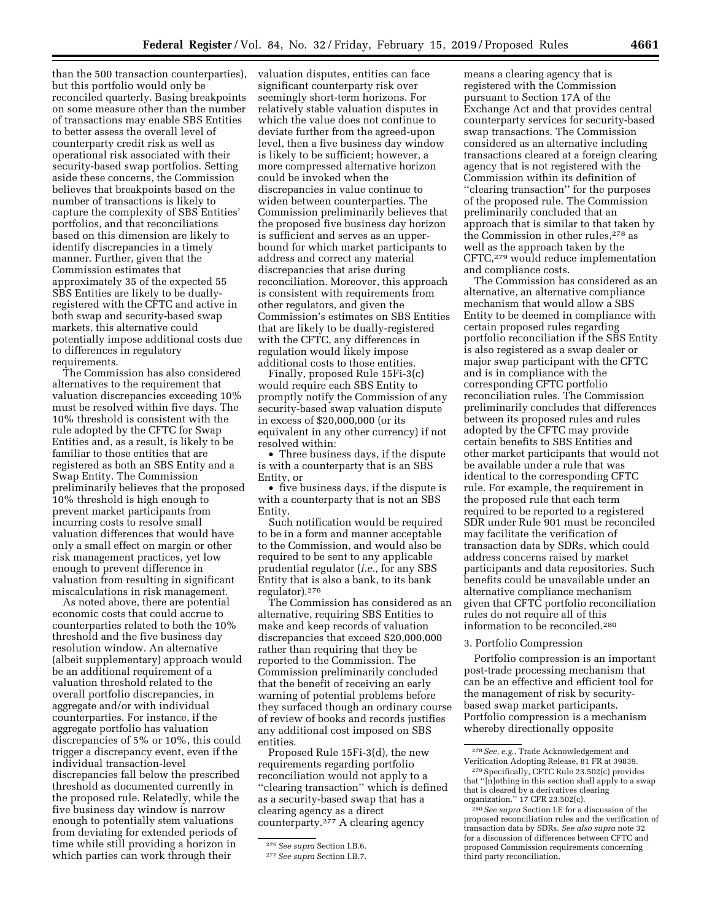than the 500 transaction counterparties), but this portfolio would only be reconciled quarterly. Basing breakpoints on some measure other than the number of transactions may enable SBS Entities to better assess the overall level of counterparty credit risk as well as operational risk associated with their security-based swap portfolios. Setting aside these concerns, the Commission believes that breakpoints based on the number of transactions is likely to capture the complexity of SBS Entities' portfolios, and that reconciliations based on this dimension are likely to identify discrepancies in a timely manner. Further, given that the Commission estimates that approximately 35 of the expected 55 SBS Entities are likely to be duallyregistered with the CFTC and active in both swap and security-based swap markets, this alternative could potentially impose additional costs due to differences in regulatory requirements.

The Commission has also considered alternatives to the requirement that valuation discrepancies exceeding 10% must be resolved within five days. The 10% threshold is consistent with the rule adopted by the CFTC for Swap Entities and, as a result, is likely to be familiar to those entities that are registered as both an SBS Entity and a Swap Entity. The Commission preliminarily believes that the proposed 10% threshold is high enough to prevent market participants from incurring costs to resolve small valuation differences that would have only a small effect on margin or other risk management practices, yet low enough to prevent difference in valuation from resulting in significant miscalculations in risk management.

As noted above, there are potential economic costs that could accrue to counterparties related to both the 10% threshold and the five business day resolution window. An alternative (albeit supplementary) approach would be an additional requirement of a valuation threshold related to the overall portfolio discrepancies, in aggregate and/or with individual counterparties. For instance, if the aggregate portfolio has valuation discrepancies of 5% or 10%, this could trigger a discrepancy event, even if the individual transaction-level discrepancies fall below the prescribed threshold as documented currently in the proposed rule. Relatedly, while the five business day window is narrow enough to potentially stem valuations from deviating for extended periods of time while still providing a horizon in which parties can work through their

valuation disputes, entities can face significant counterparty risk over seemingly short-term horizons. For relatively stable valuation disputes in which the value does not continue to deviate further from the agreed-upon level, then a five business day window is likely to be sufficient; however, a more compressed alternative horizon could be invoked when the discrepancies in value continue to widen between counterparties. The Commission preliminarily believes that the proposed five business day horizon is sufficient and serves as an upperbound for which market participants to address and correct any material discrepancies that arise during reconciliation. Moreover, this approach is consistent with requirements from other regulators, and given the Commission's estimates on SBS Entities that are likely to be dually-registered with the CFTC, any differences in regulation would likely impose additional costs to those entities.

Finally, proposed Rule 15Fi-3(c) would require each SBS Entity to promptly notify the Commission of any security-based swap valuation dispute in excess of \$20,000,000 (or its equivalent in any other currency) if not resolved within:

• Three business days, if the dispute is with a counterparty that is an SBS Entity, or

• five business days, if the dispute is with a counterparty that is not an SBS Entity.

Such notification would be required to be in a form and manner acceptable to the Commission, and would also be required to be sent to any applicable prudential regulator (*i.e.,* for any SBS Entity that is also a bank, to its bank regulator).276

The Commission has considered as an alternative, requiring SBS Entities to make and keep records of valuation discrepancies that exceed \$20,000,000 rather than requiring that they be reported to the Commission. The Commission preliminarily concluded that the benefit of receiving an early warning of potential problems before they surfaced though an ordinary course of review of books and records justifies any additional cost imposed on SBS entities.

Proposed Rule 15Fi-3(d), the new requirements regarding portfolio reconciliation would not apply to a ''clearing transaction'' which is defined as a security-based swap that has a clearing agency as a direct counterparty.277 A clearing agency

means a clearing agency that is registered with the Commission pursuant to Section 17A of the Exchange Act and that provides central counterparty services for security-based swap transactions. The Commission considered as an alternative including transactions cleared at a foreign clearing agency that is not registered with the Commission within its definition of ''clearing transaction'' for the purposes of the proposed rule. The Commission preliminarily concluded that an approach that is similar to that taken by the Commission in other rules,278 as well as the approach taken by the CFTC,279 would reduce implementation and compliance costs.

The Commission has considered as an alternative, an alternative compliance mechanism that would allow a SBS Entity to be deemed in compliance with certain proposed rules regarding portfolio reconciliation if the SBS Entity is also registered as a swap dealer or major swap participant with the CFTC and is in compliance with the corresponding CFTC portfolio reconciliation rules. The Commission preliminarily concludes that differences between its proposed rules and rules adopted by the CFTC may provide certain benefits to SBS Entities and other market participants that would not be available under a rule that was identical to the corresponding CFTC rule. For example, the requirement in the proposed rule that each term required to be reported to a registered SDR under Rule 901 must be reconciled may facilitate the verification of transaction data by SDRs, which could address concerns raised by market participants and data repositories. Such benefits could be unavailable under an alternative compliance mechanism given that CFTC portfolio reconciliation rules do not require all of this information to be reconciled.280

### 3. Portfolio Compression

Portfolio compression is an important post-trade processing mechanism that can be an effective and efficient tool for the management of risk by securitybased swap market participants. Portfolio compression is a mechanism whereby directionally opposite

<sup>276</sup>*See supra* Section I.B.6.

<sup>277</sup>*See supra* Section I.B.7.

<sup>278</sup>*See, e.g.,* Trade Acknowledgement and Verification Adopting Release, 81 FR at 39839.

<sup>279</sup>Specifically, CFTC Rule 23.502(c) provides that ''[n]othing in this section shall apply to a swap that is cleared by a derivatives clearing organization.'' 17 CFR 23.502(c).

<sup>280</sup>*See supra* Section I.E for a discussion of the proposed reconciliation rules and the verification of transaction data by SDRs. *See also supra* note 32 for a discussion of differences between CFTC and proposed Commission requirements concerning third party reconciliation.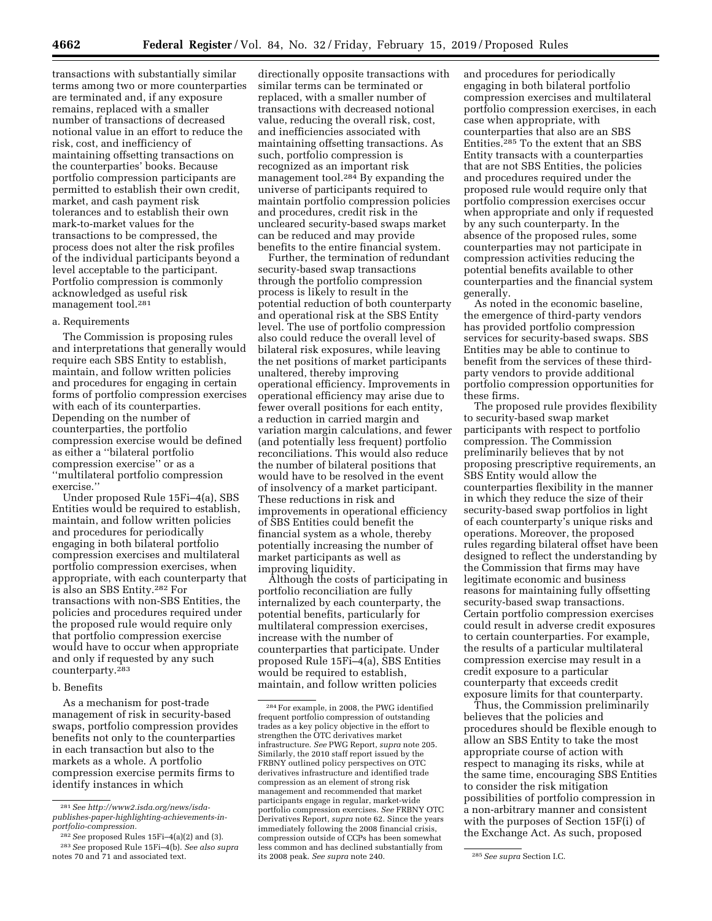transactions with substantially similar terms among two or more counterparties are terminated and, if any exposure remains, replaced with a smaller number of transactions of decreased notional value in an effort to reduce the risk, cost, and inefficiency of maintaining offsetting transactions on the counterparties' books. Because portfolio compression participants are permitted to establish their own credit, market, and cash payment risk tolerances and to establish their own mark-to-market values for the transactions to be compressed, the process does not alter the risk profiles of the individual participants beyond a level acceptable to the participant. Portfolio compression is commonly acknowledged as useful risk management tool.281

#### a. Requirements

The Commission is proposing rules and interpretations that generally would require each SBS Entity to establish, maintain, and follow written policies and procedures for engaging in certain forms of portfolio compression exercises with each of its counterparties. Depending on the number of counterparties, the portfolio compression exercise would be defined as either a ''bilateral portfolio compression exercise'' or as a ''multilateral portfolio compression exercise.''

Under proposed Rule 15Fi–4(a), SBS Entities would be required to establish, maintain, and follow written policies and procedures for periodically engaging in both bilateral portfolio compression exercises and multilateral portfolio compression exercises, when appropriate, with each counterparty that is also an SBS Entity.282 For transactions with non-SBS Entities, the policies and procedures required under the proposed rule would require only that portfolio compression exercise would have to occur when appropriate and only if requested by any such counterparty.283

#### b. Benefits

As a mechanism for post-trade management of risk in security-based swaps, portfolio compression provides benefits not only to the counterparties in each transaction but also to the markets as a whole. A portfolio compression exercise permits firms to identify instances in which

directionally opposite transactions with similar terms can be terminated or replaced, with a smaller number of transactions with decreased notional value, reducing the overall risk, cost, and inefficiencies associated with maintaining offsetting transactions. As such, portfolio compression is recognized as an important risk management tool.<sup>284</sup> By expanding the universe of participants required to maintain portfolio compression policies and procedures, credit risk in the uncleared security-based swaps market can be reduced and may provide benefits to the entire financial system.

Further, the termination of redundant security-based swap transactions through the portfolio compression process is likely to result in the potential reduction of both counterparty and operational risk at the SBS Entity level. The use of portfolio compression also could reduce the overall level of bilateral risk exposures, while leaving the net positions of market participants unaltered, thereby improving operational efficiency. Improvements in operational efficiency may arise due to fewer overall positions for each entity, a reduction in carried margin and variation margin calculations, and fewer (and potentially less frequent) portfolio reconciliations. This would also reduce the number of bilateral positions that would have to be resolved in the event of insolvency of a market participant. These reductions in risk and improvements in operational efficiency of SBS Entities could benefit the financial system as a whole, thereby potentially increasing the number of market participants as well as improving liquidity.

Although the costs of participating in portfolio reconciliation are fully internalized by each counterparty, the potential benefits, particularly for multilateral compression exercises, increase with the number of counterparties that participate. Under proposed Rule 15Fi–4(a), SBS Entities would be required to establish, maintain, and follow written policies

and procedures for periodically engaging in both bilateral portfolio compression exercises and multilateral portfolio compression exercises, in each case when appropriate, with counterparties that also are an SBS Entities.285 To the extent that an SBS Entity transacts with a counterparties that are not SBS Entities, the policies and procedures required under the proposed rule would require only that portfolio compression exercises occur when appropriate and only if requested by any such counterparty. In the absence of the proposed rules, some counterparties may not participate in compression activities reducing the potential benefits available to other counterparties and the financial system generally.

As noted in the economic baseline, the emergence of third-party vendors has provided portfolio compression services for security-based swaps. SBS Entities may be able to continue to benefit from the services of these thirdparty vendors to provide additional portfolio compression opportunities for these firms.

The proposed rule provides flexibility to security-based swap market participants with respect to portfolio compression. The Commission preliminarily believes that by not proposing prescriptive requirements, an SBS Entity would allow the counterparties flexibility in the manner in which they reduce the size of their security-based swap portfolios in light of each counterparty's unique risks and operations. Moreover, the proposed rules regarding bilateral offset have been designed to reflect the understanding by the Commission that firms may have legitimate economic and business reasons for maintaining fully offsetting security-based swap transactions. Certain portfolio compression exercises could result in adverse credit exposures to certain counterparties. For example, the results of a particular multilateral compression exercise may result in a credit exposure to a particular counterparty that exceeds credit exposure limits for that counterparty.

Thus, the Commission preliminarily believes that the policies and procedures should be flexible enough to allow an SBS Entity to take the most appropriate course of action with respect to managing its risks, while at the same time, encouraging SBS Entities to consider the risk mitigation possibilities of portfolio compression in a non-arbitrary manner and consistent with the purposes of Section 15F(i) of the Exchange Act. As such, proposed

<sup>281</sup>*See [http://www2.isda.org/news/isda](http://www2.isda.org/news/isda-publishes-paper-highlighting-achievements-in-portfolio-compression)[publishes-paper-highlighting-achievements-in](http://www2.isda.org/news/isda-publishes-paper-highlighting-achievements-in-portfolio-compression)[portfolio-compression.](http://www2.isda.org/news/isda-publishes-paper-highlighting-achievements-in-portfolio-compression)* 

<sup>282</sup>*See* proposed Rules 15Fi–4(a)(2) and (3). 283*See* proposed Rule 15Fi–4(b). *See also supra* 

notes 70 and 71 and associated text.

<sup>284</sup>For example, in 2008, the PWG identified frequent portfolio compression of outstanding trades as a key policy objective in the effort to strengthen the OTC derivatives market infrastructure. *See* PWG Report, *supra* note 205. Similarly, the 2010 staff report issued by the FRBNY outlined policy perspectives on OTC derivatives infrastructure and identified trade compression as an element of strong risk management and recommended that market participants engage in regular, market-wide portfolio compression exercises. *See* FRBNY OTC Derivatives Report, *supra* note 62. Since the years immediately following the 2008 financial crisis, compression outside of CCPs has been somewhat less common and has declined substantially from its 2008 peak. *See supra* note 240. 285*See supra* Section I.C.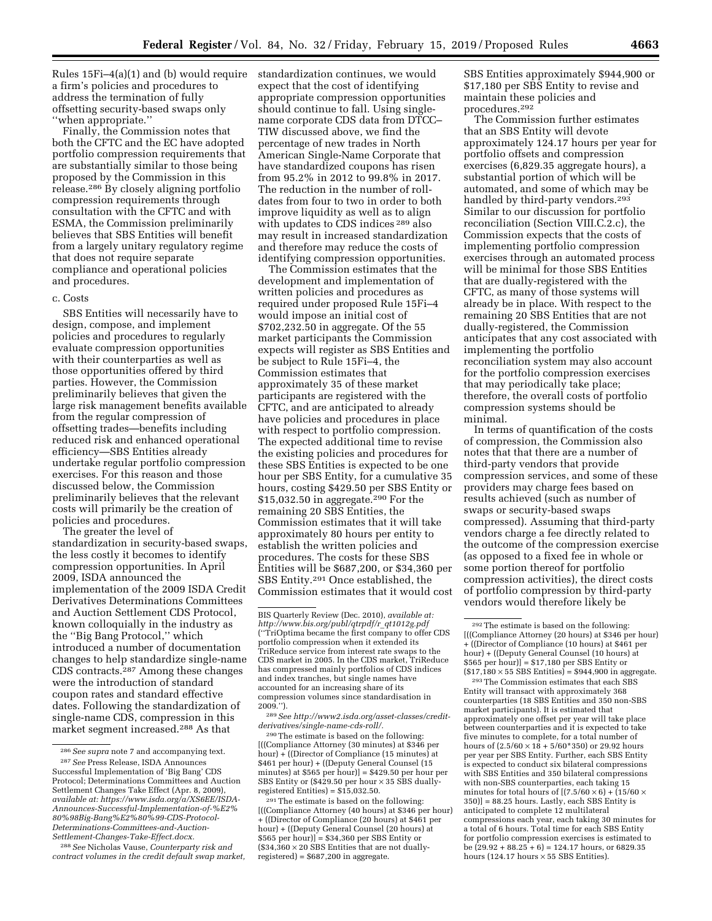Rules 15Fi–4(a)(1) and (b) would require a firm's policies and procedures to address the termination of fully offsetting security-based swaps only ''when appropriate.''

Finally, the Commission notes that both the CFTC and the EC have adopted portfolio compression requirements that are substantially similar to those being proposed by the Commission in this release.286 By closely aligning portfolio compression requirements through consultation with the CFTC and with ESMA, the Commission preliminarily believes that SBS Entities will benefit from a largely unitary regulatory regime that does not require separate compliance and operational policies and procedures.

# c. Costs

SBS Entities will necessarily have to design, compose, and implement policies and procedures to regularly evaluate compression opportunities with their counterparties as well as those opportunities offered by third parties. However, the Commission preliminarily believes that given the large risk management benefits available from the regular compression of offsetting trades—benefits including reduced risk and enhanced operational efficiency—SBS Entities already undertake regular portfolio compression exercises. For this reason and those discussed below, the Commission preliminarily believes that the relevant costs will primarily be the creation of policies and procedures.

The greater the level of standardization in security-based swaps, the less costly it becomes to identify compression opportunities. In April 2009, ISDA announced the implementation of the 2009 ISDA Credit Derivatives Determinations Committees and Auction Settlement CDS Protocol, known colloquially in the industry as the ''Big Bang Protocol,'' which introduced a number of documentation changes to help standardize single-name CDS contracts.287 Among these changes were the introduction of standard coupon rates and standard effective dates. Following the standardization of single-name CDS, compression in this market segment increased.288 As that

288*See* Nicholas Vause, *Counterparty risk and contract volumes in the credit default swap market,*  standardization continues, we would expect that the cost of identifying appropriate compression opportunities should continue to fall. Using singlename corporate CDS data from DTCC– TIW discussed above, we find the percentage of new trades in North American Single-Name Corporate that have standardized coupons has risen from 95.2% in 2012 to 99.8% in 2017. The reduction in the number of rolldates from four to two in order to both improve liquidity as well as to align with updates to CDS indices 289 also may result in increased standardization and therefore may reduce the costs of identifying compression opportunities.

The Commission estimates that the development and implementation of written policies and procedures as required under proposed Rule 15Fi–4 would impose an initial cost of \$702,232.50 in aggregate. Of the 55 market participants the Commission expects will register as SBS Entities and be subject to Rule 15Fi–4, the Commission estimates that approximately 35 of these market participants are registered with the CFTC, and are anticipated to already have policies and procedures in place with respect to portfolio compression. The expected additional time to revise the existing policies and procedures for these SBS Entities is expected to be one hour per SBS Entity, for a cumulative 35 hours, costing \$429.50 per SBS Entity or  $$15,032.50$  in aggregate.<sup>290</sup> For the remaining 20 SBS Entities, the Commission estimates that it will take approximately 80 hours per entity to establish the written policies and procedures. The costs for these SBS Entities will be \$687,200, or \$34,360 per SBS Entity.291 Once established, the Commission estimates that it would cost

290The estimate is based on the following: [((Compliance Attorney (30 minutes) at \$346 per hour) + ((Director of Compliance (15 minutes) at \$461 per hour) + ((Deputy General Counsel (15 minutes) at \$565 per hour)] = \$429.50 per hour per SBS Entity or (\$429.50 per hour  $\times$  35 SBS duallyregistered Entities) =  $$15,032.50$ .

SBS Entities approximately \$944,900 or \$17,180 per SBS Entity to revise and maintain these policies and procedures.292

The Commission further estimates that an SBS Entity will devote approximately 124.17 hours per year for portfolio offsets and compression exercises (6,829.35 aggregate hours), a substantial portion of which will be automated, and some of which may be handled by third-party vendors.293 Similar to our discussion for portfolio reconciliation (Section VIII.C.2.c), the Commission expects that the costs of implementing portfolio compression exercises through an automated process will be minimal for those SBS Entities that are dually-registered with the CFTC, as many of those systems will already be in place. With respect to the remaining 20 SBS Entities that are not dually-registered, the Commission anticipates that any cost associated with implementing the portfolio reconciliation system may also account for the portfolio compression exercises that may periodically take place; therefore, the overall costs of portfolio compression systems should be minimal.

In terms of quantification of the costs of compression, the Commission also notes that that there are a number of third-party vendors that provide compression services, and some of these providers may charge fees based on results achieved (such as number of swaps or security-based swaps compressed). Assuming that third-party vendors charge a fee directly related to the outcome of the compression exercise (as opposed to a fixed fee in whole or some portion thereof for portfolio compression activities), the direct costs of portfolio compression by third-party vendors would therefore likely be

293The Commission estimates that each SBS Entity will transact with approximately 368 counterparties (18 SBS Entities and 350 non-SBS market participants). It is estimated that approximately one offset per year will take place between counterparties and it is expected to take five minutes to complete, for a total number of hours of  $(2.5/60 \times 18 + 5/60 \times 350)$  or 29.92 hours per year per SBS Entity. Further, each SBS Entity is expected to conduct six bilateral compressions with SBS Entities and 350 bilateral compressions with non-SBS counterparties, each taking 15 minutes for total hours of  $[(7.5/60 \times 6) + (15/60 \times$ 350)] = 88.25 hours. Lastly, each SBS Entity is anticipated to complete 12 multilateral compressions each year, each taking 30 minutes for a total of 6 hours. Total time for each SBS Entity for portfolio compression exercises is estimated to be  $(29.92 + 88.25 + 6) = 124.17$  hours, or 6829.35 hours (124.17 hours  $\times$  55 SBS Entities).

<sup>286</sup>*See supra* note 7 and accompanying text. 287*See* Press Release, ISDA Announces Successful Implementation of 'Big Bang' CDS Protocol; Determinations Committees and Auction Settlement Changes Take Effect (Apr. 8, 2009), *available at: [https://www.isda.org/a/XS6EE/ISDA-](https://www.isda.org/a/XS6EE/ISDA-Announces-Successful-Implementation-of-%E2%80%98Big-Bang%E2%80%99-CDS-Protocol-Determinations-Committees-and-Auction-Settlement-Changes-Take-Effect.docx)[Announces-Successful-Implementation-of-%E2%](https://www.isda.org/a/XS6EE/ISDA-Announces-Successful-Implementation-of-%E2%80%98Big-Bang%E2%80%99-CDS-Protocol-Determinations-Committees-and-Auction-Settlement-Changes-Take-Effect.docx) [80%98Big-Bang%E2%80%99-CDS-Protocol-](https://www.isda.org/a/XS6EE/ISDA-Announces-Successful-Implementation-of-%E2%80%98Big-Bang%E2%80%99-CDS-Protocol-Determinations-Committees-and-Auction-Settlement-Changes-Take-Effect.docx)[Determinations-Committees-and-Auction-](https://www.isda.org/a/XS6EE/ISDA-Announces-Successful-Implementation-of-%E2%80%98Big-Bang%E2%80%99-CDS-Protocol-Determinations-Committees-and-Auction-Settlement-Changes-Take-Effect.docx)[Settlement-Changes-Take-Effect.docx.](https://www.isda.org/a/XS6EE/ISDA-Announces-Successful-Implementation-of-%E2%80%98Big-Bang%E2%80%99-CDS-Protocol-Determinations-Committees-and-Auction-Settlement-Changes-Take-Effect.docx)* 

BIS Quarterly Review (Dec. 2010), *available at: [http://www.bis.org/publ/qtrpdf/r](http://www.bis.org/publ/qtrpdf/r_qt1012g.pdf)*\_*qt1012g.pdf*  (''TriOptima became the first company to offer CDS portfolio compression when it extended its TriReduce service from interest rate swaps to the CDS market in 2005. In the CDS market, TriReduce has compressed mainly portfolios of CDS indices and index tranches, but single names have accounted for an increasing share of its compression volumes since standardisation in 2009.'').

<sup>289</sup>*See [http://www2.isda.org/asset-classes/credit](http://www2.isda.org/asset-classes/credit-derivatives/single-name-cds-roll/)[derivatives/single-name-cds-roll/.](http://www2.isda.org/asset-classes/credit-derivatives/single-name-cds-roll/)* 

<sup>291</sup>The estimate is based on the following: [((Compliance Attorney (40 hours) at \$346 per hour) + ((Director of Compliance (20 hours) at \$461 per hour) + ((Deputy General Counsel (20 hours) at \$565 per hour)] = \$34,360 per SBS Entity or  $($34,360 \times 20$  SBS Entities that are not duallyregistered) = \$687,200 in aggregate.

<sup>292</sup>The estimate is based on the following: [((Compliance Attorney (20 hours) at \$346 per hour) + ((Director of Compliance (10 hours) at \$461 per hour) + ((Deputy General Counsel (10 hours) at \$565 per hour)] = \$17,180 per SBS Entity or  $($17,180 \times 55$  SBS Entities) = \$944,900 in aggregate.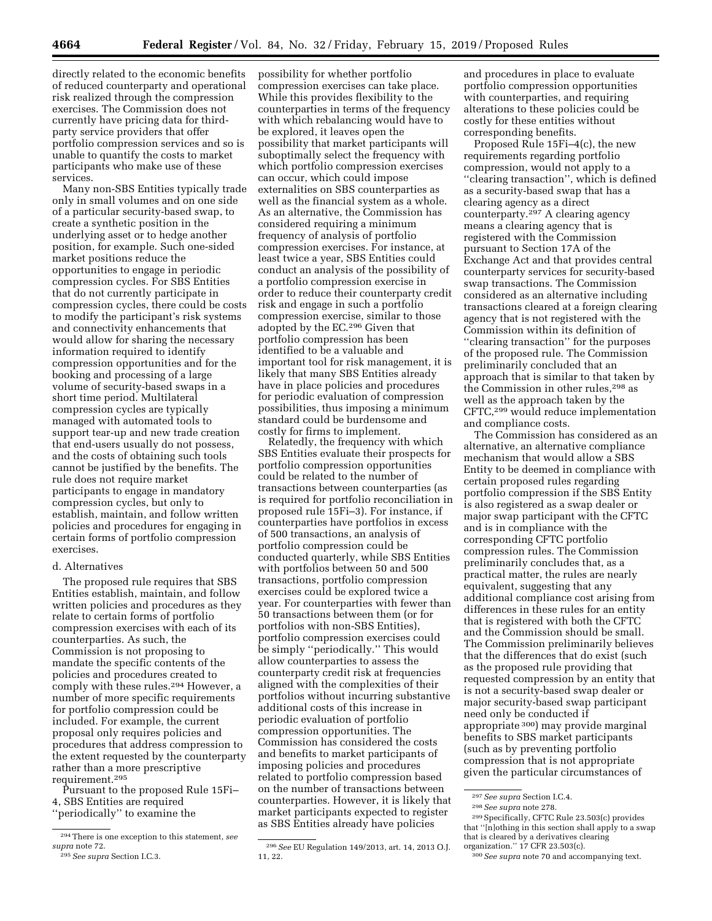directly related to the economic benefits of reduced counterparty and operational risk realized through the compression exercises. The Commission does not currently have pricing data for thirdparty service providers that offer portfolio compression services and so is unable to quantify the costs to market participants who make use of these services.

Many non-SBS Entities typically trade only in small volumes and on one side of a particular security-based swap, to create a synthetic position in the underlying asset or to hedge another position, for example. Such one-sided market positions reduce the opportunities to engage in periodic compression cycles. For SBS Entities that do not currently participate in compression cycles, there could be costs to modify the participant's risk systems and connectivity enhancements that would allow for sharing the necessary information required to identify compression opportunities and for the booking and processing of a large volume of security-based swaps in a short time period. Multilateral compression cycles are typically managed with automated tools to support tear-up and new trade creation that end-users usually do not possess, and the costs of obtaining such tools cannot be justified by the benefits. The rule does not require market participants to engage in mandatory compression cycles, but only to establish, maintain, and follow written policies and procedures for engaging in certain forms of portfolio compression exercises.

#### d. Alternatives

The proposed rule requires that SBS Entities establish, maintain, and follow written policies and procedures as they relate to certain forms of portfolio compression exercises with each of its counterparties. As such, the Commission is not proposing to mandate the specific contents of the policies and procedures created to comply with these rules.294 However, a number of more specific requirements for portfolio compression could be included. For example, the current proposal only requires policies and procedures that address compression to the extent requested by the counterparty rather than a more prescriptive requirement.295

Pursuant to the proposed Rule 15Fi– 4, SBS Entities are required ''periodically'' to examine the

possibility for whether portfolio compression exercises can take place. While this provides flexibility to the counterparties in terms of the frequency with which rebalancing would have to be explored, it leaves open the possibility that market participants will suboptimally select the frequency with which portfolio compression exercises can occur, which could impose externalities on SBS counterparties as well as the financial system as a whole. As an alternative, the Commission has considered requiring a minimum frequency of analysis of portfolio compression exercises. For instance, at least twice a year, SBS Entities could conduct an analysis of the possibility of a portfolio compression exercise in order to reduce their counterparty credit risk and engage in such a portfolio compression exercise, similar to those adopted by the EC.296 Given that portfolio compression has been identified to be a valuable and important tool for risk management, it is likely that many SBS Entities already have in place policies and procedures for periodic evaluation of compression possibilities, thus imposing a minimum standard could be burdensome and costly for firms to implement.

Relatedly, the frequency with which SBS Entities evaluate their prospects for portfolio compression opportunities could be related to the number of transactions between counterparties (as is required for portfolio reconciliation in proposed rule 15Fi–3). For instance, if counterparties have portfolios in excess of 500 transactions, an analysis of portfolio compression could be conducted quarterly, while SBS Entities with portfolios between 50 and 500 transactions, portfolio compression exercises could be explored twice a year. For counterparties with fewer than 50 transactions between them (or for portfolios with non-SBS Entities), portfolio compression exercises could be simply ''periodically.'' This would allow counterparties to assess the counterparty credit risk at frequencies aligned with the complexities of their portfolios without incurring substantive additional costs of this increase in periodic evaluation of portfolio compression opportunities. The Commission has considered the costs and benefits to market participants of imposing policies and procedures related to portfolio compression based on the number of transactions between counterparties. However, it is likely that market participants expected to register as SBS Entities already have policies

and procedures in place to evaluate portfolio compression opportunities with counterparties, and requiring alterations to these policies could be costly for these entities without corresponding benefits.

Proposed Rule 15Fi–4(c), the new requirements regarding portfolio compression, would not apply to a ''clearing transaction'', which is defined as a security-based swap that has a clearing agency as a direct counterparty.297 A clearing agency means a clearing agency that is registered with the Commission pursuant to Section 17A of the Exchange Act and that provides central counterparty services for security-based swap transactions. The Commission considered as an alternative including transactions cleared at a foreign clearing agency that is not registered with the Commission within its definition of ''clearing transaction'' for the purposes of the proposed rule. The Commission preliminarily concluded that an approach that is similar to that taken by the Commission in other rules,<sup>298</sup> as well as the approach taken by the CFTC,299 would reduce implementation and compliance costs.

The Commission has considered as an alternative, an alternative compliance mechanism that would allow a SBS Entity to be deemed in compliance with certain proposed rules regarding portfolio compression if the SBS Entity is also registered as a swap dealer or major swap participant with the CFTC and is in compliance with the corresponding CFTC portfolio compression rules. The Commission preliminarily concludes that, as a practical matter, the rules are nearly equivalent, suggesting that any additional compliance cost arising from differences in these rules for an entity that is registered with both the CFTC and the Commission should be small. The Commission preliminarily believes that the differences that do exist (such as the proposed rule providing that requested compression by an entity that is not a security-based swap dealer or major security-based swap participant need only be conducted if appropriate 300) may provide marginal benefits to SBS market participants (such as by preventing portfolio compression that is not appropriate given the particular circumstances of

<sup>294</sup>There is one exception to this statement, *see supra* note 72.

<sup>295</sup>*See supra* Section I.C.3.

<sup>296</sup>*See* EU Regulation 149/2013, art. 14, 2013 O.J. 11, 22.

<sup>297</sup>*See supra* Section I.C.4.

<sup>298</sup>*See supra* note 278.

<sup>299</sup>Specifically, CFTC Rule 23.503(c) provides that ''[n]othing in this section shall apply to a swap that is cleared by a derivatives clearing organization.'' 17 CFR 23.503(c).

<sup>300</sup>*See supra* note 70 and accompanying text.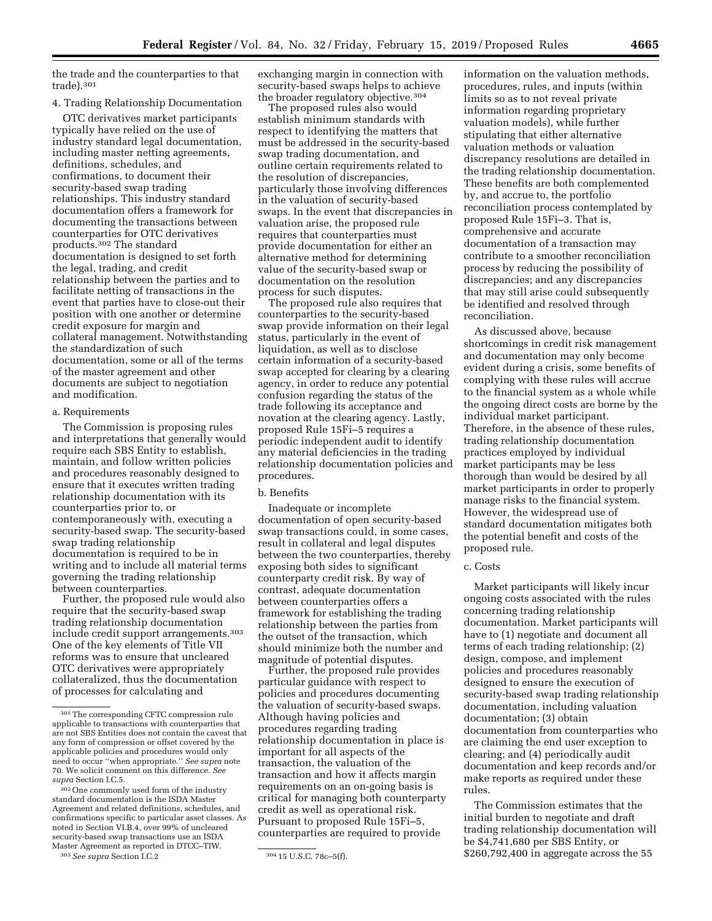the trade and the counterparties to that trade).301

# 4. Trading Relationship Documentation

OTC derivatives market participants typically have relied on the use of industry standard legal documentation, including master netting agreements, definitions, schedules, and confirmations, to document their security-based swap trading relationships. This industry standard documentation offers a framework for documenting the transactions between counterparties for OTC derivatives products.302 The standard documentation is designed to set forth the legal, trading, and credit relationship between the parties and to facilitate netting of transactions in the event that parties have to close-out their position with one another or determine credit exposure for margin and collateral management. Notwithstanding the standardization of such documentation, some or all of the terms of the master agreement and other documents are subject to negotiation and modification.

### a. Requirements

The Commission is proposing rules and interpretations that generally would require each SBS Entity to establish, maintain, and follow written policies and procedures reasonably designed to ensure that it executes written trading relationship documentation with its counterparties prior to, or contemporaneously with, executing a security-based swap. The security-based swap trading relationship documentation is required to be in writing and to include all material terms governing the trading relationship between counterparties.

Further, the proposed rule would also require that the security-based swap trading relationship documentation include credit support arrangements.303 One of the key elements of Title VII reforms was to ensure that uncleared OTC derivatives were appropriately collateralized, thus the documentation of processes for calculating and

302One commonly used form of the industry standard documentation is the ISDA Master Agreement and related definitions, schedules, and confirmations specific to particular asset classes. As noted in Section VI.B.4, over 99% of uncleared security-based swap transactions use an ISDA Master Agreement as reported in DTCC–TIW.

303*See supra* Section I.C.2 304 15 U.S.C. 78c–5(f).

exchanging margin in connection with security-based swaps helps to achieve the broader regulatory objective.304

The proposed rules also would establish minimum standards with respect to identifying the matters that must be addressed in the security-based swap trading documentation, and outline certain requirements related to the resolution of discrepancies, particularly those involving differences in the valuation of security-based swaps. In the event that discrepancies in valuation arise, the proposed rule requires that counterparties must provide documentation for either an alternative method for determining value of the security-based swap or documentation on the resolution process for such disputes.

The proposed rule also requires that counterparties to the security-based swap provide information on their legal status, particularly in the event of liquidation, as well as to disclose certain information of a security-based swap accepted for clearing by a clearing agency, in order to reduce any potential confusion regarding the status of the trade following its acceptance and novation at the clearing agency. Lastly, proposed Rule 15Fi–5 requires a periodic independent audit to identify any material deficiencies in the trading relationship documentation policies and procedures.

### b. Benefits

Inadequate or incomplete documentation of open security-based swap transactions could, in some cases, result in collateral and legal disputes between the two counterparties, thereby exposing both sides to significant counterparty credit risk. By way of contrast, adequate documentation between counterparties offers a framework for establishing the trading relationship between the parties from the outset of the transaction, which should minimize both the number and magnitude of potential disputes.

Further, the proposed rule provides particular guidance with respect to policies and procedures documenting the valuation of security-based swaps. Although having policies and procedures regarding trading relationship documentation in place is important for all aspects of the transaction, the valuation of the transaction and how it affects margin requirements on an on-going basis is critical for managing both counterparty credit as well as operational risk. Pursuant to proposed Rule 15Fi–5, counterparties are required to provide

information on the valuation methods, procedures, rules, and inputs (within limits so as to not reveal private information regarding proprietary valuation models), while further stipulating that either alternative valuation methods or valuation discrepancy resolutions are detailed in the trading relationship documentation. These benefits are both complemented by, and accrue to, the portfolio reconciliation process contemplated by proposed Rule 15Fi–3. That is, comprehensive and accurate documentation of a transaction may contribute to a smoother reconciliation process by reducing the possibility of discrepancies; and any discrepancies that may still arise could subsequently be identified and resolved through reconciliation.

As discussed above, because shortcomings in credit risk management and documentation may only become evident during a crisis, some benefits of complying with these rules will accrue to the financial system as a whole while the ongoing direct costs are borne by the individual market participant. Therefore, in the absence of these rules, trading relationship documentation practices employed by individual market participants may be less thorough than would be desired by all market participants in order to properly manage risks to the financial system. However, the widespread use of standard documentation mitigates both the potential benefit and costs of the proposed rule.

### c. Costs

Market participants will likely incur ongoing costs associated with the rules concerning trading relationship documentation. Market participants will have to (1) negotiate and document all terms of each trading relationship; (2) design, compose, and implement policies and procedures reasonably designed to ensure the execution of security-based swap trading relationship documentation, including valuation documentation; (3) obtain documentation from counterparties who are claiming the end user exception to clearing; and (4) periodically audit documentation and keep records and/or make reports as required under these rules.

The Commission estimates that the initial burden to negotiate and draft trading relationship documentation will be \$4,741,680 per SBS Entity, or \$260,792,400 in aggregate across the 55

<sup>301</sup>The corresponding CFTC compression rule applicable to transactions with counterparties that are not SBS Entities does not contain the caveat that any form of compression or offset covered by the applicable policies and procedures would only need to occur ''when appropriate.'' *See supra* note 70. We solicit comment on this difference. *See supra* Section I.C.5.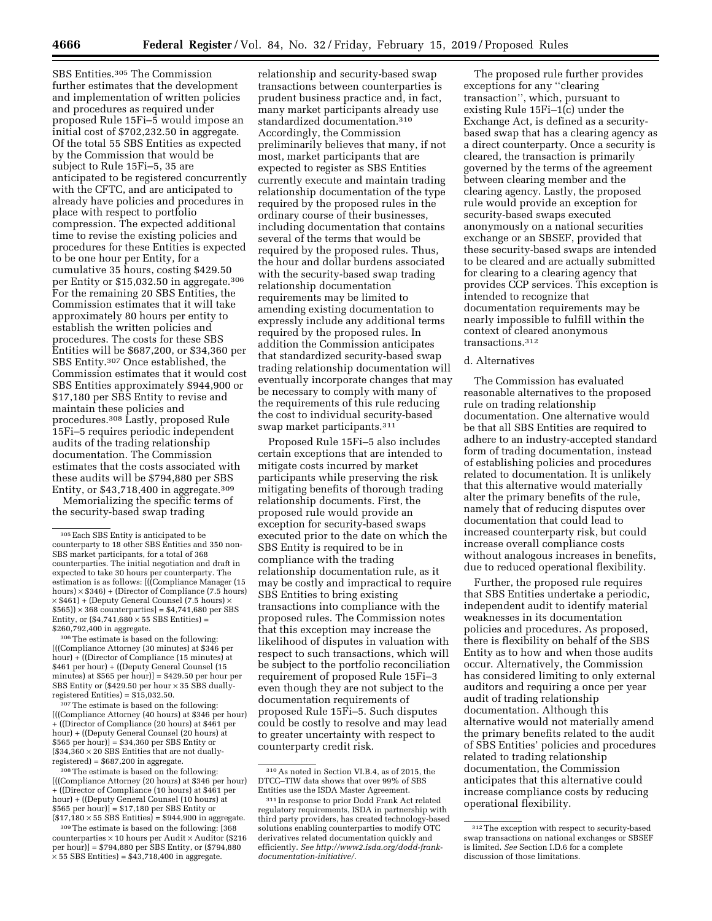SBS Entities.305 The Commission further estimates that the development and implementation of written policies and procedures as required under proposed Rule 15Fi–5 would impose an initial cost of \$702,232.50 in aggregate. Of the total 55 SBS Entities as expected by the Commission that would be subject to Rule 15Fi–5, 35 are anticipated to be registered concurrently with the CFTC, and are anticipated to already have policies and procedures in place with respect to portfolio compression. The expected additional time to revise the existing policies and procedures for these Entities is expected to be one hour per Entity, for a cumulative 35 hours, costing \$429.50 per Entity or \$15,032.50 in aggregate.<sup>306</sup> For the remaining 20 SBS Entities, the Commission estimates that it will take approximately 80 hours per entity to establish the written policies and procedures. The costs for these SBS Entities will be \$687,200, or \$34,360 per SBS Entity.307 Once established, the Commission estimates that it would cost SBS Entities approximately \$944,900 or \$17,180 per SBS Entity to revise and maintain these policies and procedures.308 Lastly, proposed Rule 15Fi–5 requires periodic independent audits of the trading relationship documentation. The Commission estimates that the costs associated with these audits will be \$794,880 per SBS Entity, or \$43,718,400 in aggregate.309 Memorializing the specific terms of

the security-based swap trading

306The estimate is based on the following: [((Compliance Attorney (30 minutes) at \$346 per hour) + ((Director of Compliance (15 minutes) at \$461 per hour) + ((Deputy General Counsel (15 minutes) at \$565 per hour)] = \$429.50 per hour per SBS Entity or (\$429.50 per hour × 35 SBS dually- $\text{registered Entities)} = \$15,\!032.50.$ 

307 The estimate is based on the following: [((Compliance Attorney (40 hours) at \$346 per hour) + ((Director of Compliance (20 hours) at \$461 per hour) + ((Deputy General Counsel (20 hours) at \$565 per hour)] = \$34,360 per SBS Entity or  $($34,360 \times 20$  SBS Entities that are not duallyregistered) = \$687,200 in aggregate.

<sup>308</sup>The estimate is based on the following: [((Compliance Attorney (20 hours) at \$346 per hour) + ((Director of Compliance (10 hours) at \$461 per hour) + ((Deputy General Counsel (10 hours) at \$565 per hour)] = \$17,180 per SBS Entity or  $($17,180 \times 55$  SBS Entities) = \$944,900 in aggregate.

309The estimate is based on the following: [368 counterparties  $\times$  10 hours per Audit  $\times$  Auditor (\$216 per hour)] = \$794,880 per SBS Entity, or (\$794,880 × 55 SBS Entities) = \$43,718,400 in aggregate.

relationship and security-based swap transactions between counterparties is prudent business practice and, in fact, many market participants already use standardized documentation.310 Accordingly, the Commission preliminarily believes that many, if not most, market participants that are expected to register as SBS Entities currently execute and maintain trading relationship documentation of the type required by the proposed rules in the ordinary course of their businesses, including documentation that contains several of the terms that would be required by the proposed rules. Thus, the hour and dollar burdens associated with the security-based swap trading relationship documentation requirements may be limited to amending existing documentation to expressly include any additional terms required by the proposed rules. In addition the Commission anticipates that standardized security-based swap trading relationship documentation will eventually incorporate changes that may be necessary to comply with many of the requirements of this rule reducing the cost to individual security-based swap market participants.311

Proposed Rule 15Fi–5 also includes certain exceptions that are intended to mitigate costs incurred by market participants while preserving the risk mitigating benefits of thorough trading relationship documents. First, the proposed rule would provide an exception for security-based swaps executed prior to the date on which the SBS Entity is required to be in compliance with the trading relationship documentation rule, as it may be costly and impractical to require SBS Entities to bring existing transactions into compliance with the proposed rules. The Commission notes that this exception may increase the likelihood of disputes in valuation with respect to such transactions, which will be subject to the portfolio reconciliation requirement of proposed Rule 15Fi–3 even though they are not subject to the documentation requirements of proposed Rule 15Fi–5. Such disputes could be costly to resolve and may lead to greater uncertainty with respect to counterparty credit risk.

310As noted in Section VI.B.4, as of 2015, the DTCC–TIW data shows that over 99% of SBS Entities use the ISDA Master Agreement.

The proposed rule further provides exceptions for any ''clearing transaction'', which, pursuant to existing Rule 15Fi–1(c) under the Exchange Act, is defined as a securitybased swap that has a clearing agency as a direct counterparty. Once a security is cleared, the transaction is primarily governed by the terms of the agreement between clearing member and the clearing agency. Lastly, the proposed rule would provide an exception for security-based swaps executed anonymously on a national securities exchange or an SBSEF, provided that these security-based swaps are intended to be cleared and are actually submitted for clearing to a clearing agency that provides CCP services. This exception is intended to recognize that documentation requirements may be nearly impossible to fulfill within the context of cleared anonymous transactions.312

#### d. Alternatives

The Commission has evaluated reasonable alternatives to the proposed rule on trading relationship documentation. One alternative would be that all SBS Entities are required to adhere to an industry-accepted standard form of trading documentation, instead of establishing policies and procedures related to documentation. It is unlikely that this alternative would materially alter the primary benefits of the rule, namely that of reducing disputes over documentation that could lead to increased counterparty risk, but could increase overall compliance costs without analogous increases in benefits, due to reduced operational flexibility.

Further, the proposed rule requires that SBS Entities undertake a periodic, independent audit to identify material weaknesses in its documentation policies and procedures. As proposed, there is flexibility on behalf of the SBS Entity as to how and when those audits occur. Alternatively, the Commission has considered limiting to only external auditors and requiring a once per year audit of trading relationship documentation. Although this alternative would not materially amend the primary benefits related to the audit of SBS Entities' policies and procedures related to trading relationship documentation, the Commission anticipates that this alternative could increase compliance costs by reducing operational flexibility.

<sup>305</sup>Each SBS Entity is anticipated to be counterparty to 18 other SBS Entities and 350 non-SBS market participants, for a total of 368 counterparties. The initial negotiation and draft in expected to take 30 hours per counterparty. The estimation is as follows: [((Compliance Manager (15 hours)  $\times$  \$346) + (Director of Compliance (7.5 hours)  $\times$  \$461) + (Deputy General Counsel (7.5 hours)  $$565$ )) × 368 counterparties] = \$4,741,680 per SBS Entity, or  $(\$4,741,680 \times 55$  SBS Entities) = \$260,792,400 in aggregate.

<sup>311</sup> In response to prior Dodd Frank Act related regulatory requirements, ISDA in partnership with third party providers, has created technology-based solutions enabling counterparties to modify OTC derivatives related documentation quickly and efficiently. *See [http://www2.isda.org/dodd-frank](http://www2.isda.org/dodd-frank-documentation-initiative/)[documentation-initiative/.](http://www2.isda.org/dodd-frank-documentation-initiative/)* 

<sup>312</sup>The exception with respect to security-based swap transactions on national exchanges or SBSEF is limited. *See* Section I.D.6 for a complete discussion of those limitations.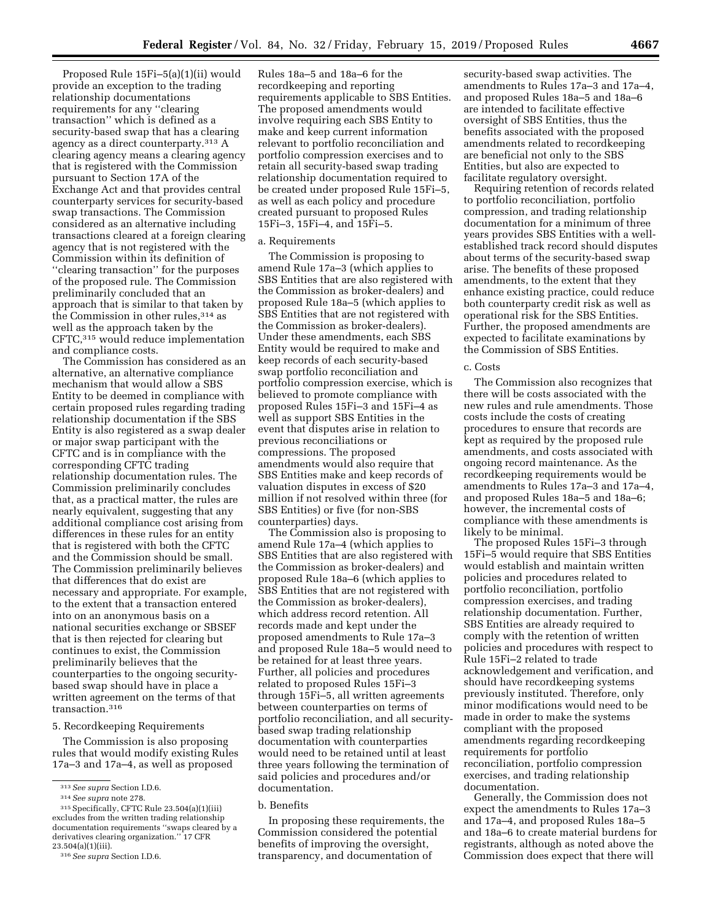Proposed Rule 15Fi–5(a)(1)(ii) would provide an exception to the trading relationship documentations requirements for any ''clearing transaction'' which is defined as a security-based swap that has a clearing agency as a direct counterparty.313 A clearing agency means a clearing agency that is registered with the Commission pursuant to Section 17A of the Exchange Act and that provides central counterparty services for security-based swap transactions. The Commission considered as an alternative including transactions cleared at a foreign clearing agency that is not registered with the Commission within its definition of ''clearing transaction'' for the purposes of the proposed rule. The Commission preliminarily concluded that an approach that is similar to that taken by the Commission in other rules, 314 as well as the approach taken by the CFTC,315 would reduce implementation and compliance costs.

The Commission has considered as an alternative, an alternative compliance mechanism that would allow a SBS Entity to be deemed in compliance with certain proposed rules regarding trading relationship documentation if the SBS Entity is also registered as a swap dealer or major swap participant with the CFTC and is in compliance with the corresponding CFTC trading relationship documentation rules. The Commission preliminarily concludes that, as a practical matter, the rules are nearly equivalent, suggesting that any additional compliance cost arising from differences in these rules for an entity that is registered with both the CFTC and the Commission should be small. The Commission preliminarily believes that differences that do exist are necessary and appropriate. For example, to the extent that a transaction entered into on an anonymous basis on a national securities exchange or SBSEF that is then rejected for clearing but continues to exist, the Commission preliminarily believes that the counterparties to the ongoing securitybased swap should have in place a written agreement on the terms of that transaction.316

#### 5. Recordkeeping Requirements

The Commission is also proposing rules that would modify existing Rules 17a–3 and 17a–4, as well as proposed

Rules 18a–5 and 18a–6 for the recordkeeping and reporting requirements applicable to SBS Entities. The proposed amendments would involve requiring each SBS Entity to make and keep current information relevant to portfolio reconciliation and portfolio compression exercises and to retain all security-based swap trading relationship documentation required to be created under proposed Rule 15Fi–5, as well as each policy and procedure created pursuant to proposed Rules 15Fi–3, 15Fi–4, and 15Fi–5.

### a. Requirements

The Commission is proposing to amend Rule 17a–3 (which applies to SBS Entities that are also registered with the Commission as broker-dealers) and proposed Rule 18a–5 (which applies to SBS Entities that are not registered with the Commission as broker-dealers). Under these amendments, each SBS Entity would be required to make and keep records of each security-based swap portfolio reconciliation and portfolio compression exercise, which is believed to promote compliance with proposed Rules 15Fi–3 and 15Fi–4 as well as support SBS Entities in the event that disputes arise in relation to previous reconciliations or compressions. The proposed amendments would also require that SBS Entities make and keep records of valuation disputes in excess of \$20 million if not resolved within three (for SBS Entities) or five (for non-SBS counterparties) days.

The Commission also is proposing to amend Rule 17a–4 (which applies to SBS Entities that are also registered with the Commission as broker-dealers) and proposed Rule 18a–6 (which applies to SBS Entities that are not registered with the Commission as broker-dealers), which address record retention. All records made and kept under the proposed amendments to Rule 17a–3 and proposed Rule 18a–5 would need to be retained for at least three years. Further, all policies and procedures related to proposed Rules 15Fi–3 through 15Fi–5, all written agreements between counterparties on terms of portfolio reconciliation, and all securitybased swap trading relationship documentation with counterparties would need to be retained until at least three years following the termination of said policies and procedures and/or documentation.

#### b. Benefits

In proposing these requirements, the Commission considered the potential benefits of improving the oversight, transparency, and documentation of

security-based swap activities. The amendments to Rules 17a–3 and 17a–4, and proposed Rules 18a–5 and 18a–6 are intended to facilitate effective oversight of SBS Entities, thus the benefits associated with the proposed amendments related to recordkeeping are beneficial not only to the SBS Entities, but also are expected to facilitate regulatory oversight.

Requiring retention of records related to portfolio reconciliation, portfolio compression, and trading relationship documentation for a minimum of three years provides SBS Entities with a wellestablished track record should disputes about terms of the security-based swap arise. The benefits of these proposed amendments, to the extent that they enhance existing practice, could reduce both counterparty credit risk as well as operational risk for the SBS Entities. Further, the proposed amendments are expected to facilitate examinations by the Commission of SBS Entities.

#### c. Costs

The Commission also recognizes that there will be costs associated with the new rules and rule amendments. Those costs include the costs of creating procedures to ensure that records are kept as required by the proposed rule amendments, and costs associated with ongoing record maintenance. As the recordkeeping requirements would be amendments to Rules 17a–3 and 17a–4, and proposed Rules 18a–5 and 18a–6; however, the incremental costs of compliance with these amendments is likely to be minimal.

The proposed Rules 15Fi–3 through 15Fi–5 would require that SBS Entities would establish and maintain written policies and procedures related to portfolio reconciliation, portfolio compression exercises, and trading relationship documentation. Further, SBS Entities are already required to comply with the retention of written policies and procedures with respect to Rule 15Fi–2 related to trade acknowledgement and verification, and should have recordkeeping systems previously instituted. Therefore, only minor modifications would need to be made in order to make the systems compliant with the proposed amendments regarding recordkeeping requirements for portfolio reconciliation, portfolio compression exercises, and trading relationship documentation.

Generally, the Commission does not expect the amendments to Rules 17a–3 and 17a–4, and proposed Rules 18a–5 and 18a–6 to create material burdens for registrants, although as noted above the Commission does expect that there will

<sup>313</sup>*See supra* Section I.D.6.

<sup>314</sup>*See supra* note 278.

<sup>315</sup>Specifically, CFTC Rule 23.504(a)(1)(iii) excludes from the written trading relationship documentation requirements ''swaps cleared by a derivatives clearing organization.'' 17 CFR  $23.504(a)(1)(iii)$ .

<sup>316</sup>*See supra* Section I.D.6.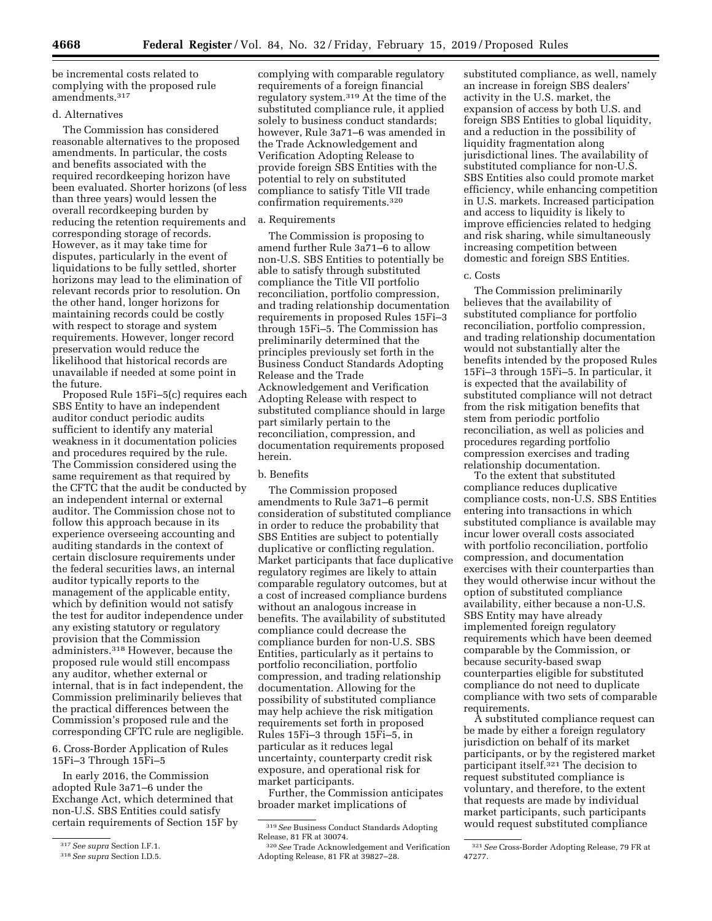be incremental costs related to complying with the proposed rule amendments.317

# d. Alternatives

The Commission has considered reasonable alternatives to the proposed amendments. In particular, the costs and benefits associated with the required recordkeeping horizon have been evaluated. Shorter horizons (of less than three years) would lessen the overall recordkeeping burden by reducing the retention requirements and corresponding storage of records. However, as it may take time for disputes, particularly in the event of liquidations to be fully settled, shorter horizons may lead to the elimination of relevant records prior to resolution. On the other hand, longer horizons for maintaining records could be costly with respect to storage and system requirements. However, longer record preservation would reduce the likelihood that historical records are unavailable if needed at some point in the future.

Proposed Rule 15Fi–5(c) requires each SBS Entity to have an independent auditor conduct periodic audits sufficient to identify any material weakness in it documentation policies and procedures required by the rule. The Commission considered using the same requirement as that required by the CFTC that the audit be conducted by an independent internal or external auditor. The Commission chose not to follow this approach because in its experience overseeing accounting and auditing standards in the context of certain disclosure requirements under the federal securities laws, an internal auditor typically reports to the management of the applicable entity, which by definition would not satisfy the test for auditor independence under any existing statutory or regulatory provision that the Commission administers.318 However, because the proposed rule would still encompass any auditor, whether external or internal, that is in fact independent, the Commission preliminarily believes that the practical differences between the Commission's proposed rule and the corresponding CFTC rule are negligible.

# 6. Cross-Border Application of Rules 15Fi–3 Through 15Fi–5

In early 2016, the Commission adopted Rule 3a71–6 under the Exchange Act, which determined that non-U.S. SBS Entities could satisfy certain requirements of Section 15F by

complying with comparable regulatory requirements of a foreign financial regulatory system.319 At the time of the substituted compliance rule, it applied solely to business conduct standards; however, Rule 3a71–6 was amended in the Trade Acknowledgement and Verification Adopting Release to provide foreign SBS Entities with the potential to rely on substituted compliance to satisfy Title VII trade confirmation requirements.320

#### a. Requirements

The Commission is proposing to amend further Rule 3a71–6 to allow non-U.S. SBS Entities to potentially be able to satisfy through substituted compliance the Title VII portfolio reconciliation, portfolio compression, and trading relationship documentation requirements in proposed Rules 15Fi–3 through 15Fi–5. The Commission has preliminarily determined that the principles previously set forth in the Business Conduct Standards Adopting Release and the Trade Acknowledgement and Verification Adopting Release with respect to substituted compliance should in large part similarly pertain to the reconciliation, compression, and documentation requirements proposed herein.

### b. Benefits

The Commission proposed amendments to Rule 3a71–6 permit consideration of substituted compliance in order to reduce the probability that SBS Entities are subject to potentially duplicative or conflicting regulation. Market participants that face duplicative regulatory regimes are likely to attain comparable regulatory outcomes, but at a cost of increased compliance burdens without an analogous increase in benefits. The availability of substituted compliance could decrease the compliance burden for non-U.S. SBS Entities, particularly as it pertains to portfolio reconciliation, portfolio compression, and trading relationship documentation. Allowing for the possibility of substituted compliance may help achieve the risk mitigation requirements set forth in proposed Rules 15Fi–3 through 15Fi–5, in particular as it reduces legal uncertainty, counterparty credit risk exposure, and operational risk for market participants.

Further, the Commission anticipates broader market implications of

substituted compliance, as well, namely an increase in foreign SBS dealers' activity in the U.S. market, the expansion of access by both U.S. and foreign SBS Entities to global liquidity, and a reduction in the possibility of liquidity fragmentation along jurisdictional lines. The availability of substituted compliance for non-U.S. SBS Entities also could promote market efficiency, while enhancing competition in U.S. markets. Increased participation and access to liquidity is likely to improve efficiencies related to hedging and risk sharing, while simultaneously increasing competition between domestic and foreign SBS Entities.

### c. Costs

The Commission preliminarily believes that the availability of substituted compliance for portfolio reconciliation, portfolio compression, and trading relationship documentation would not substantially alter the benefits intended by the proposed Rules 15Fi–3 through 15Fi–5. In particular, it is expected that the availability of substituted compliance will not detract from the risk mitigation benefits that stem from periodic portfolio reconciliation, as well as policies and procedures regarding portfolio compression exercises and trading relationship documentation.

To the extent that substituted compliance reduces duplicative compliance costs, non-U.S. SBS Entities entering into transactions in which substituted compliance is available may incur lower overall costs associated with portfolio reconciliation, portfolio compression, and documentation exercises with their counterparties than they would otherwise incur without the option of substituted compliance availability, either because a non-U.S. SBS Entity may have already implemented foreign regulatory requirements which have been deemed comparable by the Commission, or because security-based swap counterparties eligible for substituted compliance do not need to duplicate compliance with two sets of comparable requirements.

A substituted compliance request can be made by either a foreign regulatory jurisdiction on behalf of its market participants, or by the registered market participant itself.321 The decision to request substituted compliance is voluntary, and therefore, to the extent that requests are made by individual market participants, such participants would request substituted compliance

<sup>317</sup>*See supra* Section I.F.1.

<sup>318</sup>*See supra* Section I.D.5.

<sup>319</sup>*See* Business Conduct Standards Adopting Release, 81 FR at 30074.

<sup>320</sup>*See* Trade Acknowledgement and Verification Adopting Release, 81 FR at 39827–28.

<sup>321</sup>*See* Cross-Border Adopting Release, 79 FR at 47277.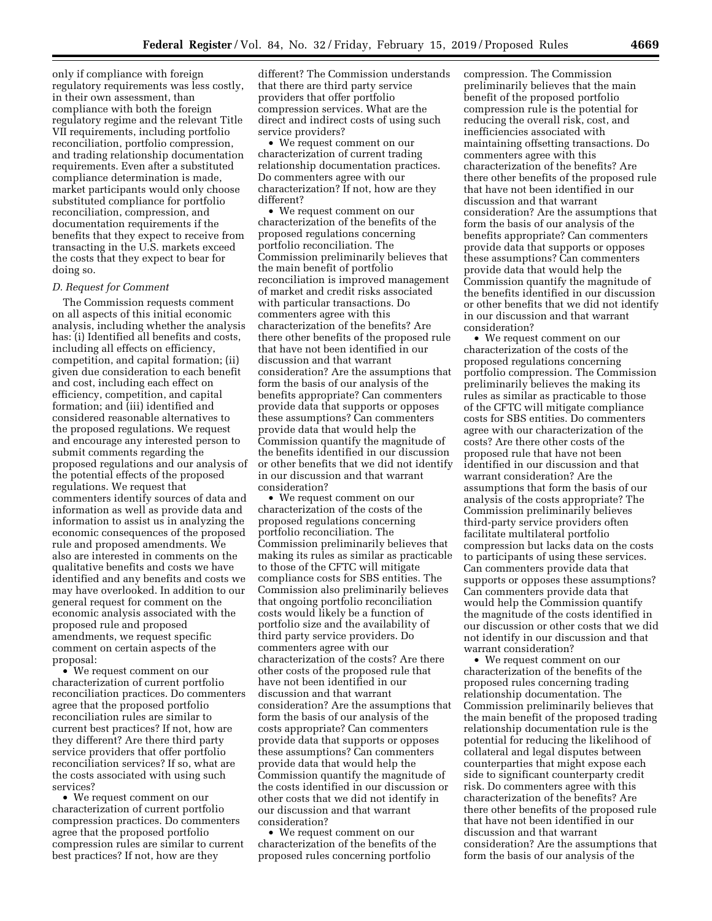only if compliance with foreign regulatory requirements was less costly, in their own assessment, than compliance with both the foreign regulatory regime and the relevant Title VII requirements, including portfolio reconciliation, portfolio compression, and trading relationship documentation requirements. Even after a substituted compliance determination is made, market participants would only choose substituted compliance for portfolio reconciliation, compression, and documentation requirements if the benefits that they expect to receive from transacting in the U.S. markets exceed the costs that they expect to bear for doing so.

### *D. Request for Comment*

The Commission requests comment on all aspects of this initial economic analysis, including whether the analysis has: (i) Identified all benefits and costs, including all effects on efficiency, competition, and capital formation; (ii) given due consideration to each benefit and cost, including each effect on efficiency, competition, and capital formation; and (iii) identified and considered reasonable alternatives to the proposed regulations. We request and encourage any interested person to submit comments regarding the proposed regulations and our analysis of the potential effects of the proposed regulations. We request that commenters identify sources of data and information as well as provide data and information to assist us in analyzing the economic consequences of the proposed rule and proposed amendments. We also are interested in comments on the qualitative benefits and costs we have identified and any benefits and costs we may have overlooked. In addition to our general request for comment on the economic analysis associated with the proposed rule and proposed amendments, we request specific comment on certain aspects of the proposal:

• We request comment on our characterization of current portfolio reconciliation practices. Do commenters agree that the proposed portfolio reconciliation rules are similar to current best practices? If not, how are they different? Are there third party service providers that offer portfolio reconciliation services? If so, what are the costs associated with using such services?

• We request comment on our characterization of current portfolio compression practices. Do commenters agree that the proposed portfolio compression rules are similar to current best practices? If not, how are they

different? The Commission understands that there are third party service providers that offer portfolio compression services. What are the direct and indirect costs of using such service providers?

• We request comment on our characterization of current trading relationship documentation practices. Do commenters agree with our characterization? If not, how are they different?

• We request comment on our characterization of the benefits of the proposed regulations concerning portfolio reconciliation. The Commission preliminarily believes that the main benefit of portfolio reconciliation is improved management of market and credit risks associated with particular transactions. Do commenters agree with this characterization of the benefits? Are there other benefits of the proposed rule that have not been identified in our discussion and that warrant consideration? Are the assumptions that form the basis of our analysis of the benefits appropriate? Can commenters provide data that supports or opposes these assumptions? Can commenters provide data that would help the Commission quantify the magnitude of the benefits identified in our discussion or other benefits that we did not identify in our discussion and that warrant consideration?

• We request comment on our characterization of the costs of the proposed regulations concerning portfolio reconciliation. The Commission preliminarily believes that making its rules as similar as practicable to those of the CFTC will mitigate compliance costs for SBS entities. The Commission also preliminarily believes that ongoing portfolio reconciliation costs would likely be a function of portfolio size and the availability of third party service providers. Do commenters agree with our characterization of the costs? Are there other costs of the proposed rule that have not been identified in our discussion and that warrant consideration? Are the assumptions that form the basis of our analysis of the costs appropriate? Can commenters provide data that supports or opposes these assumptions? Can commenters provide data that would help the Commission quantify the magnitude of the costs identified in our discussion or other costs that we did not identify in our discussion and that warrant consideration?

• We request comment on our characterization of the benefits of the proposed rules concerning portfolio

compression. The Commission preliminarily believes that the main benefit of the proposed portfolio compression rule is the potential for reducing the overall risk, cost, and inefficiencies associated with maintaining offsetting transactions. Do commenters agree with this characterization of the benefits? Are there other benefits of the proposed rule that have not been identified in our discussion and that warrant consideration? Are the assumptions that form the basis of our analysis of the benefits appropriate? Can commenters provide data that supports or opposes these assumptions? Can commenters provide data that would help the Commission quantify the magnitude of the benefits identified in our discussion or other benefits that we did not identify in our discussion and that warrant consideration?

• We request comment on our characterization of the costs of the proposed regulations concerning portfolio compression. The Commission preliminarily believes the making its rules as similar as practicable to those of the CFTC will mitigate compliance costs for SBS entities. Do commenters agree with our characterization of the costs? Are there other costs of the proposed rule that have not been identified in our discussion and that warrant consideration? Are the assumptions that form the basis of our analysis of the costs appropriate? The Commission preliminarily believes third-party service providers often facilitate multilateral portfolio compression but lacks data on the costs to participants of using these services. Can commenters provide data that supports or opposes these assumptions? Can commenters provide data that would help the Commission quantify the magnitude of the costs identified in our discussion or other costs that we did not identify in our discussion and that warrant consideration?

• We request comment on our characterization of the benefits of the proposed rules concerning trading relationship documentation. The Commission preliminarily believes that the main benefit of the proposed trading relationship documentation rule is the potential for reducing the likelihood of collateral and legal disputes between counterparties that might expose each side to significant counterparty credit risk. Do commenters agree with this characterization of the benefits? Are there other benefits of the proposed rule that have not been identified in our discussion and that warrant consideration? Are the assumptions that form the basis of our analysis of the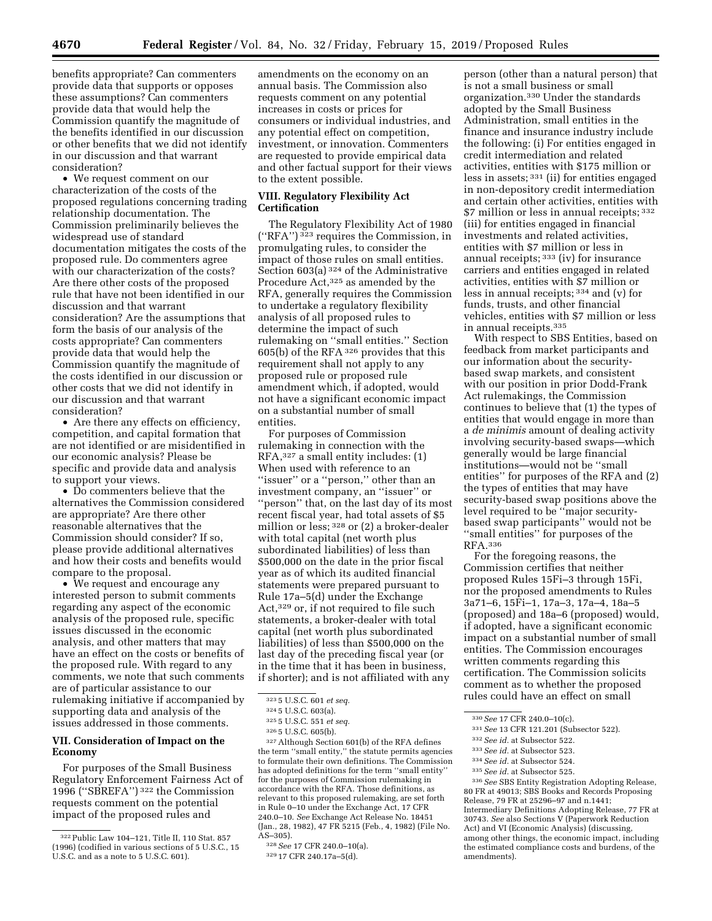benefits appropriate? Can commenters provide data that supports or opposes these assumptions? Can commenters provide data that would help the Commission quantify the magnitude of the benefits identified in our discussion or other benefits that we did not identify in our discussion and that warrant consideration?

• We request comment on our characterization of the costs of the proposed regulations concerning trading relationship documentation. The Commission preliminarily believes the widespread use of standard documentation mitigates the costs of the proposed rule. Do commenters agree with our characterization of the costs? Are there other costs of the proposed rule that have not been identified in our discussion and that warrant consideration? Are the assumptions that form the basis of our analysis of the costs appropriate? Can commenters provide data that would help the Commission quantify the magnitude of the costs identified in our discussion or other costs that we did not identify in our discussion and that warrant consideration?

• Are there any effects on efficiency, competition, and capital formation that are not identified or are misidentified in our economic analysis? Please be specific and provide data and analysis to support your views.

• Do commenters believe that the alternatives the Commission considered are appropriate? Are there other reasonable alternatives that the Commission should consider? If so, please provide additional alternatives and how their costs and benefits would compare to the proposal.

• We request and encourage any interested person to submit comments regarding any aspect of the economic analysis of the proposed rule, specific issues discussed in the economic analysis, and other matters that may have an effect on the costs or benefits of the proposed rule. With regard to any comments, we note that such comments are of particular assistance to our rulemaking initiative if accompanied by supporting data and analysis of the issues addressed in those comments.

# **VII. Consideration of Impact on the Economy**

For purposes of the Small Business Regulatory Enforcement Fairness Act of 1996 (''SBREFA'') 322 the Commission requests comment on the potential impact of the proposed rules and

amendments on the economy on an annual basis. The Commission also requests comment on any potential increases in costs or prices for consumers or individual industries, and any potential effect on competition, investment, or innovation. Commenters are requested to provide empirical data and other factual support for their views to the extent possible.

# **VIII. Regulatory Flexibility Act Certification**

The Regulatory Flexibility Act of 1980 (''RFA'') 323 requires the Commission, in promulgating rules, to consider the impact of those rules on small entities. Section 603(a) 324 of the Administrative Procedure Act, 325 as amended by the RFA, generally requires the Commission to undertake a regulatory flexibility analysis of all proposed rules to determine the impact of such rulemaking on ''small entities.'' Section 605(b) of the RFA 326 provides that this requirement shall not apply to any proposed rule or proposed rule amendment which, if adopted, would not have a significant economic impact on a substantial number of small entities.

For purposes of Commission rulemaking in connection with the RFA,327 a small entity includes: (1) When used with reference to an ''issuer'' or a ''person,'' other than an investment company, an ''issuer'' or ''person'' that, on the last day of its most recent fiscal year, had total assets of \$5 million or less; 328 or (2) a broker-dealer with total capital (net worth plus subordinated liabilities) of less than \$500,000 on the date in the prior fiscal year as of which its audited financial statements were prepared pursuant to Rule 17a–5(d) under the Exchange Act,329 or, if not required to file such statements, a broker-dealer with total capital (net worth plus subordinated liabilities) of less than \$500,000 on the last day of the preceding fiscal year (or in the time that it has been in business, if shorter); and is not affiliated with any

327Although Section 601(b) of the RFA defines the term ''small entity,'' the statute permits agencies to formulate their own definitions. The Commission has adopted definitions for the term ''small entity'' for the purposes of Commission rulemaking in accordance with the RFA. Those definitions, as relevant to this proposed rulemaking, are set forth in Rule 0–10 under the Exchange Act, 17 CFR 240.0–10. *See* Exchange Act Release No. 18451 (Jan., 28, 1982), 47 FR 5215 (Feb., 4, 1982) (File No. AS–305).

person (other than a natural person) that is not a small business or small organization.330 Under the standards adopted by the Small Business Administration, small entities in the finance and insurance industry include the following: (i) For entities engaged in credit intermediation and related activities, entities with \$175 million or less in assets; 331 (ii) for entities engaged in non-depository credit intermediation and certain other activities, entities with \$7 million or less in annual receipts; 332 (iii) for entities engaged in financial investments and related activities, entities with \$7 million or less in annual receipts; 333 (iv) for insurance carriers and entities engaged in related activities, entities with \$7 million or less in annual receipts; 334 and (v) for funds, trusts, and other financial vehicles, entities with \$7 million or less in annual receipts.335

With respect to SBS Entities, based on feedback from market participants and our information about the securitybased swap markets, and consistent with our position in prior Dodd-Frank Act rulemakings, the Commission continues to believe that (1) the types of entities that would engage in more than a *de minimis* amount of dealing activity involving security-based swaps—which generally would be large financial institutions—would not be ''small entities'' for purposes of the RFA and (2) the types of entities that may have security-based swap positions above the level required to be ''major securitybased swap participants'' would not be ''small entities'' for purposes of the RFA.336

For the foregoing reasons, the Commission certifies that neither proposed Rules 15Fi–3 through 15Fi, nor the proposed amendments to Rules 3a71–6, 15Fi–1, 17a–3, 17a–4, 18a–5 (proposed) and 18a–6 (proposed) would, if adopted, have a significant economic impact on a substantial number of small entities. The Commission encourages written comments regarding this certification. The Commission solicits comment as to whether the proposed rules could have an effect on small

- 333*See id.* at Subsector 523.
- 334*See id.* at Subsector 524.
- 335*See id.* at Subsector 525.

336*See* SBS Entity Registration Adopting Release, 80 FR at 49013; SBS Books and Records Proposing Release, 79 FR at 25296–97 and n.1441; Intermediary Definitions Adopting Release, 77 FR at 30743. *See* also Sections V (Paperwork Reduction Act) and VI (Economic Analysis) (discussing, among other things, the economic impact, including the estimated compliance costs and burdens, of the amendments).

<sup>322</sup>Public Law 104–121, Title II, 110 Stat. 857 (1996) (codified in various sections of 5 U.S.C., 15 U.S.C. and as a note to 5 U.S.C. 601).

<sup>323</sup> 5 U.S.C. 601 *et seq.* 

<sup>324</sup> 5 U.S.C. 603(a).

<sup>325</sup> 5 U.S.C. 551 *et seq.* 

<sup>326</sup> 5 U.S.C. 605(b).

<sup>328</sup>*See* 17 CFR 240.0–10(a).

<sup>329</sup> 17 CFR 240.17a–5(d).

<sup>330</sup>*See* 17 CFR 240.0–10(c).

<sup>331</sup>*See* 13 CFR 121.201 (Subsector 522).

<sup>332</sup>*See id.* at Subsector 522.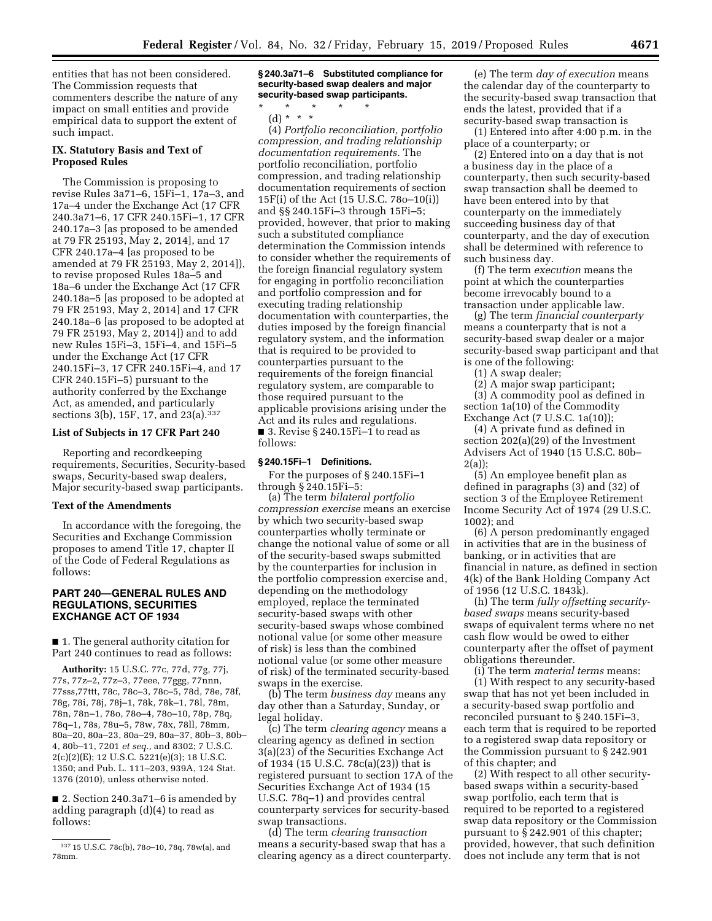entities that has not been considered. The Commission requests that commenters describe the nature of any impact on small entities and provide empirical data to support the extent of such impact.

# **IX. Statutory Basis and Text of Proposed Rules**

The Commission is proposing to revise Rules 3a71–6, 15Fi–1, 17a–3, and 17a–4 under the Exchange Act (17 CFR 240.3a71–6, 17 CFR 240.15Fi–1, 17 CFR 240.17a–3 [as proposed to be amended at 79 FR 25193, May 2, 2014], and 17 CFR 240.17a–4 [as proposed to be amended at 79 FR 25193, May 2, 2014]), to revise proposed Rules 18a–5 and 18a–6 under the Exchange Act (17 CFR 240.18a–5 [as proposed to be adopted at 79 FR 25193, May 2, 2014] and 17 CFR 240.18a–6 [as proposed to be adopted at 79 FR 25193, May 2, 2014]) and to add new Rules 15Fi–3, 15Fi–4, and 15Fi–5 under the Exchange Act (17 CFR 240.15Fi–3, 17 CFR 240.15Fi–4, and 17 CFR 240.15Fi–5) pursuant to the authority conferred by the Exchange Act, as amended, and particularly sections 3(b), 15F, 17, and 23(a).337

### **List of Subjects in 17 CFR Part 240**

Reporting and recordkeeping requirements, Securities, Security-based swaps, Security-based swap dealers, Major security-based swap participants.

## **Text of the Amendments**

In accordance with the foregoing, the Securities and Exchange Commission proposes to amend Title 17, chapter II of the Code of Federal Regulations as follows:

### **PART 240—GENERAL RULES AND REGULATIONS, SECURITIES EXCHANGE ACT OF 1934**

■ 1. The general authority citation for Part 240 continues to read as follows:

**Authority:** 15 U.S.C. 77c, 77d, 77g, 77j, 77s, 77z–2, 77z–3, 77eee, 77ggg, 77nnn, 77sss,77ttt, 78c, 78c–3, 78c–5, 78d, 78e, 78f, 78g, 78i, 78j, 78j–1, 78k, 78k–1, 78l, 78m, 78n, 78n–1, 78o, 78o–4, 78o–10, 78p, 78q, 78q–1, 78s, 78u–5, 78w, 78x, 78ll, 78mm, 80a–20, 80a–23, 80a–29, 80a–37, 80b–3, 80b– 4, 80b–11, 7201 *et seq.,* and 8302; 7 U.S.C. 2(c)(2)(E); 12 U.S.C. 5221(e)(3); 18 U.S.C. 1350; and Pub. L. 111–203, 939A, 124 Stat. 1376 (2010), unless otherwise noted.

■ 2. Section 240.3a71–6 is amended by adding paragraph (d)(4) to read as follows:

**§ 240.3a71–6 Substituted compliance for security-based swap dealers and major security-based swap participants.** 

\* \* \* \* \*

(d) \* \* \* (4) *Portfolio reconciliation, portfolio compression, and trading relationship documentation requirements.* The portfolio reconciliation, portfolio compression, and trading relationship documentation requirements of section 15F(i) of the Act (15 U.S.C. 78o–10(i)) and §§ 240.15Fi–3 through 15Fi–5; provided, however, that prior to making such a substituted compliance determination the Commission intends to consider whether the requirements of the foreign financial regulatory system for engaging in portfolio reconciliation and portfolio compression and for executing trading relationship documentation with counterparties, the duties imposed by the foreign financial regulatory system, and the information that is required to be provided to counterparties pursuant to the requirements of the foreign financial regulatory system, are comparable to those required pursuant to the applicable provisions arising under the Act and its rules and regulations. ■ 3. Revise § 240.15 $Fi-1$  to read as follows:

### **§ 240.15Fi–1 Definitions.**

For the purposes of § 240.15Fi–1 through § 240.15Fi–5:

(a) The term *bilateral portfolio compression exercise* means an exercise by which two security-based swap counterparties wholly terminate or change the notional value of some or all of the security-based swaps submitted by the counterparties for inclusion in the portfolio compression exercise and, depending on the methodology employed, replace the terminated security-based swaps with other security-based swaps whose combined notional value (or some other measure of risk) is less than the combined notional value (or some other measure of risk) of the terminated security-based swaps in the exercise.

(b) The term *business day* means any day other than a Saturday, Sunday, or legal holiday.

(c) The term *clearing agency* means a clearing agency as defined in section 3(a)(23) of the Securities Exchange Act of 1934 (15 U.S.C. 78c(a)(23)) that is registered pursuant to section 17A of the Securities Exchange Act of 1934 (15 U.S.C. 78q–1) and provides central counterparty services for security-based swap transactions.

(d) The term *clearing transaction*  means a security-based swap that has a clearing agency as a direct counterparty.

(e) The term *day of execution* means the calendar day of the counterparty to the security-based swap transaction that ends the latest, provided that if a security-based swap transaction is

(1) Entered into after 4:00 p.m. in the place of a counterparty; or

(2) Entered into on a day that is not a business day in the place of a counterparty, then such security-based swap transaction shall be deemed to have been entered into by that counterparty on the immediately succeeding business day of that counterparty, and the day of execution shall be determined with reference to such business day.

(f) The term *execution* means the point at which the counterparties become irrevocably bound to a transaction under applicable law.

(g) The term *financial counterparty*  means a counterparty that is not a security-based swap dealer or a major security-based swap participant and that is one of the following:

(1) A swap dealer;

(2) A major swap participant;

(3) A commodity pool as defined in section 1a(10) of the Commodity Exchange Act (7 U.S.C. 1a(10));

(4) A private fund as defined in section 202(a)(29) of the Investment Advisers Act of 1940 (15 U.S.C. 80b– 2(a));

(5) An employee benefit plan as defined in paragraphs (3) and (32) of section 3 of the Employee Retirement Income Security Act of 1974 (29 U.S.C. 1002); and

(6) A person predominantly engaged in activities that are in the business of banking, or in activities that are financial in nature, as defined in section 4(k) of the Bank Holding Company Act of 1956 (12 U.S.C. 1843k).

(h) The term *fully offsetting securitybased swaps* means security-based swaps of equivalent terms where no net cash flow would be owed to either counterparty after the offset of payment obligations thereunder.

(i) The term *material terms* means: (1) With respect to any security-based swap that has not yet been included in a security-based swap portfolio and reconciled pursuant to § 240.15Fi–3, each term that is required to be reported to a registered swap data repository or the Commission pursuant to § 242.901 of this chapter; and

(2) With respect to all other securitybased swaps within a security-based swap portfolio, each term that is required to be reported to a registered swap data repository or the Commission pursuant to § 242.901 of this chapter; provided, however, that such definition does not include any term that is not

<sup>337</sup> 15 U.S.C. 78c(b), 78*o*–10, 78q, 78w(a), and 78mm.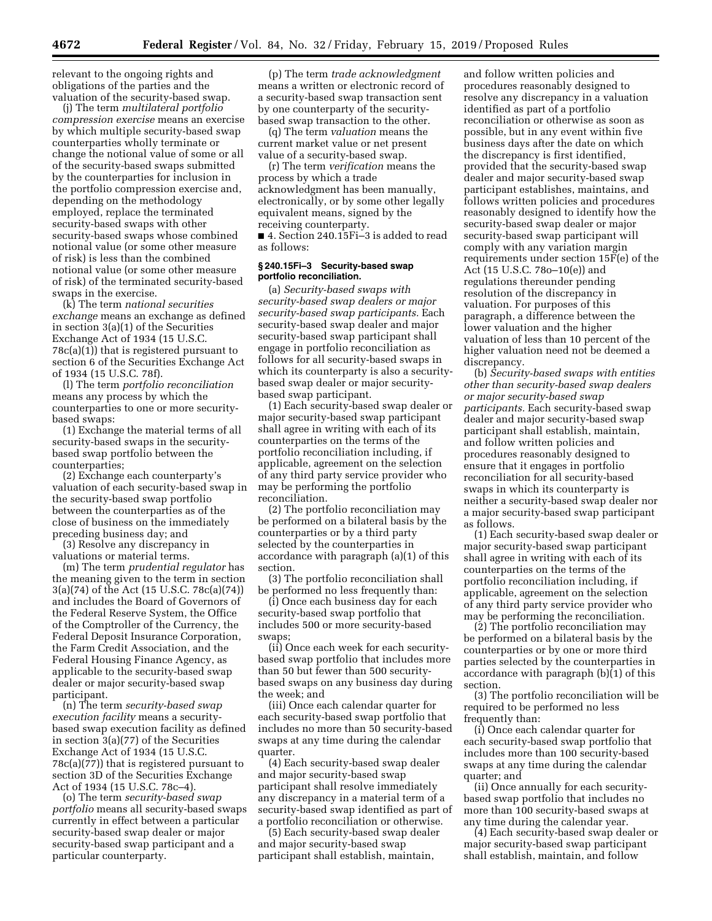relevant to the ongoing rights and obligations of the parties and the valuation of the security-based swap.

(j) The term *multilateral portfolio compression exercise* means an exercise by which multiple security-based swap counterparties wholly terminate or change the notional value of some or all of the security-based swaps submitted by the counterparties for inclusion in the portfolio compression exercise and, depending on the methodology employed, replace the terminated security-based swaps with other security-based swaps whose combined notional value (or some other measure of risk) is less than the combined notional value (or some other measure of risk) of the terminated security-based swaps in the exercise.

(k) The term *national securities exchange* means an exchange as defined in section 3(a)(1) of the Securities Exchange Act of 1934 (15 U.S.C.  $78c(a)(1)$ ) that is registered pursuant to section 6 of the Securities Exchange Act of 1934 (15 U.S.C. 78f).

(l) The term *portfolio reconciliation*  means any process by which the counterparties to one or more securitybased swaps:

(1) Exchange the material terms of all security-based swaps in the securitybased swap portfolio between the counterparties;

(2) Exchange each counterparty's valuation of each security-based swap in the security-based swap portfolio between the counterparties as of the close of business on the immediately preceding business day; and

(3) Resolve any discrepancy in valuations or material terms.

(m) The term *prudential regulator* has the meaning given to the term in section 3(a)(74) of the Act (15 U.S.C. 78c(a)(74)) and includes the Board of Governors of the Federal Reserve System, the Office of the Comptroller of the Currency, the Federal Deposit Insurance Corporation, the Farm Credit Association, and the Federal Housing Finance Agency, as applicable to the security-based swap dealer or major security-based swap participant.

(n) The term *security-based swap execution facility* means a securitybased swap execution facility as defined in section 3(a)(77) of the Securities Exchange Act of 1934 (15 U.S.C. 78c(a)(77)) that is registered pursuant to section 3D of the Securities Exchange Act of 1934 (15 U.S.C. 78c–4).

(o) The term *security-based swap portfolio* means all security-based swaps currently in effect between a particular security-based swap dealer or major security-based swap participant and a particular counterparty.

(p) The term *trade acknowledgment*  means a written or electronic record of a security-based swap transaction sent by one counterparty of the securitybased swap transaction to the other.

(q) The term *valuation* means the current market value or net present value of a security-based swap.

(r) The term *verification* means the process by which a trade acknowledgment has been manually, electronically, or by some other legally equivalent means, signed by the receiving counterparty.

■ 4. Section 240.15Fi-3 is added to read as follows:

### **§ 240.15Fi–3 Security-based swap portfolio reconciliation.**

(a) *Security-based swaps with security-based swap dealers or major security-based swap participants.* Each security-based swap dealer and major security-based swap participant shall engage in portfolio reconciliation as follows for all security-based swaps in which its counterparty is also a securitybased swap dealer or major securitybased swap participant.

(1) Each security-based swap dealer or major security-based swap participant shall agree in writing with each of its counterparties on the terms of the portfolio reconciliation including, if applicable, agreement on the selection of any third party service provider who may be performing the portfolio reconciliation.

(2) The portfolio reconciliation may be performed on a bilateral basis by the counterparties or by a third party selected by the counterparties in accordance with paragraph (a)(1) of this section.

(3) The portfolio reconciliation shall be performed no less frequently than:

(i) Once each business day for each security-based swap portfolio that includes 500 or more security-based swaps;

(ii) Once each week for each securitybased swap portfolio that includes more than 50 but fewer than 500 securitybased swaps on any business day during the week; and

(iii) Once each calendar quarter for each security-based swap portfolio that includes no more than 50 security-based swaps at any time during the calendar quarter.

(4) Each security-based swap dealer and major security-based swap participant shall resolve immediately any discrepancy in a material term of a security-based swap identified as part of a portfolio reconciliation or otherwise.

(5) Each security-based swap dealer and major security-based swap participant shall establish, maintain,

and follow written policies and procedures reasonably designed to resolve any discrepancy in a valuation identified as part of a portfolio reconciliation or otherwise as soon as possible, but in any event within five business days after the date on which the discrepancy is first identified, provided that the security-based swap dealer and major security-based swap participant establishes, maintains, and follows written policies and procedures reasonably designed to identify how the security-based swap dealer or major security-based swap participant will comply with any variation margin requirements under section 15F(e) of the Act (15 U.S.C. 78o–10(e)) and regulations thereunder pending resolution of the discrepancy in valuation. For purposes of this paragraph, a difference between the lower valuation and the higher valuation of less than 10 percent of the higher valuation need not be deemed a discrepancy.

(b) *Security-based swaps with entities other than security-based swap dealers or major security-based swap participants.* Each security-based swap dealer and major security-based swap participant shall establish, maintain, and follow written policies and procedures reasonably designed to ensure that it engages in portfolio reconciliation for all security-based swaps in which its counterparty is neither a security-based swap dealer nor a major security-based swap participant as follows.

(1) Each security-based swap dealer or major security-based swap participant shall agree in writing with each of its counterparties on the terms of the portfolio reconciliation including, if applicable, agreement on the selection of any third party service provider who may be performing the reconciliation.

(2) The portfolio reconciliation may be performed on a bilateral basis by the counterparties or by one or more third parties selected by the counterparties in accordance with paragraph (b)(1) of this section.

(3) The portfolio reconciliation will be required to be performed no less frequently than:

(i) Once each calendar quarter for each security-based swap portfolio that includes more than 100 security-based swaps at any time during the calendar quarter; and

(ii) Once annually for each securitybased swap portfolio that includes no more than 100 security-based swaps at any time during the calendar year.

(4) Each security-based swap dealer or major security-based swap participant shall establish, maintain, and follow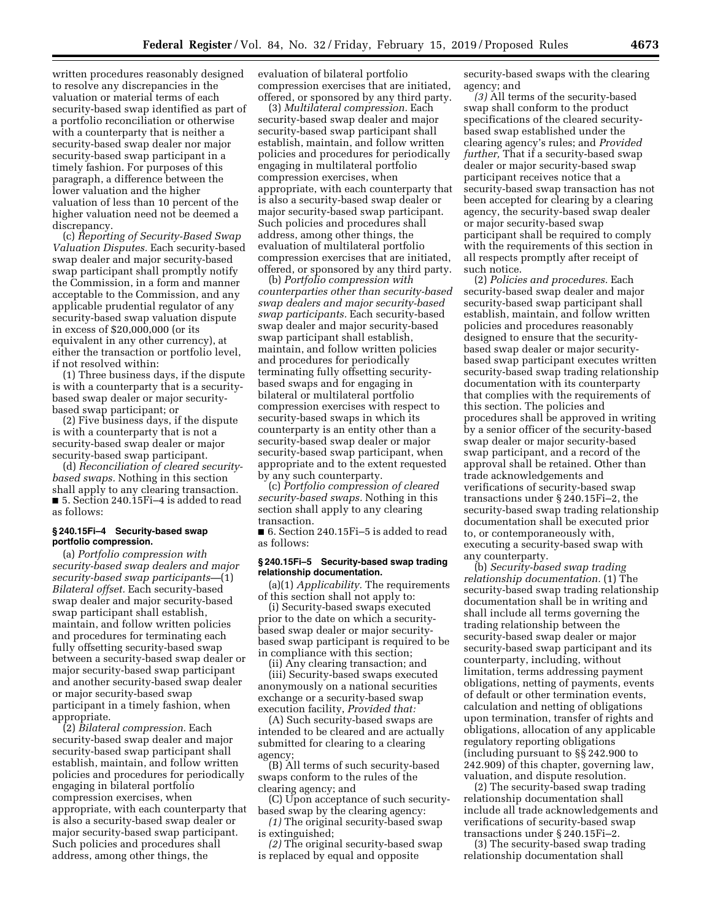written procedures reasonably designed to resolve any discrepancies in the valuation or material terms of each security-based swap identified as part of a portfolio reconciliation or otherwise with a counterparty that is neither a security-based swap dealer nor major security-based swap participant in a timely fashion. For purposes of this paragraph, a difference between the lower valuation and the higher valuation of less than 10 percent of the higher valuation need not be deemed a discrepancy.

(c) *Reporting of Security-Based Swap Valuation Disputes.* Each security-based swap dealer and major security-based swap participant shall promptly notify the Commission, in a form and manner acceptable to the Commission, and any applicable prudential regulator of any security-based swap valuation dispute in excess of \$20,000,000 (or its equivalent in any other currency), at either the transaction or portfolio level, if not resolved within:

(1) Three business days, if the dispute is with a counterparty that is a securitybased swap dealer or major securitybased swap participant; or

(2) Five business days, if the dispute is with a counterparty that is not a security-based swap dealer or major security-based swap participant.

(d) *Reconciliation of cleared securitybased swaps.* Nothing in this section shall apply to any clearing transaction. ■ 5. Section 240.15Fi-4 is added to read as follows:

## **§ 240.15Fi–4 Security-based swap portfolio compression.**

(a) *Portfolio compression with security-based swap dealers and major security-based swap participants—*(1) *Bilateral offset.* Each security-based swap dealer and major security-based swap participant shall establish, maintain, and follow written policies and procedures for terminating each fully offsetting security-based swap between a security-based swap dealer or major security-based swap participant and another security-based swap dealer or major security-based swap participant in a timely fashion, when appropriate.

(2) *Bilateral compression.* Each security-based swap dealer and major security-based swap participant shall establish, maintain, and follow written policies and procedures for periodically engaging in bilateral portfolio compression exercises, when appropriate, with each counterparty that is also a security-based swap dealer or major security-based swap participant. Such policies and procedures shall address, among other things, the

evaluation of bilateral portfolio compression exercises that are initiated, offered, or sponsored by any third party.

(3) *Multilateral compression.* Each security-based swap dealer and major security-based swap participant shall establish, maintain, and follow written policies and procedures for periodically engaging in multilateral portfolio compression exercises, when appropriate, with each counterparty that is also a security-based swap dealer or major security-based swap participant. Such policies and procedures shall address, among other things, the evaluation of multilateral portfolio compression exercises that are initiated, offered, or sponsored by any third party.

(b) *Portfolio compression with counterparties other than security-based swap dealers and major security-based swap participants.* Each security-based swap dealer and major security-based swap participant shall establish, maintain, and follow written policies and procedures for periodically terminating fully offsetting securitybased swaps and for engaging in bilateral or multilateral portfolio compression exercises with respect to security-based swaps in which its counterparty is an entity other than a security-based swap dealer or major security-based swap participant, when appropriate and to the extent requested by any such counterparty.

(c) *Portfolio compression of cleared security-based swaps.* Nothing in this section shall apply to any clearing transaction.

■ 6. Section 240.15Fi–5 is added to read as follows:

### **§ 240.15Fi–5 Security-based swap trading relationship documentation.**

(a)(1) *Applicability.* The requirements of this section shall not apply to:

(i) Security-based swaps executed prior to the date on which a securitybased swap dealer or major securitybased swap participant is required to be in compliance with this section;

(ii) Any clearing transaction; and (iii) Security-based swaps executed anonymously on a national securities exchange or a security-based swap execution facility, *Provided that:* 

(A) Such security-based swaps are intended to be cleared and are actually submitted for clearing to a clearing agency;

(B) All terms of such security-based swaps conform to the rules of the clearing agency; and

(C) Upon acceptance of such securitybased swap by the clearing agency:

*(1)* The original security-based swap is extinguished;

*(2)* The original security-based swap is replaced by equal and opposite

security-based swaps with the clearing agency; and

*(3)* All terms of the security-based swap shall conform to the product specifications of the cleared securitybased swap established under the clearing agency's rules; and *Provided further,* That if a security-based swap dealer or major security-based swap participant receives notice that a security-based swap transaction has not been accepted for clearing by a clearing agency, the security-based swap dealer or major security-based swap participant shall be required to comply with the requirements of this section in all respects promptly after receipt of such notice.

(2) *Policies and procedures.* Each security-based swap dealer and major security-based swap participant shall establish, maintain, and follow written policies and procedures reasonably designed to ensure that the securitybased swap dealer or major securitybased swap participant executes written security-based swap trading relationship documentation with its counterparty that complies with the requirements of this section. The policies and procedures shall be approved in writing by a senior officer of the security-based swap dealer or major security-based swap participant, and a record of the approval shall be retained. Other than trade acknowledgements and verifications of security-based swap transactions under § 240.15Fi–2, the security-based swap trading relationship documentation shall be executed prior to, or contemporaneously with, executing a security-based swap with any counterparty.

(b) *Security-based swap trading relationship documentation.* (1) The security-based swap trading relationship documentation shall be in writing and shall include all terms governing the trading relationship between the security-based swap dealer or major security-based swap participant and its counterparty, including, without limitation, terms addressing payment obligations, netting of payments, events of default or other termination events, calculation and netting of obligations upon termination, transfer of rights and obligations, allocation of any applicable regulatory reporting obligations (including pursuant to §§ 242.900 to 242.909) of this chapter, governing law, valuation, and dispute resolution.

(2) The security-based swap trading relationship documentation shall include all trade acknowledgements and verifications of security-based swap transactions under § 240.15Fi–2.

(3) The security-based swap trading relationship documentation shall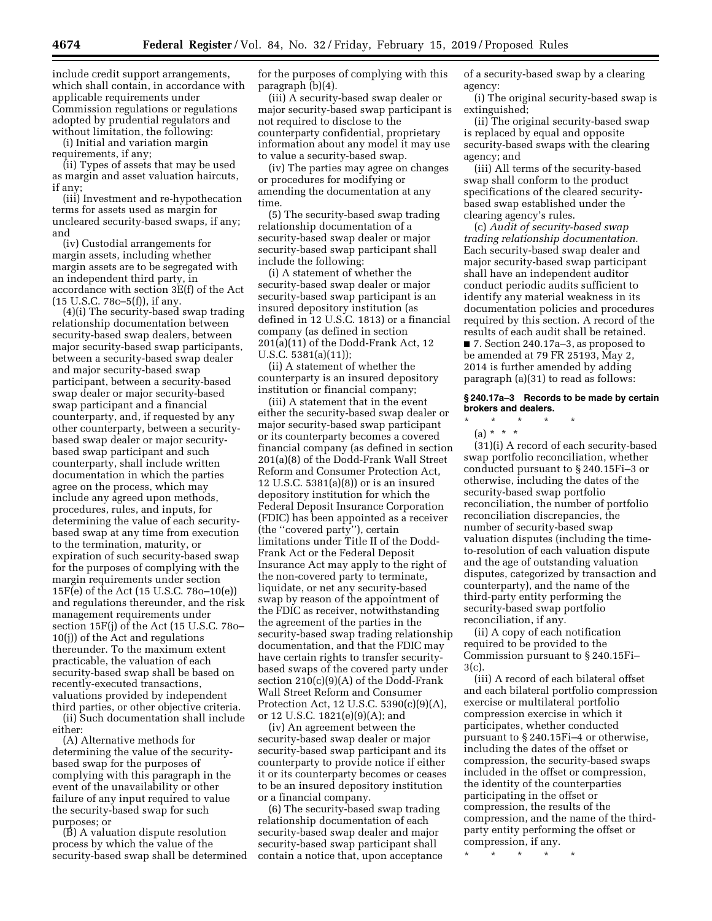include credit support arrangements, which shall contain, in accordance with applicable requirements under Commission regulations or regulations adopted by prudential regulators and without limitation, the following:

(i) Initial and variation margin requirements, if any;

(ii) Types of assets that may be used as margin and asset valuation haircuts, if any;

(iii) Investment and re-hypothecation terms for assets used as margin for uncleared security-based swaps, if any; and

(iv) Custodial arrangements for margin assets, including whether margin assets are to be segregated with an independent third party, in accordance with section 3E(f) of the Act (15 U.S.C. 78c–5(f)), if any.

(4)(i) The security-based swap trading relationship documentation between security-based swap dealers, between major security-based swap participants, between a security-based swap dealer and major security-based swap participant, between a security-based swap dealer or major security-based swap participant and a financial counterparty, and, if requested by any other counterparty, between a securitybased swap dealer or major securitybased swap participant and such counterparty, shall include written documentation in which the parties agree on the process, which may include any agreed upon methods, procedures, rules, and inputs, for determining the value of each securitybased swap at any time from execution to the termination, maturity, or expiration of such security-based swap for the purposes of complying with the margin requirements under section 15F(e) of the Act (15 U.S.C. 78o–10(e)) and regulations thereunder, and the risk management requirements under section 15F(j) of the Act (15 U.S.C. 78o– 10(j)) of the Act and regulations thereunder. To the maximum extent practicable, the valuation of each security-based swap shall be based on recently-executed transactions, valuations provided by independent third parties, or other objective criteria.

(ii) Such documentation shall include either:

(A) Alternative methods for determining the value of the securitybased swap for the purposes of complying with this paragraph in the event of the unavailability or other failure of any input required to value the security-based swap for such purposes; or

(B) A valuation dispute resolution process by which the value of the security-based swap shall be determined

for the purposes of complying with this paragraph (b)(4).

(iii) A security-based swap dealer or major security-based swap participant is not required to disclose to the counterparty confidential, proprietary information about any model it may use to value a security-based swap.

(iv) The parties may agree on changes or procedures for modifying or amending the documentation at any time.

(5) The security-based swap trading relationship documentation of a security-based swap dealer or major security-based swap participant shall include the following:

(i) A statement of whether the security-based swap dealer or major security-based swap participant is an insured depository institution (as defined in 12 U.S.C. 1813) or a financial company (as defined in section 201(a)(11) of the Dodd-Frank Act, 12 U.S.C. 5381(a)(11));

(ii) A statement of whether the counterparty is an insured depository institution or financial company;

(iii) A statement that in the event either the security-based swap dealer or major security-based swap participant or its counterparty becomes a covered financial company (as defined in section 201(a)(8) of the Dodd-Frank Wall Street Reform and Consumer Protection Act, 12 U.S.C. 5381(a)(8)) or is an insured depository institution for which the Federal Deposit Insurance Corporation (FDIC) has been appointed as a receiver (the ''covered party''), certain limitations under Title II of the Dodd-Frank Act or the Federal Deposit Insurance Act may apply to the right of the non-covered party to terminate, liquidate, or net any security-based swap by reason of the appointment of the FDIC as receiver, notwithstanding the agreement of the parties in the security-based swap trading relationship documentation, and that the FDIC may have certain rights to transfer securitybased swaps of the covered party under section 210(c)(9)(A) of the Dodd-Frank Wall Street Reform and Consumer Protection Act, 12 U.S.C. 5390(c)(9)(A), or 12 U.S.C. 1821(e)(9)(A); and

(iv) An agreement between the security-based swap dealer or major security-based swap participant and its counterparty to provide notice if either it or its counterparty becomes or ceases to be an insured depository institution or a financial company.

(6) The security-based swap trading relationship documentation of each security-based swap dealer and major security-based swap participant shall contain a notice that, upon acceptance of a security-based swap by a clearing agency:

(i) The original security-based swap is extinguished;

(ii) The original security-based swap is replaced by equal and opposite security-based swaps with the clearing agency; and

(iii) All terms of the security-based swap shall conform to the product specifications of the cleared securitybased swap established under the clearing agency's rules.

(c) *Audit of security-based swap trading relationship documentation.*  Each security-based swap dealer and major security-based swap participant shall have an independent auditor conduct periodic audits sufficient to identify any material weakness in its documentation policies and procedures required by this section. A record of the results of each audit shall be retained.

■ 7. Section 240.17a–3, as proposed to be amended at 79 FR 25193, May 2, 2014 is further amended by adding paragraph (a)(31) to read as follows:

### **§ 240.17a–3 Records to be made by certain brokers and dealers.**

\* \* \* \* \*

 $(a) * * * *$ 

(31)(i) A record of each security-based swap portfolio reconciliation, whether conducted pursuant to § 240.15Fi–3 or otherwise, including the dates of the security-based swap portfolio reconciliation, the number of portfolio reconciliation discrepancies, the number of security-based swap valuation disputes (including the timeto-resolution of each valuation dispute and the age of outstanding valuation disputes, categorized by transaction and counterparty), and the name of the third-party entity performing the security-based swap portfolio reconciliation, if any.

(ii) A copy of each notification required to be provided to the Commission pursuant to § 240.15Fi– 3(c).

(iii) A record of each bilateral offset and each bilateral portfolio compression exercise or multilateral portfolio compression exercise in which it participates, whether conducted pursuant to § 240.15Fi–4 or otherwise, including the dates of the offset or compression, the security-based swaps included in the offset or compression, the identity of the counterparties participating in the offset or compression, the results of the compression, and the name of the thirdparty entity performing the offset or compression, if any.

\* \* \* \* \*